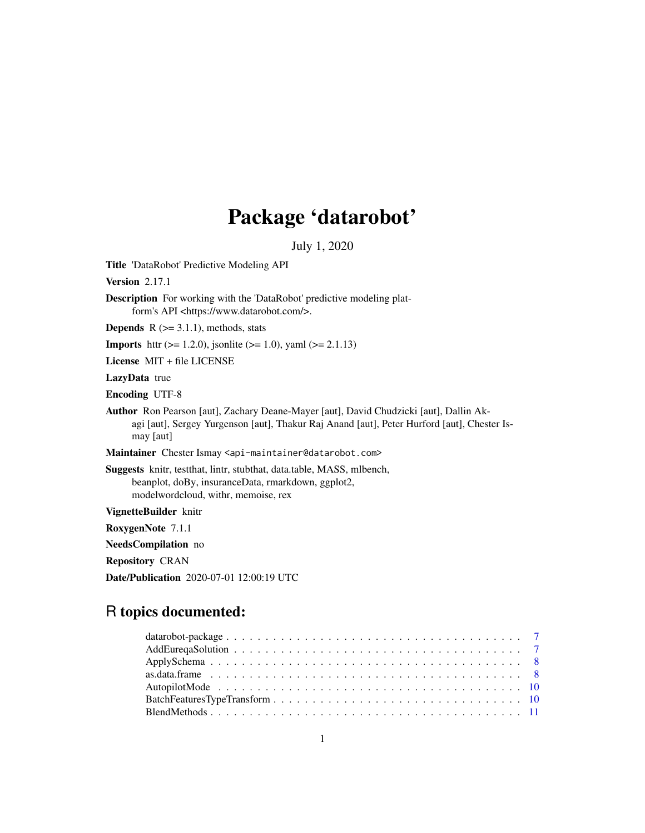# Package 'datarobot'

July 1, 2020

Title 'DataRobot' Predictive Modeling API

Version 2.17.1

Description For working with the 'DataRobot' predictive modeling platform's API <https://www.datarobot.com/>.

**Depends**  $R$  ( $>= 3.1.1$ ), methods, stats

**Imports** httr ( $> = 1.2.0$ ), jsonlite ( $> = 1.0$ ), yaml ( $> = 2.1.13$ )

License MIT + file LICENSE

LazyData true

Encoding UTF-8

Author Ron Pearson [aut], Zachary Deane-Mayer [aut], David Chudzicki [aut], Dallin Akagi [aut], Sergey Yurgenson [aut], Thakur Raj Anand [aut], Peter Hurford [aut], Chester Ismay [aut]

Maintainer Chester Ismay <api-maintainer@datarobot.com>

Suggests knitr, testthat, lintr, stubthat, data.table, MASS, mlbench, beanplot, doBy, insuranceData, rmarkdown, ggplot2, modelwordcloud, withr, memoise, rex

VignetteBuilder knitr

RoxygenNote 7.1.1

NeedsCompilation no

Repository CRAN

Date/Publication 2020-07-01 12:00:19 UTC

## R topics documented: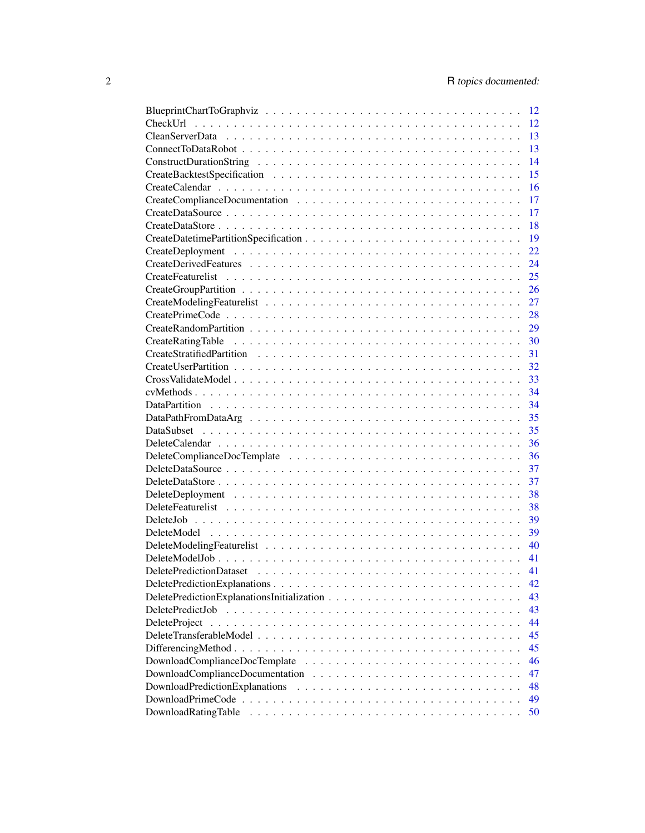|                                | <sup>12</sup> |
|--------------------------------|---------------|
|                                | 12            |
|                                | 13            |
|                                | 13            |
|                                | 14            |
|                                | 15            |
|                                | 16            |
|                                | 17            |
|                                | 17            |
|                                | 18            |
|                                | 19            |
|                                | 22            |
|                                | 24            |
|                                | 25            |
|                                | 26            |
|                                | 27            |
|                                | 28            |
|                                | 29            |
|                                | 30            |
|                                | 31            |
|                                | 32            |
|                                | 33            |
|                                | 34            |
|                                | 34            |
|                                | 35            |
|                                | 35            |
|                                | 36            |
|                                | 36            |
|                                | 37            |
|                                | 37            |
|                                | 38            |
|                                | 38            |
|                                | 39            |
|                                | 39            |
|                                | 40            |
|                                | 41            |
|                                | 41            |
|                                |               |
|                                | 42            |
|                                | 43            |
| DeletePredictJob               | 43            |
| DeleteProject                  | 44            |
|                                | 45            |
|                                | 45            |
|                                | 46            |
|                                | 47            |
| DownloadPredictionExplanations | 48            |
|                                | 49            |
| DownloadRatingTable            | 50            |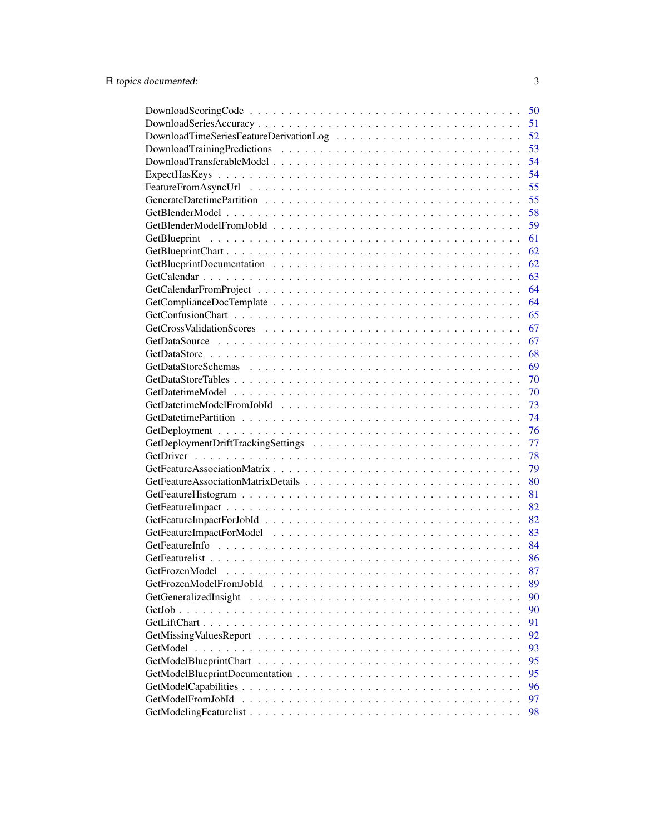|                                        | 50       |
|----------------------------------------|----------|
|                                        | 51       |
| DownloadTimeSeriesFeatureDerivationLog | 52       |
|                                        | 53       |
|                                        | 54       |
|                                        | 54       |
|                                        | 55       |
|                                        | 55       |
|                                        | 58       |
|                                        | 59       |
|                                        | 61       |
|                                        | 62       |
|                                        | 62       |
|                                        | 63       |
|                                        | 64       |
|                                        | 64       |
|                                        | 65       |
|                                        |          |
|                                        | 67<br>67 |
|                                        |          |
|                                        | 68       |
|                                        | 69       |
|                                        | 70       |
|                                        | 70       |
|                                        | 73       |
|                                        | 74       |
|                                        | 76       |
|                                        | 77       |
|                                        | 78       |
|                                        | 79       |
|                                        | 80       |
|                                        | 81       |
|                                        | 82       |
|                                        | 82       |
|                                        | 83       |
|                                        | 84       |
|                                        | 86       |
|                                        | 87       |
|                                        | 89       |
|                                        | 90       |
|                                        | 90       |
|                                        | 91       |
|                                        | 92       |
|                                        | 93       |
|                                        | 95       |
|                                        | 95       |
|                                        | 96       |
|                                        | 97       |
|                                        | 98       |
|                                        |          |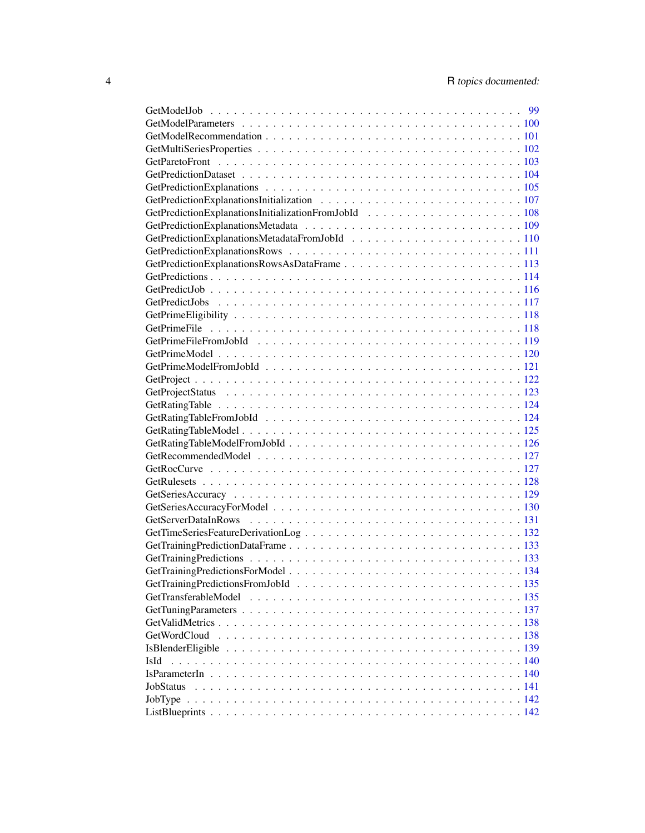| GetPredictionExplanationsRowsAsDataFrame113 |  |
|---------------------------------------------|--|
|                                             |  |
|                                             |  |
|                                             |  |
|                                             |  |
|                                             |  |
|                                             |  |
|                                             |  |
|                                             |  |
|                                             |  |
|                                             |  |
|                                             |  |
|                                             |  |
|                                             |  |
|                                             |  |
|                                             |  |
|                                             |  |
|                                             |  |
|                                             |  |
|                                             |  |
|                                             |  |
|                                             |  |
|                                             |  |
|                                             |  |
|                                             |  |
|                                             |  |
|                                             |  |
| GetTransferableModel                        |  |
|                                             |  |
|                                             |  |
|                                             |  |
|                                             |  |
| IsId                                        |  |
|                                             |  |
| JobStatus                                   |  |
| JobType                                     |  |
|                                             |  |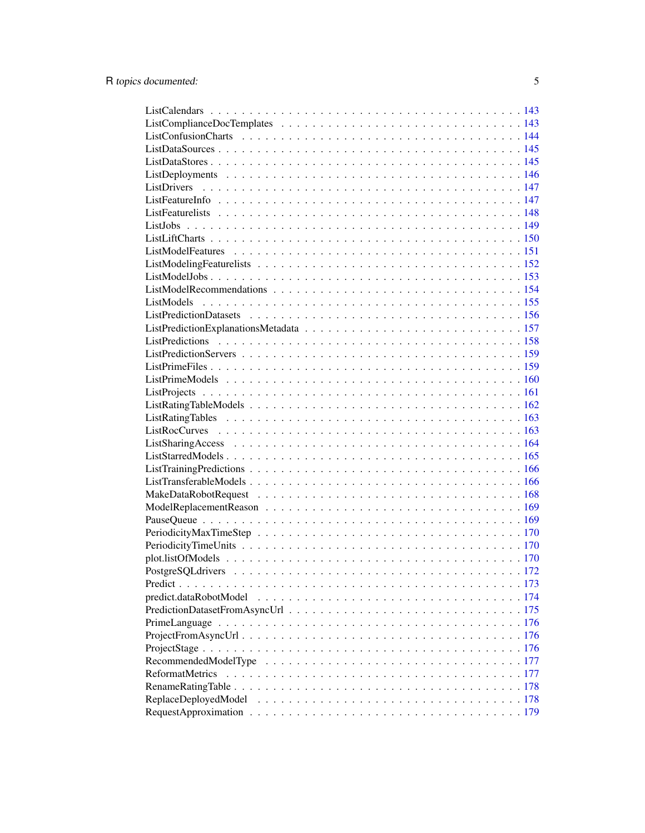| $Project From AsyncUrl. \ldots \ldots \ldots \ldots \ldots \ldots \ldots \ldots \ldots \ldots \ldots \ldots 176$ |  |
|------------------------------------------------------------------------------------------------------------------|--|
|                                                                                                                  |  |
|                                                                                                                  |  |
| <b>ReformatMetrics</b>                                                                                           |  |
|                                                                                                                  |  |
|                                                                                                                  |  |
|                                                                                                                  |  |
|                                                                                                                  |  |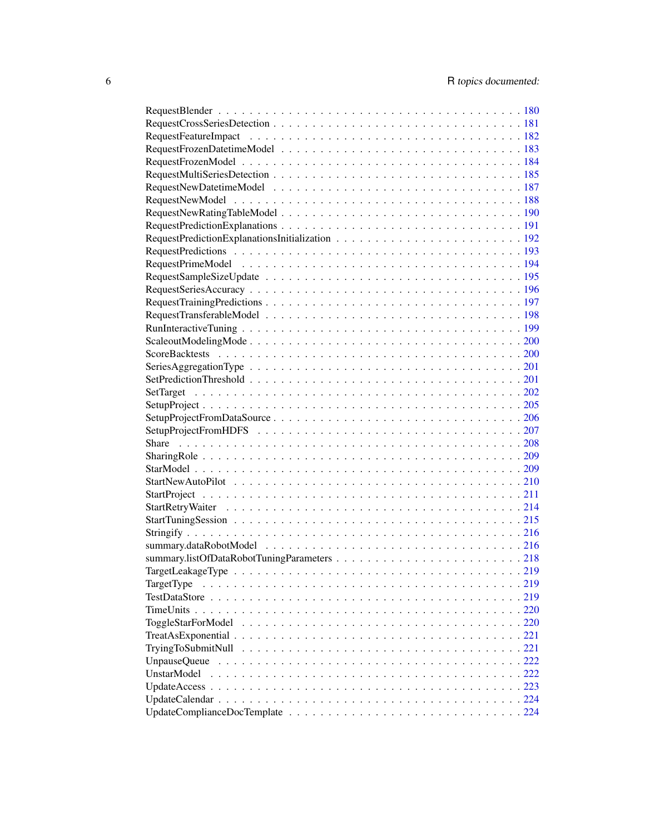| TargetType  |  |
|-------------|--|
|             |  |
|             |  |
|             |  |
|             |  |
|             |  |
|             |  |
| UnstarModel |  |
|             |  |
|             |  |
|             |  |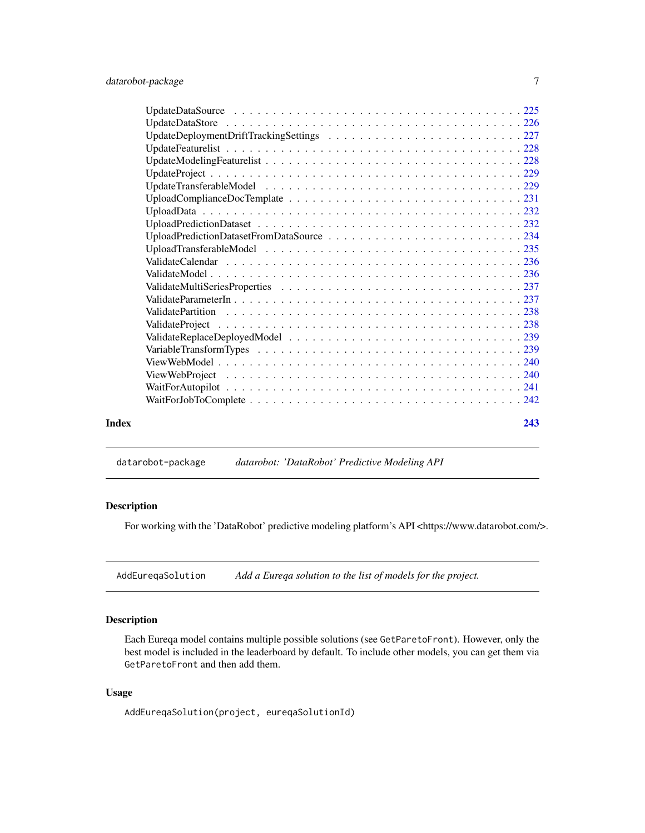<span id="page-6-0"></span>

## datarobot-package *datarobot: 'DataRobot' Predictive Modeling API*

## Description

For working with the 'DataRobot' predictive modeling platform's API <https://www.datarobot.com/>.

AddEureqaSolution *Add a Eureqa solution to the list of models for the project.*

## Description

Each Eureqa model contains multiple possible solutions (see GetParetoFront). However, only the best model is included in the leaderboard by default. To include other models, you can get them via GetParetoFront and then add them.

## Usage

AddEureqaSolution(project, eureqaSolutionId)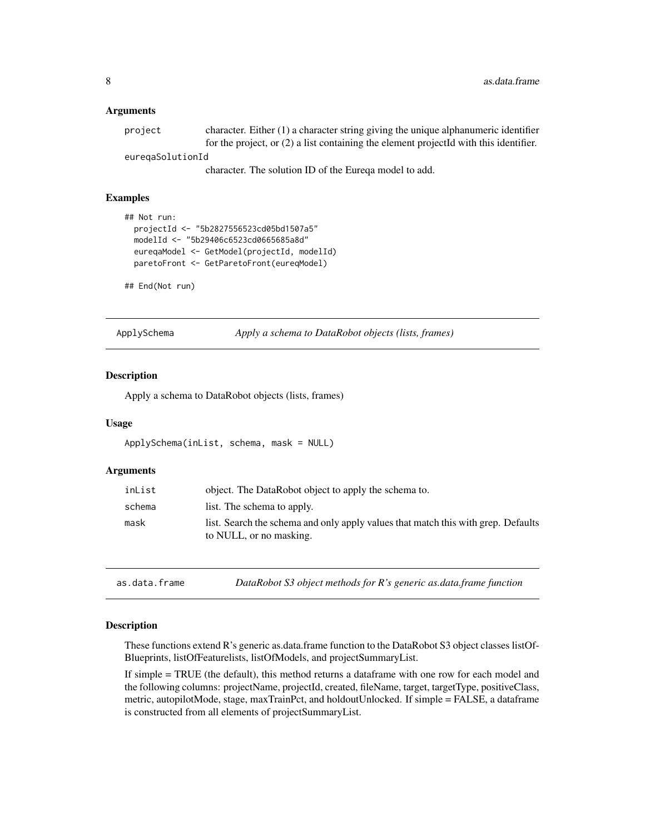#### <span id="page-7-0"></span>**Arguments**

| project          | character. Either $(1)$ a character string giving the unique alphanumeric identifier    |
|------------------|-----------------------------------------------------------------------------------------|
|                  | for the project, or $(2)$ a list containing the element projected with this identifier. |
| euregaSolutionId |                                                                                         |
|                  | $\sim$ $\sim$ $\sim$ $\sim$                                                             |

character. The solution ID of the Eureqa model to add.

## Examples

```
## Not run:
 projectId <- "5b2827556523cd05bd1507a5"
 modelId <- "5b29406c6523cd0665685a8d"
 eureqaModel <- GetModel(projectId, modelId)
 paretoFront <- GetParetoFront(eureqModel)
```

```
## End(Not run)
```
ApplySchema *Apply a schema to DataRobot objects (lists, frames)*

#### Description

Apply a schema to DataRobot objects (lists, frames)

#### Usage

```
ApplySchema(inList, schema, mask = NULL)
```
#### Arguments

| inList | object. The DataRobot object to apply the schema to.                                                         |
|--------|--------------------------------------------------------------------------------------------------------------|
| schema | list. The schema to apply.                                                                                   |
| mask   | list. Search the schema and only apply values that match this with grep. Defaults<br>to NULL, or no masking. |

as.data.frame *DataRobot S3 object methods for R's generic as.data.frame function*

#### Description

These functions extend R's generic as.data.frame function to the DataRobot S3 object classes listOf-Blueprints, listOfFeaturelists, listOfModels, and projectSummaryList.

If simple = TRUE (the default), this method returns a dataframe with one row for each model and the following columns: projectName, projectId, created, fileName, target, targetType, positiveClass, metric, autopilotMode, stage, maxTrainPct, and holdoutUnlocked. If simple = FALSE, a dataframe is constructed from all elements of projectSummaryList.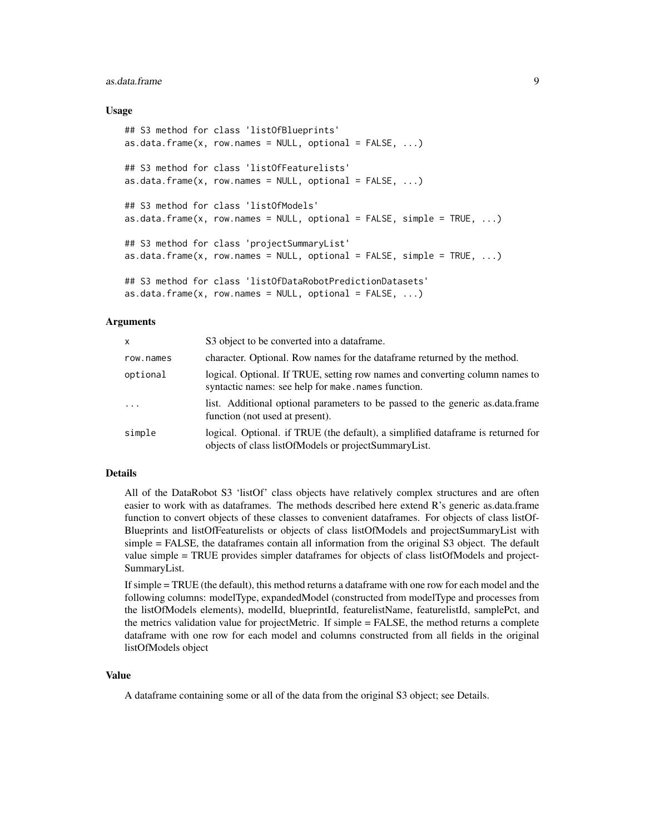#### as.data.frame 9

#### Usage

```
## S3 method for class 'listOfBlueprints'
as.data.frame(x, row.names = NULL, optional = FALSE, ...)
## S3 method for class 'listOfFeaturelists'
as.data. frame(x, row. names = NULL, optional = FALSE, ...)## S3 method for class 'listOfModels'
as.data.frame(x, row.names = NULL, optional = FALSE, simple = TRUE, ...)
## S3 method for class 'projectSummaryList'
as.data.fname(x, row.names = NULL, optional = FALSE, simple = TRUE, ...)## S3 method for class 'listOfDataRobotPredictionDatasets'
as.data frame(x, row.name = NULL, optional = FALSE, ...)
```
#### Arguments

| x          | S3 object to be converted into a data frame.                                                                                              |
|------------|-------------------------------------------------------------------------------------------------------------------------------------------|
| row.names  | character. Optional. Row names for the data frame returned by the method.                                                                 |
| optional   | logical. Optional. If TRUE, setting row names and converting column names to<br>syntactic names: see help for make.names function.        |
| $\ddots$ . | list. Additional optional parameters to be passed to the generic as data frame<br>function (not used at present).                         |
| simple     | logical. Optional. if TRUE (the default), a simplified data frame is returned for<br>objects of class listOfModels or projectSummaryList. |

#### Details

All of the DataRobot S3 'listOf' class objects have relatively complex structures and are often easier to work with as dataframes. The methods described here extend R's generic as.data.frame function to convert objects of these classes to convenient dataframes. For objects of class listOf-Blueprints and listOfFeaturelists or objects of class listOfModels and projectSummaryList with simple = FALSE, the dataframes contain all information from the original S3 object. The default value simple = TRUE provides simpler dataframes for objects of class listOfModels and project-SummaryList.

If simple = TRUE (the default), this method returns a dataframe with one row for each model and the following columns: modelType, expandedModel (constructed from modelType and processes from the listOfModels elements), modelId, blueprintId, featurelistName, featurelistId, samplePct, and the metrics validation value for projectMetric. If simple = FALSE, the method returns a complete dataframe with one row for each model and columns constructed from all fields in the original listOfModels object

## Value

A dataframe containing some or all of the data from the original S3 object; see Details.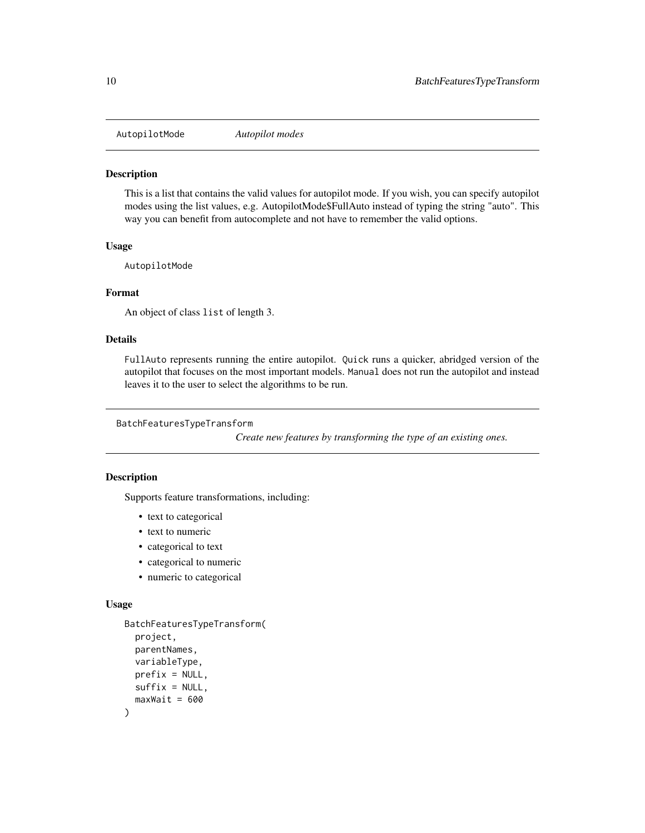<span id="page-9-0"></span>AutopilotMode *Autopilot modes*

#### Description

This is a list that contains the valid values for autopilot mode. If you wish, you can specify autopilot modes using the list values, e.g. AutopilotMode\$FullAuto instead of typing the string "auto". This way you can benefit from autocomplete and not have to remember the valid options.

#### Usage

AutopilotMode

#### Format

An object of class list of length 3.

## Details

FullAuto represents running the entire autopilot. Quick runs a quicker, abridged version of the autopilot that focuses on the most important models. Manual does not run the autopilot and instead leaves it to the user to select the algorithms to be run.

BatchFeaturesTypeTransform

*Create new features by transforming the type of an existing ones.*

## Description

Supports feature transformations, including:

- text to categorical
- text to numeric
- categorical to text
- categorical to numeric
- numeric to categorical

#### Usage

```
BatchFeaturesTypeTransform(
 project,
 parentNames,
  variableType,
 prefix = NULL,
 suffix = NULL,maxWait = 600)
```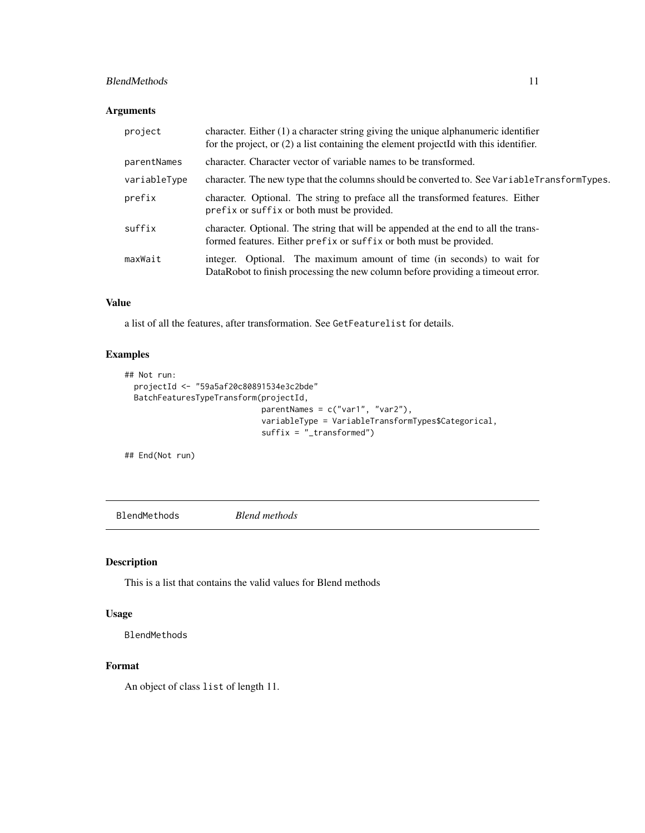## <span id="page-10-0"></span>BlendMethods 11

## Arguments

| project      | character. Either $(1)$ a character string giving the unique alphanumeric identifier<br>for the project, or (2) a list containing the element projectId with this identifier. |
|--------------|-------------------------------------------------------------------------------------------------------------------------------------------------------------------------------|
| parentNames  | character. Character vector of variable names to be transformed.                                                                                                              |
| variableType | character. The new type that the columns should be converted to. See VariableTransformTypes.                                                                                  |
| prefix       | character. Optional. The string to preface all the transformed features. Either<br>prefix or suffix or both must be provided.                                                 |
| suffix       | character. Optional. The string that will be appended at the end to all the trans-<br>formed features. Either prefix or suffix or both must be provided.                      |
| maxWait      | integer. Optional. The maximum amount of time (in seconds) to wait for<br>DataRobot to finish processing the new column before providing a time out error.                    |

## Value

a list of all the features, after transformation. See GetFeaturelist for details.

## Examples

```
## Not run:
  projectId <- "59a5af20c80891534e3c2bde"
  BatchFeaturesTypeTransform(projectId,
                            parentNames = c("var1", "var2"),
                            variableType = VariableTransformTypes$Categorical,
                            suffix = "transformed")
```
## End(Not run)

BlendMethods *Blend methods*

## Description

This is a list that contains the valid values for Blend methods

#### Usage

BlendMethods

#### Format

An object of class list of length 11.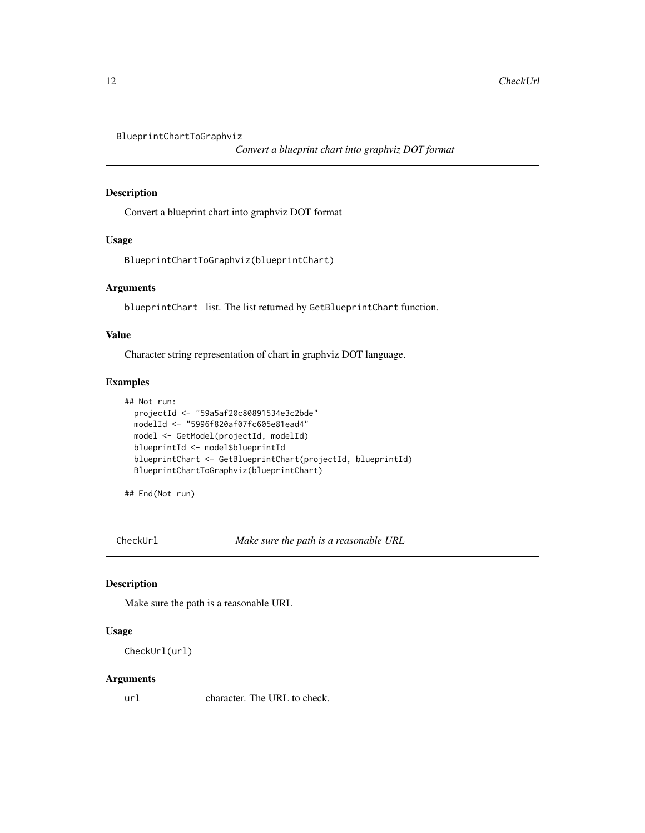<span id="page-11-0"></span>BlueprintChartToGraphviz

*Convert a blueprint chart into graphviz DOT format*

## Description

Convert a blueprint chart into graphviz DOT format

#### Usage

BlueprintChartToGraphviz(blueprintChart)

#### Arguments

blueprintChart list. The list returned by GetBlueprintChart function.

## Value

Character string representation of chart in graphviz DOT language.

## Examples

```
## Not run:
 projectId <- "59a5af20c80891534e3c2bde"
 modelId <- "5996f820af07fc605e81ead4"
 model <- GetModel(projectId, modelId)
 blueprintId <- model$blueprintId
 blueprintChart <- GetBlueprintChart(projectId, blueprintId)
 BlueprintChartToGraphviz(blueprintChart)
```
## End(Not run)

CheckUrl *Make sure the path is a reasonable URL*

## Description

Make sure the path is a reasonable URL

## Usage

```
CheckUrl(url)
```
#### Arguments

url character. The URL to check.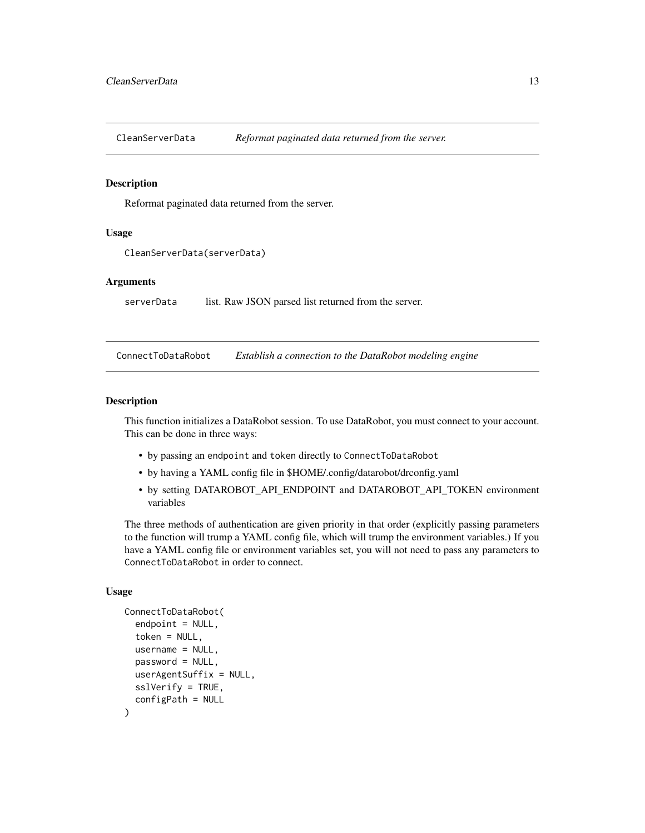<span id="page-12-0"></span>CleanServerData *Reformat paginated data returned from the server.*

#### Description

Reformat paginated data returned from the server.

#### Usage

```
CleanServerData(serverData)
```
#### Arguments

serverData list. Raw JSON parsed list returned from the server.

ConnectToDataRobot *Establish a connection to the DataRobot modeling engine*

#### Description

This function initializes a DataRobot session. To use DataRobot, you must connect to your account. This can be done in three ways:

- by passing an endpoint and token directly to ConnectToDataRobot
- by having a YAML config file in \$HOME/.config/datarobot/drconfig.yaml
- by setting DATAROBOT\_API\_ENDPOINT and DATAROBOT\_API\_TOKEN environment variables

The three methods of authentication are given priority in that order (explicitly passing parameters to the function will trump a YAML config file, which will trump the environment variables.) If you have a YAML config file or environment variables set, you will not need to pass any parameters to ConnectToDataRobot in order to connect.

## Usage

```
ConnectToDataRobot(
  endpoint = NULL,token = NULL,
  username = NULL,
  password = NULL,
  userAgentSuffix = NULL,
  sslVerify = TRUE,
  configPath = NULL
)
```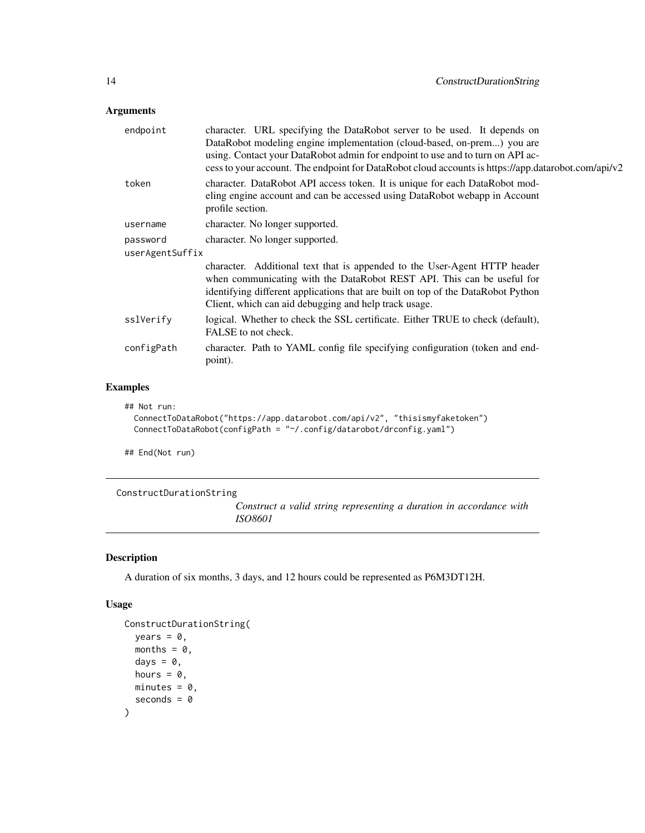## <span id="page-13-0"></span>Arguments

| endpoint        | character. URL specifying the DataRobot server to be used. It depends on                                                                                                              |
|-----------------|---------------------------------------------------------------------------------------------------------------------------------------------------------------------------------------|
|                 | DataRobot modeling engine implementation (cloud-based, on-prem) you are                                                                                                               |
|                 | using. Contact your DataRobot admin for endpoint to use and to turn on API ac-<br>cess to your account. The endpoint for DataRobot cloud accounts is https://app.datarobot.com/api/v2 |
| token           | character. DataRobot API access token. It is unique for each DataRobot mod-                                                                                                           |
|                 | eling engine account and can be accessed using DataRobot webapp in Account<br>profile section.                                                                                        |
| username        | character. No longer supported.                                                                                                                                                       |
| password        | character. No longer supported.                                                                                                                                                       |
| userAgentSuffix |                                                                                                                                                                                       |
|                 | character. Additional text that is appended to the User-Agent HTTP header                                                                                                             |
|                 | when communicating with the DataRobot REST API. This can be useful for                                                                                                                |
|                 | identifying different applications that are built on top of the DataRobot Python<br>Client, which can aid debugging and help track usage.                                             |
| sslVerify       | logical. Whether to check the SSL certificate. Either TRUE to check (default),<br>FALSE to not check.                                                                                 |
| configPath      | character. Path to YAML config file specifying configuration (token and end-<br>point).                                                                                               |
|                 |                                                                                                                                                                                       |

## Examples

```
## Not run:
```

```
ConnectToDataRobot("https://app.datarobot.com/api/v2", "thisismyfaketoken")
ConnectToDataRobot(configPath = "~/.config/datarobot/drconfig.yaml")
```
## End(Not run)

ConstructDurationString

*Construct a valid string representing a duration in accordance with ISO8601*

## Description

A duration of six months, 3 days, and 12 hours could be represented as P6M3DT12H.

## Usage

```
ConstructDurationString(
  years = 0,
  months = 0,
  days = \theta,
  hours = 0,
  minutes = 0,
  seconds = \theta\mathcal{E}
```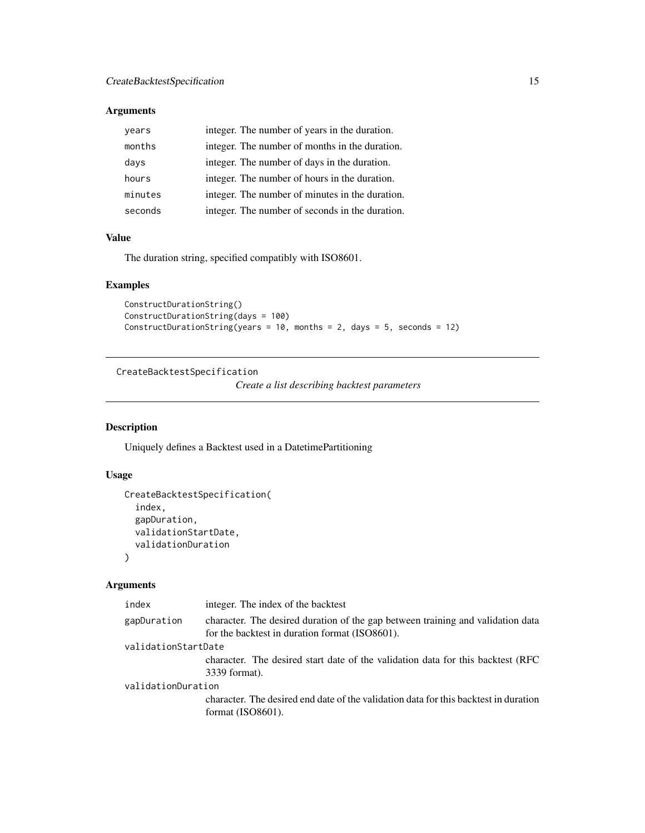## <span id="page-14-0"></span>Arguments

| years   | integer. The number of years in the duration.   |
|---------|-------------------------------------------------|
| months  | integer. The number of months in the duration.  |
| days    | integer. The number of days in the duration.    |
| hours   | integer. The number of hours in the duration.   |
| minutes | integer. The number of minutes in the duration. |
| seconds | integer. The number of seconds in the duration. |

## Value

The duration string, specified compatibly with ISO8601.

## Examples

```
ConstructDurationString()
ConstructDurationString(days = 100)
ConstructDurationString(years = 10, months = 2, days = 5, seconds = 12)
```
CreateBacktestSpecification

*Create a list describing backtest parameters*

## Description

Uniquely defines a Backtest used in a DatetimePartitioning

## Usage

```
CreateBacktestSpecification(
  index,
 gapDuration,
 validationStartDate,
  validationDuration
\lambda
```
## Arguments

| index               | integer. The index of the backtest                                                                                                |
|---------------------|-----------------------------------------------------------------------------------------------------------------------------------|
| gapDuration         | character. The desired duration of the gap between training and validation data<br>for the backtest in duration format (ISO8601). |
| validationStartDate |                                                                                                                                   |
|                     | character. The desired start date of the validation data for this backtest (RFC)<br>3339 format).                                 |
| validationDuration  |                                                                                                                                   |
|                     | character. The desired end date of the validation data for this backtest in duration<br>format $(ISO8601)$ .                      |
|                     |                                                                                                                                   |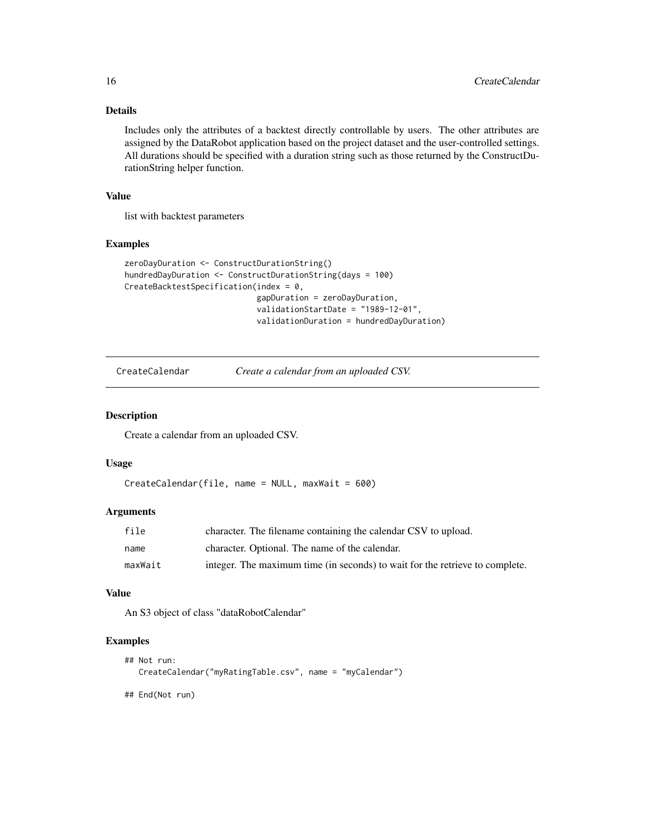## Details

Includes only the attributes of a backtest directly controllable by users. The other attributes are assigned by the DataRobot application based on the project dataset and the user-controlled settings. All durations should be specified with a duration string such as those returned by the ConstructDurationString helper function.

## Value

list with backtest parameters

#### Examples

```
zeroDayDuration <- ConstructDurationString()
hundredDayDuration <- ConstructDurationString(days = 100)
CreateBacktestSpecification(index = 0,
                            gapDuration = zeroDayDuration,
                            validationStartDate = "1989-12-01",
                            validationDuration = hundredDayDuration)
```
CreateCalendar *Create a calendar from an uploaded CSV.*

#### Description

Create a calendar from an uploaded CSV.

#### Usage

```
CreateCalendar(file, name = NULL, maxWait = 600)
```
#### Arguments

| file    | character. The filename containing the calendar CSV to upload.               |
|---------|------------------------------------------------------------------------------|
| name    | character. Optional. The name of the calendar.                               |
| maxWait | integer. The maximum time (in seconds) to wait for the retrieve to complete. |

#### Value

An S3 object of class "dataRobotCalendar"

## Examples

```
## Not run:
  CreateCalendar("myRatingTable.csv", name = "myCalendar")
```
## End(Not run)

<span id="page-15-0"></span>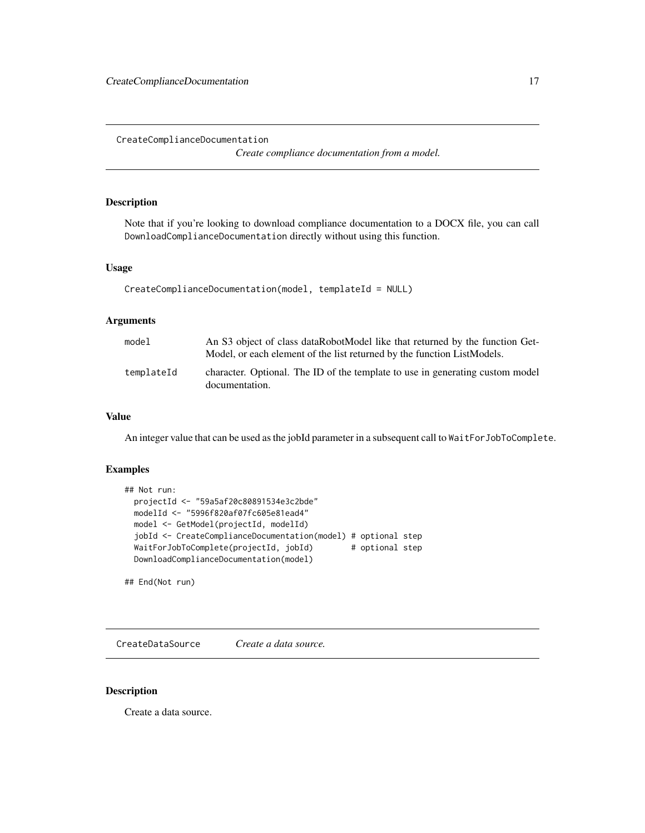<span id="page-16-0"></span>CreateComplianceDocumentation

*Create compliance documentation from a model.*

## Description

Note that if you're looking to download compliance documentation to a DOCX file, you can call DownloadComplianceDocumentation directly without using this function.

#### Usage

```
CreateComplianceDocumentation(model, templateId = NULL)
```
#### Arguments

| model      | An S3 object of class dataRobotModel like that returned by the function Get-<br>Model, or each element of the list returned by the function ListModels. |
|------------|---------------------------------------------------------------------------------------------------------------------------------------------------------|
| templateId | character. Optional. The ID of the template to use in generating custom model<br>documentation.                                                         |

## Value

An integer value that can be used as the jobId parameter in a subsequent call to WaitForJobToComplete.

## Examples

```
## Not run:
 projectId <- "59a5af20c80891534e3c2bde"
 modelId <- "5996f820af07fc605e81ead4"
 model <- GetModel(projectId, modelId)
 jobId <- CreateComplianceDocumentation(model) # optional step
 WaitForJobToComplete(projectId, jobId) # optional step
 DownloadComplianceDocumentation(model)
```
## End(Not run)

CreateDataSource *Create a data source.*

#### Description

Create a data source.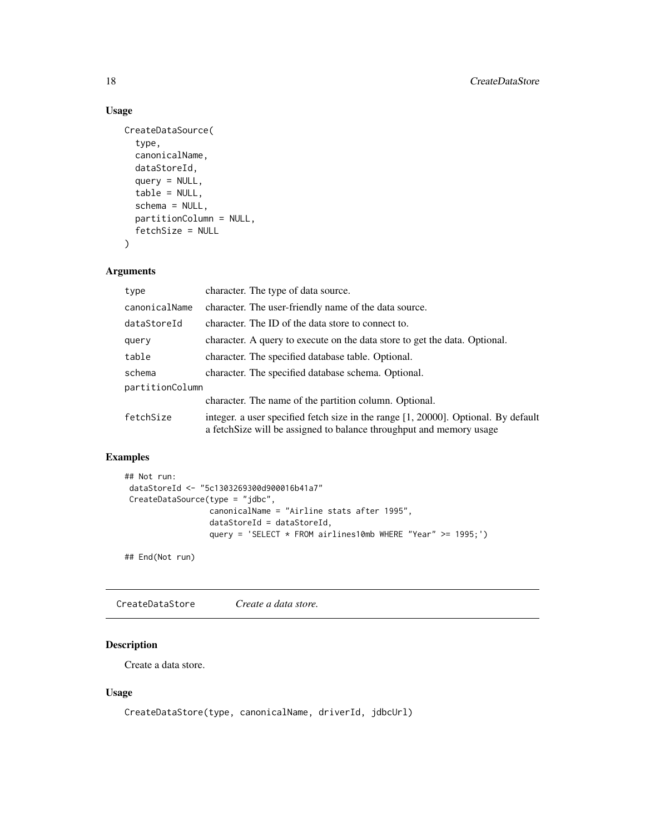## Usage

```
CreateDataSource(
  type,
  canonicalName,
  dataStoreId,
  query = NULL,
  table = NULL,
  schema = NULL,
  partitionColumn = NULL,
  fetchSize = NULL
\mathcal{L}
```
## Arguments

| type            | character. The type of data source.                                                                                                                        |
|-----------------|------------------------------------------------------------------------------------------------------------------------------------------------------------|
| canonicalName   | character. The user-friendly name of the data source.                                                                                                      |
| dataStoreId     | character. The ID of the data store to connect to.                                                                                                         |
| query           | character. A query to execute on the data store to get the data. Optional.                                                                                 |
| table           | character. The specified database table. Optional.                                                                                                         |
| schema          | character. The specified database schema. Optional.                                                                                                        |
| partitionColumn |                                                                                                                                                            |
|                 | character. The name of the partition column. Optional.                                                                                                     |
| fetchSize       | integer. a user specified fetch size in the range [1, 20000]. Optional. By default<br>a fetch Size will be assigned to balance throughput and memory usage |

## Examples

```
## Not run:
dataStoreId <- "5c1303269300d900016b41a7"
CreateDataSource(type = "jdbc",
                 canonicalName = "Airline stats after 1995",
                 dataStoreId = dataStoreId,
                 query = 'SELECT * FROM airlines10mb WHERE "Year" >= 1995;')
```
## End(Not run)

CreateDataStore *Create a data store.*

## Description

Create a data store.

## Usage

CreateDataStore(type, canonicalName, driverId, jdbcUrl)

<span id="page-17-0"></span>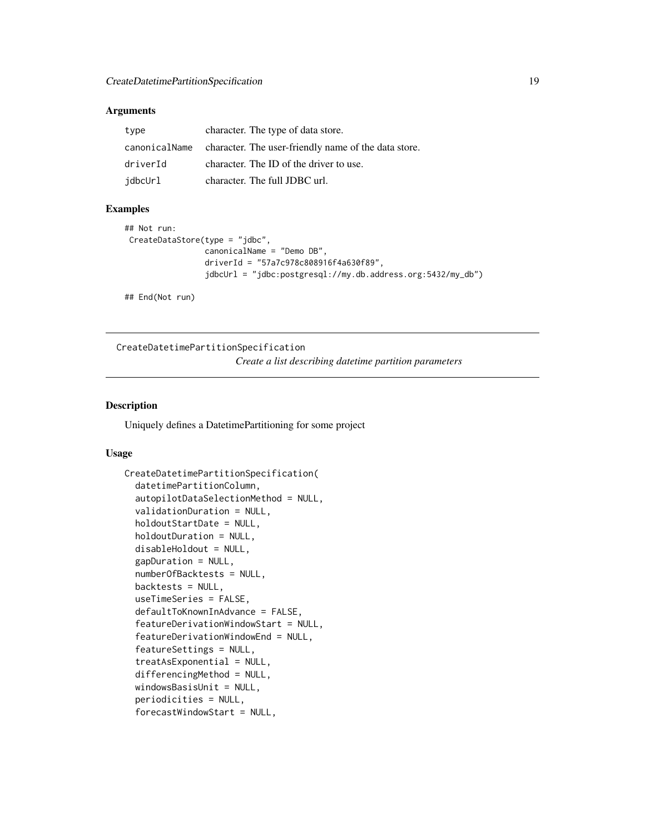#### <span id="page-18-0"></span>**Arguments**

| type          | character. The type of data store.                   |
|---------------|------------------------------------------------------|
| canonicalName | character. The user-friendly name of the data store. |
| driverId      | character. The ID of the driver to use.              |
| idbcUrl       | character. The full JDBC url.                        |

## Examples

```
## Not run:
CreateDataStore(type = "jdbc",
                 canonicalName = "Demo DB",
                 driverId = "57a7c978c808916f4a630f89",
                 jdbcUrl = "jdbc:postgresql://my.db.address.org:5432/my_db")
```
## End(Not run)

CreateDatetimePartitionSpecification *Create a list describing datetime partition parameters*

## Description

Uniquely defines a DatetimePartitioning for some project

#### Usage

```
CreateDatetimePartitionSpecification(
  datetimePartitionColumn,
  autopilotDataSelectionMethod = NULL,
  validationDuration = NULL,
  holdoutStartDate = NULL,
  holdoutDuration = NULL,
  disableHoldout = NULL,
  gapDuration = NULL,
  numberOfBacktests = NULL,
  backtests = NULL,
  useTimeSeries = FALSE,
  defaultToKnownInAdvance = FALSE,
  featureDerivationWindowStart = NULL,
  featureDerivationWindowEnd = NULL,
  featureSettings = NULL,
  treatAsExponential = NULL,
  differencingMethod = NULL,
  windowsBasisUnit = NULL,
  periodicities = NULL,
  forecastWindowStart = NULL,
```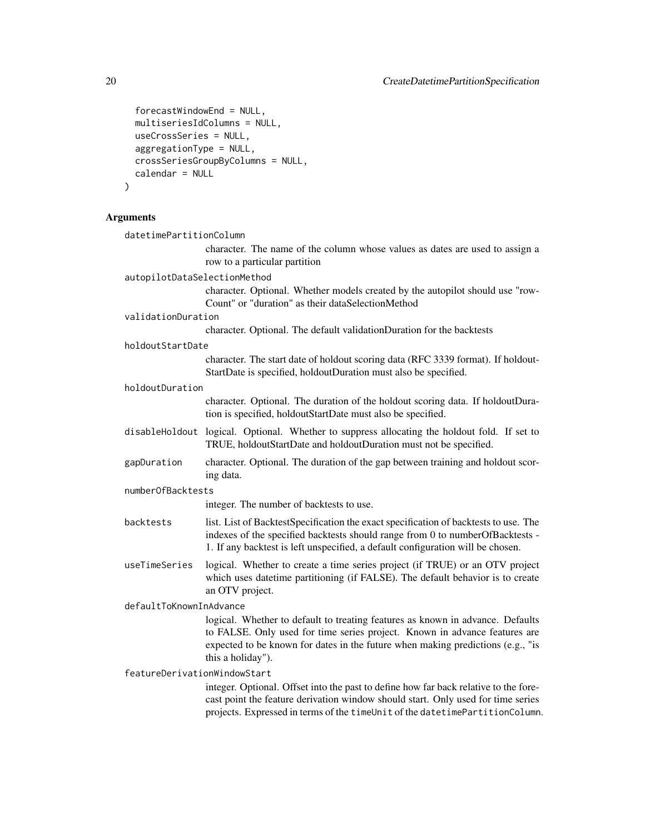```
forecastWindowEnd = NULL,
 multiseriesIdColumns = NULL,
 useCrossSeries = NULL,
 aggregationType = NULL,
 crossSeriesGroupByColumns = NULL,
 calendar = NULL
\mathcal{L}
```
## Arguments

| datetimePartitionColumn      |                                                                                                                                                                                                                                                                      |  |  |
|------------------------------|----------------------------------------------------------------------------------------------------------------------------------------------------------------------------------------------------------------------------------------------------------------------|--|--|
|                              | character. The name of the column whose values as dates are used to assign a<br>row to a particular partition                                                                                                                                                        |  |  |
| autopilotDataSelectionMethod |                                                                                                                                                                                                                                                                      |  |  |
|                              | character. Optional. Whether models created by the autopilot should use "row-<br>Count" or "duration" as their dataSelectionMethod                                                                                                                                   |  |  |
| validationDuration           |                                                                                                                                                                                                                                                                      |  |  |
|                              | character. Optional. The default validationDuration for the backtests                                                                                                                                                                                                |  |  |
| holdoutStartDate             |                                                                                                                                                                                                                                                                      |  |  |
|                              | character. The start date of holdout scoring data (RFC 3339 format). If holdout-<br>StartDate is specified, holdoutDuration must also be specified.                                                                                                                  |  |  |
| holdoutDuration              |                                                                                                                                                                                                                                                                      |  |  |
|                              | character. Optional. The duration of the holdout scoring data. If holdoutDura-<br>tion is specified, holdoutStartDate must also be specified.                                                                                                                        |  |  |
|                              | disableHoldout logical. Optional. Whether to suppress allocating the holdout fold. If set to<br>TRUE, holdoutStartDate and holdoutDuration must not be specified.                                                                                                    |  |  |
| gapDuration                  | character. Optional. The duration of the gap between training and holdout scor-<br>ing data.                                                                                                                                                                         |  |  |
|                              | numberOfBacktests                                                                                                                                                                                                                                                    |  |  |
|                              | integer. The number of backtests to use.                                                                                                                                                                                                                             |  |  |
| backtests                    | list. List of BacktestSpecification the exact specification of backtests to use. The<br>indexes of the specified backtests should range from 0 to numberOfBacktests -<br>1. If any backtest is left unspecified, a default configuration will be chosen.             |  |  |
| useTimeSeries                | logical. Whether to create a time series project (if TRUE) or an OTV project<br>which uses datetime partitioning (if FALSE). The default behavior is to create<br>an OTV project.                                                                                    |  |  |
| defaultToKnownInAdvance      |                                                                                                                                                                                                                                                                      |  |  |
|                              | logical. Whether to default to treating features as known in advance. Defaults<br>to FALSE. Only used for time series project. Known in advance features are<br>expected to be known for dates in the future when making predictions (e.g., "is<br>this a holiday"). |  |  |
| featureDerivationWindowStart |                                                                                                                                                                                                                                                                      |  |  |
|                              | integer. Optional. Offset into the past to define how far back relative to the fore-<br>cast point the feature derivation window should start. Only used for time series<br>projects. Expressed in terms of the timeUnit of the datetimePartitionColumn.             |  |  |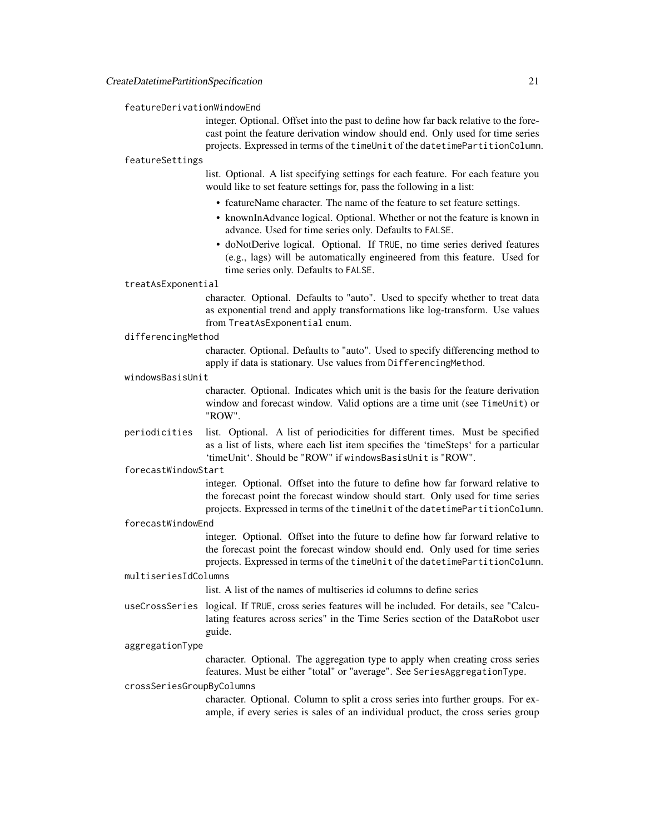#### featureDerivationWindowEnd

integer. Optional. Offset into the past to define how far back relative to the forecast point the feature derivation window should end. Only used for time series projects. Expressed in terms of the timeUnit of the datetimePartitionColumn.

#### featureSettings

list. Optional. A list specifying settings for each feature. For each feature you would like to set feature settings for, pass the following in a list:

- featureName character. The name of the feature to set feature settings.
- knownInAdvance logical. Optional. Whether or not the feature is known in advance. Used for time series only. Defaults to FALSE.
- doNotDerive logical. Optional. If TRUE, no time series derived features (e.g., lags) will be automatically engineered from this feature. Used for time series only. Defaults to FALSE.

#### treatAsExponential

character. Optional. Defaults to "auto". Used to specify whether to treat data as exponential trend and apply transformations like log-transform. Use values from TreatAsExponential enum.

#### differencingMethod

character. Optional. Defaults to "auto". Used to specify differencing method to apply if data is stationary. Use values from DifferencingMethod.

#### windowsBasisUnit

character. Optional. Indicates which unit is the basis for the feature derivation window and forecast window. Valid options are a time unit (see TimeUnit) or "ROW".

periodicities list. Optional. A list of periodicities for different times. Must be specified as a list of lists, where each list item specifies the 'timeSteps' for a particular 'timeUnit'. Should be "ROW" if windowsBasisUnit is "ROW".

#### forecastWindowStart

integer. Optional. Offset into the future to define how far forward relative to the forecast point the forecast window should start. Only used for time series projects. Expressed in terms of the timeUnit of the datetimePartitionColumn.

#### forecastWindowEnd

integer. Optional. Offset into the future to define how far forward relative to the forecast point the forecast window should end. Only used for time series projects. Expressed in terms of the timeUnit of the datetimePartitionColumn.

#### multiseriesIdColumns

list. A list of the names of multiseries id columns to define series

useCrossSeries logical. If TRUE, cross series features will be included. For details, see "Calculating features across series" in the Time Series section of the DataRobot user guide.

#### aggregationType

character. Optional. The aggregation type to apply when creating cross series features. Must be either "total" or "average". See SeriesAggregationType.

#### crossSeriesGroupByColumns

character. Optional. Column to split a cross series into further groups. For example, if every series is sales of an individual product, the cross series group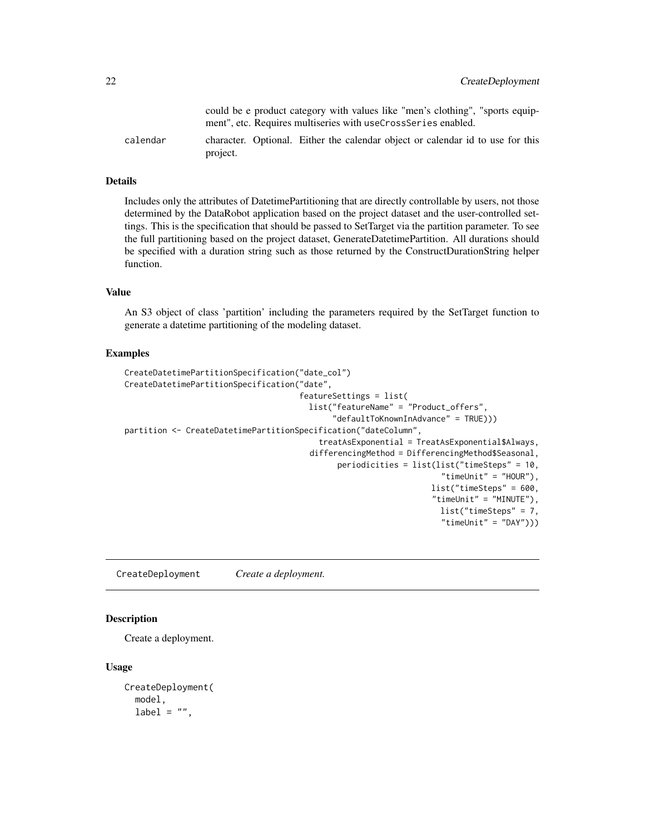<span id="page-21-0"></span>

|          |          | could be e product category with values like "men's clothing", "sports equip-<br>ment", etc. Requires multiseries with useCrossSeries enabled. |  |  |  |
|----------|----------|------------------------------------------------------------------------------------------------------------------------------------------------|--|--|--|
| calendar | project. | character. Optional. Either the calendar object or calendar id to use for this                                                                 |  |  |  |

#### Details

Includes only the attributes of DatetimePartitioning that are directly controllable by users, not those determined by the DataRobot application based on the project dataset and the user-controlled settings. This is the specification that should be passed to SetTarget via the partition parameter. To see the full partitioning based on the project dataset, GenerateDatetimePartition. All durations should be specified with a duration string such as those returned by the ConstructDurationString helper function.

## Value

An S3 object of class 'partition' including the parameters required by the SetTarget function to generate a datetime partitioning of the modeling dataset.

#### Examples

```
CreateDatetimePartitionSpecification("date_col")
CreateDatetimePartitionSpecification("date",
                                     featureSettings = list(
                                       list("featureName" = "Product_offers",
                                            "defaultToKnownInAdvance" = TRUE)))
partition <- CreateDatetimePartitionSpecification("dateColumn",
                                         treatAsExponential = TreatAsExponential$Always,
                                       differencingMethod = DifferencingMethod$Seasonal,
                                             periodicities = list(list("timeSteps" = 10,
                                                                    "timeUnit" = "HOUR"),
                                                                  list("timeSteps" = 600,
                                                                  "timeUnit" = "MINUTE"),
                                                                   list("timeSteps" = 7,
                                                                    "timeUnit" = "DAY"))
```
CreateDeployment *Create a deployment.*

#### Description

Create a deployment.

#### Usage

```
CreateDeployment(
  model,
  label = "",
```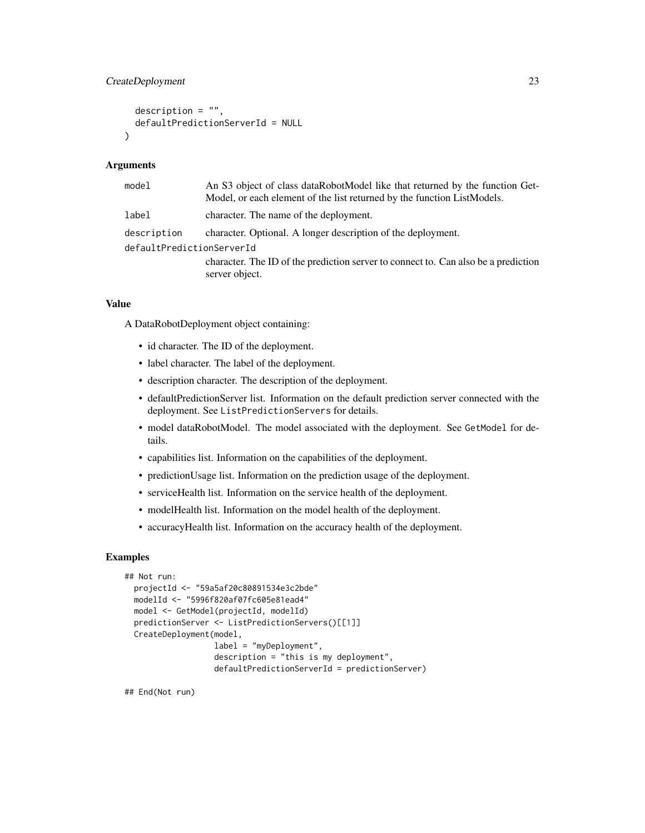## CreateDeployment 23

```
description = ",
  defaultPredictionServerId = NULL
)
```
#### Arguments

| model                     | An S3 object of class dataRobotModel like that returned by the function Get-<br>Model, or each element of the list returned by the function ListModels. |
|---------------------------|---------------------------------------------------------------------------------------------------------------------------------------------------------|
| label                     | character. The name of the deployment.                                                                                                                  |
| description               | character. Optional. A longer description of the deployment.                                                                                            |
| defaultPredictionServerId |                                                                                                                                                         |
|                           | character. The ID of the prediction server to connect to. Can also be a prediction                                                                      |
|                           | server object.                                                                                                                                          |

## Value

A DataRobotDeployment object containing:

- id character. The ID of the deployment.
- label character. The label of the deployment.
- description character. The description of the deployment.
- defaultPredictionServer list. Information on the default prediction server connected with the deployment. See ListPredictionServers for details.
- model dataRobotModel. The model associated with the deployment. See GetModel for details.
- capabilities list. Information on the capabilities of the deployment.
- predictionUsage list. Information on the prediction usage of the deployment.
- serviceHealth list. Information on the service health of the deployment.
- modelHealth list. Information on the model health of the deployment.
- accuracyHealth list. Information on the accuracy health of the deployment.

## Examples

```
## Not run:
 projectId <- "59a5af20c80891534e3c2bde"
 modelId <- "5996f820af07fc605e81ead4"
 model <- GetModel(projectId, modelId)
 predictionServer <- ListPredictionServers()[[1]]
 CreateDeployment(model,
                   label = "myDeployment",
                   description = "this is my deployment",
                   defaultPredictionServerId = predictionServer)
```
## End(Not run)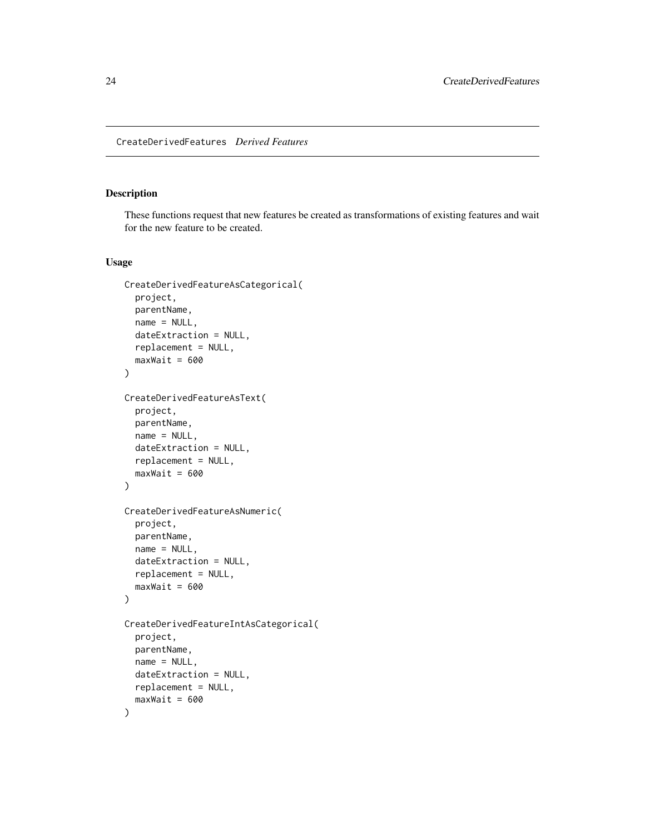## <span id="page-23-0"></span>Description

These functions request that new features be created as transformations of existing features and wait for the new feature to be created.

#### Usage

```
CreateDerivedFeatureAsCategorical(
 project,
 parentName,
 name = NULL,dateExtraction = NULL,
 replacement = NULL,
 maxWait = 600)
CreateDerivedFeatureAsText(
 project,
 parentName,
 name = NULL,dateExtraction = NULL,
  replacement = NULL,
 maxWait = 600)
CreateDerivedFeatureAsNumeric(
 project,
 parentName,
 name = NULL,
 dateExtraction = NULL,
  replacement = NULL,
 maxWait = 600)
CreateDerivedFeatureIntAsCategorical(
 project,
 parentName,
 name = NULL,
 dateExtraction = NULL,
  replacement = NULL,
 maxWait = 600)
```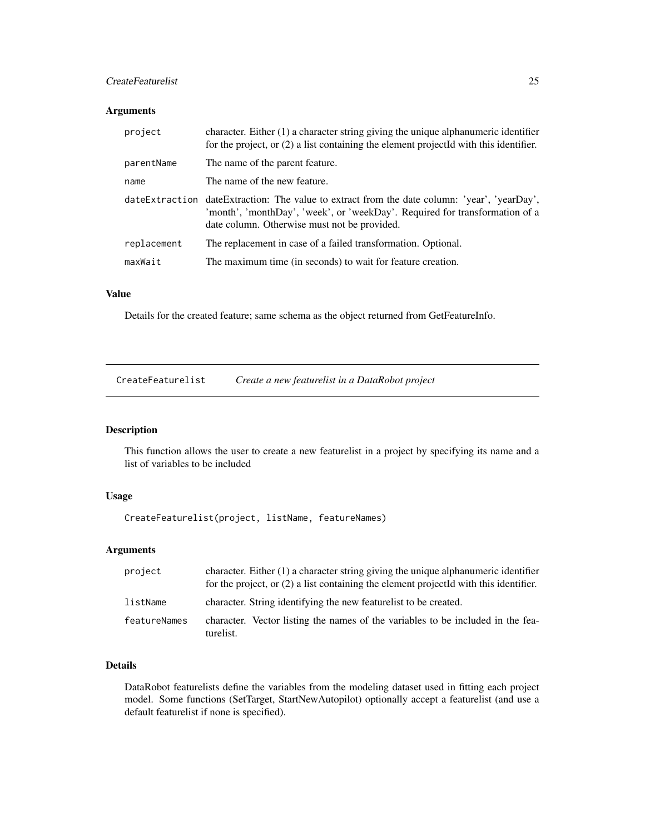## <span id="page-24-0"></span>CreateFeaturelist 25

## Arguments

| project     | character. Either $(1)$ a character string giving the unique alphanumeric identifier<br>for the project, or $(2)$ a list containing the element projected with this identifier.                                             |
|-------------|-----------------------------------------------------------------------------------------------------------------------------------------------------------------------------------------------------------------------------|
| parentName  | The name of the parent feature.                                                                                                                                                                                             |
| name        | The name of the new feature.                                                                                                                                                                                                |
|             | dateExtraction dateExtraction: The value to extract from the date column: 'year', 'yearDay',<br>'month', 'monthDay', 'week', or 'weekDay'. Required for transformation of a<br>date column. Otherwise must not be provided. |
| replacement | The replacement in case of a failed transformation. Optional.                                                                                                                                                               |
| maxWait     | The maximum time (in seconds) to wait for feature creation.                                                                                                                                                                 |

## Value

Details for the created feature; same schema as the object returned from GetFeatureInfo.

| CreateFeaturelist | Create a new featurelist in a DataRobot project |  |
|-------------------|-------------------------------------------------|--|
|                   |                                                 |  |

## Description

This function allows the user to create a new featurelist in a project by specifying its name and a list of variables to be included

## Usage

CreateFeaturelist(project, listName, featureNames)

## Arguments

| project      | character. Either $(1)$ a character string giving the unique alphanumeric identifier<br>for the project, or (2) a list containing the element projectId with this identifier. |
|--------------|-------------------------------------------------------------------------------------------------------------------------------------------------------------------------------|
| listName     | character. String identifying the new featurelist to be created.                                                                                                              |
| featureNames | character. Vector listing the names of the variables to be included in the fea-<br>turelist.                                                                                  |

## Details

DataRobot featurelists define the variables from the modeling dataset used in fitting each project model. Some functions (SetTarget, StartNewAutopilot) optionally accept a featurelist (and use a default featurelist if none is specified).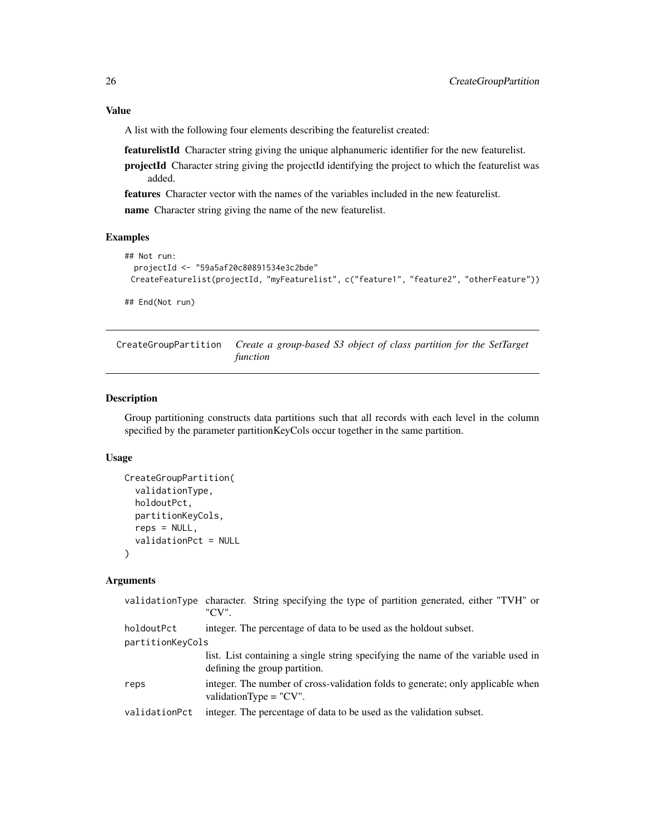## <span id="page-25-0"></span>Value

A list with the following four elements describing the featurelist created:

featurelistId Character string giving the unique alphanumeric identifier for the new featurelist.

projectId Character string giving the projectId identifying the project to which the featurelist was added.

features Character vector with the names of the variables included in the new featurelist.

name Character string giving the name of the new featurelist.

## Examples

```
## Not run:
 projectId <- "59a5af20c80891534e3c2bde"
 CreateFeaturelist(projectId, "myFeaturelist", c("feature1", "feature2", "otherFeature"))
## End(Not run)
```
<span id="page-25-1"></span>CreateGroupPartition *Create a group-based S3 object of class partition for the SetTarget function*

## Description

Group partitioning constructs data partitions such that all records with each level in the column specified by the parameter partitionKeyCols occur together in the same partition.

#### Usage

```
CreateGroupPartition(
  validationType,
  holdoutPct,
  partitionKeyCols,
  reps = NULL,
  validationPct = NULL
)
```
#### Arguments

|                                | validationType character. String specifying the type of partition generated, either "TVH" or<br>"CV".              |
|--------------------------------|--------------------------------------------------------------------------------------------------------------------|
| holdoutPct<br>partitionKeyCols | integer. The percentage of data to be used as the holdout subset.                                                  |
|                                | list. List containing a single string specifying the name of the variable used in<br>defining the group partition. |
| reps                           | integer. The number of cross-validation folds to generate; only applicable when<br>validationType = $"CV"$ .       |
| validationPct                  | integer. The percentage of data to be used as the validation subset.                                               |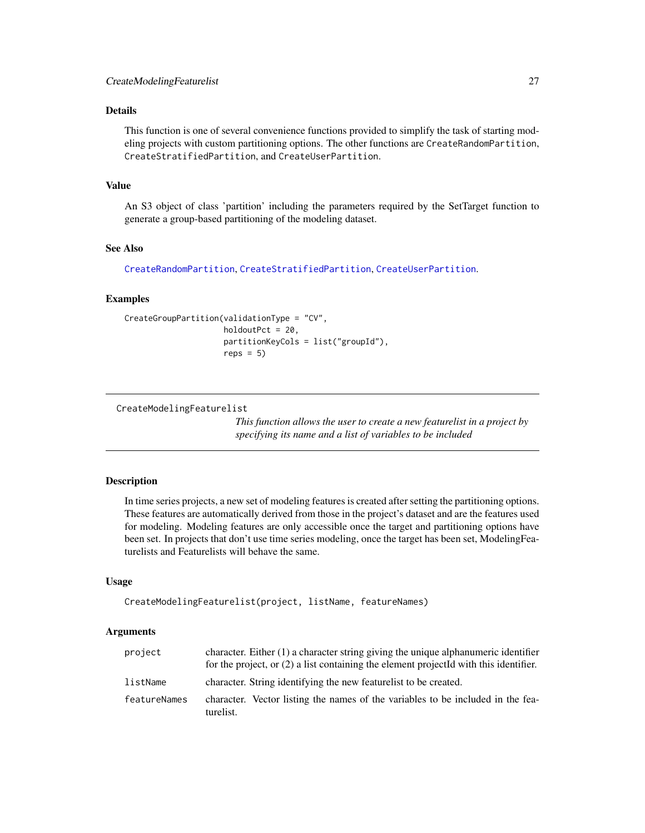## <span id="page-26-0"></span>Details

This function is one of several convenience functions provided to simplify the task of starting modeling projects with custom partitioning options. The other functions are CreateRandomPartition, CreateStratifiedPartition, and CreateUserPartition.

## Value

An S3 object of class 'partition' including the parameters required by the SetTarget function to generate a group-based partitioning of the modeling dataset.

## See Also

[CreateRandomPartition](#page-28-1), [CreateStratifiedPartition](#page-30-1), [CreateUserPartition](#page-31-1).

## Examples

```
CreateGroupPartition(validationType = "CV",
                     holdoutPct = 20,
                     partitionKeyCols = list("groupId"),
                     reps = 5)
```
CreateModelingFeaturelist

*This function allows the user to create a new featurelist in a project by specifying its name and a list of variables to be included*

## **Description**

In time series projects, a new set of modeling features is created after setting the partitioning options. These features are automatically derived from those in the project's dataset and are the features used for modeling. Modeling features are only accessible once the target and partitioning options have been set. In projects that don't use time series modeling, once the target has been set, ModelingFeaturelists and Featurelists will behave the same.

#### Usage

```
CreateModelingFeaturelist(project, listName, featureNames)
```
#### **Arguments**

| project      | character. Either (1) a character string giving the unique alphanumeric identifier<br>for the project, or $(2)$ a list containing the element projected with this identifier. |
|--------------|-------------------------------------------------------------------------------------------------------------------------------------------------------------------------------|
| listName     | character. String identifying the new featurelist to be created.                                                                                                              |
| featureNames | character. Vector listing the names of the variables to be included in the fea-<br>turelist.                                                                                  |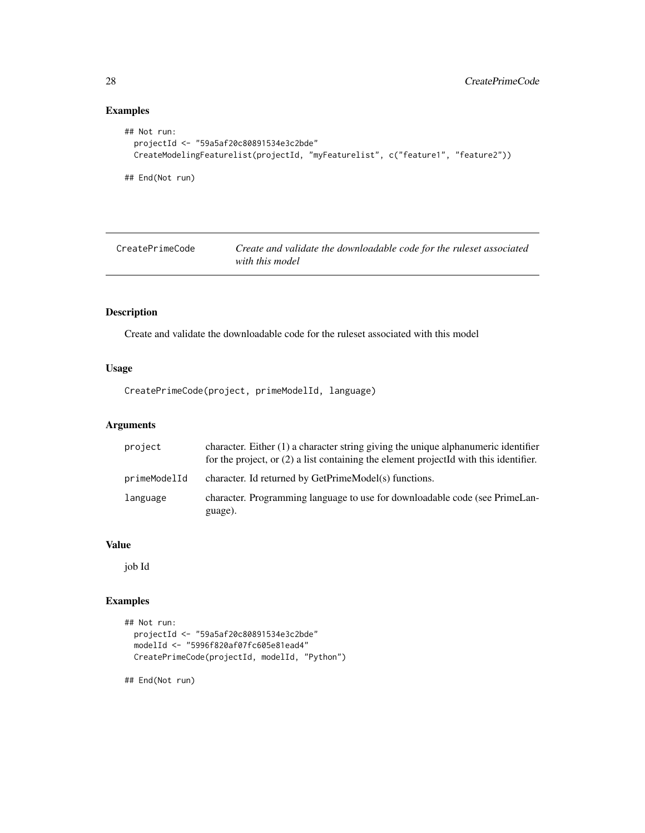## Examples

```
## Not run:
  projectId <- "59a5af20c80891534e3c2bde"
  CreateModelingFeaturelist(projectId, "myFeaturelist", c("feature1", "feature2"))
## End(Not run)
```

| CreatePrimeCode | Create and validate the downloadable code for the ruleset associated |
|-----------------|----------------------------------------------------------------------|
|                 | with this model                                                      |

## Description

Create and validate the downloadable code for the ruleset associated with this model

## Usage

CreatePrimeCode(project, primeModelId, language)

## Arguments

| project      | character. Either $(1)$ a character string giving the unique alphanumeric identifier<br>for the project, or $(2)$ a list containing the element projected with this identifier. |
|--------------|---------------------------------------------------------------------------------------------------------------------------------------------------------------------------------|
| primeModelId | character. Id returned by GetPrimeModel(s) functions.                                                                                                                           |
| language     | character. Programming language to use for downloadable code (see PrimeLan-<br>guage).                                                                                          |

#### Value

job Id

## Examples

```
## Not run:
  projectId <- "59a5af20c80891534e3c2bde"
  modelId <- "5996f820af07fc605e81ead4"
  CreatePrimeCode(projectId, modelId, "Python")
```
## End(Not run)

<span id="page-27-0"></span>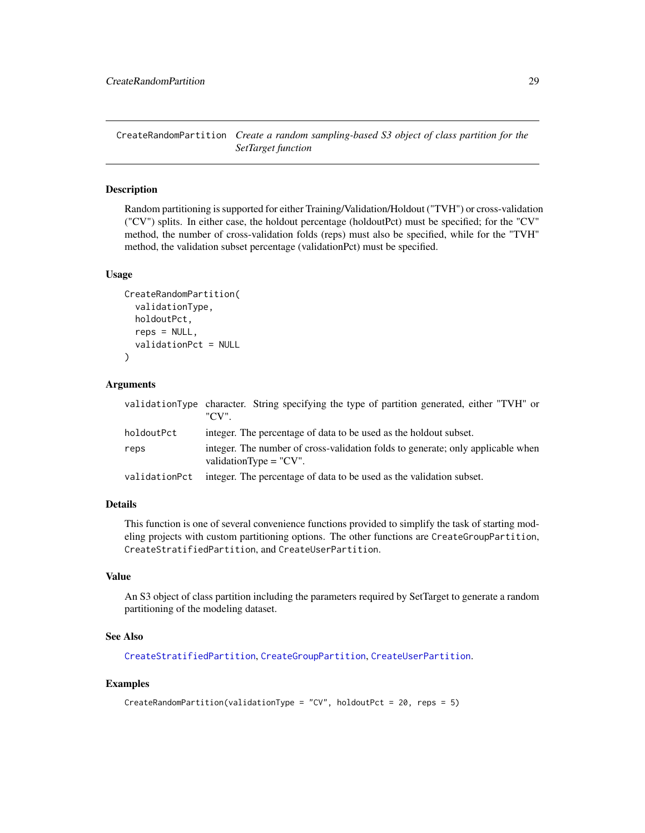<span id="page-28-1"></span><span id="page-28-0"></span>CreateRandomPartition *Create a random sampling-based S3 object of class partition for the SetTarget function*

## Description

Random partitioning is supported for either Training/Validation/Holdout ("TVH") or cross-validation ("CV") splits. In either case, the holdout percentage (holdoutPct) must be specified; for the "CV" method, the number of cross-validation folds (reps) must also be specified, while for the "TVH" method, the validation subset percentage (validationPct) must be specified.

#### Usage

```
CreateRandomPartition(
  validationType,
  holdoutPct,
  reps = NULL,
  validationPct = NULL
\lambda
```
#### Arguments

|               | validationType character. String specifying the type of partition generated, either "TVH" or<br>"CV"          |
|---------------|---------------------------------------------------------------------------------------------------------------|
| holdoutPct    | integer. The percentage of data to be used as the holdout subset.                                             |
| reps          | integer. The number of cross-validation folds to generate; only applicable when<br>validation $Type = "CV"$ . |
| validationPct | integer. The percentage of data to be used as the validation subset.                                          |

#### Details

This function is one of several convenience functions provided to simplify the task of starting modeling projects with custom partitioning options. The other functions are CreateGroupPartition, CreateStratifiedPartition, and CreateUserPartition.

#### Value

An S3 object of class partition including the parameters required by SetTarget to generate a random partitioning of the modeling dataset.

#### See Also

[CreateStratifiedPartition](#page-30-1), [CreateGroupPartition](#page-25-1), [CreateUserPartition](#page-31-1).

#### Examples

```
CreateRandomPartition(validationType = "CV", holdoutPct = 20, reps = 5)
```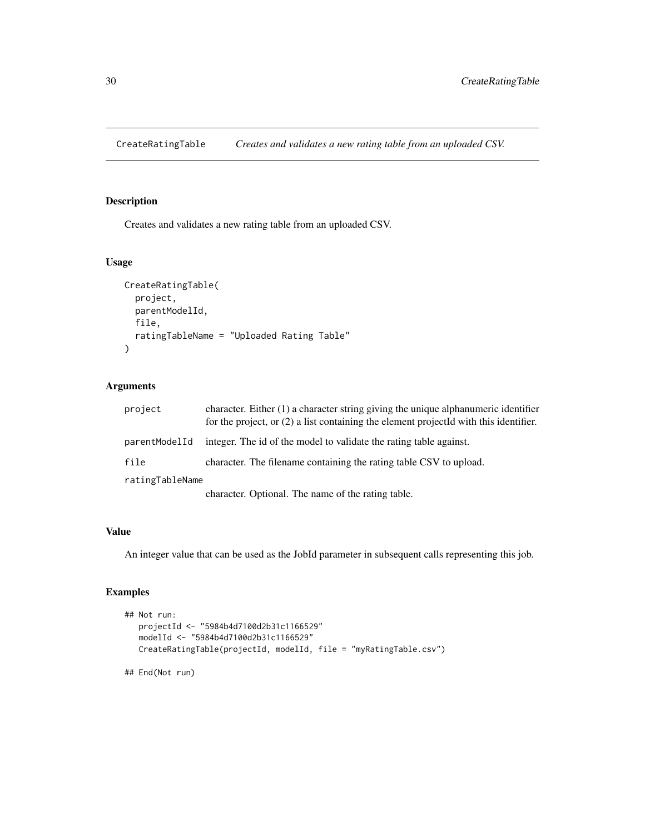<span id="page-29-0"></span>CreateRatingTable *Creates and validates a new rating table from an uploaded CSV.*

## Description

Creates and validates a new rating table from an uploaded CSV.

## Usage

```
CreateRatingTable(
 project,
  parentModelId,
 file,
  ratingTableName = "Uploaded Rating Table"
)
```
## Arguments

| project         | character. Either (1) a character string giving the unique alphanumeric identifier<br>for the project, or $(2)$ a list containing the element projected with this identifier. |
|-----------------|-------------------------------------------------------------------------------------------------------------------------------------------------------------------------------|
| parentModelId   | integer. The id of the model to validate the rating table against.                                                                                                            |
| file            | character. The filename containing the rating table CSV to upload.                                                                                                            |
| ratingTableName |                                                                                                                                                                               |
|                 | character. Optional. The name of the rating table.                                                                                                                            |

#### Value

An integer value that can be used as the JobId parameter in subsequent calls representing this job.

## Examples

```
## Not run:
  projectId <- "5984b4d7100d2b31c1166529"
  modelId <- "5984b4d7100d2b31c1166529"
  CreateRatingTable(projectId, modelId, file = "myRatingTable.csv")
```
## End(Not run)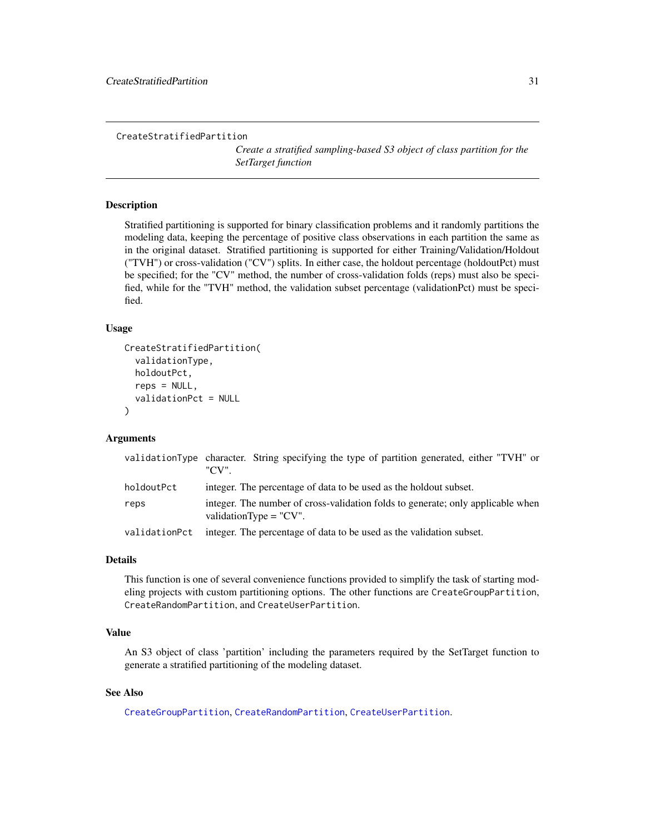```
CreateStratifiedPartition
```
*Create a stratified sampling-based S3 object of class partition for the SetTarget function*

#### Description

Stratified partitioning is supported for binary classification problems and it randomly partitions the modeling data, keeping the percentage of positive class observations in each partition the same as in the original dataset. Stratified partitioning is supported for either Training/Validation/Holdout ("TVH") or cross-validation ("CV") splits. In either case, the holdout percentage (holdoutPct) must be specified; for the "CV" method, the number of cross-validation folds (reps) must also be specified, while for the "TVH" method, the validation subset percentage (validationPct) must be specified.

#### Usage

```
CreateStratifiedPartition(
  validationType,
  holdoutPct,
  reps = NULL,validationPct = NULL
)
```
#### Arguments

|               | validationType character. String specifying the type of partition generated, either "TVH" or<br>"CV"         |
|---------------|--------------------------------------------------------------------------------------------------------------|
| holdoutPct    | integer. The percentage of data to be used as the holdout subset.                                            |
| reps          | integer. The number of cross-validation folds to generate; only applicable when<br>validationType = $"CV"$ . |
| validationPct | integer. The percentage of data to be used as the validation subset.                                         |

#### Details

This function is one of several convenience functions provided to simplify the task of starting modeling projects with custom partitioning options. The other functions are CreateGroupPartition, CreateRandomPartition, and CreateUserPartition.

#### Value

An S3 object of class 'partition' including the parameters required by the SetTarget function to generate a stratified partitioning of the modeling dataset.

#### See Also

[CreateGroupPartition](#page-25-1), [CreateRandomPartition](#page-28-1), [CreateUserPartition](#page-31-1).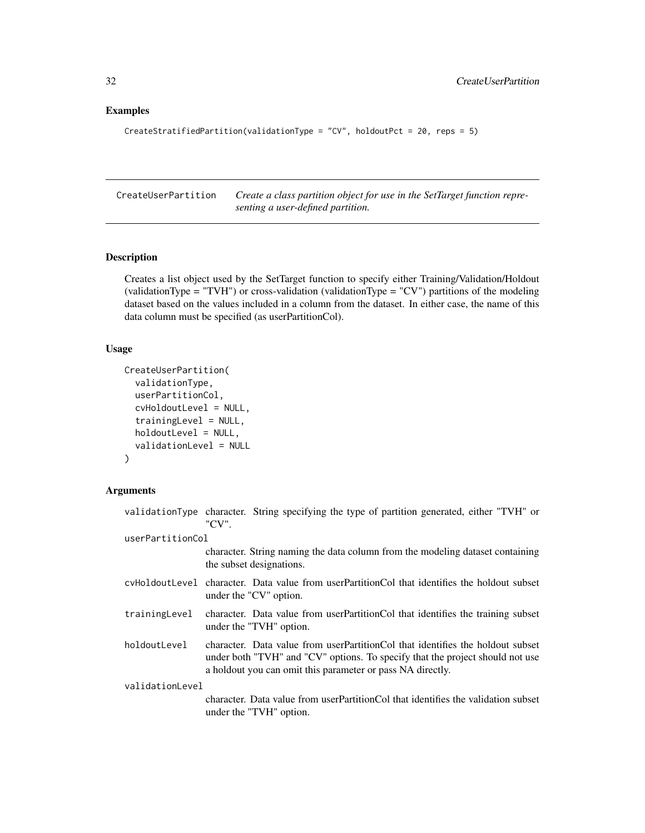## <span id="page-31-0"></span>Examples

```
CreateStratifiedPartition(validationType = "CV", holdoutPct = 20, reps = 5)
```
<span id="page-31-1"></span>CreateUserPartition *Create a class partition object for use in the SetTarget function representing a user-defined partition.*

## Description

Creates a list object used by the SetTarget function to specify either Training/Validation/Holdout (validationType = "TVH") or cross-validation (validationType = "CV") partitions of the modeling dataset based on the values included in a column from the dataset. In either case, the name of this data column must be specified (as userPartitionCol).

#### Usage

```
CreateUserPartition(
  validationType,
  userPartitionCol,
  cvHoldoutLevel = NULL,
  trainingLevel = NULL,
  holdoutLevel = NULL,
  validationLevel = NULL
\lambda
```
#### Arguments

|                  | validationType character. String specifying the type of partition generated, either "TVH" or<br>"CV".                                                                                                                         |
|------------------|-------------------------------------------------------------------------------------------------------------------------------------------------------------------------------------------------------------------------------|
| userPartitionCol |                                                                                                                                                                                                                               |
|                  | character. String naming the data column from the modeling dataset containing<br>the subset designations.                                                                                                                     |
|                  | cyHoldoutLevel character. Data value from userPartitionCol that identifies the holdout subset<br>under the "CV" option.                                                                                                       |
| trainingLevel    | character. Data value from userPartitionCol that identifies the training subset<br>under the "TVH" option.                                                                                                                    |
| holdoutLevel     | character. Data value from userPartitionCol that identifies the holdout subset<br>under both "TVH" and "CV" options. To specify that the project should not use<br>a holdout you can omit this parameter or pass NA directly. |
| validationLevel  |                                                                                                                                                                                                                               |
|                  | character. Data value from user Partition Col that identifies the validation subset<br>under the "TVH" option.                                                                                                                |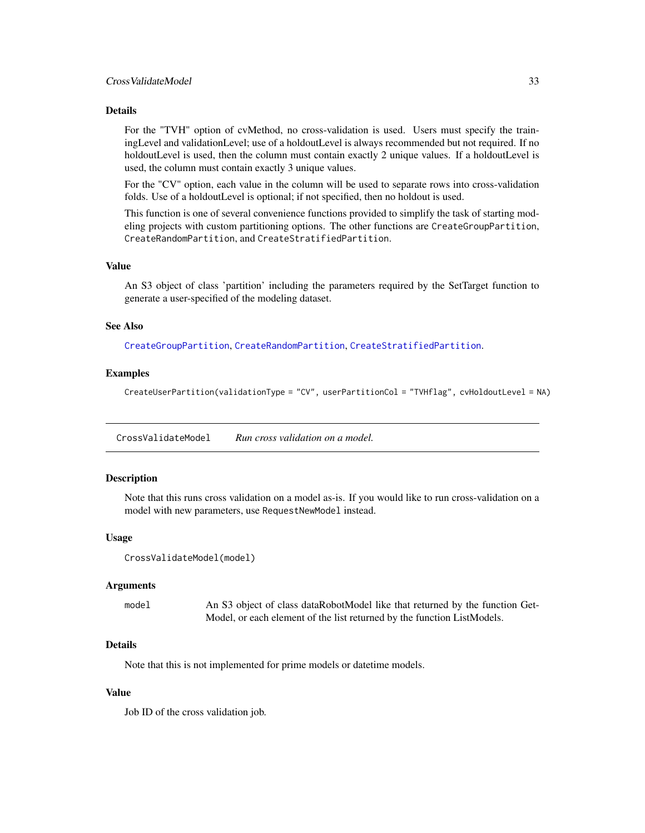#### <span id="page-32-0"></span>Details

For the "TVH" option of cvMethod, no cross-validation is used. Users must specify the trainingLevel and validationLevel; use of a holdoutLevel is always recommended but not required. If no holdoutLevel is used, then the column must contain exactly 2 unique values. If a holdoutLevel is used, the column must contain exactly 3 unique values.

For the "CV" option, each value in the column will be used to separate rows into cross-validation folds. Use of a holdoutLevel is optional; if not specified, then no holdout is used.

This function is one of several convenience functions provided to simplify the task of starting modeling projects with custom partitioning options. The other functions are CreateGroupPartition, CreateRandomPartition, and CreateStratifiedPartition.

#### Value

An S3 object of class 'partition' including the parameters required by the SetTarget function to generate a user-specified of the modeling dataset.

#### See Also

[CreateGroupPartition](#page-25-1), [CreateRandomPartition](#page-28-1), [CreateStratifiedPartition](#page-30-1).

#### Examples

CreateUserPartition(validationType = "CV", userPartitionCol = "TVHflag", cvHoldoutLevel = NA)

CrossValidateModel *Run cross validation on a model.*

#### Description

Note that this runs cross validation on a model as-is. If you would like to run cross-validation on a model with new parameters, use RequestNewModel instead.

#### Usage

```
CrossValidateModel(model)
```
#### Arguments

model An S3 object of class dataRobotModel like that returned by the function Get-Model, or each element of the list returned by the function ListModels.

## **Details**

Note that this is not implemented for prime models or datetime models.

#### Value

Job ID of the cross validation job.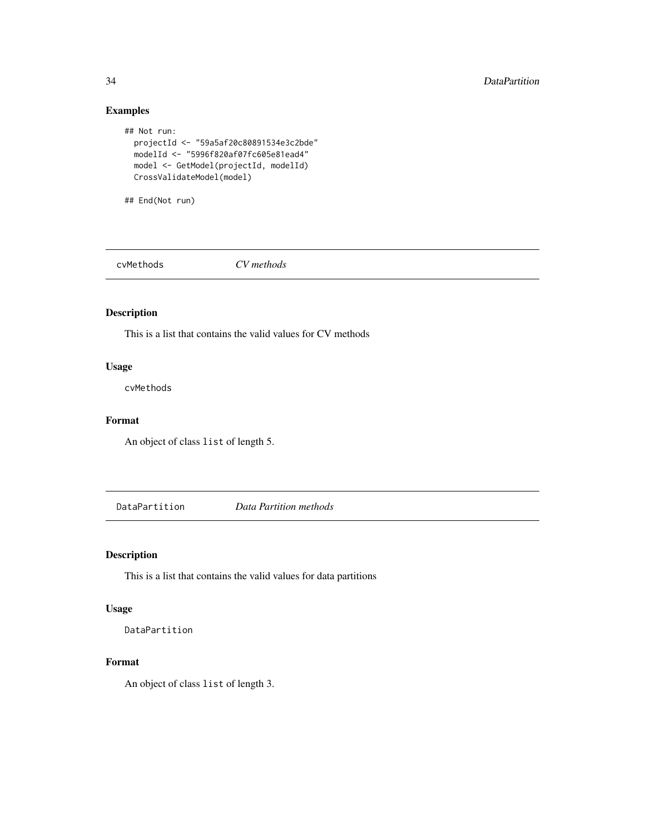## Examples

```
## Not run:
 projectId <- "59a5af20c80891534e3c2bde"
 modelId <- "5996f820af07fc605e81ead4"
 model <- GetModel(projectId, modelId)
 CrossValidateModel(model)
```
## End(Not run)

cvMethods *CV methods*

## Description

This is a list that contains the valid values for CV methods

## Usage

cvMethods

#### Format

An object of class list of length 5.

DataPartition *Data Partition methods*

## Description

This is a list that contains the valid values for data partitions

## Usage

DataPartition

#### Format

An object of class list of length 3.

<span id="page-33-0"></span>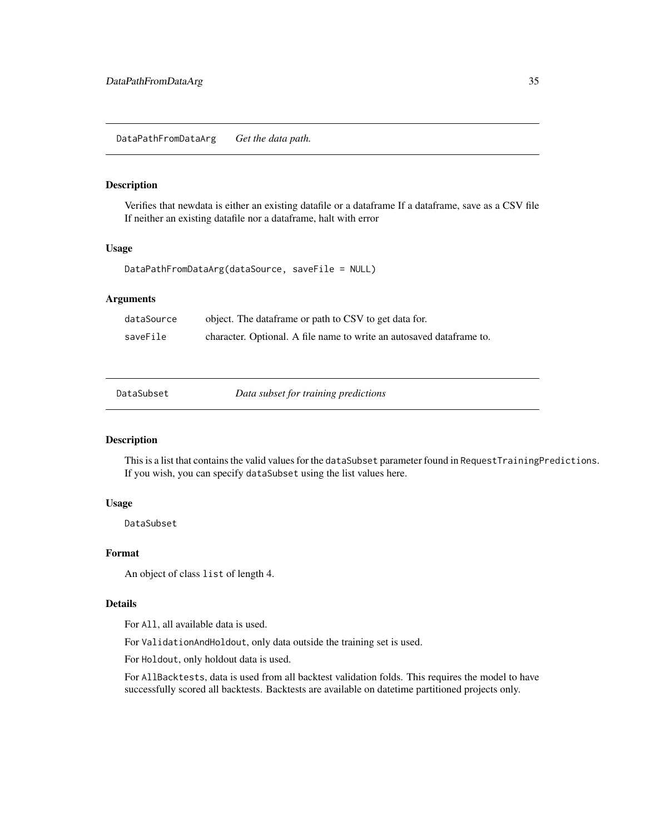## <span id="page-34-0"></span>Description

Verifies that newdata is either an existing datafile or a dataframe If a dataframe, save as a CSV file If neither an existing datafile nor a dataframe, halt with error

## Usage

```
DataPathFromDataArg(dataSource, saveFile = NULL)
```
## Arguments

| dataSource | object. The dataframe or path to CSV to get data for.                 |
|------------|-----------------------------------------------------------------------|
| saveFile   | character. Optional. A file name to write an autosaved data frame to. |

Data subset for training predictions

## Description

This is a list that contains the valid values for the dataSubset parameter found in RequestTrainingPredictions. If you wish, you can specify dataSubset using the list values here.

## Usage

DataSubset

#### Format

An object of class list of length 4.

#### Details

For All, all available data is used.

For ValidationAndHoldout, only data outside the training set is used.

For Holdout, only holdout data is used.

For AllBacktests, data is used from all backtest validation folds. This requires the model to have successfully scored all backtests. Backtests are available on datetime partitioned projects only.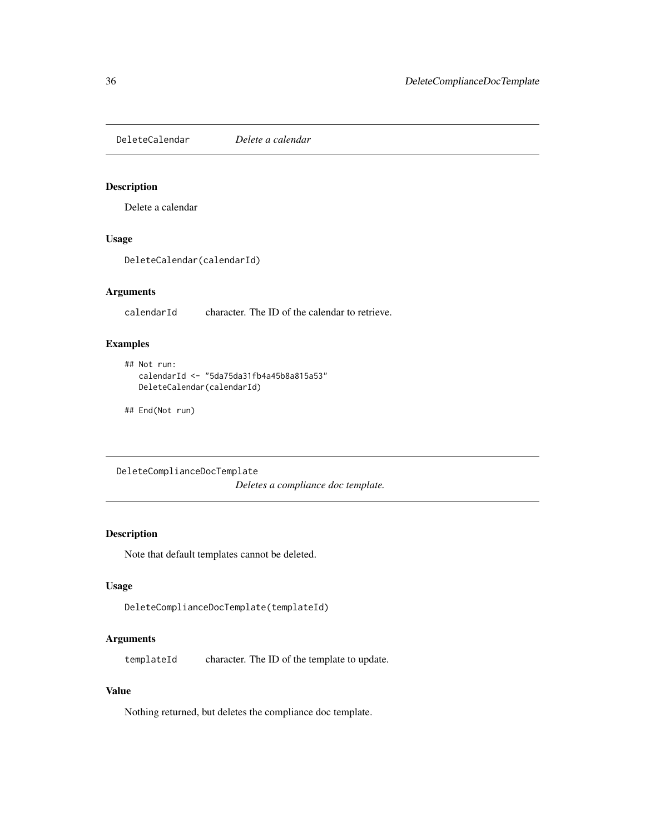<span id="page-35-0"></span>DeleteCalendar *Delete a calendar*

#### Description

Delete a calendar

## Usage

DeleteCalendar(calendarId)

## Arguments

calendarId character. The ID of the calendar to retrieve.

## Examples

```
## Not run:
  calendarId <- "5da75da31fb4a45b8a815a53"
  DeleteCalendar(calendarId)
```
## End(Not run)

DeleteComplianceDocTemplate *Deletes a compliance doc template.*

## Description

Note that default templates cannot be deleted.

## Usage

```
DeleteComplianceDocTemplate(templateId)
```
## Arguments

templateId character. The ID of the template to update.

#### Value

Nothing returned, but deletes the compliance doc template.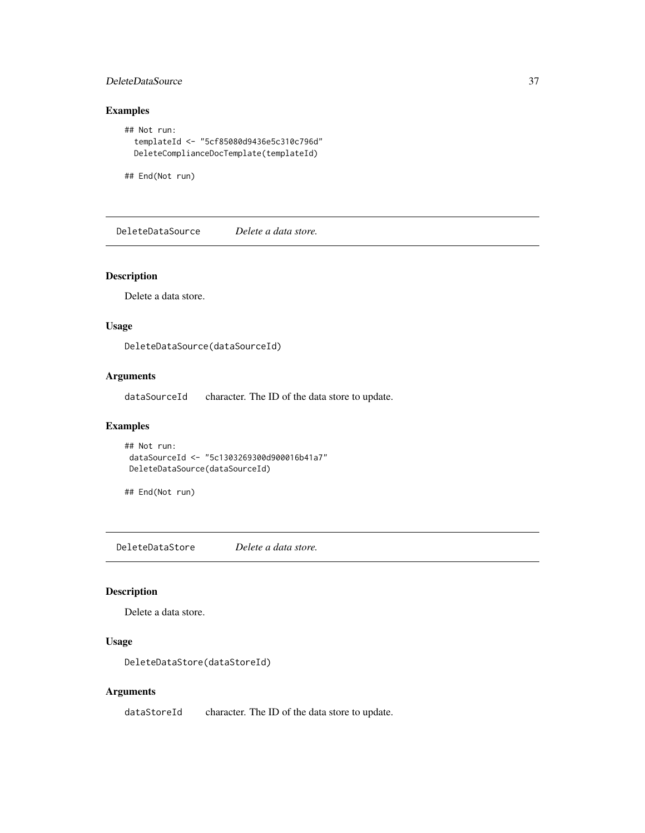### DeleteDataSource 37

# Examples

```
## Not run:
 templateId <- "5cf85080d9436e5c310c796d"
 DeleteComplianceDocTemplate(templateId)
```
## End(Not run)

DeleteDataSource *Delete a data store.*

# Description

Delete a data store.

# Usage

DeleteDataSource(dataSourceId)

# Arguments

dataSourceId character. The ID of the data store to update.

# Examples

```
## Not run:
dataSourceId <- "5c1303269300d900016b41a7"
DeleteDataSource(dataSourceId)
```
## End(Not run)

DeleteDataStore *Delete a data store.*

#### Description

Delete a data store.

# Usage

DeleteDataStore(dataStoreId)

# Arguments

dataStoreId character. The ID of the data store to update.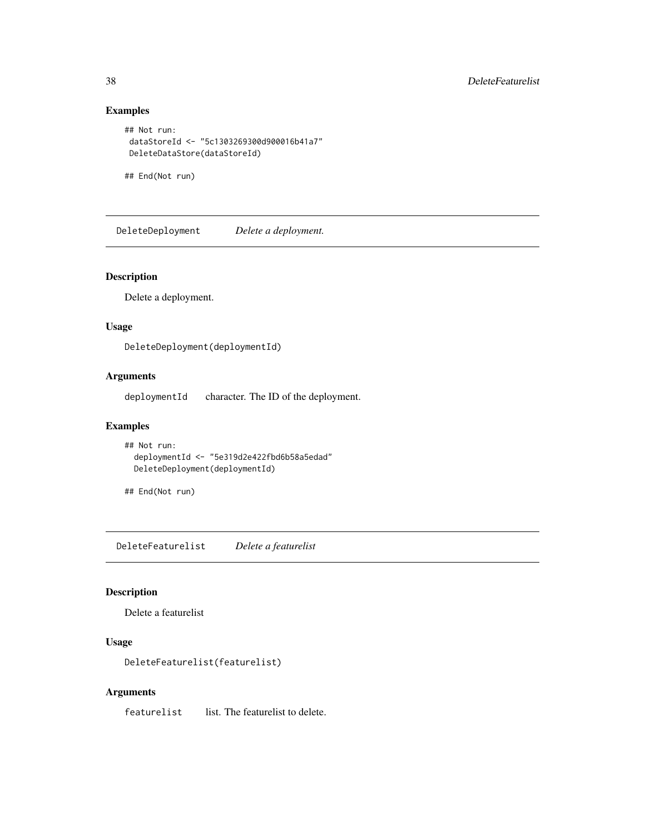```
## Not run:
dataStoreId <- "5c1303269300d900016b41a7"
DeleteDataStore(dataStoreId)
```
## End(Not run)

DeleteDeployment *Delete a deployment.*

# Description

Delete a deployment.

# Usage

DeleteDeployment(deploymentId)

# Arguments

deploymentId character. The ID of the deployment.

# Examples

```
## Not run:
  deploymentId <- "5e319d2e422fbd6b58a5edad"
  DeleteDeployment(deploymentId)
```
## End(Not run)

DeleteFeaturelist *Delete a featurelist*

#### Description

Delete a featurelist

# Usage

```
DeleteFeaturelist(featurelist)
```
# Arguments

featurelist list. The featurelist to delete.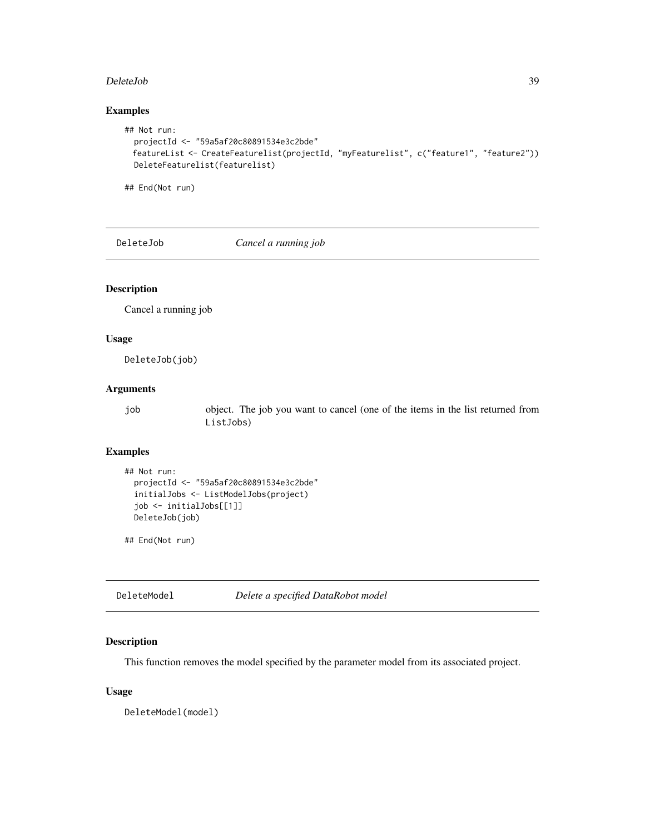#### DeleteJob 39

# Examples

```
## Not run:
 projectId <- "59a5af20c80891534e3c2bde"
 featureList <- CreateFeaturelist(projectId, "myFeaturelist", c("feature1", "feature2"))
 DeleteFeaturelist(featurelist)
```
## End(Not run)

DeleteJob *Cancel a running job*

# Description

Cancel a running job

#### Usage

DeleteJob(job)

# Arguments

job object. The job you want to cancel (one of the items in the list returned from ListJobs)

### Examples

```
## Not run:
 projectId <- "59a5af20c80891534e3c2bde"
 initialJobs <- ListModelJobs(project)
 job <- initialJobs[[1]]
 DeleteJob(job)
```
## End(Not run)

DeleteModel *Delete a specified DataRobot model*

# Description

This function removes the model specified by the parameter model from its associated project.

#### Usage

DeleteModel(model)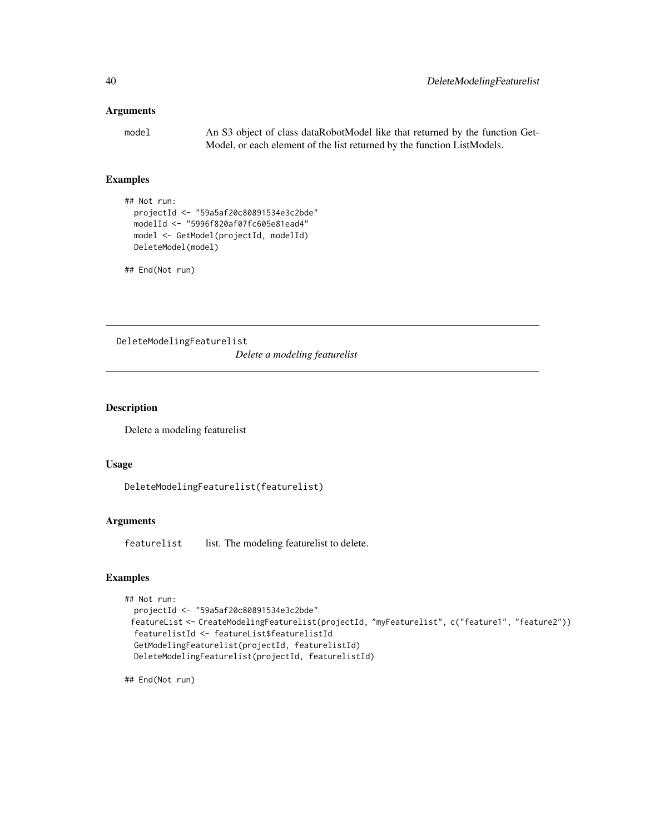# Arguments

model An S3 object of class dataRobotModel like that returned by the function Get-Model, or each element of the list returned by the function ListModels.

# Examples

```
## Not run:
  projectId <- "59a5af20c80891534e3c2bde"
  modelId <- "5996f820af07fc605e81ead4"
  model <- GetModel(projectId, modelId)
  DeleteModel(model)
```
## End(Not run)

DeleteModelingFeaturelist

*Delete a modeling featurelist*

### Description

Delete a modeling featurelist

### Usage

```
DeleteModelingFeaturelist(featurelist)
```
# Arguments

featurelist list. The modeling featurelist to delete.

# Examples

```
## Not run:
```

```
projectId <- "59a5af20c80891534e3c2bde"
featureList <- CreateModelingFeaturelist(projectId, "myFeaturelist", c("feature1", "feature2"))
featurelistId <- featureList$featurelistId
GetModelingFeaturelist(projectId, featurelistId)
DeleteModelingFeaturelist(projectId, featurelistId)
```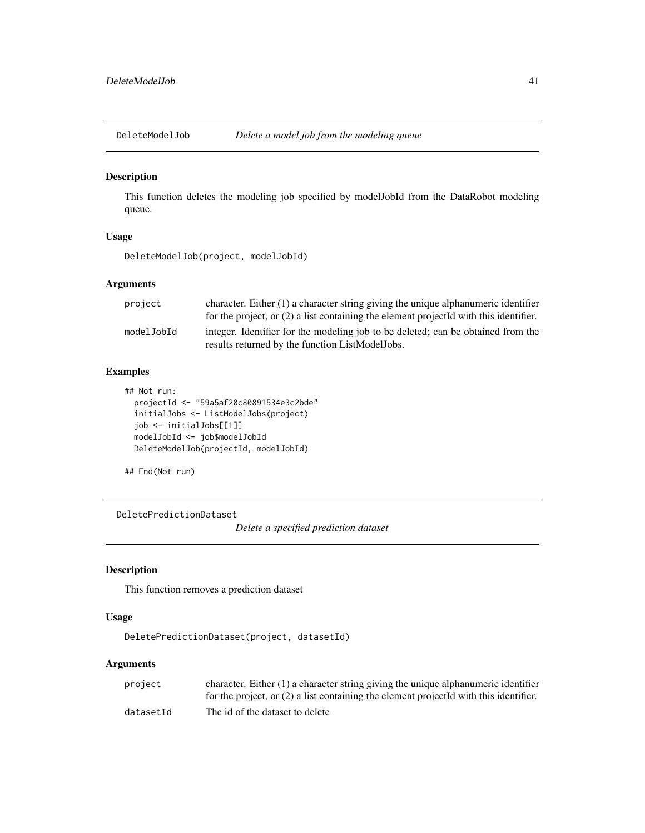### Description

This function deletes the modeling job specified by modelJobId from the DataRobot modeling queue.

# Usage

```
DeleteModelJob(project, modelJobId)
```
# Arguments

| project    | character. Either $(1)$ a character string giving the unique alphanumeric identifier    |
|------------|-----------------------------------------------------------------------------------------|
|            | for the project, or $(2)$ a list containing the element projected with this identifier. |
| modelJobId | integer. Identifier for the modeling job to be deleted; can be obtained from the        |
|            | results returned by the function ListModelJobs.                                         |

# Examples

```
## Not run:
 projectId <- "59a5af20c80891534e3c2bde"
 initialJobs <- ListModelJobs(project)
 job <- initialJobs[[1]]
 modelJobId <- job$modelJobId
 DeleteModelJob(projectId, modelJobId)
```
## End(Not run)

DeletePredictionDataset

*Delete a specified prediction dataset*

# Description

This function removes a prediction dataset

#### Usage

```
DeletePredictionDataset(project, datasetId)
```
### Arguments

| project   | character. Either $(1)$ a character string giving the unique alphanumeric identifier    |
|-----------|-----------------------------------------------------------------------------------------|
|           | for the project, or $(2)$ a list containing the element projected with this identifier. |
| datasetId | The id of the dataset to delete                                                         |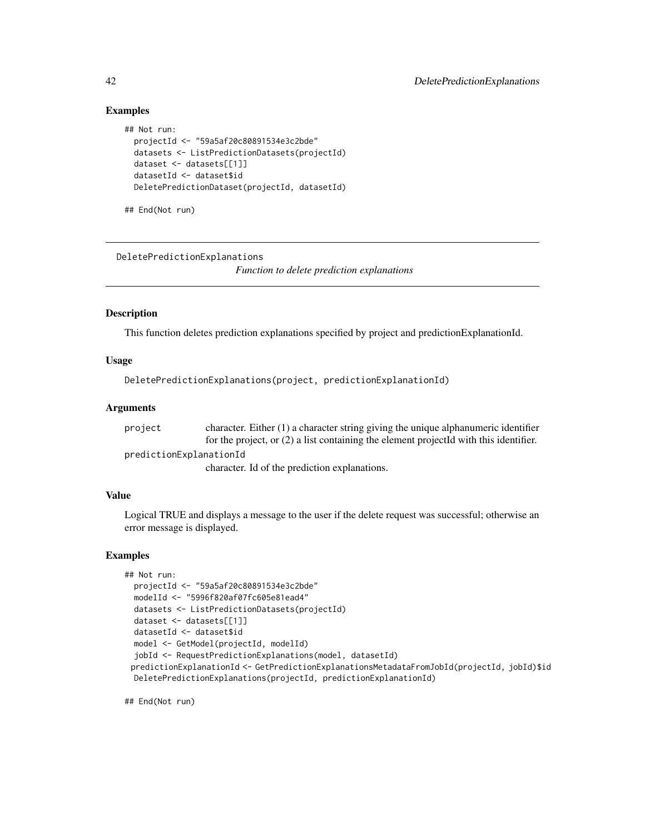```
## Not run:
 projectId <- "59a5af20c80891534e3c2bde"
 datasets <- ListPredictionDatasets(projectId)
 dataset <- datasets[[1]]
 datasetId <- dataset$id
 DeletePredictionDataset(projectId, datasetId)
```
## End(Not run)

DeletePredictionExplanations

*Function to delete prediction explanations*

#### Description

This function deletes prediction explanations specified by project and predictionExplanationId.

#### Usage

DeletePredictionExplanations(project, predictionExplanationId)

#### Arguments

project character. Either (1) a character string giving the unique alphanumeric identifier for the project, or (2) a list containing the element projectId with this identifier. predictionExplanationId character. Id of the prediction explanations.

# Value

Logical TRUE and displays a message to the user if the delete request was successful; otherwise an error message is displayed.

# Examples

```
## Not run:
 projectId <- "59a5af20c80891534e3c2bde"
 modelId <- "5996f820af07fc605e81ead4"
 datasets <- ListPredictionDatasets(projectId)
 dataset <- datasets[[1]]
 datasetId <- dataset$id
 model <- GetModel(projectId, modelId)
 jobId <- RequestPredictionExplanations(model, datasetId)
 predictionExplanationId <- GetPredictionExplanationsMetadataFromJobId(projectId, jobId)$id
 DeletePredictionExplanations(projectId, predictionExplanationId)
```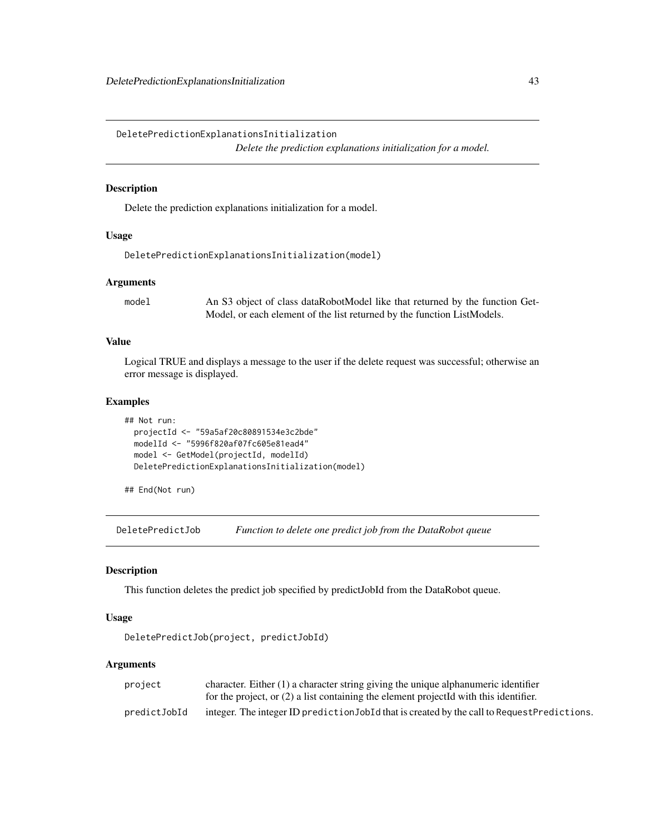DeletePredictionExplanationsInitialization

*Delete the prediction explanations initialization for a model.*

#### Description

Delete the prediction explanations initialization for a model.

### Usage

```
DeletePredictionExplanationsInitialization(model)
```
#### Arguments

model An S3 object of class dataRobotModel like that returned by the function Get-Model, or each element of the list returned by the function ListModels.

# Value

Logical TRUE and displays a message to the user if the delete request was successful; otherwise an error message is displayed.

#### Examples

```
## Not run:
 projectId <- "59a5af20c80891534e3c2bde"
 modelId <- "5996f820af07fc605e81ead4"
 model <- GetModel(projectId, modelId)
 DeletePredictionExplanationsInitialization(model)
```
## End(Not run)

DeletePredictJob *Function to delete one predict job from the DataRobot queue*

## Description

This function deletes the predict job specified by predictJobId from the DataRobot queue.

#### Usage

```
DeletePredictJob(project, predictJobId)
```
# Arguments

| project      | character. Either $(1)$ a character string giving the unique alphanumeric identifier         |
|--------------|----------------------------------------------------------------------------------------------|
|              | for the project, or $(2)$ a list containing the element projected with this identifier.      |
| predictJobId | integer. The integer ID prediction JobId that is created by the call to Request Predictions. |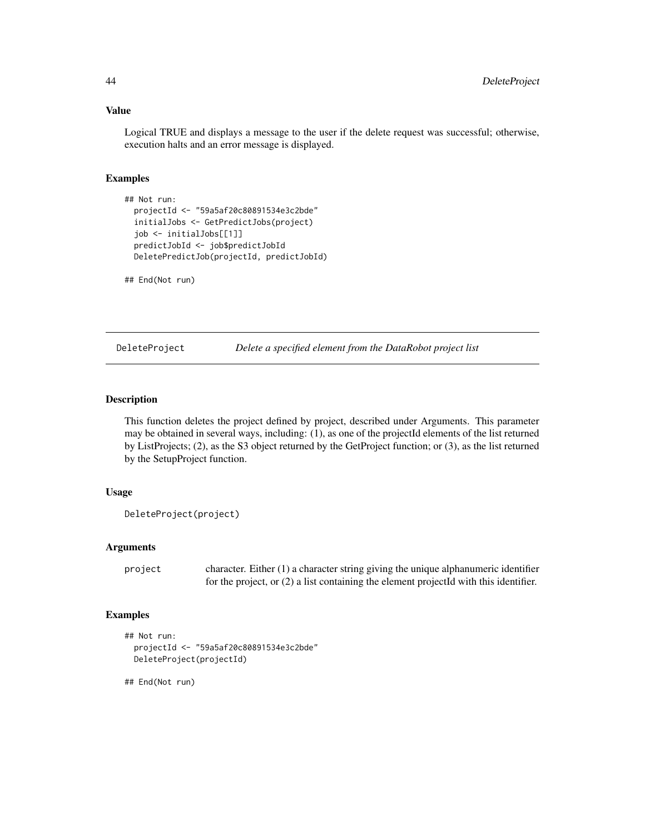### Value

Logical TRUE and displays a message to the user if the delete request was successful; otherwise, execution halts and an error message is displayed.

#### Examples

```
## Not run:
 projectId <- "59a5af20c80891534e3c2bde"
 initialJobs <- GetPredictJobs(project)
 job <- initialJobs[[1]]
 predictJobId <- job$predictJobId
 DeletePredictJob(projectId, predictJobId)
```
## End(Not run)

DeleteProject *Delete a specified element from the DataRobot project list*

### Description

This function deletes the project defined by project, described under Arguments. This parameter may be obtained in several ways, including: (1), as one of the projectId elements of the list returned by ListProjects; (2), as the S3 object returned by the GetProject function; or (3), as the list returned by the SetupProject function.

# Usage

```
DeleteProject(project)
```
### Arguments

project character. Either (1) a character string giving the unique alphanumeric identifier for the project, or (2) a list containing the element projectId with this identifier.

### Examples

```
## Not run:
 projectId <- "59a5af20c80891534e3c2bde"
 DeleteProject(projectId)
```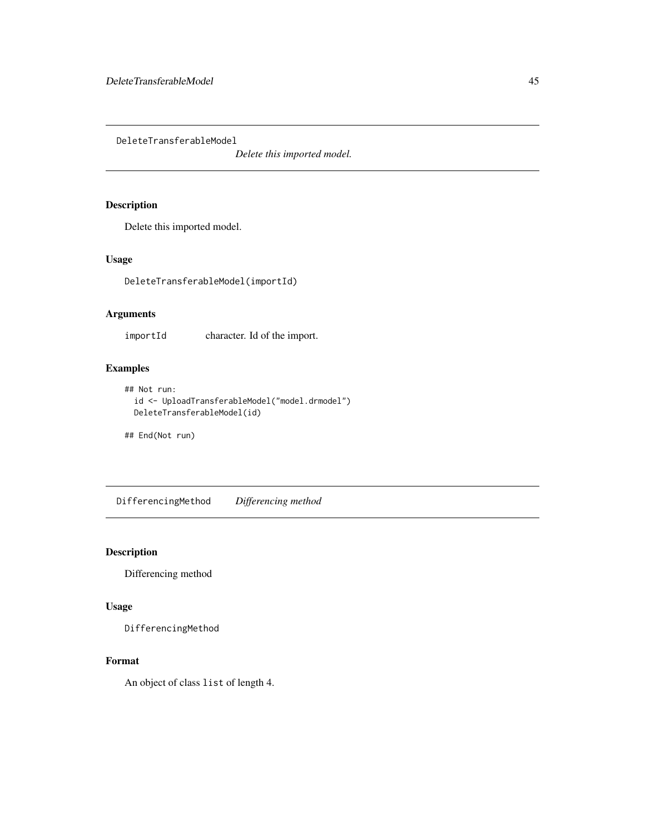DeleteTransferableModel

*Delete this imported model.*

# Description

Delete this imported model.

# Usage

DeleteTransferableModel(importId)

# Arguments

importId character. Id of the import.

## Examples

```
## Not run:
  id <- UploadTransferableModel("model.drmodel")
 DeleteTransferableModel(id)
```
## End(Not run)

DifferencingMethod *Differencing method*

# Description

Differencing method

# Usage

DifferencingMethod

### Format

An object of class list of length 4.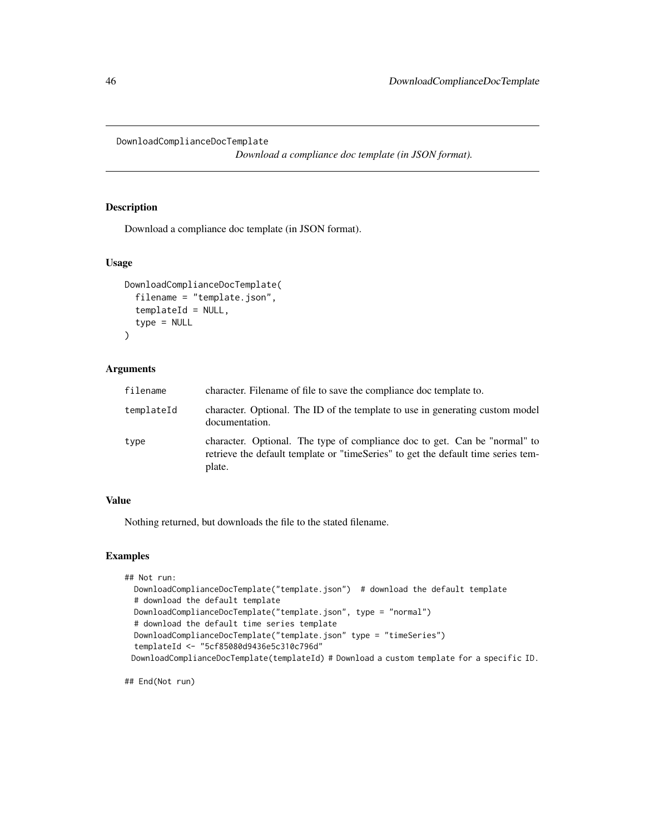DownloadComplianceDocTemplate

*Download a compliance doc template (in JSON format).*

### Description

Download a compliance doc template (in JSON format).

#### Usage

```
DownloadComplianceDocTemplate(
  filename = "template.json",
  templateId = NULL,
  type = NULL
\mathcal{L}
```
#### Arguments

| filename   | character. Filename of file to save the compliance doc template to.                                                                                                       |
|------------|---------------------------------------------------------------------------------------------------------------------------------------------------------------------------|
| templateId | character. Optional. The ID of the template to use in generating custom model<br>documentation.                                                                           |
| type       | character. Optional. The type of compliance doc to get. Can be "normal" to<br>retrieve the default template or "timeSeries" to get the default time series tem-<br>plate. |

#### Value

Nothing returned, but downloads the file to the stated filename.

# Examples

```
## Not run:
 DownloadComplianceDocTemplate("template.json") # download the default template
 # download the default template
 DownloadComplianceDocTemplate("template.json", type = "normal")
 # download the default time series template
 DownloadComplianceDocTemplate("template.json" type = "timeSeries")
 templateId <- "5cf85080d9436e5c310c796d"
 DownloadComplianceDocTemplate(templateId) # Download a custom template for a specific ID.
```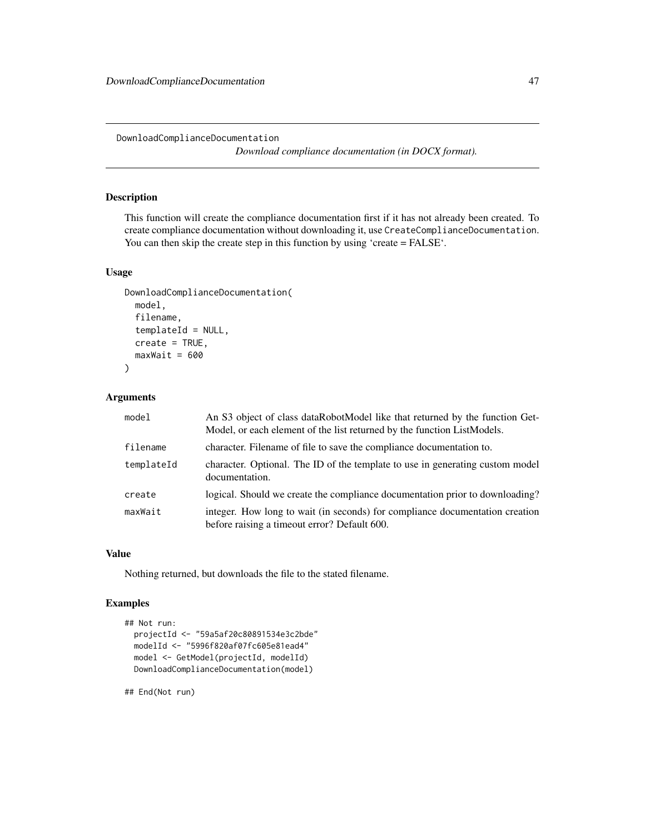DownloadComplianceDocumentation

*Download compliance documentation (in DOCX format).*

# Description

This function will create the compliance documentation first if it has not already been created. To create compliance documentation without downloading it, use CreateComplianceDocumentation. You can then skip the create step in this function by using 'create = FALSE'.

#### Usage

```
DownloadComplianceDocumentation(
 model,
  filename,
  templateId = NULL,
  create = TRUE,maxWait = 600)
```
### Arguments

| model      | An S3 object of class dataRobotModel like that returned by the function Get-<br>Model, or each element of the list returned by the function ListModels. |
|------------|---------------------------------------------------------------------------------------------------------------------------------------------------------|
| filename   | character. Filename of file to save the compliance documentation to.                                                                                    |
| templateId | character. Optional. The ID of the template to use in generating custom model<br>documentation.                                                         |
| create     | logical. Should we create the compliance documentation prior to downloading?                                                                            |
| maxWait    | integer. How long to wait (in seconds) for compliance documentation creation<br>before raising a timeout error? Default 600.                            |

### Value

Nothing returned, but downloads the file to the stated filename.

### Examples

```
## Not run:
 projectId <- "59a5af20c80891534e3c2bde"
 modelId <- "5996f820af07fc605e81ead4"
 model <- GetModel(projectId, modelId)
 DownloadComplianceDocumentation(model)
```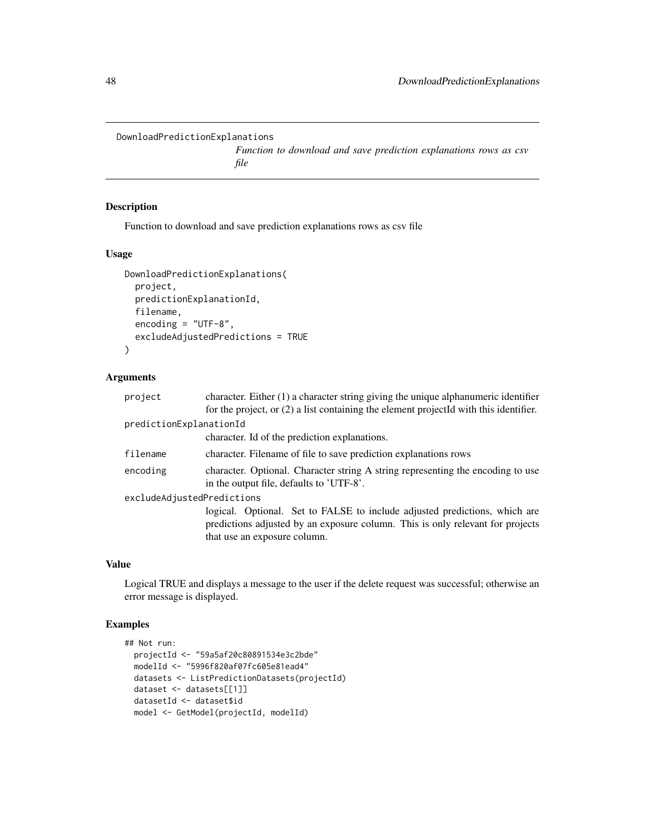```
DownloadPredictionExplanations
```
*Function to download and save prediction explanations rows as csv file*

# Description

Function to download and save prediction explanations rows as csv file

### Usage

```
DownloadPredictionExplanations(
 project,
 predictionExplanationId,
  filename,
  encoding = "UTF-8",
  excludeAdjustedPredictions = TRUE
)
```
### Arguments

| predictionExplanationId<br>character. Id of the prediction explanations.<br>filename<br>character. Filename of file to save prediction explanations rows<br>character. Optional. Character string A string representing the encoding to use<br>encoding<br>in the output file, defaults to 'UTF-8'.<br>excludeAdjustedPredictions<br>logical. Optional. Set to FALSE to include adjusted predictions, which are<br>predictions adjusted by an exposure column. This is only relevant for projects | character. Either $(1)$ a character string giving the unique alphanumeric identifier<br>for the project, or $(2)$ a list containing the element projected with this identifier. |  |  |
|---------------------------------------------------------------------------------------------------------------------------------------------------------------------------------------------------------------------------------------------------------------------------------------------------------------------------------------------------------------------------------------------------------------------------------------------------------------------------------------------------|---------------------------------------------------------------------------------------------------------------------------------------------------------------------------------|--|--|
|                                                                                                                                                                                                                                                                                                                                                                                                                                                                                                   |                                                                                                                                                                                 |  |  |
|                                                                                                                                                                                                                                                                                                                                                                                                                                                                                                   |                                                                                                                                                                                 |  |  |
|                                                                                                                                                                                                                                                                                                                                                                                                                                                                                                   |                                                                                                                                                                                 |  |  |
|                                                                                                                                                                                                                                                                                                                                                                                                                                                                                                   |                                                                                                                                                                                 |  |  |
|                                                                                                                                                                                                                                                                                                                                                                                                                                                                                                   |                                                                                                                                                                                 |  |  |
| that use an exposure column.                                                                                                                                                                                                                                                                                                                                                                                                                                                                      |                                                                                                                                                                                 |  |  |

# Value

Logical TRUE and displays a message to the user if the delete request was successful; otherwise an error message is displayed.

# Examples

```
## Not run:
 projectId <- "59a5af20c80891534e3c2bde"
 modelId <- "5996f820af07fc605e81ead4"
 datasets <- ListPredictionDatasets(projectId)
 dataset <- datasets[[1]]
 datasetId <- dataset$id
 model <- GetModel(projectId, modelId)
```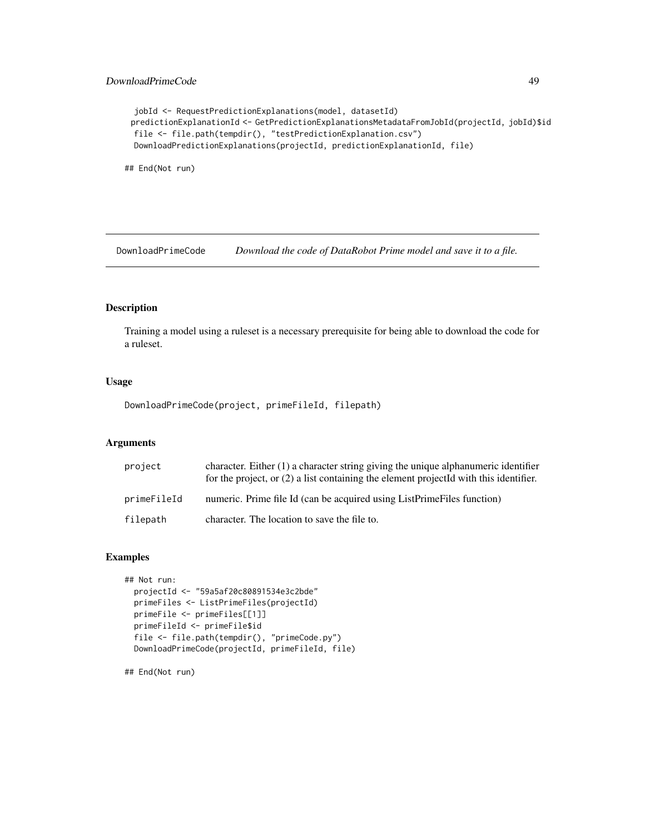```
jobId <- RequestPredictionExplanations(model, datasetId)
predictionExplanationId <- GetPredictionExplanationsMetadataFromJobId(projectId, jobId)$id
file <- file.path(tempdir(), "testPredictionExplanation.csv")
DownloadPredictionExplanations(projectId, predictionExplanationId, file)
```
## End(Not run)

DownloadPrimeCode *Download the code of DataRobot Prime model and save it to a file.*

#### Description

Training a model using a ruleset is a necessary prerequisite for being able to download the code for a ruleset.

# Usage

DownloadPrimeCode(project, primeFileId, filepath)

### Arguments

| project     | character. Either $(1)$ a character string giving the unique alphanumeric identifier<br>for the project, or $(2)$ a list containing the element projected with this identifier. |
|-------------|---------------------------------------------------------------------------------------------------------------------------------------------------------------------------------|
| primeFileId | numeric. Prime file Id (can be acquired using ListPrimeFiles function)                                                                                                          |
| filepath    | character. The location to save the file to.                                                                                                                                    |

#### Examples

```
## Not run:
 projectId <- "59a5af20c80891534e3c2bde"
 primeFiles <- ListPrimeFiles(projectId)
 primeFile <- primeFiles[[1]]
 primeFileId <- primeFile$id
 file <- file.path(tempdir(), "primeCode.py")
 DownloadPrimeCode(projectId, primeFileId, file)
```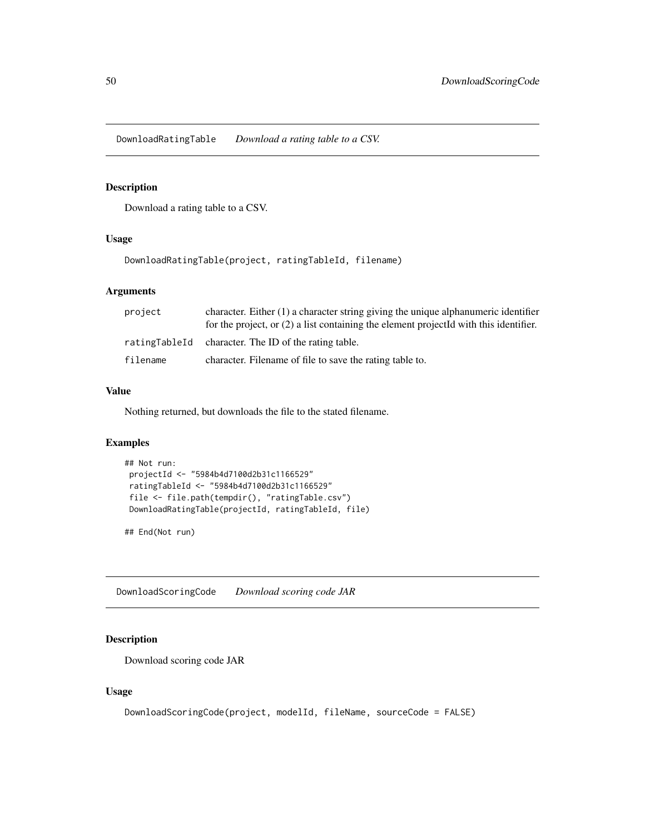DownloadRatingTable *Download a rating table to a CSV.*

### Description

Download a rating table to a CSV.

### Usage

DownloadRatingTable(project, ratingTableId, filename)

#### Arguments

| project  | character. Either $(1)$ a character string giving the unique alphanumeric identifier<br>for the project, or $(2)$ a list containing the element projected with this identifier. |
|----------|---------------------------------------------------------------------------------------------------------------------------------------------------------------------------------|
|          | ratingTableId character. The ID of the rating table.                                                                                                                            |
| filename | character. Filename of file to save the rating table to.                                                                                                                        |

#### Value

Nothing returned, but downloads the file to the stated filename.

# Examples

```
## Not run:
projectId <- "5984b4d7100d2b31c1166529"
ratingTableId <- "5984b4d7100d2b31c1166529"
file <- file.path(tempdir(), "ratingTable.csv")
DownloadRatingTable(projectId, ratingTableId, file)
```
## End(Not run)

DownloadScoringCode *Download scoring code JAR*

# Description

Download scoring code JAR

#### Usage

```
DownloadScoringCode(project, modelId, fileName, sourceCode = FALSE)
```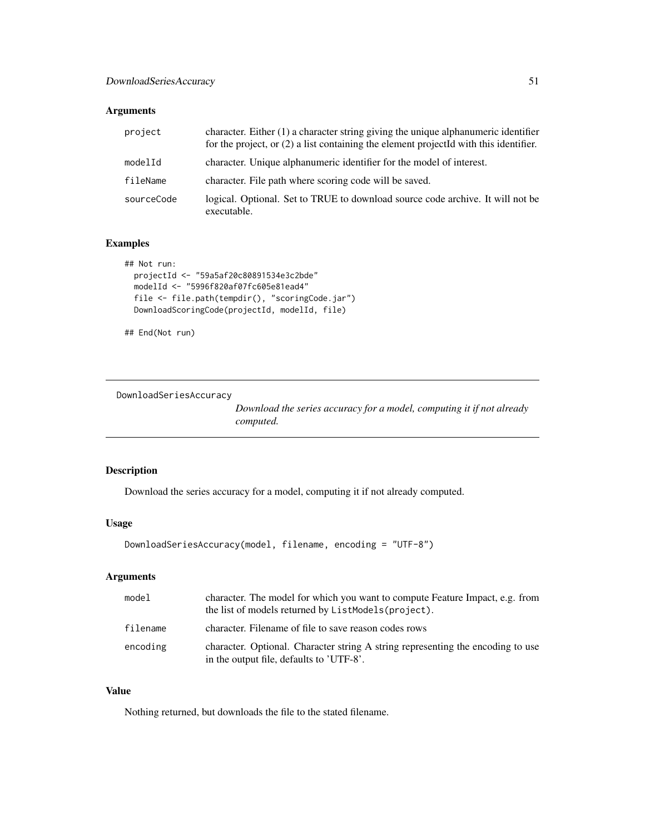### Arguments

| project    | character. Either $(1)$ a character string giving the unique alphanumeric identifier<br>for the project, or $(2)$ a list containing the element projected with this identifier. |
|------------|---------------------------------------------------------------------------------------------------------------------------------------------------------------------------------|
| modelId    | character. Unique alphanumeric identifier for the model of interest.                                                                                                            |
| fileName   | character. File path where scoring code will be saved.                                                                                                                          |
| sourceCode | logical. Optional. Set to TRUE to download source code archive. It will not be<br>executable.                                                                                   |

# Examples

```
## Not run:
  projectId <- "59a5af20c80891534e3c2bde"
  modelId <- "5996f820af07fc605e81ead4"
  file <- file.path(tempdir(), "scoringCode.jar")
  DownloadScoringCode(projectId, modelId, file)
```
## End(Not run)

DownloadSeriesAccuracy

*Download the series accuracy for a model, computing it if not already computed.*

### Description

Download the series accuracy for a model, computing it if not already computed.

# Usage

```
DownloadSeriesAccuracy(model, filename, encoding = "UTF-8")
```
# Arguments

| model    | character. The model for which you want to compute Feature Impact, e.g. from<br>the list of models returned by ListModels (project). |
|----------|--------------------------------------------------------------------------------------------------------------------------------------|
| filename | character. Filename of file to save reason codes rows                                                                                |
| encoding | character. Optional. Character string A string representing the encoding to use<br>in the output file, defaults to 'UTF-8'.          |

### Value

Nothing returned, but downloads the file to the stated filename.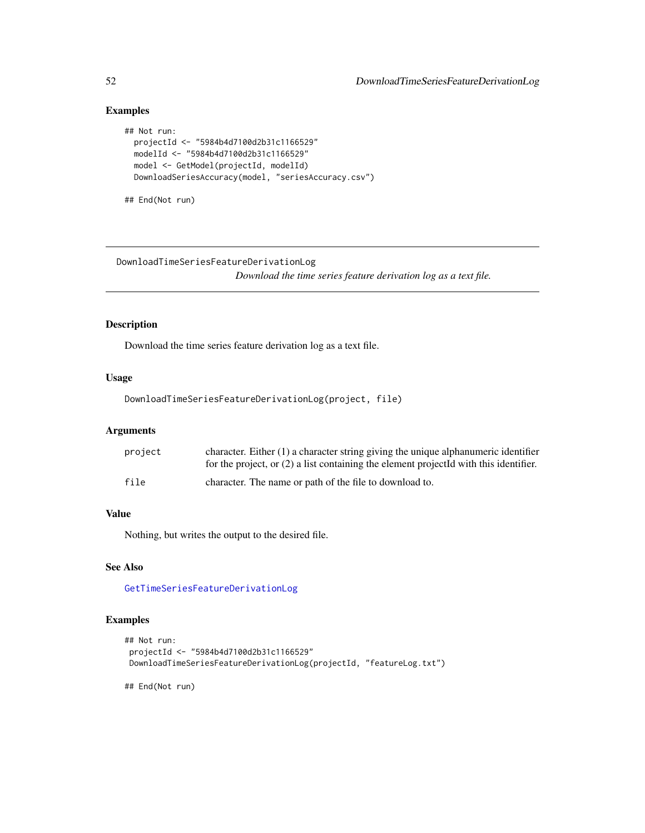```
## Not run:
 projectId <- "5984b4d7100d2b31c1166529"
 modelId <- "5984b4d7100d2b31c1166529"
 model <- GetModel(projectId, modelId)
 DownloadSeriesAccuracy(model, "seriesAccuracy.csv")
```
## End(Not run)

DownloadTimeSeriesFeatureDerivationLog *Download the time series feature derivation log as a text file.*

# Description

Download the time series feature derivation log as a text file.

#### Usage

DownloadTimeSeriesFeatureDerivationLog(project, file)

# Arguments

| project | character. Either $(1)$ a character string giving the unique alphanumeric identifier<br>for the project, or $(2)$ a list containing the element projected with this identifier. |
|---------|---------------------------------------------------------------------------------------------------------------------------------------------------------------------------------|
| file    | character. The name or path of the file to download to.                                                                                                                         |

#### Value

Nothing, but writes the output to the desired file.

# See Also

[GetTimeSeriesFeatureDerivationLog](#page-131-0)

# Examples

```
## Not run:
projectId <- "5984b4d7100d2b31c1166529"
DownloadTimeSeriesFeatureDerivationLog(projectId, "featureLog.txt")
```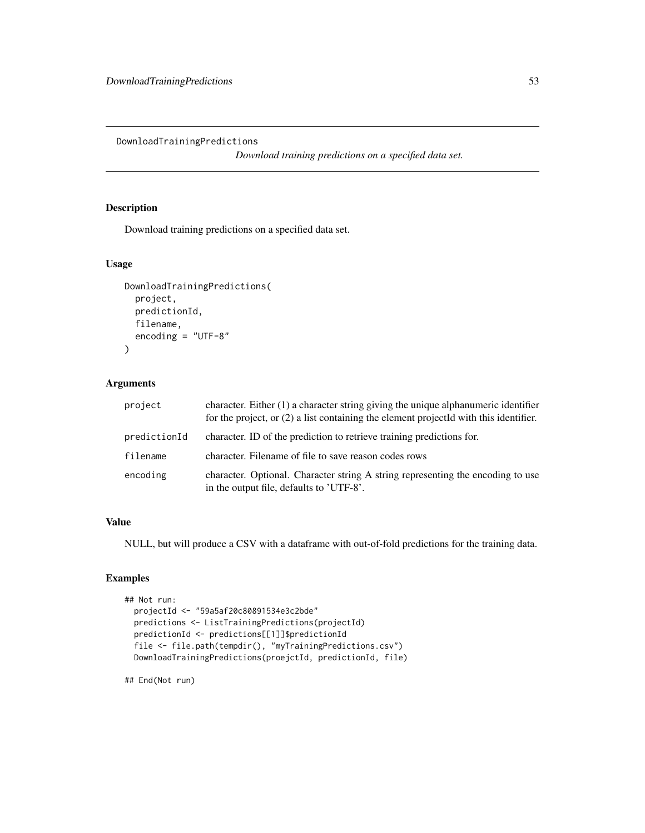DownloadTrainingPredictions

*Download training predictions on a specified data set.*

# Description

Download training predictions on a specified data set.

#### Usage

```
DownloadTrainingPredictions(
  project,
  predictionId,
  filename,
  encoding = "UTF-8"
)
```
# Arguments

| project      | character. Either $(1)$ a character string giving the unique alphanumeric identifier<br>for the project, or $(2)$ a list containing the element projected with this identifier. |
|--------------|---------------------------------------------------------------------------------------------------------------------------------------------------------------------------------|
| predictionId | character. ID of the prediction to retrieve training predictions for.                                                                                                           |
| filename     | character. Filename of file to save reason codes rows                                                                                                                           |
| encoding     | character. Optional. Character string A string representing the encoding to use<br>in the output file, defaults to 'UTF-8'.                                                     |

### Value

NULL, but will produce a CSV with a dataframe with out-of-fold predictions for the training data.

# Examples

```
## Not run:
 projectId <- "59a5af20c80891534e3c2bde"
 predictions <- ListTrainingPredictions(projectId)
 predictionId <- predictions[[1]]$predictionId
 file <- file.path(tempdir(), "myTrainingPredictions.csv")
 DownloadTrainingPredictions(proejctId, predictionId, file)
```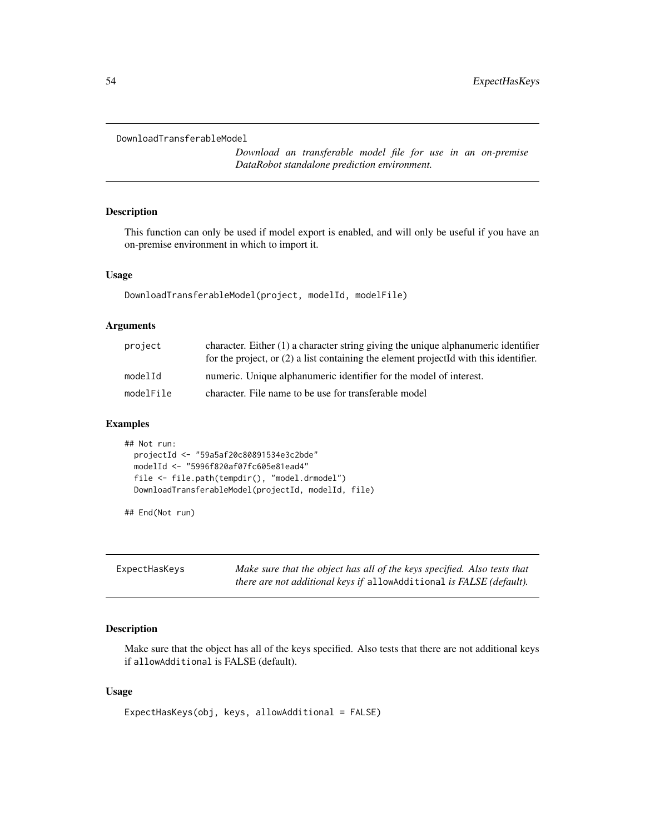```
DownloadTransferableModel
```
*Download an transferable model file for use in an on-premise DataRobot standalone prediction environment.*

# Description

This function can only be used if model export is enabled, and will only be useful if you have an on-premise environment in which to import it.

#### Usage

DownloadTransferableModel(project, modelId, modelFile)

## Arguments

| project   | character. Either $(1)$ a character string giving the unique alphanumeric identifier<br>for the project, or $(2)$ a list containing the element projected with this identifier. |
|-----------|---------------------------------------------------------------------------------------------------------------------------------------------------------------------------------|
| modelId   | numeric. Unique alphanumeric identifier for the model of interest.                                                                                                              |
| modelFile | character. File name to be use for transferable model                                                                                                                           |

### Examples

```
## Not run:
 projectId <- "59a5af20c80891534e3c2bde"
 modelId <- "5996f820af07fc605e81ead4"
 file <- file.path(tempdir(), "model.drmodel")
 DownloadTransferableModel(projectId, modelId, file)
```
## End(Not run)

| ExpectHasKeys | Make sure that the object has all of the keys specified. Also tests that    |
|---------------|-----------------------------------------------------------------------------|
|               | <i>there are not additional keys if allowAdditional is FALSE (default).</i> |

# Description

Make sure that the object has all of the keys specified. Also tests that there are not additional keys if allowAdditional is FALSE (default).

#### Usage

```
ExpectHasKeys(obj, keys, allowAdditional = FALSE)
```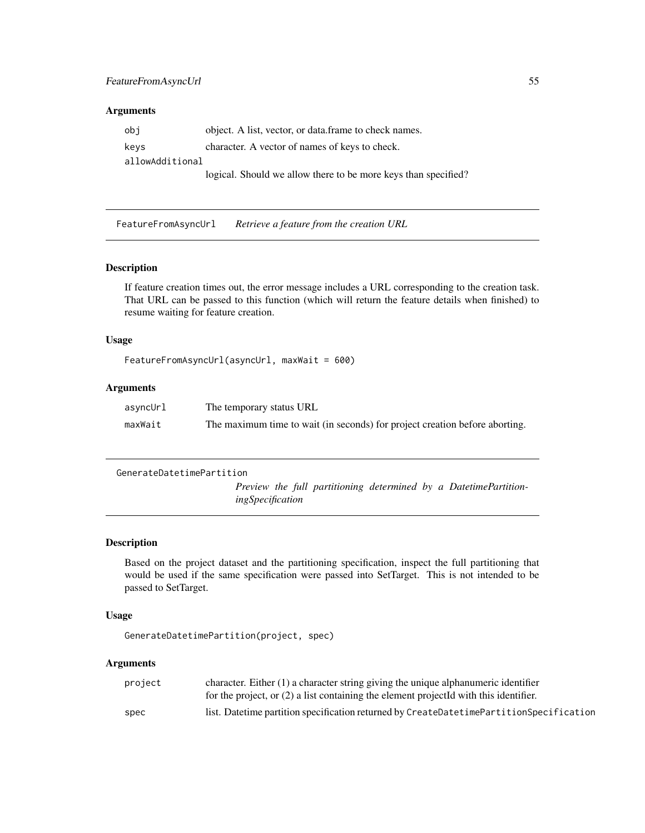#### Arguments

obj object. A list, vector, or data.frame to check names. keys character. A vector of names of keys to check. allowAdditional logical. Should we allow there to be more keys than specified?

FeatureFromAsyncUrl *Retrieve a feature from the creation URL*

#### Description

If feature creation times out, the error message includes a URL corresponding to the creation task. That URL can be passed to this function (which will return the feature details when finished) to resume waiting for feature creation.

# Usage

```
FeatureFromAsyncUrl(asyncUrl, maxWait = 600)
```
# Arguments

| asyncUrl | The temporary status URL                                                    |
|----------|-----------------------------------------------------------------------------|
| maxWait  | The maximum time to wait (in seconds) for project creation before aborting. |

```
GenerateDatetimePartition
```
*Preview the full partitioning determined by a DatetimePartitioningSpecification*

#### Description

Based on the project dataset and the partitioning specification, inspect the full partitioning that would be used if the same specification were passed into SetTarget. This is not intended to be passed to SetTarget.

#### Usage

```
GenerateDatetimePartition(project, spec)
```
#### Arguments

| project | character. Either $(1)$ a character string giving the unique alphanumeric identifier    |
|---------|-----------------------------------------------------------------------------------------|
|         | for the project, or $(2)$ a list containing the element projected with this identifier. |
| spec    | list. Datetime partition specification returned by CreateDatetimePartitionSpecification |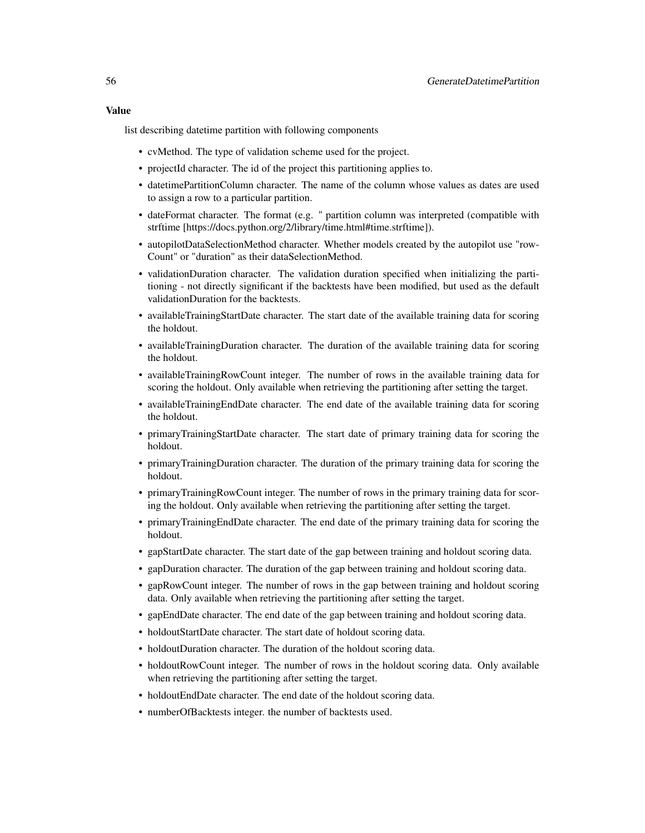#### Value

list describing datetime partition with following components

- cvMethod. The type of validation scheme used for the project.
- projectId character. The id of the project this partitioning applies to.
- datetimePartitionColumn character. The name of the column whose values as dates are used to assign a row to a particular partition.
- dateFormat character. The format (e.g. " partition column was interpreted (compatible with strftime [https://docs.python.org/2/library/time.html#time.strftime]).
- autopilotDataSelectionMethod character. Whether models created by the autopilot use "row-Count" or "duration" as their dataSelectionMethod.
- validationDuration character. The validation duration specified when initializing the partitioning - not directly significant if the backtests have been modified, but used as the default validationDuration for the backtests.
- availableTrainingStartDate character. The start date of the available training data for scoring the holdout.
- availableTrainingDuration character. The duration of the available training data for scoring the holdout.
- availableTrainingRowCount integer. The number of rows in the available training data for scoring the holdout. Only available when retrieving the partitioning after setting the target.
- availableTrainingEndDate character. The end date of the available training data for scoring the holdout.
- primaryTrainingStartDate character. The start date of primary training data for scoring the holdout.
- primaryTrainingDuration character. The duration of the primary training data for scoring the holdout.
- primaryTrainingRowCount integer. The number of rows in the primary training data for scoring the holdout. Only available when retrieving the partitioning after setting the target.
- primaryTrainingEndDate character. The end date of the primary training data for scoring the holdout.
- gapStartDate character. The start date of the gap between training and holdout scoring data.
- gapDuration character. The duration of the gap between training and holdout scoring data.
- gapRowCount integer. The number of rows in the gap between training and holdout scoring data. Only available when retrieving the partitioning after setting the target.
- gapEndDate character. The end date of the gap between training and holdout scoring data.
- holdoutStartDate character. The start date of holdout scoring data.
- holdoutDuration character. The duration of the holdout scoring data.
- holdoutRowCount integer. The number of rows in the holdout scoring data. Only available when retrieving the partitioning after setting the target.
- holdoutEndDate character. The end date of the holdout scoring data.
- numberOfBacktests integer. the number of backtests used.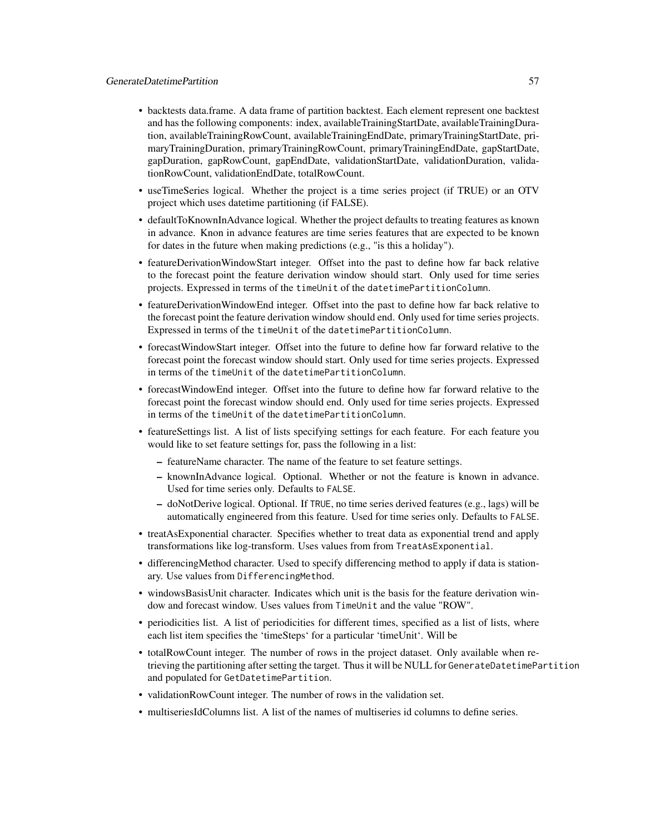- backtests data.frame. A data frame of partition backtest. Each element represent one backtest and has the following components: index, availableTrainingStartDate, availableTrainingDuration, availableTrainingRowCount, availableTrainingEndDate, primaryTrainingStartDate, primaryTrainingDuration, primaryTrainingRowCount, primaryTrainingEndDate, gapStartDate, gapDuration, gapRowCount, gapEndDate, validationStartDate, validationDuration, validationRowCount, validationEndDate, totalRowCount.
- useTimeSeries logical. Whether the project is a time series project (if TRUE) or an OTV project which uses datetime partitioning (if FALSE).
- defaultToKnownInAdvance logical. Whether the project defaults to treating features as known in advance. Knon in advance features are time series features that are expected to be known for dates in the future when making predictions (e.g., "is this a holiday").
- featureDerivationWindowStart integer. Offset into the past to define how far back relative to the forecast point the feature derivation window should start. Only used for time series projects. Expressed in terms of the timeUnit of the datetimePartitionColumn.
- featureDerivationWindowEnd integer. Offset into the past to define how far back relative to the forecast point the feature derivation window should end. Only used for time series projects. Expressed in terms of the timeUnit of the datetimePartitionColumn.
- forecastWindowStart integer. Offset into the future to define how far forward relative to the forecast point the forecast window should start. Only used for time series projects. Expressed in terms of the timeUnit of the datetimePartitionColumn.
- forecastWindowEnd integer. Offset into the future to define how far forward relative to the forecast point the forecast window should end. Only used for time series projects. Expressed in terms of the timeUnit of the datetimePartitionColumn.
- featureSettings list. A list of lists specifying settings for each feature. For each feature you would like to set feature settings for, pass the following in a list:
	- featureName character. The name of the feature to set feature settings.
	- knownInAdvance logical. Optional. Whether or not the feature is known in advance. Used for time series only. Defaults to FALSE.
	- doNotDerive logical. Optional. If TRUE, no time series derived features (e.g., lags) will be automatically engineered from this feature. Used for time series only. Defaults to FALSE.
- treatAsExponential character. Specifies whether to treat data as exponential trend and apply transformations like log-transform. Uses values from from TreatAsExponential.
- differencingMethod character. Used to specify differencing method to apply if data is stationary. Use values from DifferencingMethod.
- windowsBasisUnit character. Indicates which unit is the basis for the feature derivation window and forecast window. Uses values from TimeUnit and the value "ROW".
- periodicities list. A list of periodicities for different times, specified as a list of lists, where each list item specifies the 'timeSteps' for a particular 'timeUnit'. Will be
- totalRowCount integer. The number of rows in the project dataset. Only available when retrieving the partitioning after setting the target. Thus it will be NULL for GenerateDatetimePartition and populated for GetDatetimePartition.
- validationRowCount integer. The number of rows in the validation set.
- multiseriesIdColumns list. A list of the names of multiseries id columns to define series.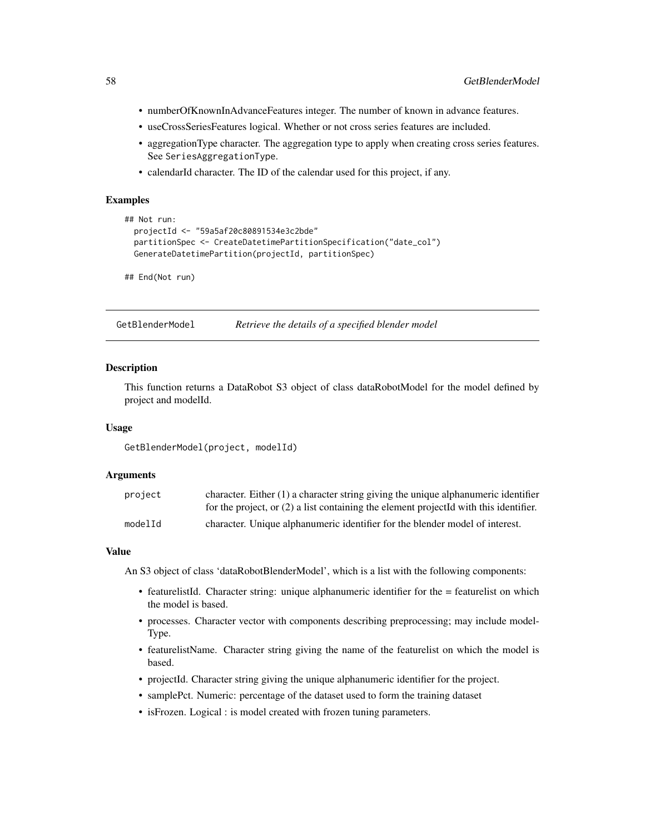- numberOfKnownInAdvanceFeatures integer. The number of known in advance features.
- useCrossSeriesFeatures logical. Whether or not cross series features are included.
- aggregationType character. The aggregation type to apply when creating cross series features. See SeriesAggregationType.
- calendarId character. The ID of the calendar used for this project, if any.

```
## Not run:
 projectId <- "59a5af20c80891534e3c2bde"
 partitionSpec <- CreateDatetimePartitionSpecification("date_col")
 GenerateDatetimePartition(projectId, partitionSpec)
```
## End(Not run)

GetBlenderModel *Retrieve the details of a specified blender model*

#### Description

This function returns a DataRobot S3 object of class dataRobotModel for the model defined by project and modelId.

#### Usage

GetBlenderModel(project, modelId)

### Arguments

| project | character. Either $(1)$ a character string giving the unique alphanumeric identifier    |
|---------|-----------------------------------------------------------------------------------------|
|         | for the project, or $(2)$ a list containing the element projected with this identifier. |
| modelId | character. Unique alphanumeric identifier for the blender model of interest.            |

#### Value

An S3 object of class 'dataRobotBlenderModel', which is a list with the following components:

- featurelistId. Character string: unique alphanumeric identifier for the = featurelist on which the model is based.
- processes. Character vector with components describing preprocessing; may include model-Type.
- featurelistName. Character string giving the name of the featurelist on which the model is based.
- projectId. Character string giving the unique alphanumeric identifier for the project.
- samplePct. Numeric: percentage of the dataset used to form the training dataset
- isFrozen. Logical : is model created with frozen tuning parameters.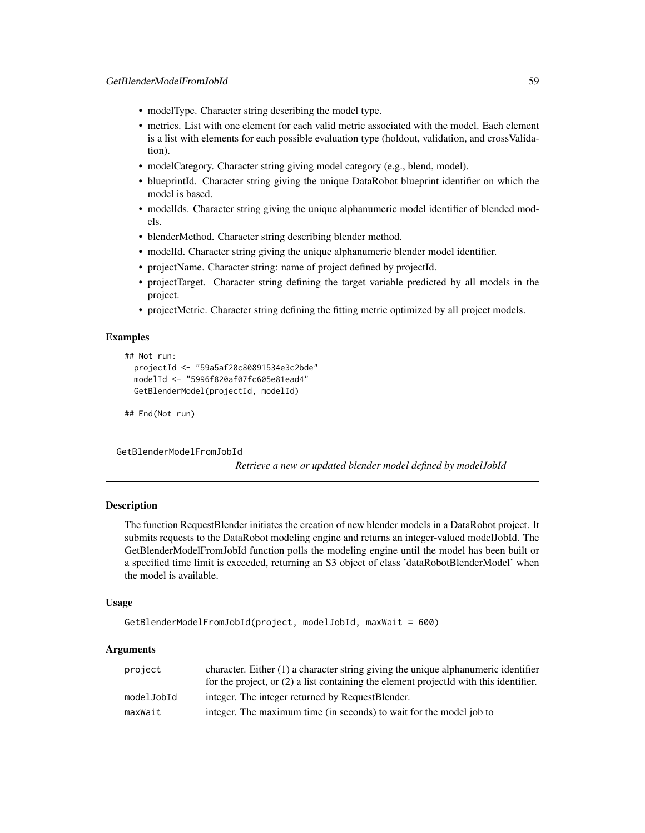- modelType. Character string describing the model type.
- metrics. List with one element for each valid metric associated with the model. Each element is a list with elements for each possible evaluation type (holdout, validation, and crossValidation).
- modelCategory. Character string giving model category (e.g., blend, model).
- blueprintId. Character string giving the unique DataRobot blueprint identifier on which the model is based.
- modelIds. Character string giving the unique alphanumeric model identifier of blended models.
- blenderMethod. Character string describing blender method.
- modelId. Character string giving the unique alphanumeric blender model identifier.
- projectName. Character string: name of project defined by projectId.
- projectTarget. Character string defining the target variable predicted by all models in the project.
- projectMetric. Character string defining the fitting metric optimized by all project models.

```
## Not run:
 projectId <- "59a5af20c80891534e3c2bde"
 modelId <- "5996f820af07fc605e81ead4"
 GetBlenderModel(projectId, modelId)
```

```
## End(Not run)
```
GetBlenderModelFromJobId

*Retrieve a new or updated blender model defined by modelJobId*

### **Description**

The function RequestBlender initiates the creation of new blender models in a DataRobot project. It submits requests to the DataRobot modeling engine and returns an integer-valued modelJobId. The GetBlenderModelFromJobId function polls the modeling engine until the model has been built or a specified time limit is exceeded, returning an S3 object of class 'dataRobotBlenderModel' when the model is available.

#### Usage

```
GetBlenderModelFromJobId(project, modelJobId, maxWait = 600)
```
### Arguments

| project    | character. Either $(1)$ a character string giving the unique alphanumeric identifier    |
|------------|-----------------------------------------------------------------------------------------|
|            | for the project, or $(2)$ a list containing the element projected with this identifier. |
| modelJobId | integer. The integer returned by RequestBlender.                                        |
| maxWait    | integer. The maximum time (in seconds) to wait for the model job to                     |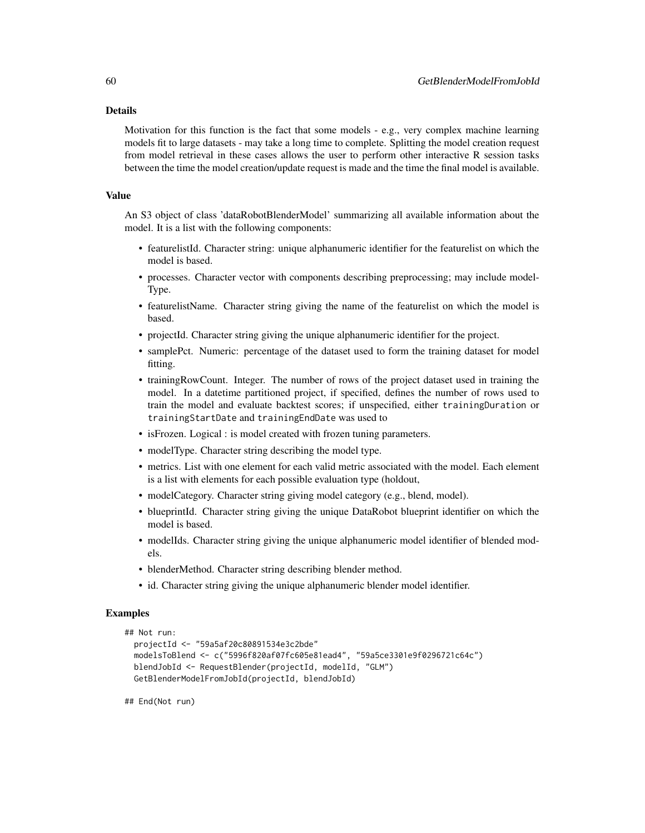#### Details

Motivation for this function is the fact that some models - e.g., very complex machine learning models fit to large datasets - may take a long time to complete. Splitting the model creation request from model retrieval in these cases allows the user to perform other interactive R session tasks between the time the model creation/update request is made and the time the final model is available.

### Value

An S3 object of class 'dataRobotBlenderModel' summarizing all available information about the model. It is a list with the following components:

- featurelistId. Character string: unique alphanumeric identifier for the featurelist on which the model is based.
- processes. Character vector with components describing preprocessing; may include model-Type.
- featurelistName. Character string giving the name of the featurelist on which the model is based.
- projectId. Character string giving the unique alphanumeric identifier for the project.
- samplePct. Numeric: percentage of the dataset used to form the training dataset for model fitting.
- trainingRowCount. Integer. The number of rows of the project dataset used in training the model. In a datetime partitioned project, if specified, defines the number of rows used to train the model and evaluate backtest scores; if unspecified, either trainingDuration or trainingStartDate and trainingEndDate was used to
- isFrozen. Logical : is model created with frozen tuning parameters.
- modelType. Character string describing the model type.
- metrics. List with one element for each valid metric associated with the model. Each element is a list with elements for each possible evaluation type (holdout,
- modelCategory. Character string giving model category (e.g., blend, model).
- blueprintId. Character string giving the unique DataRobot blueprint identifier on which the model is based.
- modelIds. Character string giving the unique alphanumeric model identifier of blended models.
- blenderMethod. Character string describing blender method.
- id. Character string giving the unique alphanumeric blender model identifier.

# Examples

```
## Not run:
 projectId <- "59a5af20c80891534e3c2bde"
 modelsToBlend <- c("5996f820af07fc605e81ead4", "59a5ce3301e9f0296721c64c")
 blendJobId <- RequestBlender(projectId, modelId, "GLM")
 GetBlenderModelFromJobId(projectId, blendJobId)
```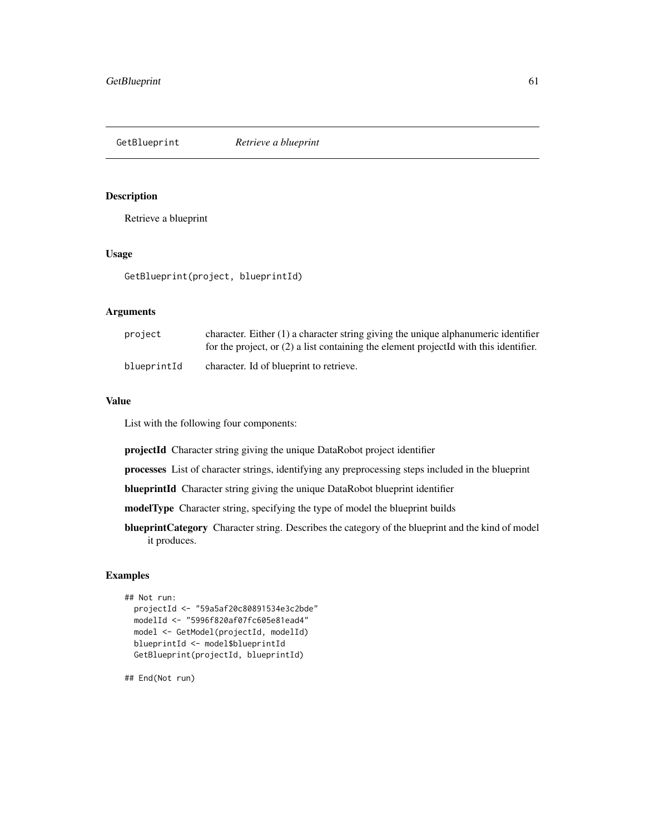GetBlueprint *Retrieve a blueprint*

### Description

Retrieve a blueprint

# Usage

GetBlueprint(project, blueprintId)

## Arguments

| project     | character. Either $(1)$ a character string giving the unique alphanumeric identifier<br>for the project, or $(2)$ a list containing the element projected with this identifier. |
|-------------|---------------------------------------------------------------------------------------------------------------------------------------------------------------------------------|
| blueprintId | character. Id of blueprint to retrieve.                                                                                                                                         |

## Value

List with the following four components:

projectId Character string giving the unique DataRobot project identifier

processes List of character strings, identifying any preprocessing steps included in the blueprint

blueprintId Character string giving the unique DataRobot blueprint identifier

modelType Character string, specifying the type of model the blueprint builds

blueprintCategory Character string. Describes the category of the blueprint and the kind of model it produces.

# Examples

```
## Not run:
 projectId <- "59a5af20c80891534e3c2bde"
 modelId <- "5996f820af07fc605e81ead4"
 model <- GetModel(projectId, modelId)
 blueprintId <- model$blueprintId
 GetBlueprint(projectId, blueprintId)
```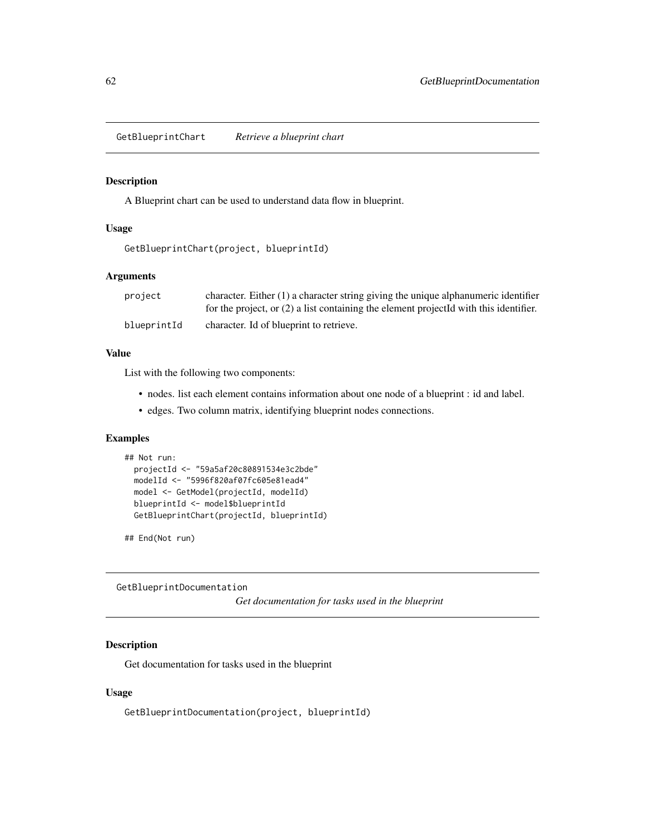GetBlueprintChart *Retrieve a blueprint chart*

### Description

A Blueprint chart can be used to understand data flow in blueprint.

#### Usage

```
GetBlueprintChart(project, blueprintId)
```
#### Arguments

| project     | character. Either $(1)$ a character string giving the unique alphanumeric identifier    |
|-------------|-----------------------------------------------------------------------------------------|
|             | for the project, or $(2)$ a list containing the element projected with this identifier. |
| blueprintId | character. Id of blueprint to retrieve.                                                 |

### Value

List with the following two components:

- nodes. list each element contains information about one node of a blueprint : id and label.
- edges. Two column matrix, identifying blueprint nodes connections.

### Examples

```
## Not run:
 projectId <- "59a5af20c80891534e3c2bde"
 modelId <- "5996f820af07fc605e81ead4"
 model <- GetModel(projectId, modelId)
 blueprintId <- model$blueprintId
 GetBlueprintChart(projectId, blueprintId)
```
## End(Not run)

GetBlueprintDocumentation

*Get documentation for tasks used in the blueprint*

# Description

Get documentation for tasks used in the blueprint

#### Usage

GetBlueprintDocumentation(project, blueprintId)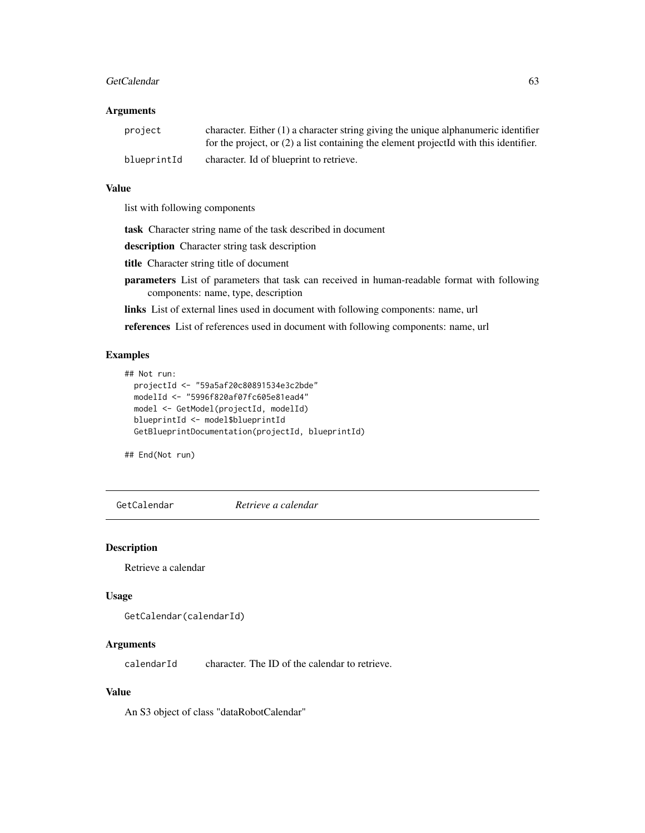#### GetCalendar 63

### Arguments

| project     | character. Either $(1)$ a character string giving the unique alphanumeric identifier<br>for the project, or $(2)$ a list containing the element projected with this identifier. |
|-------------|---------------------------------------------------------------------------------------------------------------------------------------------------------------------------------|
| blueprintId | character. Id of blueprint to retrieve.                                                                                                                                         |

#### Value

list with following components

task Character string name of the task described in document

description Character string task description

title Character string title of document

- parameters List of parameters that task can received in human-readable format with following components: name, type, description
- links List of external lines used in document with following components: name, url

references List of references used in document with following components: name, url

### Examples

```
## Not run:
 projectId <- "59a5af20c80891534e3c2bde"
 modelId <- "5996f820af07fc605e81ead4"
 model <- GetModel(projectId, modelId)
 blueprintId <- model$blueprintId
 GetBlueprintDocumentation(projectId, blueprintId)
```
## End(Not run)

GetCalendar *Retrieve a calendar*

#### Description

Retrieve a calendar

### Usage

```
GetCalendar(calendarId)
```
### Arguments

calendarId character. The ID of the calendar to retrieve.

# Value

An S3 object of class "dataRobotCalendar"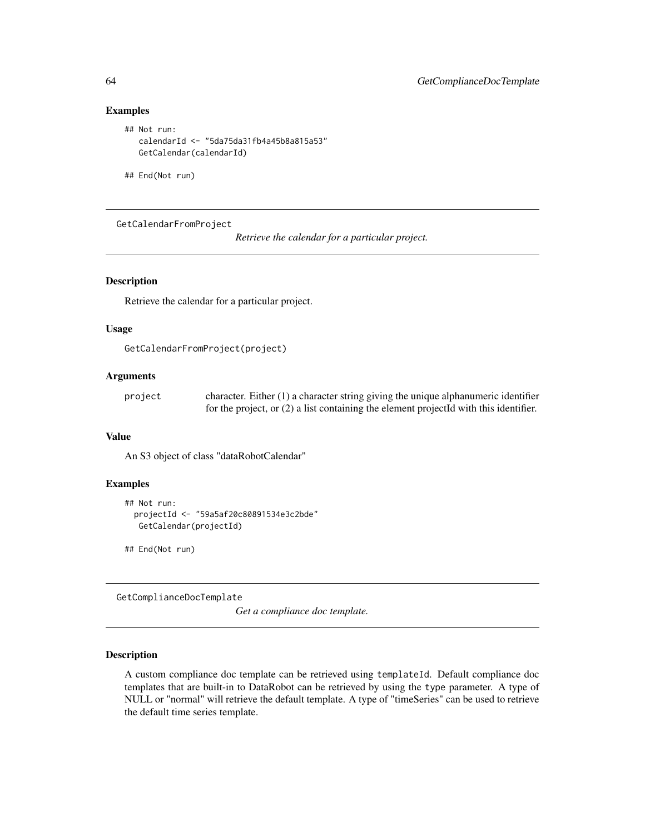```
## Not run:
  calendarId <- "5da75da31fb4a45b8a815a53"
  GetCalendar(calendarId)
```
## End(Not run)

GetCalendarFromProject

*Retrieve the calendar for a particular project.*

#### Description

Retrieve the calendar for a particular project.

# Usage

```
GetCalendarFromProject(project)
```
# Arguments

| project | character. Either $(1)$ a character string giving the unique alphanumeric identifier    |
|---------|-----------------------------------------------------------------------------------------|
|         | for the project, or $(2)$ a list containing the element projected with this identifier. |

### Value

An S3 object of class "dataRobotCalendar"

#### Examples

```
## Not run:
 projectId <- "59a5af20c80891534e3c2bde"
  GetCalendar(projectId)
```
## End(Not run)

GetComplianceDocTemplate

*Get a compliance doc template.*

### Description

A custom compliance doc template can be retrieved using templateId. Default compliance doc templates that are built-in to DataRobot can be retrieved by using the type parameter. A type of NULL or "normal" will retrieve the default template. A type of "timeSeries" can be used to retrieve the default time series template.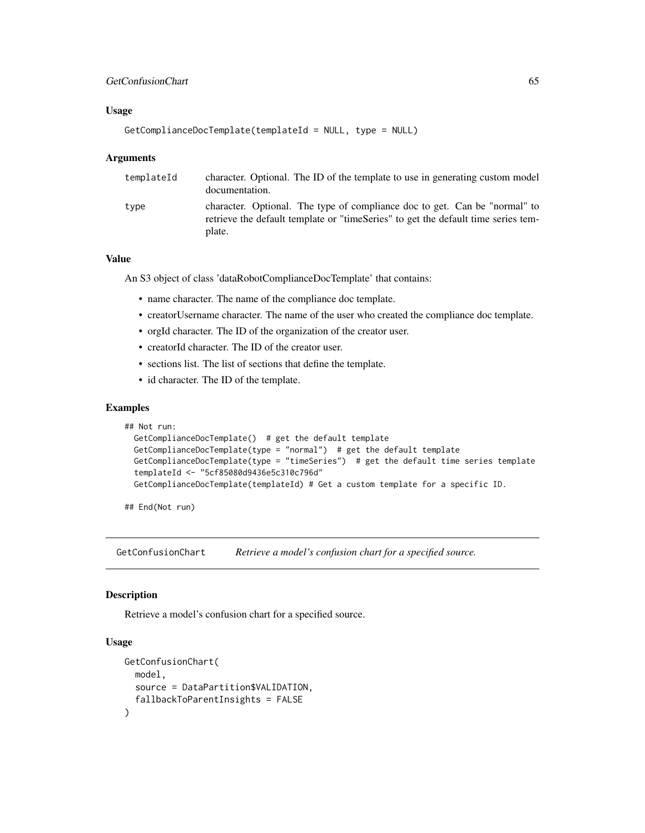### Usage

```
GetComplianceDocTemplate(templateId = NULL, type = NULL)
```
#### **Arguments**

| templateId | character. Optional. The ID of the template to use in generating custom model<br>documentation.                                                                           |
|------------|---------------------------------------------------------------------------------------------------------------------------------------------------------------------------|
| type       | character. Optional. The type of compliance doc to get. Can be "normal" to<br>retrieve the default template or "timeSeries" to get the default time series tem-<br>plate. |

# Value

An S3 object of class 'dataRobotComplianceDocTemplate' that contains:

- name character. The name of the compliance doc template.
- creatorUsername character. The name of the user who created the compliance doc template.
- orgId character. The ID of the organization of the creator user.
- creatorId character. The ID of the creator user.
- sections list. The list of sections that define the template.
- id character. The ID of the template.

### Examples

```
## Not run:
 GetComplianceDocTemplate() # get the default template
 GetComplianceDocTemplate(type = "normal") # get the default template
 GetComplianceDocTemplate(type = "timeSeries") # get the default time series template
 templateId <- "5cf85080d9436e5c310c796d"
 GetComplianceDocTemplate(templateId) # Get a custom template for a specific ID.
```
## End(Not run)

GetConfusionChart *Retrieve a model's confusion chart for a specified source.*

#### Description

Retrieve a model's confusion chart for a specified source.

# Usage

```
GetConfusionChart(
  model,
  source = DataPartition$VALIDATION,
  fallbackToParentInsights = FALSE
)
```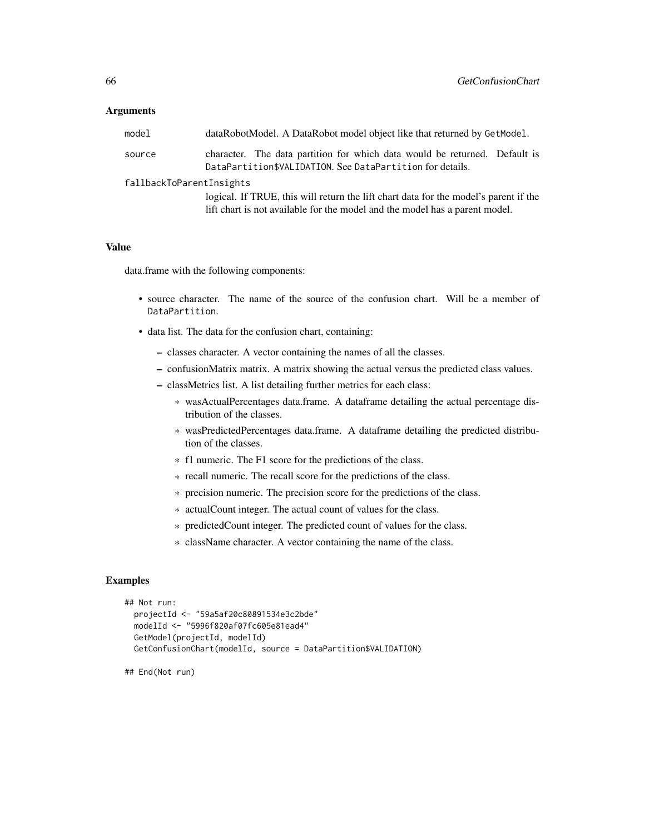#### Arguments

| model                    | dataRobotModel. A DataRobot model object like that returned by GetModel.                                                                                            |  |
|--------------------------|---------------------------------------------------------------------------------------------------------------------------------------------------------------------|--|
| source                   | character. The data partition for which data would be returned. Default is<br>DataPartition\$VALIDATION. See DataPartition for details.                             |  |
| fallbackToParentInsights |                                                                                                                                                                     |  |
|                          | logical. If TRUE, this will return the lift chart data for the model's parent if the<br>lift chart is not available for the model and the model has a parent model. |  |

## Value

data.frame with the following components:

- source character. The name of the source of the confusion chart. Will be a member of DataPartition.
- data list. The data for the confusion chart, containing:
	- classes character. A vector containing the names of all the classes.
	- confusionMatrix matrix. A matrix showing the actual versus the predicted class values.
	- classMetrics list. A list detailing further metrics for each class:
		- \* wasActualPercentages data.frame. A dataframe detailing the actual percentage distribution of the classes.
		- \* wasPredictedPercentages data.frame. A dataframe detailing the predicted distribution of the classes.
		- \* f1 numeric. The F1 score for the predictions of the class.
		- \* recall numeric. The recall score for the predictions of the class.
		- \* precision numeric. The precision score for the predictions of the class.
		- \* actualCount integer. The actual count of values for the class.
		- \* predictedCount integer. The predicted count of values for the class.
		- \* className character. A vector containing the name of the class.

#### Examples

```
## Not run:
 projectId <- "59a5af20c80891534e3c2bde"
 modelId <- "5996f820af07fc605e81ead4"
 GetModel(projectId, modelId)
 GetConfusionChart(modelId, source = DataPartition$VALIDATION)
```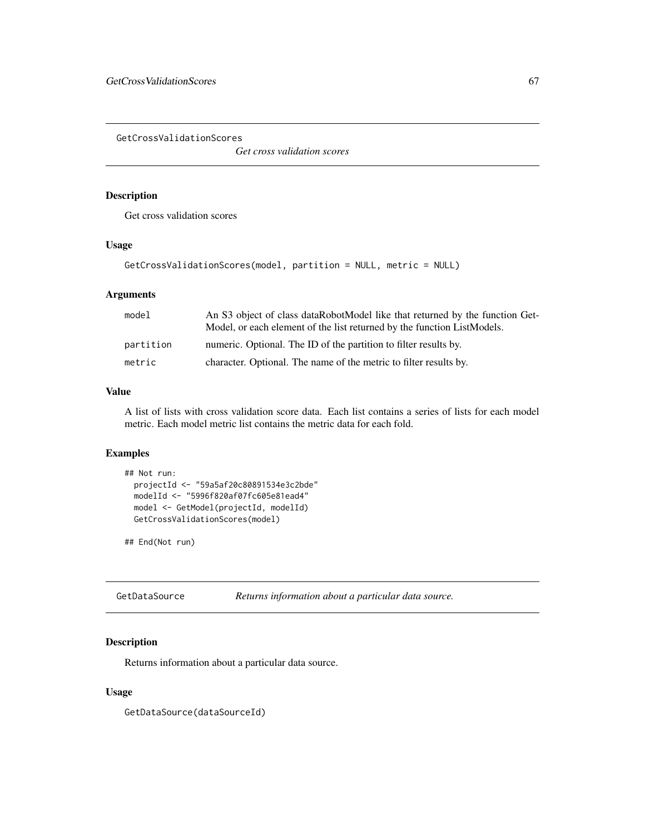GetCrossValidationScores

*Get cross validation scores*

# Description

Get cross validation scores

## Usage

```
GetCrossValidationScores(model, partition = NULL, metric = NULL)
```
# Arguments

| model     | An S3 object of class dataRobotModel like that returned by the function Get-<br>Model, or each element of the list returned by the function ListModels. |
|-----------|---------------------------------------------------------------------------------------------------------------------------------------------------------|
| partition | numeric. Optional. The ID of the partition to filter results by.                                                                                        |
| metric    | character. Optional. The name of the metric to filter results by.                                                                                       |

#### Value

A list of lists with cross validation score data. Each list contains a series of lists for each model metric. Each model metric list contains the metric data for each fold.

### Examples

```
## Not run:
 projectId <- "59a5af20c80891534e3c2bde"
 modelId <- "5996f820af07fc605e81ead4"
 model <- GetModel(projectId, modelId)
 GetCrossValidationScores(model)
```
## End(Not run)

GetDataSource *Returns information about a particular data source.*

# Description

Returns information about a particular data source.

# Usage

GetDataSource(dataSourceId)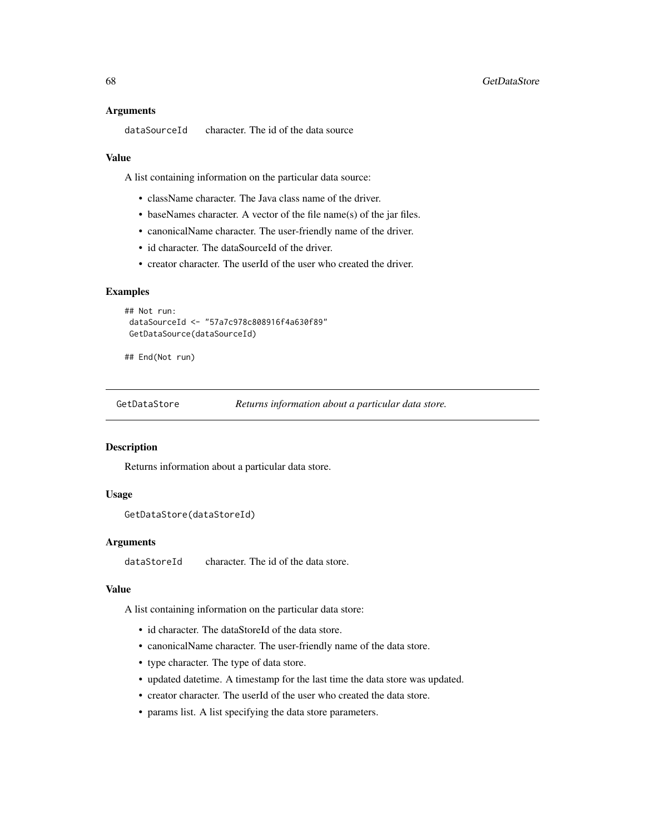#### Arguments

```
dataSourceId character. The id of the data source
```
#### Value

A list containing information on the particular data source:

- className character. The Java class name of the driver.
- baseNames character. A vector of the file name(s) of the jar files.
- canonicalName character. The user-friendly name of the driver.
- id character. The dataSourceId of the driver.
- creator character. The userId of the user who created the driver.

#### Examples

```
## Not run:
dataSourceId <- "57a7c978c808916f4a630f89"
GetDataSource(dataSourceId)
```
## End(Not run)

GetDataStore *Returns information about a particular data store.*

#### Description

Returns information about a particular data store.

### Usage

```
GetDataStore(dataStoreId)
```
#### Arguments

dataStoreId character. The id of the data store.

### Value

A list containing information on the particular data store:

- id character. The dataStoreId of the data store.
- canonicalName character. The user-friendly name of the data store.
- type character. The type of data store.
- updated datetime. A timestamp for the last time the data store was updated.
- creator character. The userId of the user who created the data store.
- params list. A list specifying the data store parameters.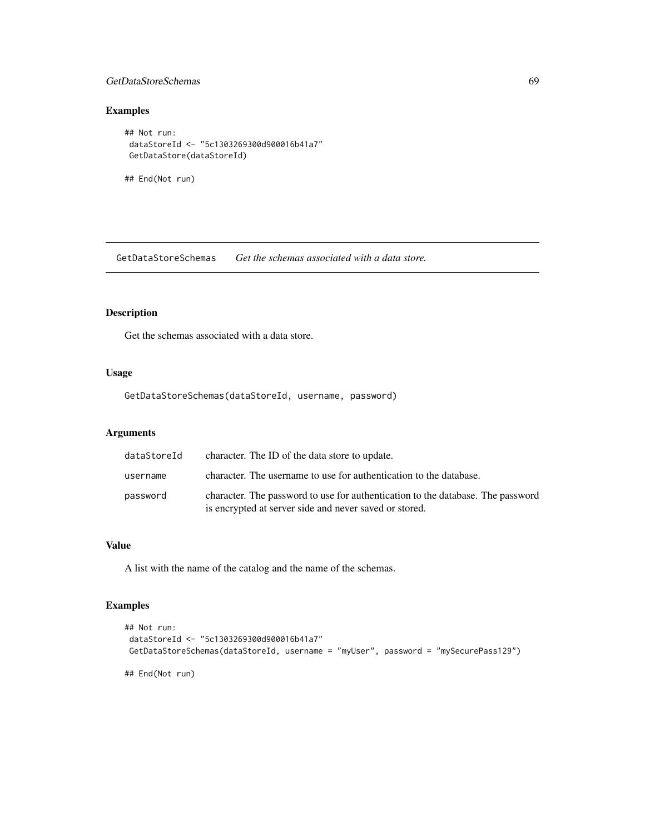## GetDataStoreSchemas 69

# Examples

```
## Not run:
dataStoreId <- "5c1303269300d900016b41a7"
GetDataStore(dataStoreId)
```
## End(Not run)

GetDataStoreSchemas *Get the schemas associated with a data store.*

# Description

Get the schemas associated with a data store.

### Usage

GetDataStoreSchemas(dataStoreId, username, password)

# Arguments

| dataStoreId | character. The ID of the data store to update.                                                                                            |
|-------------|-------------------------------------------------------------------------------------------------------------------------------------------|
| username    | character. The username to use for authentication to the database.                                                                        |
| password    | character. The password to use for authentication to the database. The password<br>is encrypted at server side and never saved or stored. |

# Value

A list with the name of the catalog and the name of the schemas.

# Examples

```
## Not run:
dataStoreId <- "5c1303269300d900016b41a7"
GetDataStoreSchemas(dataStoreId, username = "myUser", password = "mySecurePass129")
## End(Not run)
```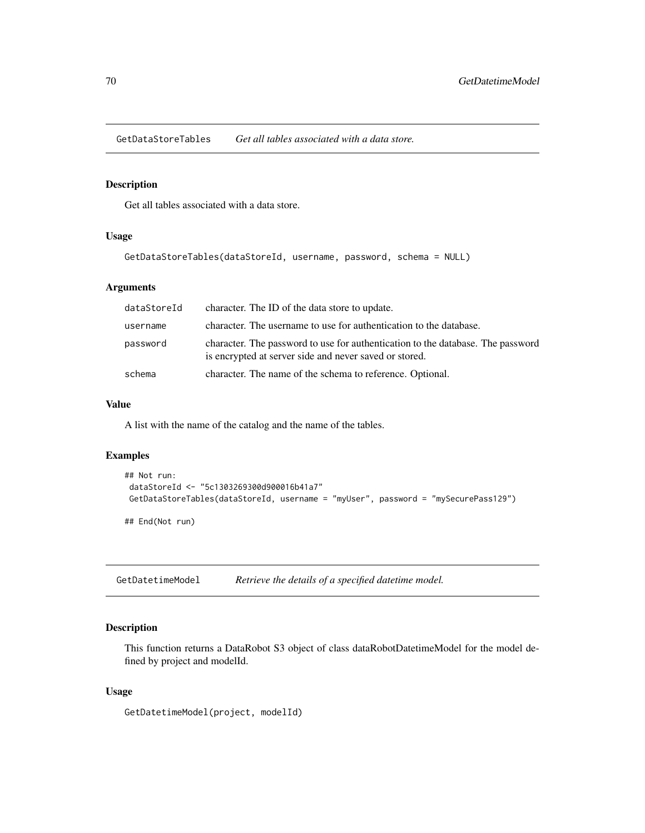GetDataStoreTables *Get all tables associated with a data store.*

# Description

Get all tables associated with a data store.

#### Usage

```
GetDataStoreTables(dataStoreId, username, password, schema = NULL)
```
# Arguments

| dataStoreId | character. The ID of the data store to update.                                                                                            |
|-------------|-------------------------------------------------------------------------------------------------------------------------------------------|
| username    | character. The username to use for authentication to the database.                                                                        |
| password    | character. The password to use for authentication to the database. The password<br>is encrypted at server side and never saved or stored. |
| schema      | character. The name of the schema to reference. Optional.                                                                                 |

# Value

A list with the name of the catalog and the name of the tables.

#### Examples

```
## Not run:
dataStoreId <- "5c1303269300d900016b41a7"
GetDataStoreTables(dataStoreId, username = "myUser", password = "mySecurePass129")
```
## End(Not run)

GetDatetimeModel *Retrieve the details of a specified datetime model.*

### Description

This function returns a DataRobot S3 object of class dataRobotDatetimeModel for the model defined by project and modelId.

#### Usage

GetDatetimeModel(project, modelId)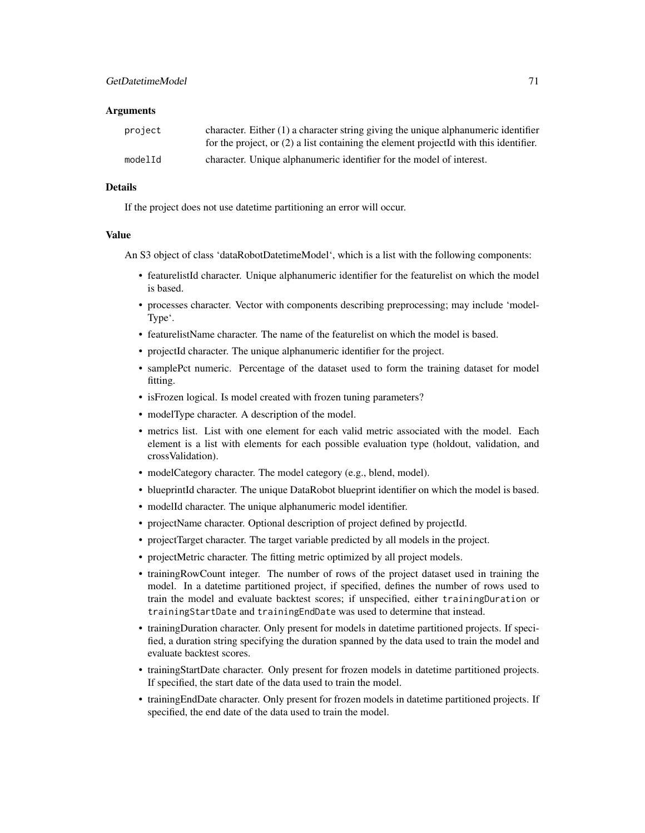#### **Arguments**

| project | character. Either $(1)$ a character string giving the unique alphanumeric identifier<br>for the project, or $(2)$ a list containing the element projected with this identifier. |
|---------|---------------------------------------------------------------------------------------------------------------------------------------------------------------------------------|
| modelId | character. Unique alphanumeric identifier for the model of interest.                                                                                                            |

# Details

If the project does not use datetime partitioning an error will occur.

#### Value

An S3 object of class 'dataRobotDatetimeModel', which is a list with the following components:

- featurelistId character. Unique alphanumeric identifier for the featurelist on which the model is based.
- processes character. Vector with components describing preprocessing; may include 'model-Type'.
- featurelistName character. The name of the featurelist on which the model is based.
- projectId character. The unique alphanumeric identifier for the project.
- samplePct numeric. Percentage of the dataset used to form the training dataset for model fitting.
- is Frozen logical. Is model created with frozen tuning parameters?
- modelType character. A description of the model.
- metrics list. List with one element for each valid metric associated with the model. Each element is a list with elements for each possible evaluation type (holdout, validation, and crossValidation).
- modelCategory character. The model category (e.g., blend, model).
- blueprintId character. The unique DataRobot blueprint identifier on which the model is based.
- modelId character. The unique alphanumeric model identifier.
- projectName character. Optional description of project defined by projectId.
- projectTarget character. The target variable predicted by all models in the project.
- projectMetric character. The fitting metric optimized by all project models.
- trainingRowCount integer. The number of rows of the project dataset used in training the model. In a datetime partitioned project, if specified, defines the number of rows used to train the model and evaluate backtest scores; if unspecified, either trainingDuration or trainingStartDate and trainingEndDate was used to determine that instead.
- trainingDuration character. Only present for models in datetime partitioned projects. If specified, a duration string specifying the duration spanned by the data used to train the model and evaluate backtest scores.
- trainingStartDate character. Only present for frozen models in datetime partitioned projects. If specified, the start date of the data used to train the model.
- trainingEndDate character. Only present for frozen models in datetime partitioned projects. If specified, the end date of the data used to train the model.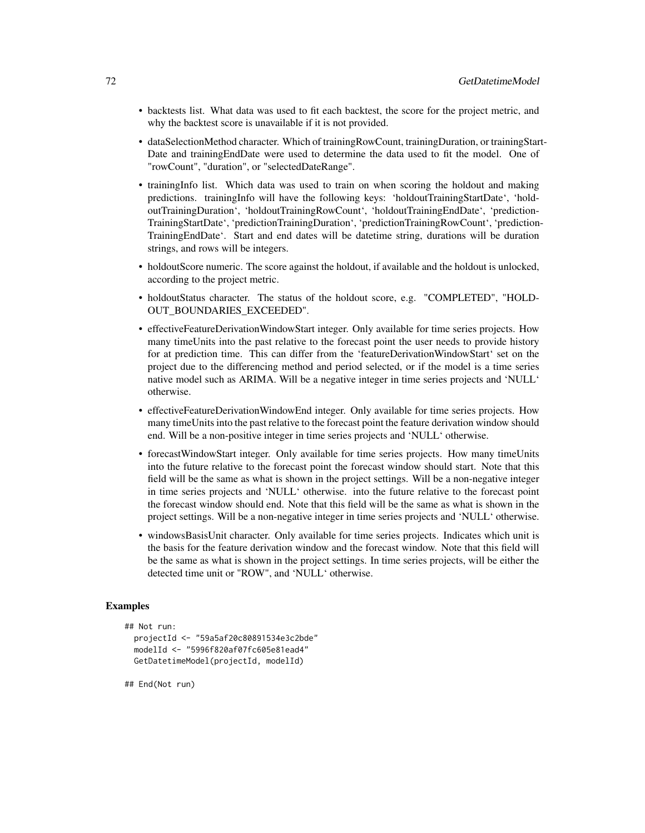- backtests list. What data was used to fit each backtest, the score for the project metric, and why the backtest score is unavailable if it is not provided.
- dataSelectionMethod character. Which of trainingRowCount, trainingDuration, or trainingStart-Date and trainingEndDate were used to determine the data used to fit the model. One of "rowCount", "duration", or "selectedDateRange".
- trainingInfo list. Which data was used to train on when scoring the holdout and making predictions. trainingInfo will have the following keys: 'holdoutTrainingStartDate', 'holdoutTrainingDuration', 'holdoutTrainingRowCount', 'holdoutTrainingEndDate', 'prediction-TrainingStartDate', 'predictionTrainingDuration', 'predictionTrainingRowCount', 'prediction-TrainingEndDate'. Start and end dates will be datetime string, durations will be duration strings, and rows will be integers.
- holdoutScore numeric. The score against the holdout, if available and the holdout is unlocked, according to the project metric.
- holdoutStatus character. The status of the holdout score, e.g. "COMPLETED", "HOLD-OUT\_BOUNDARIES\_EXCEEDED".
- effectiveFeatureDerivationWindowStart integer. Only available for time series projects. How many timeUnits into the past relative to the forecast point the user needs to provide history for at prediction time. This can differ from the 'featureDerivationWindowStart' set on the project due to the differencing method and period selected, or if the model is a time series native model such as ARIMA. Will be a negative integer in time series projects and 'NULL' otherwise.
- effectiveFeatureDerivationWindowEnd integer. Only available for time series projects. How many timeUnits into the past relative to the forecast point the feature derivation window should end. Will be a non-positive integer in time series projects and 'NULL' otherwise.
- forecastWindowStart integer. Only available for time series projects. How many timeUnits into the future relative to the forecast point the forecast window should start. Note that this field will be the same as what is shown in the project settings. Will be a non-negative integer in time series projects and 'NULL' otherwise. into the future relative to the forecast point the forecast window should end. Note that this field will be the same as what is shown in the project settings. Will be a non-negative integer in time series projects and 'NULL' otherwise.
- windowsBasisUnit character. Only available for time series projects. Indicates which unit is the basis for the feature derivation window and the forecast window. Note that this field will be the same as what is shown in the project settings. In time series projects, will be either the detected time unit or "ROW", and 'NULL' otherwise.

```
## Not run:
 projectId <- "59a5af20c80891534e3c2bde"
 modelId <- "5996f820af07fc605e81ead4"
 GetDatetimeModel(projectId, modelId)
```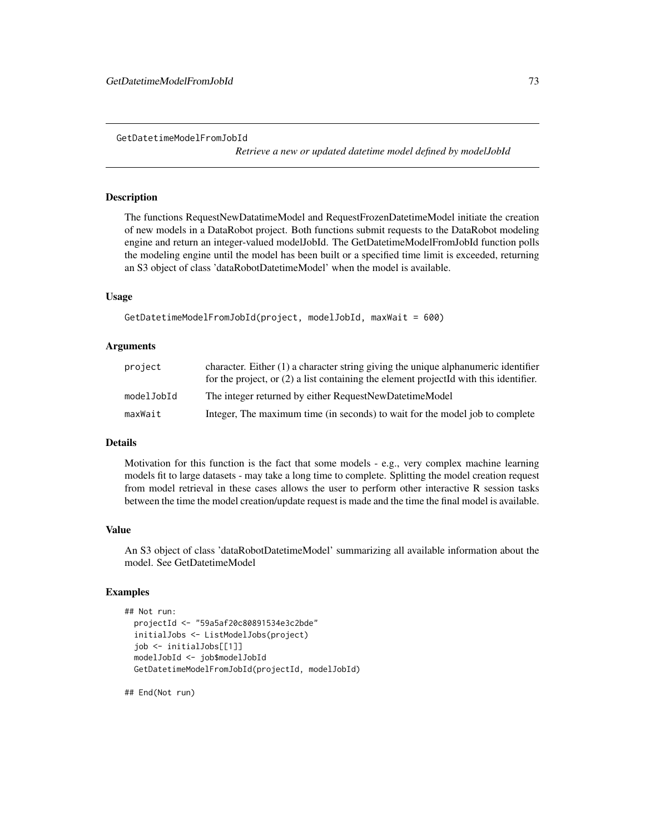*Retrieve a new or updated datetime model defined by modelJobId*

# Description

The functions RequestNewDatatimeModel and RequestFrozenDatetimeModel initiate the creation of new models in a DataRobot project. Both functions submit requests to the DataRobot modeling engine and return an integer-valued modelJobId. The GetDatetimeModelFromJobId function polls the modeling engine until the model has been built or a specified time limit is exceeded, returning an S3 object of class 'dataRobotDatetimeModel' when the model is available.

# Usage

```
GetDatetimeModelFromJobId(project, modelJobId, maxWait = 600)
```
## Arguments

| project    | character. Either $(1)$ a character string giving the unique alphanumeric identifier<br>for the project, or $(2)$ a list containing the element projected with this identifier. |
|------------|---------------------------------------------------------------------------------------------------------------------------------------------------------------------------------|
| modelJobId | The integer returned by either RequestNewDatetimeModel                                                                                                                          |
| maxWait    | Integer, The maximum time (in seconds) to wait for the model job to complete                                                                                                    |

## Details

Motivation for this function is the fact that some models - e.g., very complex machine learning models fit to large datasets - may take a long time to complete. Splitting the model creation request from model retrieval in these cases allows the user to perform other interactive R session tasks between the time the model creation/update request is made and the time the final model is available.

#### Value

An S3 object of class 'dataRobotDatetimeModel' summarizing all available information about the model. See GetDatetimeModel

#### Examples

```
## Not run:
 projectId <- "59a5af20c80891534e3c2bde"
 initialJobs <- ListModelJobs(project)
 job <- initialJobs[[1]]
 modelJobId <- job$modelJobId
 GetDatetimeModelFromJobId(projectId, modelJobId)
```
## End(Not run)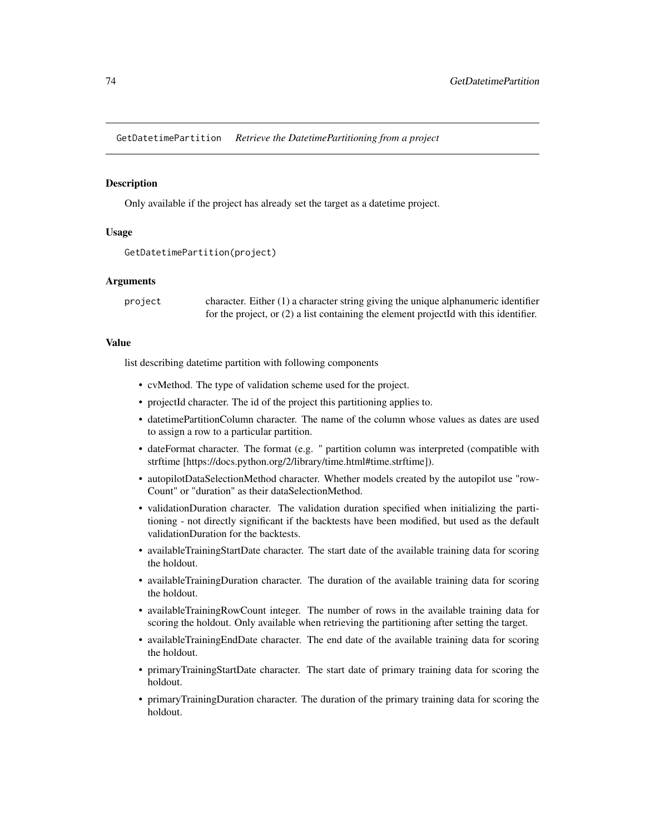GetDatetimePartition *Retrieve the DatetimePartitioning from a project*

## Description

Only available if the project has already set the target as a datetime project.

## Usage

```
GetDatetimePartition(project)
```
# Arguments

project character. Either (1) a character string giving the unique alphanumeric identifier for the project, or (2) a list containing the element projectId with this identifier.

# Value

list describing datetime partition with following components

- cvMethod. The type of validation scheme used for the project.
- projectId character. The id of the project this partitioning applies to.
- datetimePartitionColumn character. The name of the column whose values as dates are used to assign a row to a particular partition.
- dateFormat character. The format (e.g. " partition column was interpreted (compatible with strftime [https://docs.python.org/2/library/time.html#time.strftime]).
- autopilotDataSelectionMethod character. Whether models created by the autopilot use "row-Count" or "duration" as their dataSelectionMethod.
- validationDuration character. The validation duration specified when initializing the partitioning - not directly significant if the backtests have been modified, but used as the default validationDuration for the backtests.
- availableTrainingStartDate character. The start date of the available training data for scoring the holdout.
- availableTrainingDuration character. The duration of the available training data for scoring the holdout.
- availableTrainingRowCount integer. The number of rows in the available training data for scoring the holdout. Only available when retrieving the partitioning after setting the target.
- availableTrainingEndDate character. The end date of the available training data for scoring the holdout.
- primaryTrainingStartDate character. The start date of primary training data for scoring the holdout.
- primaryTrainingDuration character. The duration of the primary training data for scoring the holdout.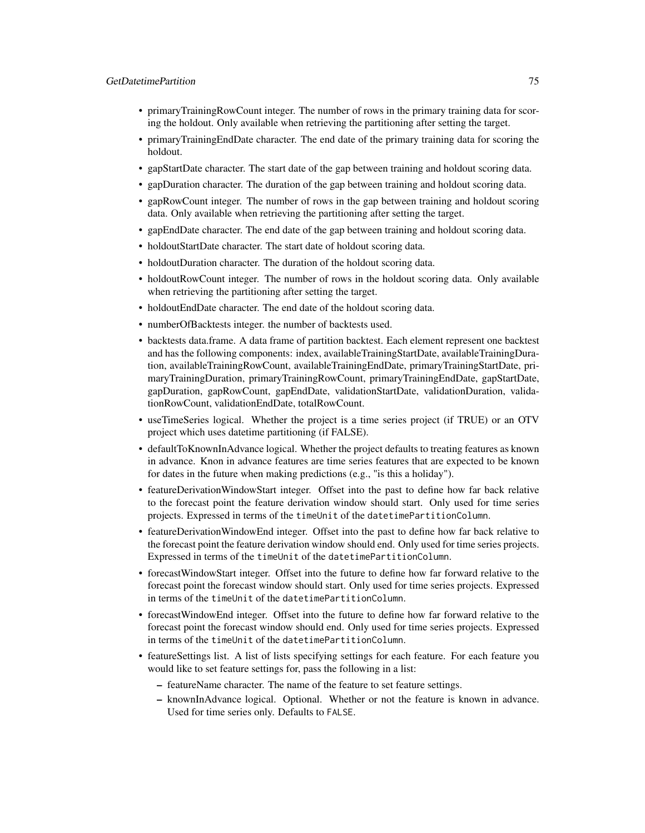# GetDatetimePartition 75

- primaryTrainingRowCount integer. The number of rows in the primary training data for scoring the holdout. Only available when retrieving the partitioning after setting the target.
- primaryTrainingEndDate character. The end date of the primary training data for scoring the holdout.
- gapStartDate character. The start date of the gap between training and holdout scoring data.
- gapDuration character. The duration of the gap between training and holdout scoring data.
- gapRowCount integer. The number of rows in the gap between training and holdout scoring data. Only available when retrieving the partitioning after setting the target.
- gapEndDate character. The end date of the gap between training and holdout scoring data.
- holdoutStartDate character. The start date of holdout scoring data.
- holdoutDuration character. The duration of the holdout scoring data.
- holdoutRowCount integer. The number of rows in the holdout scoring data. Only available when retrieving the partitioning after setting the target.
- holdoutEndDate character. The end date of the holdout scoring data.
- numberOfBacktests integer. the number of backtests used.
- backtests data.frame. A data frame of partition backtest. Each element represent one backtest and has the following components: index, availableTrainingStartDate, availableTrainingDuration, availableTrainingRowCount, availableTrainingEndDate, primaryTrainingStartDate, primaryTrainingDuration, primaryTrainingRowCount, primaryTrainingEndDate, gapStartDate, gapDuration, gapRowCount, gapEndDate, validationStartDate, validationDuration, validationRowCount, validationEndDate, totalRowCount.
- useTimeSeries logical. Whether the project is a time series project (if TRUE) or an OTV project which uses datetime partitioning (if FALSE).
- defaultToKnownInAdvance logical. Whether the project defaults to treating features as known in advance. Knon in advance features are time series features that are expected to be known for dates in the future when making predictions (e.g., "is this a holiday").
- featureDerivationWindowStart integer. Offset into the past to define how far back relative to the forecast point the feature derivation window should start. Only used for time series projects. Expressed in terms of the timeUnit of the datetimePartitionColumn.
- featureDerivationWindowEnd integer. Offset into the past to define how far back relative to the forecast point the feature derivation window should end. Only used for time series projects. Expressed in terms of the timeUnit of the datetimePartitionColumn.
- forecastWindowStart integer. Offset into the future to define how far forward relative to the forecast point the forecast window should start. Only used for time series projects. Expressed in terms of the timeUnit of the datetimePartitionColumn.
- forecastWindowEnd integer. Offset into the future to define how far forward relative to the forecast point the forecast window should end. Only used for time series projects. Expressed in terms of the timeUnit of the datetimePartitionColumn.
- featureSettings list. A list of lists specifying settings for each feature. For each feature you would like to set feature settings for, pass the following in a list:
	- featureName character. The name of the feature to set feature settings.
	- knownInAdvance logical. Optional. Whether or not the feature is known in advance. Used for time series only. Defaults to FALSE.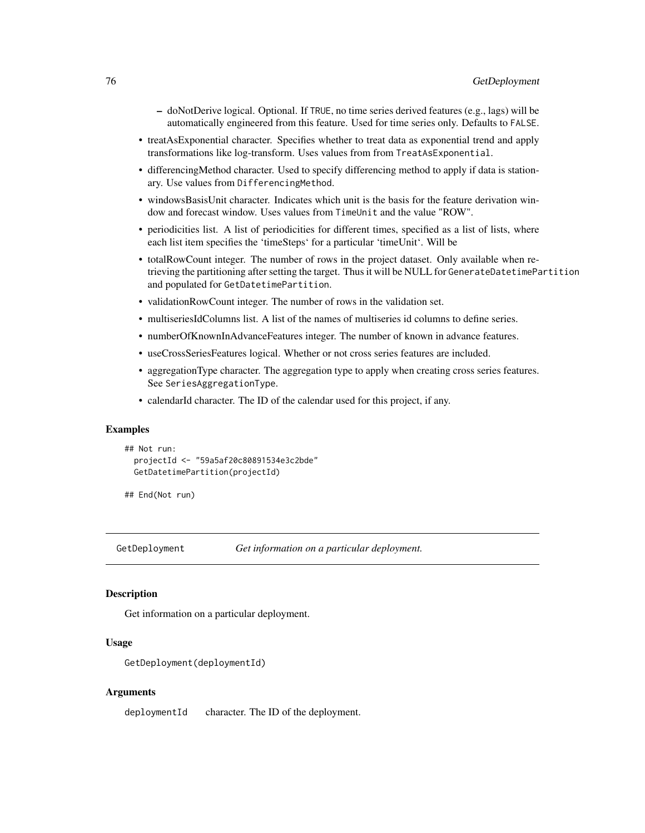- doNotDerive logical. Optional. If TRUE, no time series derived features (e.g., lags) will be automatically engineered from this feature. Used for time series only. Defaults to FALSE.
- treatAsExponential character. Specifies whether to treat data as exponential trend and apply transformations like log-transform. Uses values from from TreatAsExponential.
- differencingMethod character. Used to specify differencing method to apply if data is stationary. Use values from DifferencingMethod.
- windowsBasisUnit character. Indicates which unit is the basis for the feature derivation window and forecast window. Uses values from TimeUnit and the value "ROW".
- periodicities list. A list of periodicities for different times, specified as a list of lists, where each list item specifies the 'timeSteps' for a particular 'timeUnit'. Will be
- totalRowCount integer. The number of rows in the project dataset. Only available when retrieving the partitioning after setting the target. Thus it will be NULL for GenerateDatetimePartition and populated for GetDatetimePartition.
- validationRowCount integer. The number of rows in the validation set.
- multiseriesIdColumns list. A list of the names of multiseries id columns to define series.
- numberOfKnownInAdvanceFeatures integer. The number of known in advance features.
- useCrossSeriesFeatures logical. Whether or not cross series features are included.
- aggregationType character. The aggregation type to apply when creating cross series features. See SeriesAggregationType.
- calendarId character. The ID of the calendar used for this project, if any.

#### Examples

```
## Not run:
 projectId <- "59a5af20c80891534e3c2bde"
 GetDatetimePartition(projectId)
```
## End(Not run)

GetDeployment *Get information on a particular deployment.*

## **Description**

Get information on a particular deployment.

## Usage

```
GetDeployment(deploymentId)
```
## Arguments

deploymentId character. The ID of the deployment.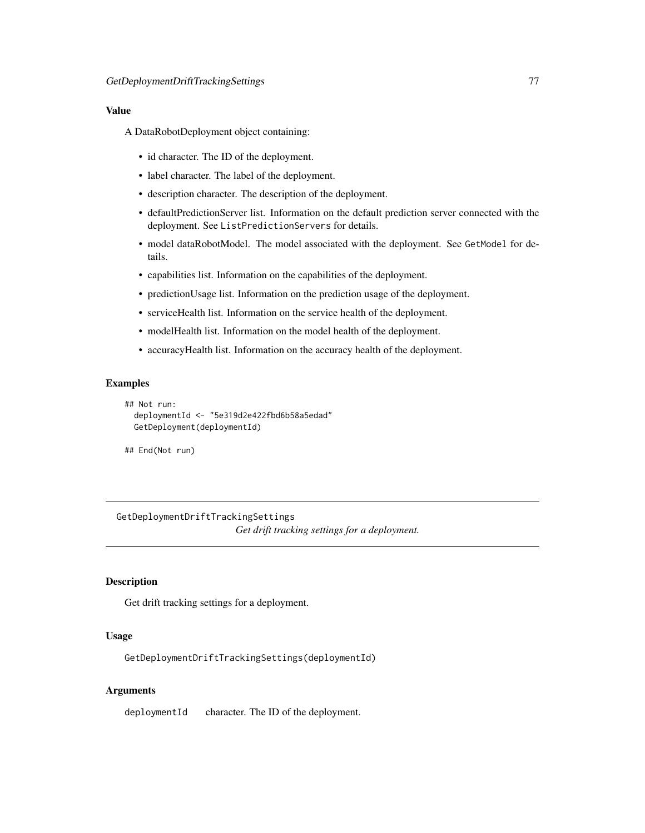# Value

A DataRobotDeployment object containing:

- id character. The ID of the deployment.
- label character. The label of the deployment.
- description character. The description of the deployment.
- defaultPredictionServer list. Information on the default prediction server connected with the deployment. See ListPredictionServers for details.
- model dataRobotModel. The model associated with the deployment. See GetModel for details.
- capabilities list. Information on the capabilities of the deployment.
- predictionUsage list. Information on the prediction usage of the deployment.
- serviceHealth list. Information on the service health of the deployment.
- modelHealth list. Information on the model health of the deployment.
- accuracyHealth list. Information on the accuracy health of the deployment.

# **Examples**

```
## Not run:
 deploymentId <- "5e319d2e422fbd6b58a5edad"
 GetDeployment(deploymentId)
```
## End(Not run)

GetDeploymentDriftTrackingSettings *Get drift tracking settings for a deployment.*

# Description

Get drift tracking settings for a deployment.

## Usage

GetDeploymentDriftTrackingSettings(deploymentId)

#### Arguments

deploymentId character. The ID of the deployment.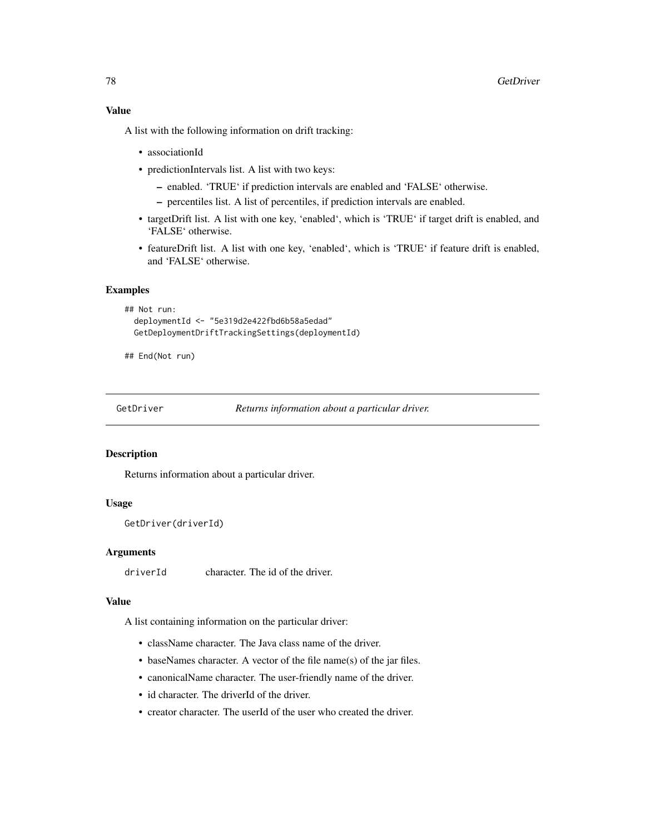# Value

A list with the following information on drift tracking:

- associationId
- predictionIntervals list. A list with two keys:
	- enabled. 'TRUE' if prediction intervals are enabled and 'FALSE' otherwise.
	- percentiles list. A list of percentiles, if prediction intervals are enabled.
- targetDrift list. A list with one key, 'enabled', which is 'TRUE' if target drift is enabled, and 'FALSE' otherwise.
- featureDrift list. A list with one key, 'enabled', which is 'TRUE' if feature drift is enabled, and 'FALSE' otherwise.

# Examples

```
## Not run:
 deploymentId <- "5e319d2e422fbd6b58a5edad"
 GetDeploymentDriftTrackingSettings(deploymentId)
```
## End(Not run)

GetDriver *Returns information about a particular driver.*

## Description

Returns information about a particular driver.

# Usage

```
GetDriver(driverId)
```
## Arguments

driverId character. The id of the driver.

# Value

A list containing information on the particular driver:

- className character. The Java class name of the driver.
- baseNames character. A vector of the file name(s) of the jar files.
- canonicalName character. The user-friendly name of the driver.
- id character. The driverId of the driver.
- creator character. The userId of the user who created the driver.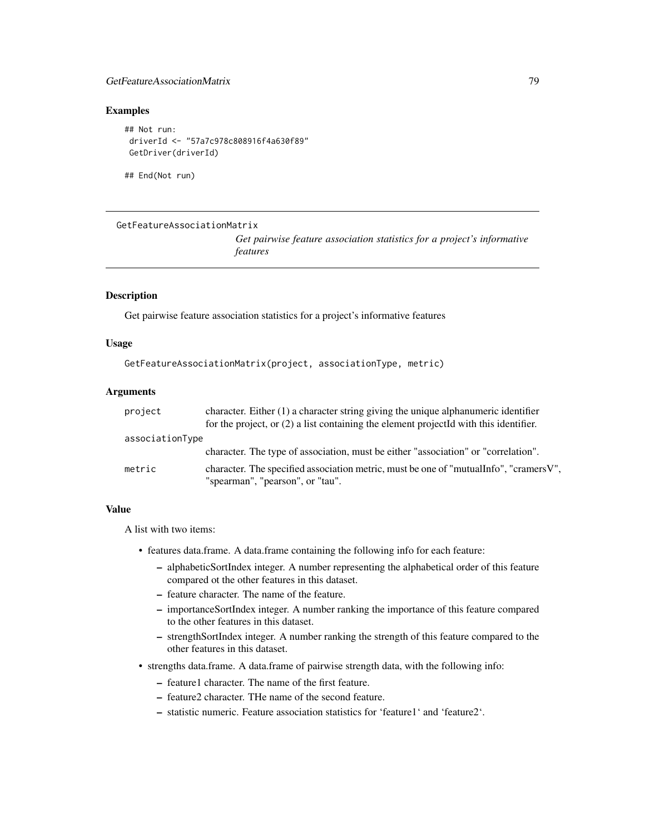# GetFeatureAssociationMatrix 79

# Examples

```
## Not run:
driverId <- "57a7c978c808916f4a630f89"
GetDriver(driverId)
```
## End(Not run)

```
GetFeatureAssociationMatrix
```
*Get pairwise feature association statistics for a project's informative features*

# Description

Get pairwise feature association statistics for a project's informative features

## Usage

```
GetFeatureAssociationMatrix(project, associationType, metric)
```
## Arguments

| project         | character. Either $(1)$ a character string giving the unique alphanumeric identifier    |
|-----------------|-----------------------------------------------------------------------------------------|
|                 | for the project, or $(2)$ a list containing the element projected with this identifier. |
| associationType |                                                                                         |
|                 | character. The type of association, must be either "association" or "correlation".      |
| metric          | character. The specified association metric, must be one of "mutual Info", "cramers V", |
|                 | "spearman", "pearson", or "tau".                                                        |

# Value

A list with two items:

- features data.frame. A data.frame containing the following info for each feature:
	- alphabeticSortIndex integer. A number representing the alphabetical order of this feature compared ot the other features in this dataset.
	- feature character. The name of the feature.
	- importanceSortIndex integer. A number ranking the importance of this feature compared to the other features in this dataset.
	- strengthSortIndex integer. A number ranking the strength of this feature compared to the other features in this dataset.
- strengths data.frame. A data.frame of pairwise strength data, with the following info:
	- feature1 character. The name of the first feature.
	- feature2 character. THe name of the second feature.
	- statistic numeric. Feature association statistics for 'feature1' and 'feature2'.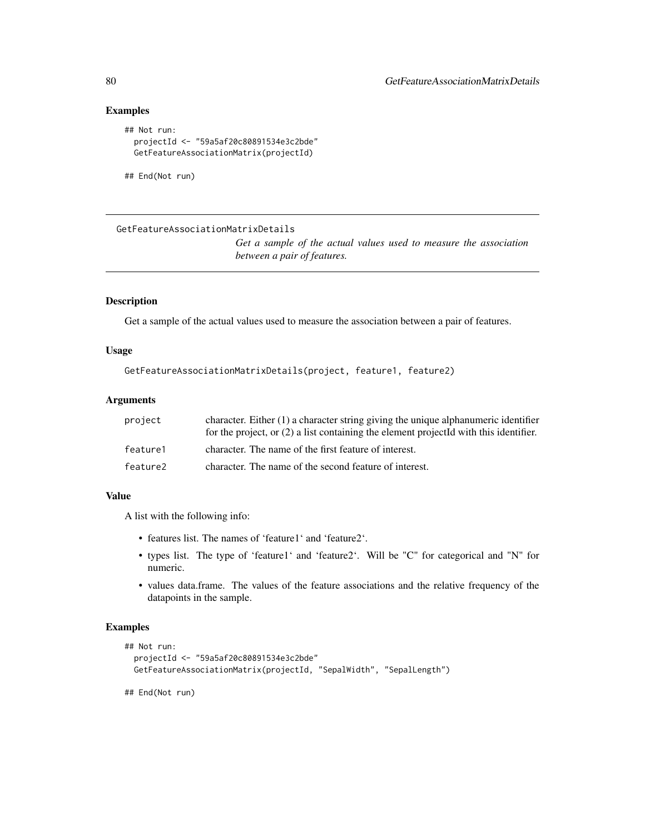# Examples

```
## Not run:
 projectId <- "59a5af20c80891534e3c2bde"
 GetFeatureAssociationMatrix(projectId)
```
## End(Not run)

```
GetFeatureAssociationMatrixDetails
```
*Get a sample of the actual values used to measure the association between a pair of features.*

# Description

Get a sample of the actual values used to measure the association between a pair of features.

# Usage

```
GetFeatureAssociationMatrixDetails(project, feature1, feature2)
```
# Arguments

| project  | character. Either $(1)$ a character string giving the unique alphanumeric identifier    |
|----------|-----------------------------------------------------------------------------------------|
|          | for the project, or $(2)$ a list containing the element projected with this identifier. |
| feature1 | character. The name of the first feature of interest.                                   |
| feature2 | character. The name of the second feature of interest.                                  |

# Value

A list with the following info:

- features list. The names of 'feature1' and 'feature2'.
- types list. The type of 'feature1' and 'feature2'. Will be "C" for categorical and "N" for numeric.
- values data.frame. The values of the feature associations and the relative frequency of the datapoints in the sample.

## Examples

```
## Not run:
 projectId <- "59a5af20c80891534e3c2bde"
 GetFeatureAssociationMatrix(projectId, "SepalWidth", "SepalLength")
```
## End(Not run)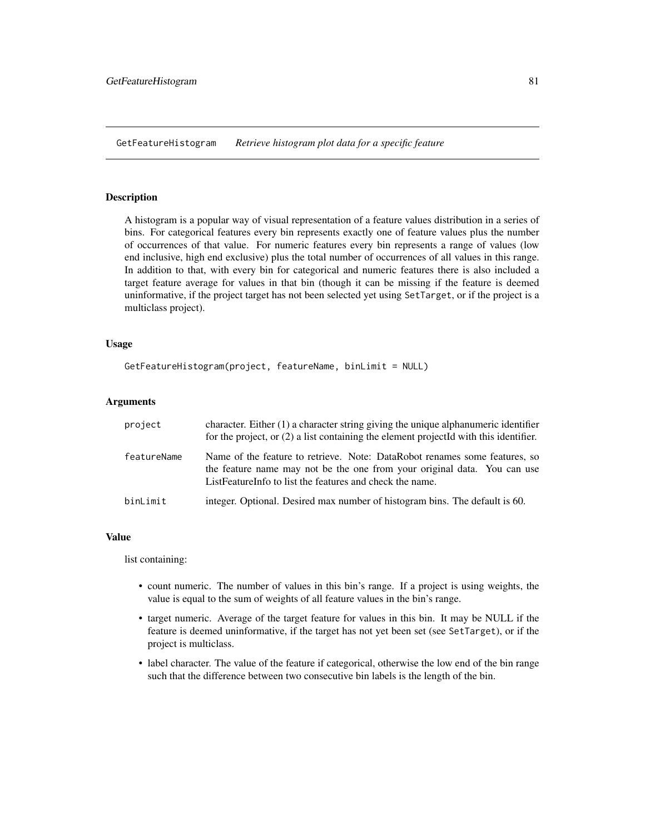GetFeatureHistogram *Retrieve histogram plot data for a specific feature*

#### Description

A histogram is a popular way of visual representation of a feature values distribution in a series of bins. For categorical features every bin represents exactly one of feature values plus the number of occurrences of that value. For numeric features every bin represents a range of values (low end inclusive, high end exclusive) plus the total number of occurrences of all values in this range. In addition to that, with every bin for categorical and numeric features there is also included a target feature average for values in that bin (though it can be missing if the feature is deemed uninformative, if the project target has not been selected yet using SetTarget, or if the project is a multiclass project).

## Usage

```
GetFeatureHistogram(project, featureName, binLimit = NULL)
```
## Arguments

| project     | character. Either (1) a character string giving the unique alphanumeric identifier<br>for the project, or $(2)$ a list containing the element projected with this identifier.                                        |  |
|-------------|----------------------------------------------------------------------------------------------------------------------------------------------------------------------------------------------------------------------|--|
| featureName | Name of the feature to retrieve. Note: DataRobot renames some features, so<br>the feature name may not be the one from your original data. You can use<br>List Feature Info to list the features and check the name. |  |
| binLimit    | integer. Optional. Desired max number of histogram bins. The default is 60.                                                                                                                                          |  |

# Value

list containing:

- count numeric. The number of values in this bin's range. If a project is using weights, the value is equal to the sum of weights of all feature values in the bin's range.
- target numeric. Average of the target feature for values in this bin. It may be NULL if the feature is deemed uninformative, if the target has not yet been set (see SetTarget), or if the project is multiclass.
- label character. The value of the feature if categorical, otherwise the low end of the bin range such that the difference between two consecutive bin labels is the length of the bin.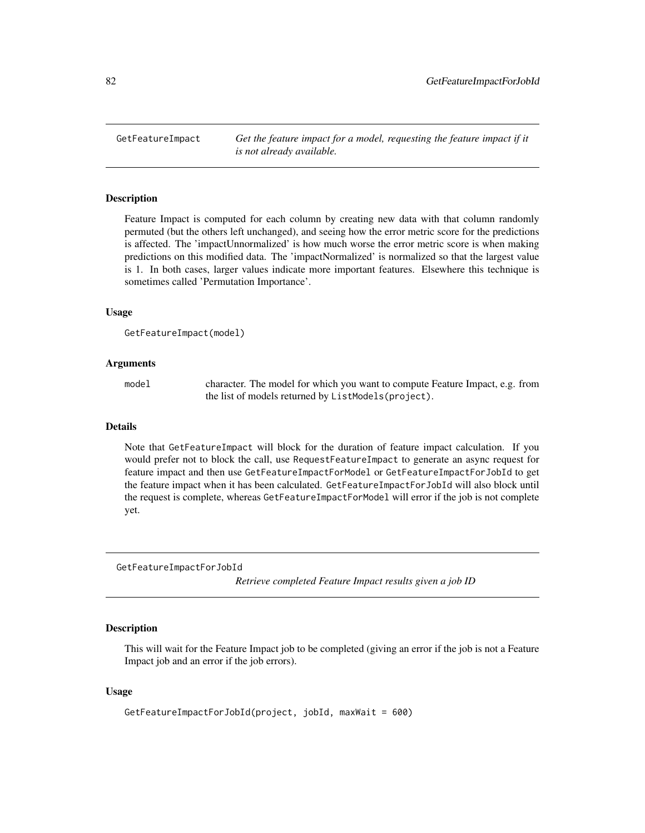GetFeatureImpact *Get the feature impact for a model, requesting the feature impact if it is not already available.*

## Description

Feature Impact is computed for each column by creating new data with that column randomly permuted (but the others left unchanged), and seeing how the error metric score for the predictions is affected. The 'impactUnnormalized' is how much worse the error metric score is when making predictions on this modified data. The 'impactNormalized' is normalized so that the largest value is 1. In both cases, larger values indicate more important features. Elsewhere this technique is sometimes called 'Permutation Importance'.

#### Usage

```
GetFeatureImpact(model)
```
## Arguments

model character. The model for which you want to compute Feature Impact, e.g. from the list of models returned by ListModels(project).

#### Details

Note that GetFeatureImpact will block for the duration of feature impact calculation. If you would prefer not to block the call, use RequestFeatureImpact to generate an async request for feature impact and then use GetFeatureImpactForModel or GetFeatureImpactForJobId to get the feature impact when it has been calculated. GetFeatureImpactForJobId will also block until the request is complete, whereas GetFeatureImpactForModel will error if the job is not complete yet.

GetFeatureImpactForJobId

*Retrieve completed Feature Impact results given a job ID*

# Description

This will wait for the Feature Impact job to be completed (giving an error if the job is not a Feature Impact job and an error if the job errors).

## Usage

```
GetFeatureImpactForJobId(project, jobId, maxWait = 600)
```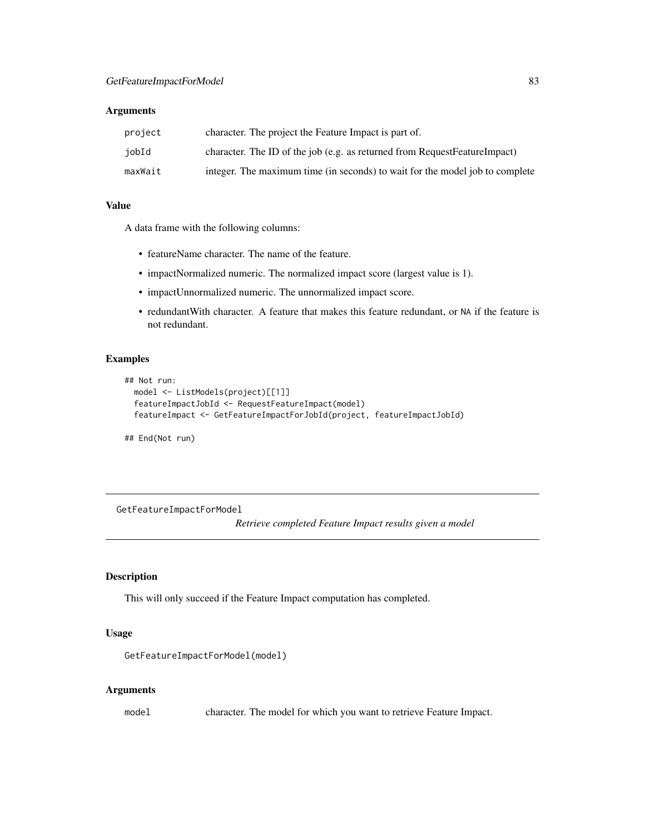# Arguments

| project | character. The project the Feature Impact is part of.                        |
|---------|------------------------------------------------------------------------------|
| jobId   | character. The ID of the job (e.g. as returned from RequestFeatureImpact)    |
| maxWait | integer. The maximum time (in seconds) to wait for the model job to complete |

#### Value

A data frame with the following columns:

- featureName character. The name of the feature.
- impactNormalized numeric. The normalized impact score (largest value is 1).
- impactUnnormalized numeric. The unnormalized impact score.
- redundantWith character. A feature that makes this feature redundant, or NA if the feature is not redundant.

# Examples

```
## Not run:
 model <- ListModels(project)[[1]]
 featureImpactJobId <- RequestFeatureImpact(model)
 featureImpact <- GetFeatureImpactForJobId(project, featureImpactJobId)
```
## End(Not run)

GetFeatureImpactForModel

*Retrieve completed Feature Impact results given a model*

## Description

This will only succeed if the Feature Impact computation has completed.

#### Usage

```
GetFeatureImpactForModel(model)
```
# Arguments

model character. The model for which you want to retrieve Feature Impact.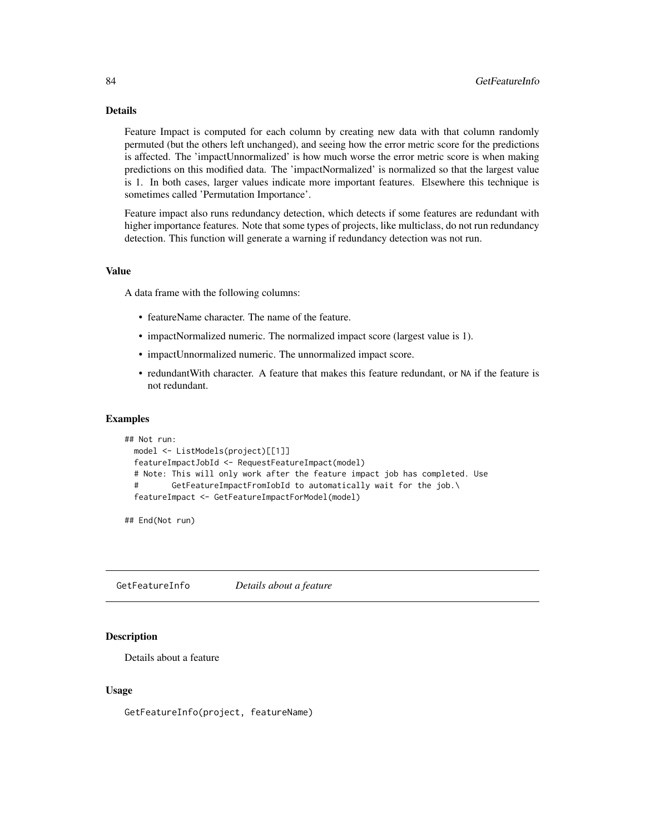# Details

Feature Impact is computed for each column by creating new data with that column randomly permuted (but the others left unchanged), and seeing how the error metric score for the predictions is affected. The 'impactUnnormalized' is how much worse the error metric score is when making predictions on this modified data. The 'impactNormalized' is normalized so that the largest value is 1. In both cases, larger values indicate more important features. Elsewhere this technique is sometimes called 'Permutation Importance'.

Feature impact also runs redundancy detection, which detects if some features are redundant with higher importance features. Note that some types of projects, like multiclass, do not run redundancy detection. This function will generate a warning if redundancy detection was not run.

# Value

A data frame with the following columns:

- featureName character. The name of the feature.
- impactNormalized numeric. The normalized impact score (largest value is 1).
- impactUnnormalized numeric. The unnormalized impact score.
- redundantWith character. A feature that makes this feature redundant, or NA if the feature is not redundant.

#### Examples

```
## Not run:
 model <- ListModels(project)[[1]]
 featureImpactJobId <- RequestFeatureImpact(model)
 # Note: This will only work after the feature impact job has completed. Use
 # GetFeatureImpactFromIobId to automatically wait for the job.\
 featureImpact <- GetFeatureImpactForModel(model)
```
## End(Not run)

GetFeatureInfo *Details about a feature*

# Description

Details about a feature

#### Usage

GetFeatureInfo(project, featureName)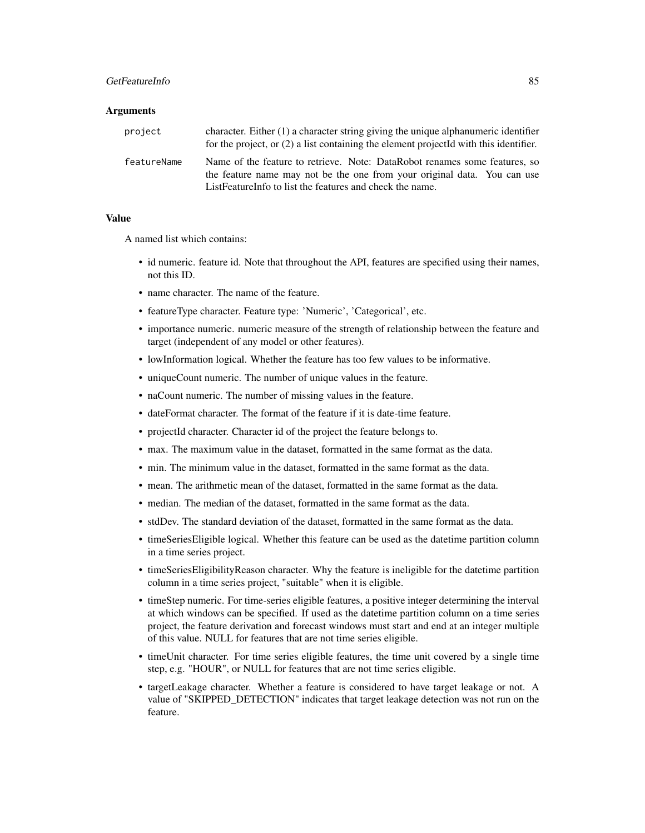# GetFeatureInfo 85

#### **Arguments**

| project     | character. Either $(1)$ a character string giving the unique alphanumeric identifier<br>for the project, or (2) a list containing the element projectId with this identifier.                                      |  |
|-------------|--------------------------------------------------------------------------------------------------------------------------------------------------------------------------------------------------------------------|--|
| featureName | Name of the feature to retrieve. Note: DataRobot renames some features, so<br>the feature name may not be the one from your original data. You can use<br>ListFeatureInfo to list the features and check the name. |  |

## Value

A named list which contains:

- id numeric. feature id. Note that throughout the API, features are specified using their names, not this ID.
- name character. The name of the feature.
- featureType character. Feature type: 'Numeric', 'Categorical', etc.
- importance numeric. numeric measure of the strength of relationship between the feature and target (independent of any model or other features).
- lowInformation logical. Whether the feature has too few values to be informative.
- uniqueCount numeric. The number of unique values in the feature.
- naCount numeric. The number of missing values in the feature.
- dateFormat character. The format of the feature if it is date-time feature.
- projectId character. Character id of the project the feature belongs to.
- max. The maximum value in the dataset, formatted in the same format as the data.
- min. The minimum value in the dataset, formatted in the same format as the data.
- mean. The arithmetic mean of the dataset, formatted in the same format as the data.
- median. The median of the dataset, formatted in the same format as the data.
- stdDev. The standard deviation of the dataset, formatted in the same format as the data.
- timeSeriesEligible logical. Whether this feature can be used as the datetime partition column in a time series project.
- timeSeriesEligibilityReason character. Why the feature is ineligible for the datetime partition column in a time series project, "suitable" when it is eligible.
- timeStep numeric. For time-series eligible features, a positive integer determining the interval at which windows can be specified. If used as the datetime partition column on a time series project, the feature derivation and forecast windows must start and end at an integer multiple of this value. NULL for features that are not time series eligible.
- timeUnit character. For time series eligible features, the time unit covered by a single time step, e.g. "HOUR", or NULL for features that are not time series eligible.
- targetLeakage character. Whether a feature is considered to have target leakage or not. A value of "SKIPPED\_DETECTION" indicates that target leakage detection was not run on the feature.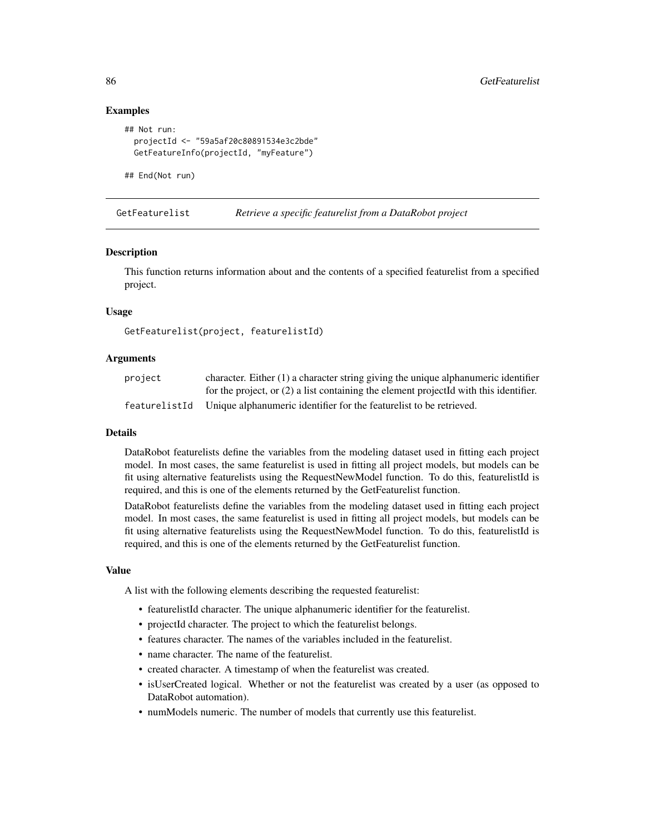# Examples

```
## Not run:
 projectId <- "59a5af20c80891534e3c2bde"
 GetFeatureInfo(projectId, "myFeature")
```
## End(Not run)

GetFeaturelist *Retrieve a specific featurelist from a DataRobot project*

## **Description**

This function returns information about and the contents of a specified featurelist from a specified project.

## Usage

GetFeaturelist(project, featurelistId)

## Arguments

| project       | character. Either $(1)$ a character string giving the unique alphanumeric identifier    |  |
|---------------|-----------------------------------------------------------------------------------------|--|
|               | for the project, or $(2)$ a list containing the element projectId with this identifier. |  |
| featurelistId | Unique alphanumeric identifier for the featurelist to be retrieved.                     |  |

#### Details

DataRobot featurelists define the variables from the modeling dataset used in fitting each project model. In most cases, the same featurelist is used in fitting all project models, but models can be fit using alternative featurelists using the RequestNewModel function. To do this, featurelistId is required, and this is one of the elements returned by the GetFeaturelist function.

DataRobot featurelists define the variables from the modeling dataset used in fitting each project model. In most cases, the same featurelist is used in fitting all project models, but models can be fit using alternative featurelists using the RequestNewModel function. To do this, featurelistId is required, and this is one of the elements returned by the GetFeaturelist function.

#### Value

A list with the following elements describing the requested featurelist:

- featurelistId character. The unique alphanumeric identifier for the featurelist.
- projectId character. The project to which the featurelist belongs.
- features character. The names of the variables included in the featurelist.
- name character. The name of the featurelist.
- created character. A timestamp of when the featurelist was created.
- isUserCreated logical. Whether or not the featurelist was created by a user (as opposed to DataRobot automation).
- numModels numeric. The number of models that currently use this featurelist.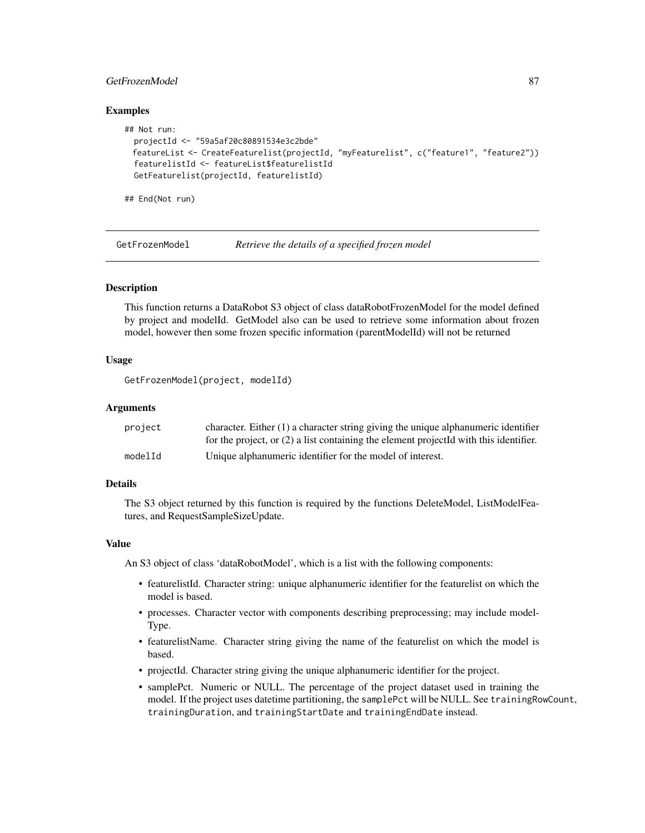# GetFrozenModel 87

## Examples

```
## Not run:
 projectId <- "59a5af20c80891534e3c2bde"
 featureList <- CreateFeaturelist(projectId, "myFeaturelist", c("feature1", "feature2"))
 featurelistId <- featureList$featurelistId
 GetFeaturelist(projectId, featurelistId)
```
## End(Not run)

GetFrozenModel *Retrieve the details of a specified frozen model*

# **Description**

This function returns a DataRobot S3 object of class dataRobotFrozenModel for the model defined by project and modelId. GetModel also can be used to retrieve some information about frozen model, however then some frozen specific information (parentModelId) will not be returned

#### Usage

GetFrozenModel(project, modelId)

## Arguments

| project | character. Either $(1)$ a character string giving the unique alphanumeric identifier    |
|---------|-----------------------------------------------------------------------------------------|
|         | for the project, or $(2)$ a list containing the element projected with this identifier. |
| modelId | Unique alphanumeric identifier for the model of interest.                               |

## Details

The S3 object returned by this function is required by the functions DeleteModel, ListModelFeatures, and RequestSampleSizeUpdate.

## Value

An S3 object of class 'dataRobotModel', which is a list with the following components:

- featurelistId. Character string: unique alphanumeric identifier for the featurelist on which the model is based.
- processes. Character vector with components describing preprocessing; may include model-Type.
- featurelistName. Character string giving the name of the featurelist on which the model is based.
- projectId. Character string giving the unique alphanumeric identifier for the project.
- samplePct. Numeric or NULL. The percentage of the project dataset used in training the model. If the project uses datetime partitioning, the samplePct will be NULL. See trainingRowCount, trainingDuration, and trainingStartDate and trainingEndDate instead.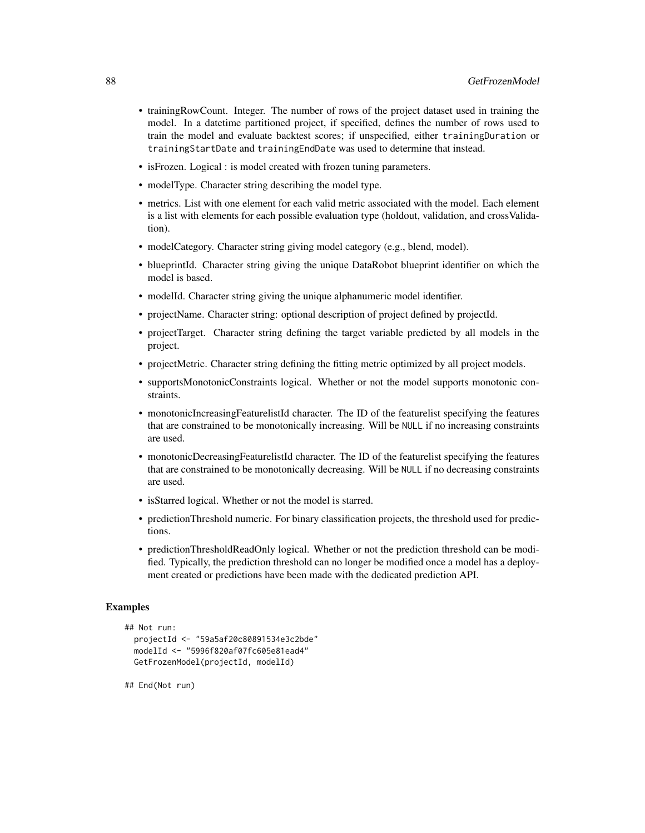- trainingRowCount. Integer. The number of rows of the project dataset used in training the model. In a datetime partitioned project, if specified, defines the number of rows used to train the model and evaluate backtest scores; if unspecified, either trainingDuration or trainingStartDate and trainingEndDate was used to determine that instead.
- isFrozen. Logical : is model created with frozen tuning parameters.
- modelType. Character string describing the model type.
- metrics. List with one element for each valid metric associated with the model. Each element is a list with elements for each possible evaluation type (holdout, validation, and crossValidation).
- modelCategory. Character string giving model category (e.g., blend, model).
- blueprintId. Character string giving the unique DataRobot blueprint identifier on which the model is based.
- modelId. Character string giving the unique alphanumeric model identifier.
- projectName. Character string: optional description of project defined by projectId.
- projectTarget. Character string defining the target variable predicted by all models in the project.
- projectMetric. Character string defining the fitting metric optimized by all project models.
- supportsMonotonicConstraints logical. Whether or not the model supports monotonic constraints.
- monotonicIncreasingFeaturelistId character. The ID of the featurelist specifying the features that are constrained to be monotonically increasing. Will be NULL if no increasing constraints are used.
- monotonicDecreasingFeaturelistId character. The ID of the featurelist specifying the features that are constrained to be monotonically decreasing. Will be NULL if no decreasing constraints are used.
- isStarred logical. Whether or not the model is starred.
- predictionThreshold numeric. For binary classification projects, the threshold used for predictions.
- predictionThresholdReadOnly logical. Whether or not the prediction threshold can be modified. Typically, the prediction threshold can no longer be modified once a model has a deployment created or predictions have been made with the dedicated prediction API.

# Examples

```
## Not run:
 projectId <- "59a5af20c80891534e3c2bde"
 modelId <- "5996f820af07fc605e81ead4"
 GetFrozenModel(projectId, modelId)
```
## End(Not run)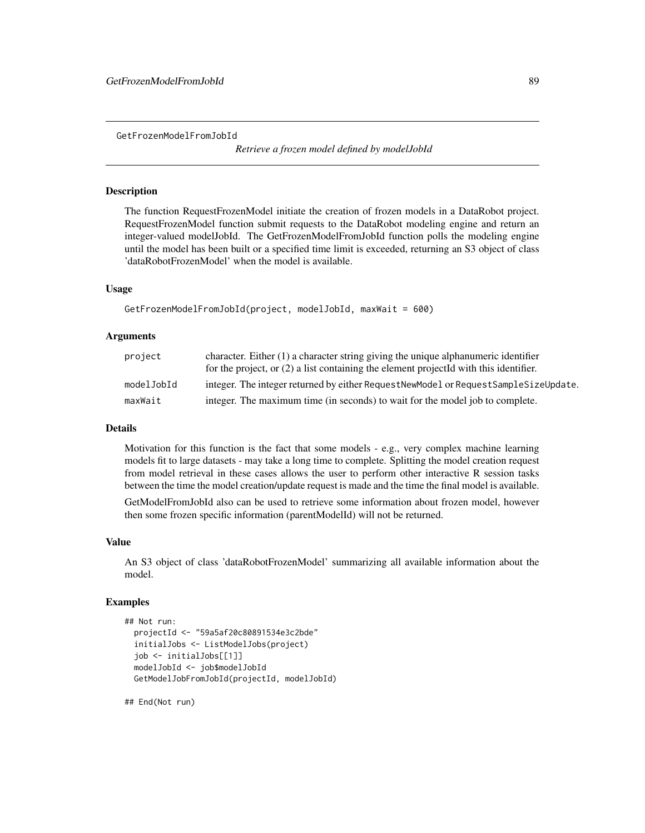GetFrozenModelFromJobId

*Retrieve a frozen model defined by modelJobId*

## Description

The function RequestFrozenModel initiate the creation of frozen models in a DataRobot project. RequestFrozenModel function submit requests to the DataRobot modeling engine and return an integer-valued modelJobId. The GetFrozenModelFromJobId function polls the modeling engine until the model has been built or a specified time limit is exceeded, returning an S3 object of class 'dataRobotFrozenModel' when the model is available.

## Usage

```
GetFrozenModelFromJobId(project, modelJobId, maxWait = 600)
```
# Arguments

| project    | character. Either $(1)$ a character string giving the unique alphanumeric identifier    |
|------------|-----------------------------------------------------------------------------------------|
|            | for the project, or $(2)$ a list containing the element projected with this identifier. |
| modelJobId | integer. The integer returned by either RequestNewModel or RequestSampleSizeUpdate.     |
| maxWait    | integer. The maximum time (in seconds) to wait for the model job to complete.           |

# Details

Motivation for this function is the fact that some models - e.g., very complex machine learning models fit to large datasets - may take a long time to complete. Splitting the model creation request from model retrieval in these cases allows the user to perform other interactive R session tasks between the time the model creation/update request is made and the time the final model is available.

GetModelFromJobId also can be used to retrieve some information about frozen model, however then some frozen specific information (parentModelId) will not be returned.

#### Value

An S3 object of class 'dataRobotFrozenModel' summarizing all available information about the model.

## Examples

```
## Not run:
 projectId <- "59a5af20c80891534e3c2bde"
 initialJobs <- ListModelJobs(project)
 job <- initialJobs[[1]]
 modelJobId <- job$modelJobId
 GetModelJobFromJobId(projectId, modelJobId)
```
## End(Not run)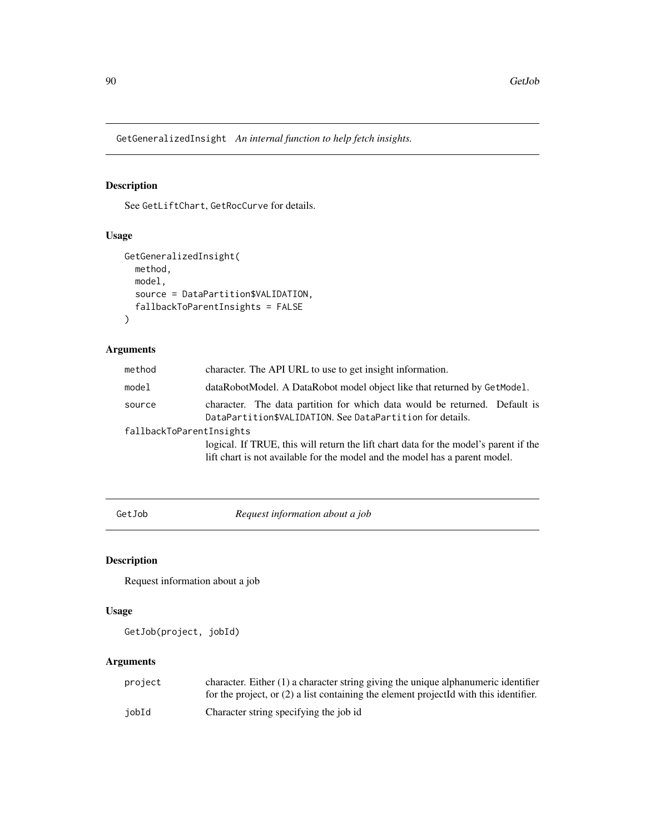GetGeneralizedInsight *An internal function to help fetch insights.*

# Description

See GetLiftChart, GetRocCurve for details.

# Usage

```
GetGeneralizedInsight(
 method,
 model,
  source = DataPartition$VALIDATION,
  fallbackToParentInsights = FALSE
)
```
# Arguments

| method                   | character. The API URL to use to get insight information.                                                                                                           |  |
|--------------------------|---------------------------------------------------------------------------------------------------------------------------------------------------------------------|--|
| model                    | dataRobotModel. A DataRobot model object like that returned by GetModel.                                                                                            |  |
| source                   | character. The data partition for which data would be returned. Default is<br>DataPartition\$VALIDATION. See DataPartition for details.                             |  |
| fallbackToParentInsights |                                                                                                                                                                     |  |
|                          | logical. If TRUE, this will return the lift chart data for the model's parent if the<br>lift chart is not available for the model and the model has a parent model. |  |

GetJob *Request information about a job*

# Description

Request information about a job

# Usage

```
GetJob(project, jobId)
```

| project | character. Either $(1)$ a character string giving the unique alphanumeric identifier    |
|---------|-----------------------------------------------------------------------------------------|
|         | for the project, or $(2)$ a list containing the element projected with this identifier. |
| iobId   | Character string specifying the job id                                                  |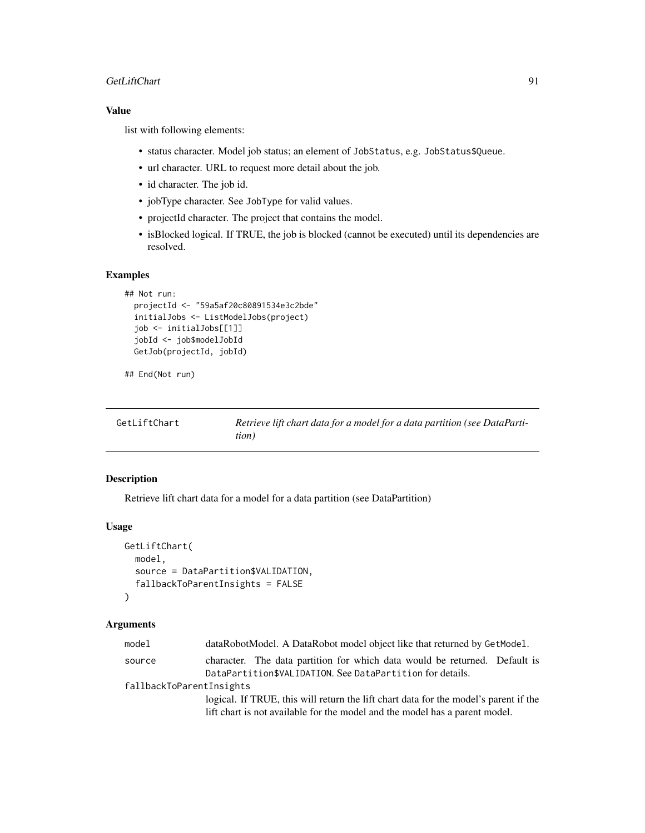## GetLiftChart 91

# Value

list with following elements:

- status character. Model job status; an element of JobStatus, e.g. JobStatus\$Queue.
- url character. URL to request more detail about the job.
- id character. The job id.
- jobType character. See JobType for valid values.
- projectId character. The project that contains the model.
- isBlocked logical. If TRUE, the job is blocked (cannot be executed) until its dependencies are resolved.

## Examples

```
## Not run:
 projectId <- "59a5af20c80891534e3c2bde"
 initialJobs <- ListModelJobs(project)
 job <- initialJobs[[1]]
 jobId <- job$modelJobId
 GetJob(projectId, jobId)
```

```
## End(Not run)
```

| GetLiftChart | Retrieve lift chart data for a model for a data partition (see DataParti- |
|--------------|---------------------------------------------------------------------------|
|              | tion)                                                                     |

# Description

Retrieve lift chart data for a model for a data partition (see DataPartition)

# Usage

```
GetLiftChart(
 model,
  source = DataPartition$VALIDATION,
  fallbackToParentInsights = FALSE
)
```

| model                    | dataRobotModel. A DataRobot model object like that returned by GetModel.             |  |  |
|--------------------------|--------------------------------------------------------------------------------------|--|--|
| source                   | character. The data partition for which data would be returned. Default is           |  |  |
|                          | DataPartition\$VALIDATION. See DataPartition for details.                            |  |  |
| fallbackToParentInsights |                                                                                      |  |  |
|                          | logical. If TRUE, this will return the lift chart data for the model's parent if the |  |  |
|                          | lift chart is not available for the model and the model has a parent model.          |  |  |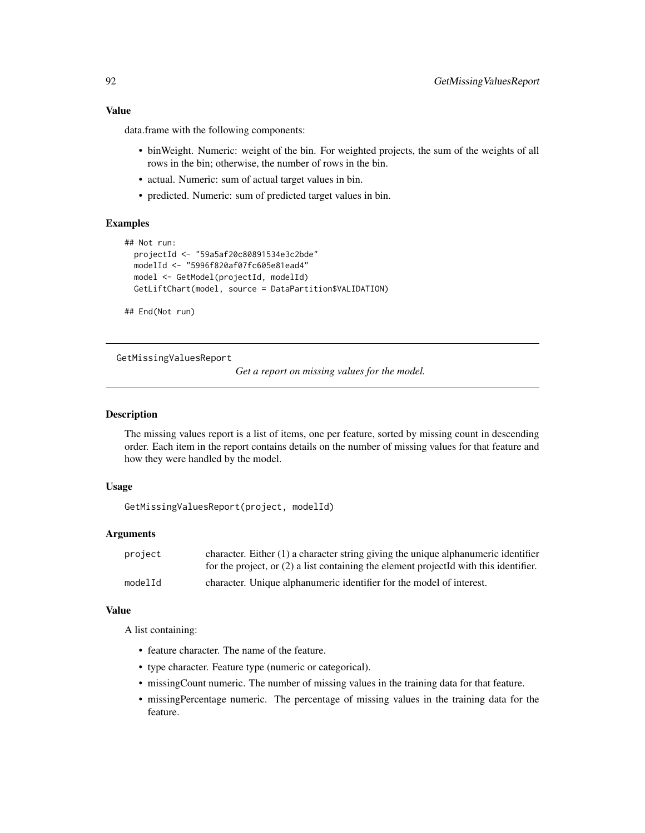# Value

data.frame with the following components:

- binWeight. Numeric: weight of the bin. For weighted projects, the sum of the weights of all rows in the bin; otherwise, the number of rows in the bin.
- actual. Numeric: sum of actual target values in bin.
- predicted. Numeric: sum of predicted target values in bin.

# Examples

```
## Not run:
 projectId <- "59a5af20c80891534e3c2bde"
 modelId <- "5996f820af07fc605e81ead4"
 model <- GetModel(projectId, modelId)
 GetLiftChart(model, source = DataPartition$VALIDATION)
```
## End(Not run)

GetMissingValuesReport

*Get a report on missing values for the model.*

## Description

The missing values report is a list of items, one per feature, sorted by missing count in descending order. Each item in the report contains details on the number of missing values for that feature and how they were handled by the model.

# Usage

GetMissingValuesReport(project, modelId)

#### **Arguments**

| project | character. Either $(1)$ a character string giving the unique alphanumeric identifier    |
|---------|-----------------------------------------------------------------------------------------|
|         | for the project, or $(2)$ a list containing the element projected with this identifier. |
| modelId | character. Unique alphanumeric identifier for the model of interest.                    |

## Value

A list containing:

- feature character. The name of the feature.
- type character. Feature type (numeric or categorical).
- missingCount numeric. The number of missing values in the training data for that feature.
- missingPercentage numeric. The percentage of missing values in the training data for the feature.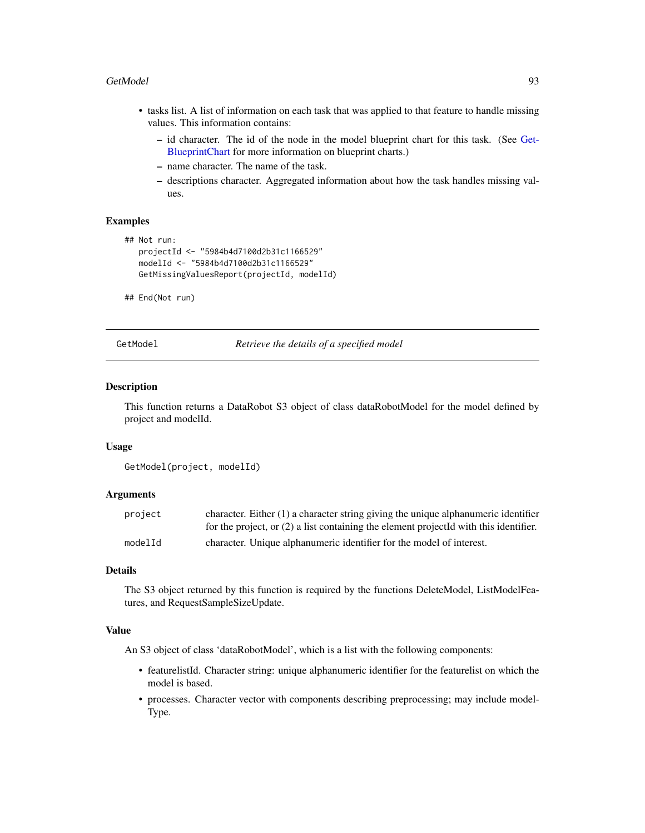#### GetModel 93

- tasks list. A list of information on each task that was applied to that feature to handle missing values. This information contains:
	- id character. The id of the node in the model blueprint chart for this task. (See [Get-](#page-61-0)[BlueprintChart](#page-61-0) for more information on blueprint charts.)
	- name character. The name of the task.
	- descriptions character. Aggregated information about how the task handles missing values.

## Examples

```
## Not run:
  projectId <- "5984b4d7100d2b31c1166529"
  modelId <- "5984b4d7100d2b31c1166529"
  GetMissingValuesReport(projectId, modelId)
```
## End(Not run)

GetModel *Retrieve the details of a specified model*

## **Description**

This function returns a DataRobot S3 object of class dataRobotModel for the model defined by project and modelId.

#### Usage

```
GetModel(project, modelId)
```
# Arguments

| project | character. Either $(1)$ a character string giving the unique alphanumeric identifier    |
|---------|-----------------------------------------------------------------------------------------|
|         | for the project, or $(2)$ a list containing the element projected with this identifier. |
| modelId | character. Unique alphanumeric identifier for the model of interest.                    |

## Details

The S3 object returned by this function is required by the functions DeleteModel, ListModelFeatures, and RequestSampleSizeUpdate.

# Value

An S3 object of class 'dataRobotModel', which is a list with the following components:

- featurelistId. Character string: unique alphanumeric identifier for the featurelist on which the model is based.
- processes. Character vector with components describing preprocessing; may include model-Type.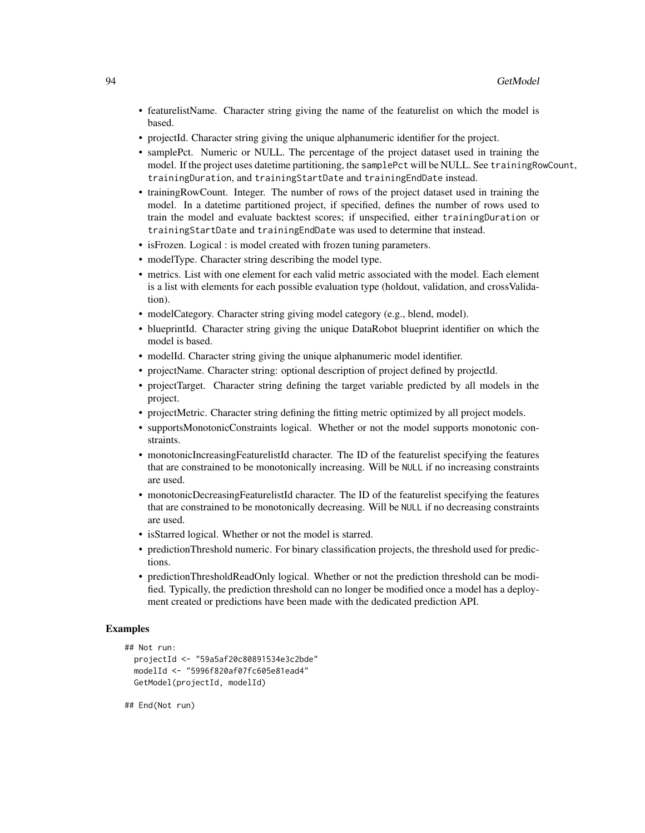- featurelistName. Character string giving the name of the featurelist on which the model is based.
- projectId. Character string giving the unique alphanumeric identifier for the project.
- samplePct. Numeric or NULL. The percentage of the project dataset used in training the model. If the project uses datetime partitioning, the samplePct will be NULL. See trainingRowCount, trainingDuration, and trainingStartDate and trainingEndDate instead.
- trainingRowCount. Integer. The number of rows of the project dataset used in training the model. In a datetime partitioned project, if specified, defines the number of rows used to train the model and evaluate backtest scores; if unspecified, either trainingDuration or trainingStartDate and trainingEndDate was used to determine that instead.
- is Frozen. Logical : is model created with frozen tuning parameters.
- modelType. Character string describing the model type.
- metrics. List with one element for each valid metric associated with the model. Each element is a list with elements for each possible evaluation type (holdout, validation, and crossValidation).
- modelCategory. Character string giving model category (e.g., blend, model).
- blueprintId. Character string giving the unique DataRobot blueprint identifier on which the model is based.
- modelId. Character string giving the unique alphanumeric model identifier.
- projectName. Character string: optional description of project defined by projectId.
- projectTarget. Character string defining the target variable predicted by all models in the project.
- projectMetric. Character string defining the fitting metric optimized by all project models.
- supportsMonotonicConstraints logical. Whether or not the model supports monotonic constraints.
- monotonicIncreasingFeaturelistId character. The ID of the featurelist specifying the features that are constrained to be monotonically increasing. Will be NULL if no increasing constraints are used.
- monotonicDecreasingFeaturelistId character. The ID of the featurelist specifying the features that are constrained to be monotonically decreasing. Will be NULL if no decreasing constraints are used.
- isStarred logical. Whether or not the model is starred.
- predictionThreshold numeric. For binary classification projects, the threshold used for predictions.
- predictionThresholdReadOnly logical. Whether or not the prediction threshold can be modified. Typically, the prediction threshold can no longer be modified once a model has a deployment created or predictions have been made with the dedicated prediction API.

# Examples

```
## Not run:
 projectId <- "59a5af20c80891534e3c2bde"
 modelId <- "5996f820af07fc605e81ead4"
 GetModel(projectId, modelId)
```
## End(Not run)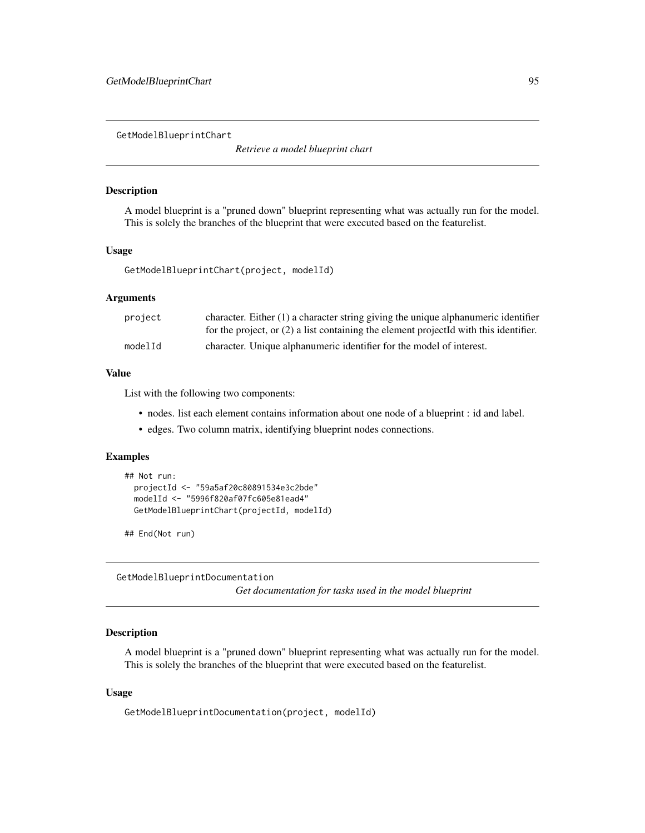GetModelBlueprintChart

*Retrieve a model blueprint chart*

# Description

A model blueprint is a "pruned down" blueprint representing what was actually run for the model. This is solely the branches of the blueprint that were executed based on the featurelist.

#### Usage

GetModelBlueprintChart(project, modelId)

## Arguments

| project | character. Either $(1)$ a character string giving the unique alphanumeric identifier    |
|---------|-----------------------------------------------------------------------------------------|
|         | for the project, or $(2)$ a list containing the element projected with this identifier. |
| modelId | character. Unique alphanumeric identifier for the model of interest.                    |

### Value

List with the following two components:

- nodes. list each element contains information about one node of a blueprint : id and label.
- edges. Two column matrix, identifying blueprint nodes connections.

# Examples

```
## Not run:
 projectId <- "59a5af20c80891534e3c2bde"
 modelId <- "5996f820af07fc605e81ead4"
 GetModelBlueprintChart(projectId, modelId)
```
## End(Not run)

GetModelBlueprintDocumentation *Get documentation for tasks used in the model blueprint*

## Description

A model blueprint is a "pruned down" blueprint representing what was actually run for the model. This is solely the branches of the blueprint that were executed based on the featurelist.

## Usage

GetModelBlueprintDocumentation(project, modelId)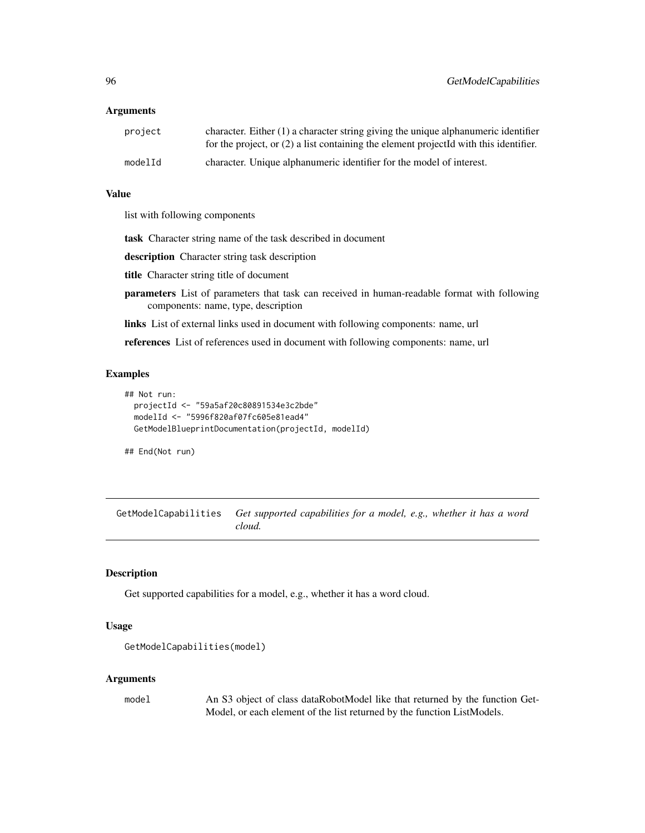## Arguments

| project | character. Either $(1)$ a character string giving the unique alphanumeric identifier<br>for the project, or $(2)$ a list containing the element projected with this identifier. |
|---------|---------------------------------------------------------------------------------------------------------------------------------------------------------------------------------|
| modelId | character. Unique alphanumeric identifier for the model of interest.                                                                                                            |

#### Value

list with following components

task Character string name of the task described in document

description Character string task description

title Character string title of document

- parameters List of parameters that task can received in human-readable format with following components: name, type, description
- links List of external links used in document with following components: name, url

references List of references used in document with following components: name, url

## Examples

```
## Not run:
 projectId <- "59a5af20c80891534e3c2bde"
 modelId <- "5996f820af07fc605e81ead4"
 GetModelBlueprintDocumentation(projectId, modelId)
```
## End(Not run)

GetModelCapabilities *Get supported capabilities for a model, e.g., whether it has a word cloud.*

# Description

Get supported capabilities for a model, e.g., whether it has a word cloud.

## Usage

```
GetModelCapabilities(model)
```
#### Arguments

model An S3 object of class dataRobotModel like that returned by the function Get-Model, or each element of the list returned by the function ListModels.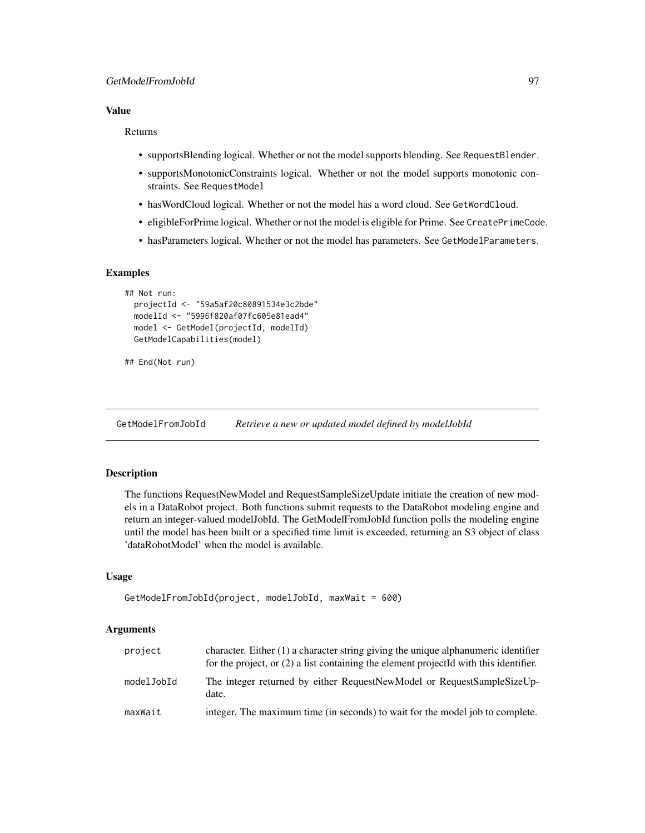# Value

#### Returns

- supportsBlending logical. Whether or not the model supports blending. See RequestBlender.
- supportsMonotonicConstraints logical. Whether or not the model supports monotonic constraints. See RequestModel
- hasWordCloud logical. Whether or not the model has a word cloud. See GetWordCloud.
- eligibleForPrime logical. Whether or not the model is eligible for Prime. See CreatePrimeCode.
- hasParameters logical. Whether or not the model has parameters. See GetModelParameters.

# Examples

```
## Not run:
 projectId <- "59a5af20c80891534e3c2bde"
 modelId <- "5996f820af07fc605e81ead4"
 model <- GetModel(projectId, modelId)
 GetModelCapabilities(model)
```

```
## End(Not run)
```
GetModelFromJobId *Retrieve a new or updated model defined by modelJobId*

# Description

The functions RequestNewModel and RequestSampleSizeUpdate initiate the creation of new models in a DataRobot project. Both functions submit requests to the DataRobot modeling engine and return an integer-valued modelJobId. The GetModelFromJobId function polls the modeling engine until the model has been built or a specified time limit is exceeded, returning an S3 object of class 'dataRobotModel' when the model is available.

# Usage

```
GetModelFromJobId(project, modelJobId, maxWait = 600)
```

| project    | character. Either $(1)$ a character string giving the unique alphanumeric identifier<br>for the project, or $(2)$ a list containing the element projected with this identifier. |
|------------|---------------------------------------------------------------------------------------------------------------------------------------------------------------------------------|
| modelJobId | The integer returned by either RequestNewModel or RequestSampleSizeUp-<br>date.                                                                                                 |
| maxWait    | integer. The maximum time (in seconds) to wait for the model job to complete.                                                                                                   |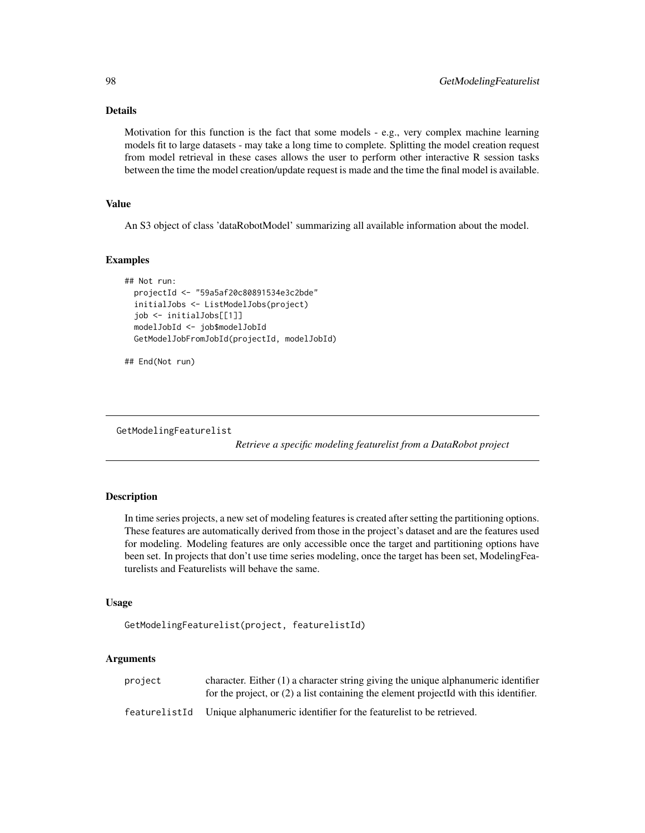# Details

Motivation for this function is the fact that some models - e.g., very complex machine learning models fit to large datasets - may take a long time to complete. Splitting the model creation request from model retrieval in these cases allows the user to perform other interactive R session tasks between the time the model creation/update request is made and the time the final model is available.

# Value

An S3 object of class 'dataRobotModel' summarizing all available information about the model.

## Examples

```
## Not run:
 projectId <- "59a5af20c80891534e3c2bde"
 initialJobs <- ListModelJobs(project)
 job <- initialJobs[[1]]
 modelJobId <- job$modelJobId
 GetModelJobFromJobId(projectId, modelJobId)
```

```
## End(Not run)
```
GetModelingFeaturelist

*Retrieve a specific modeling featurelist from a DataRobot project*

# **Description**

In time series projects, a new set of modeling features is created after setting the partitioning options. These features are automatically derived from those in the project's dataset and are the features used for modeling. Modeling features are only accessible once the target and partitioning options have been set. In projects that don't use time series modeling, once the target has been set, ModelingFeaturelists and Featurelists will behave the same.

#### Usage

```
GetModelingFeaturelist(project, featurelistId)
```

| project       | character. Either $(1)$ a character string giving the unique alphanumeric identifier<br>for the project, or $(2)$ a list containing the element projected with this identifier. |
|---------------|---------------------------------------------------------------------------------------------------------------------------------------------------------------------------------|
| featurelistId | Unique alphanumeric identifier for the featurelist to be retrieved.                                                                                                             |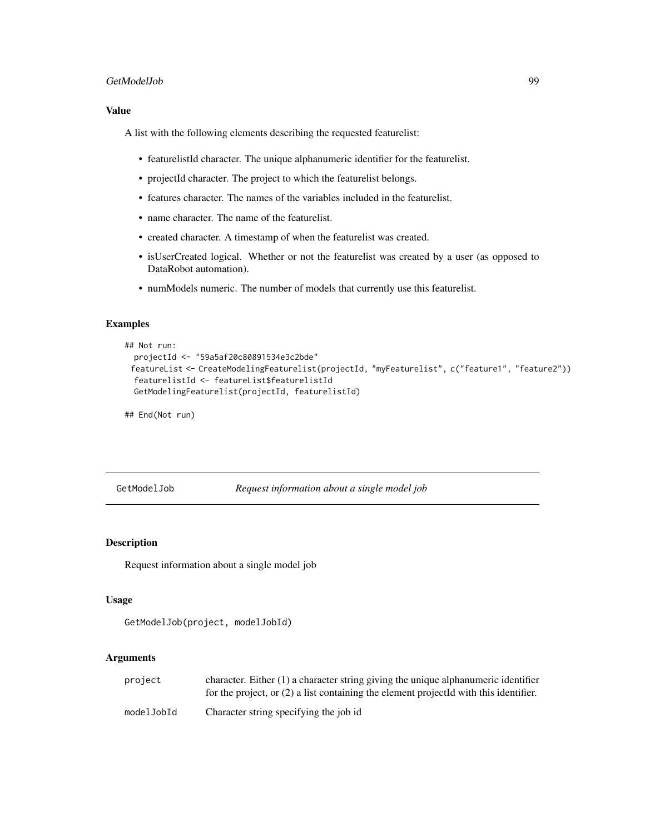## GetModelJob 99

# Value

A list with the following elements describing the requested featurelist:

- featurelistId character. The unique alphanumeric identifier for the featurelist.
- projectId character. The project to which the featurelist belongs.
- features character. The names of the variables included in the featurelist.
- name character. The name of the featurelist.
- created character. A timestamp of when the featurelist was created.
- isUserCreated logical. Whether or not the featurelist was created by a user (as opposed to DataRobot automation).
- numModels numeric. The number of models that currently use this featurelist.

# Examples

```
## Not run:
 projectId <- "59a5af20c80891534e3c2bde"
 featureList <- CreateModelingFeaturelist(projectId, "myFeaturelist", c("feature1", "feature2"))
 featurelistId <- featureList$featurelistId
 GetModelingFeaturelist(projectId, featurelistId)
```
## End(Not run)

GetModelJob *Request information about a single model job*

#### Description

Request information about a single model job

#### Usage

```
GetModelJob(project, modelJobId)
```

| project    | character. Either $(1)$ a character string giving the unique alphanumeric identifier<br>for the project, or $(2)$ a list containing the element projected with this identifier. |
|------------|---------------------------------------------------------------------------------------------------------------------------------------------------------------------------------|
| modelJobId | Character string specifying the job id                                                                                                                                          |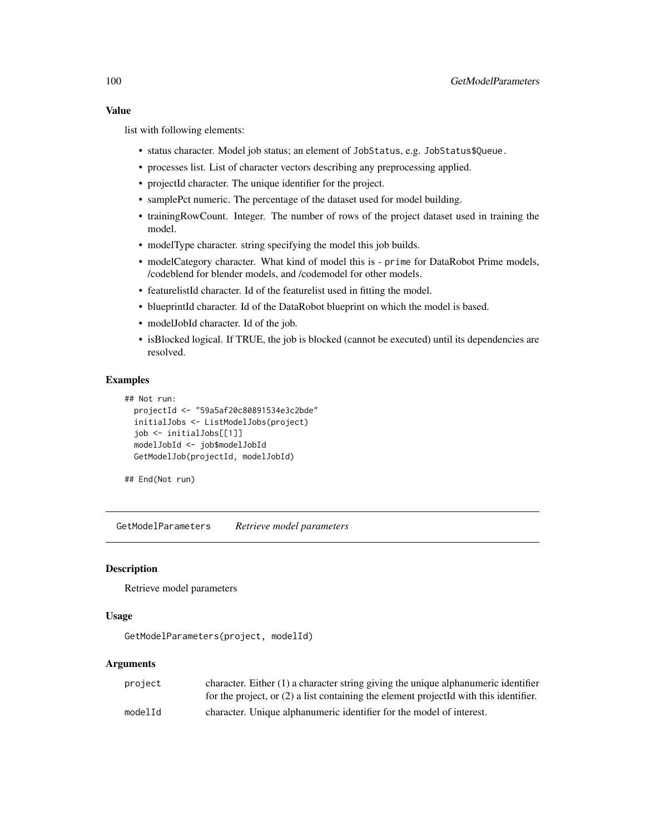list with following elements:

- status character. Model job status; an element of JobStatus, e.g. JobStatus\$Queue.
- processes list. List of character vectors describing any preprocessing applied.
- projectId character. The unique identifier for the project.
- samplePct numeric. The percentage of the dataset used for model building.
- trainingRowCount. Integer. The number of rows of the project dataset used in training the model.
- modelType character. string specifying the model this job builds.
- modelCategory character. What kind of model this is prime for DataRobot Prime models, /codeblend for blender models, and /codemodel for other models.
- featurelistId character. Id of the featurelist used in fitting the model.
- blueprintId character. Id of the DataRobot blueprint on which the model is based.
- modelJobId character. Id of the job.
- isBlocked logical. If TRUE, the job is blocked (cannot be executed) until its dependencies are resolved.

#### Examples

```
## Not run:
 projectId <- "59a5af20c80891534e3c2bde"
 initialJobs <- ListModelJobs(project)
 job <- initialJobs[[1]]
 modelJobId <- job$modelJobId
 GetModelJob(projectId, modelJobId)
```
## End(Not run)

GetModelParameters *Retrieve model parameters*

#### **Description**

Retrieve model parameters

#### Usage

GetModelParameters(project, modelId)

| project | character. Either $(1)$ a character string giving the unique alphanumeric identifier    |
|---------|-----------------------------------------------------------------------------------------|
|         | for the project, or $(2)$ a list containing the element projected with this identifier. |
| modelId | character. Unique alphanumeric identifier for the model of interest.                    |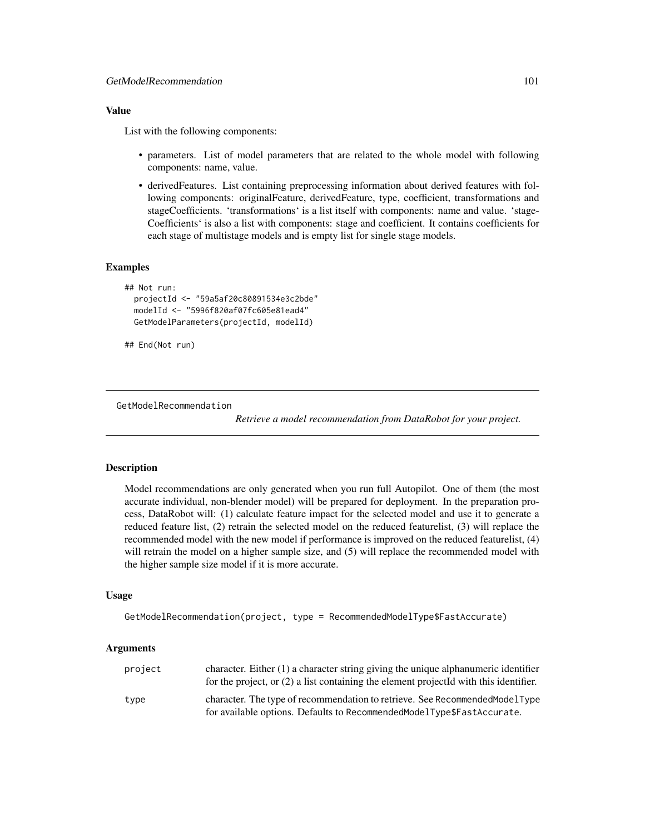# Value

List with the following components:

- parameters. List of model parameters that are related to the whole model with following components: name, value.
- derivedFeatures. List containing preprocessing information about derived features with following components: originalFeature, derivedFeature, type, coefficient, transformations and stageCoefficients. 'transformations' is a list itself with components: name and value. 'stage-Coefficients' is also a list with components: stage and coefficient. It contains coefficients for each stage of multistage models and is empty list for single stage models.

# **Examples**

```
## Not run:
 projectId <- "59a5af20c80891534e3c2bde"
 modelId <- "5996f820af07fc605e81ead4"
 GetModelParameters(projectId, modelId)
```

```
## End(Not run)
```
GetModelRecommendation

*Retrieve a model recommendation from DataRobot for your project.*

# Description

Model recommendations are only generated when you run full Autopilot. One of them (the most accurate individual, non-blender model) will be prepared for deployment. In the preparation process, DataRobot will: (1) calculate feature impact for the selected model and use it to generate a reduced feature list, (2) retrain the selected model on the reduced featurelist, (3) will replace the recommended model with the new model if performance is improved on the reduced featurelist, (4) will retrain the model on a higher sample size, and (5) will replace the recommended model with the higher sample size model if it is more accurate.

# Usage

```
GetModelRecommendation(project, type = RecommendedModelType$FastAccurate)
```

| project | character. Either $(1)$ a character string giving the unique alphanumeric identifier<br>for the project, or $(2)$ a list containing the element projected with this identifier. |
|---------|---------------------------------------------------------------------------------------------------------------------------------------------------------------------------------|
| type    | character. The type of recommendation to retrieve. See Recommended Model Type<br>for available options. Defaults to RecommendedModelType\$FastAccurate.                         |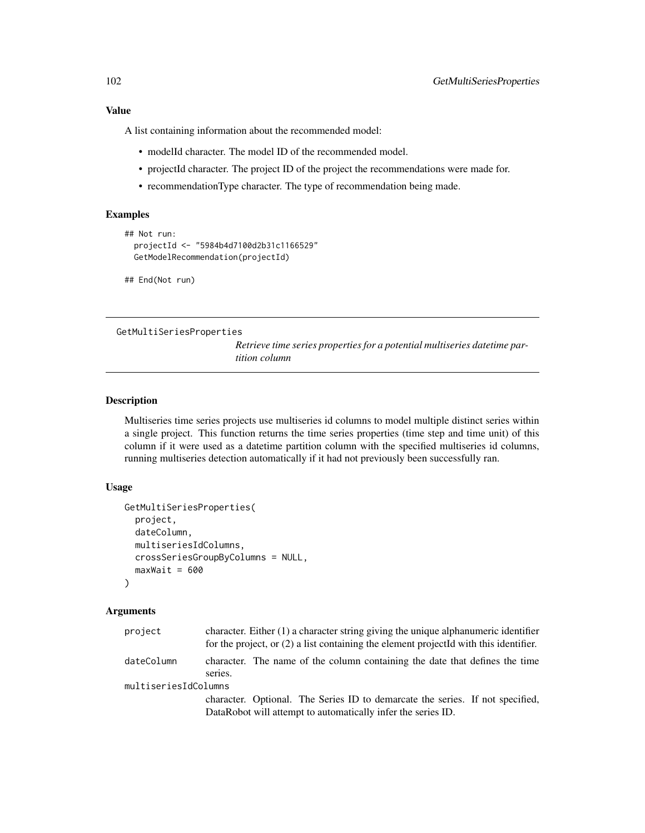A list containing information about the recommended model:

- modelId character. The model ID of the recommended model.
- projectId character. The project ID of the project the recommendations were made for.
- recommendationType character. The type of recommendation being made.

# Examples

```
## Not run:
 projectId <- "5984b4d7100d2b31c1166529"
 GetModelRecommendation(projectId)
```
## End(Not run)

GetMultiSeriesProperties

*Retrieve time series properties for a potential multiseries datetime partition column*

# Description

Multiseries time series projects use multiseries id columns to model multiple distinct series within a single project. This function returns the time series properties (time step and time unit) of this column if it were used as a datetime partition column with the specified multiseries id columns, running multiseries detection automatically if it had not previously been successfully ran.

# Usage

```
GetMultiSeriesProperties(
 project,
  dateColumn,
 multiseriesIdColumns,
 crossSeriesGroupByColumns = NULL,
 maxWait = 600)
```

| project              | character. Either $(1)$ a character string giving the unique alphanumeric identifier<br>for the project, or $(2)$ a list containing the element projected with this identifier. |                                                                               |
|----------------------|---------------------------------------------------------------------------------------------------------------------------------------------------------------------------------|-------------------------------------------------------------------------------|
|                      |                                                                                                                                                                                 |                                                                               |
| dateColumn           |                                                                                                                                                                                 | character. The name of the column containing the date that defines the time   |
|                      | series.                                                                                                                                                                         |                                                                               |
| multiseriesIdColumns |                                                                                                                                                                                 |                                                                               |
|                      |                                                                                                                                                                                 | character. Optional. The Series ID to demarcate the series. If not specified, |
|                      |                                                                                                                                                                                 | DataRobot will attempt to automatically infer the series ID.                  |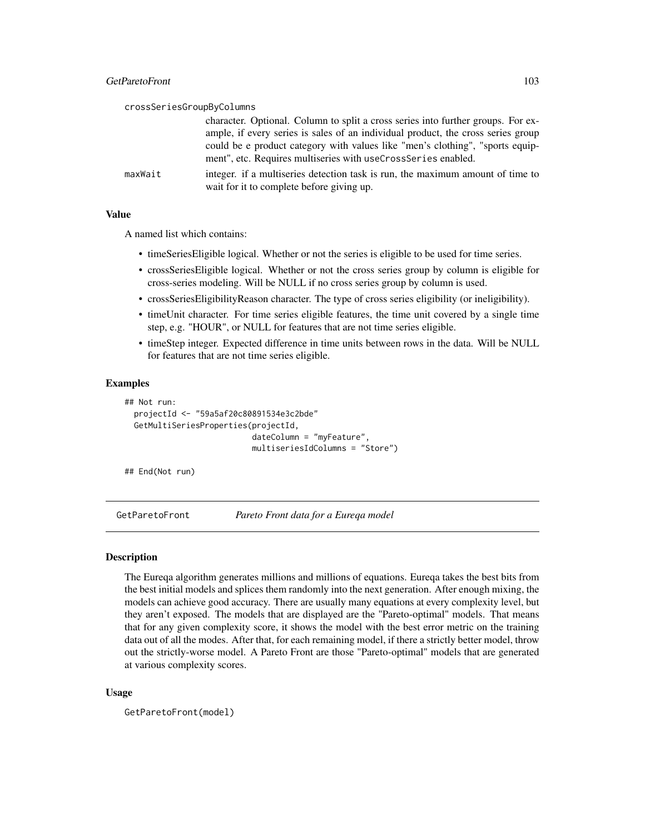|         | crossSeriesGroupByColumns                                                                                                   |
|---------|-----------------------------------------------------------------------------------------------------------------------------|
|         | character. Optional. Column to split a cross series into further groups. For ex-                                            |
|         | ample, if every series is sales of an individual product, the cross series group                                            |
|         | could be e product category with values like "men's clothing", "sports equip-                                               |
|         | ment", etc. Requires multiseries with useCrossSeries enabled.                                                               |
| maxWait | integer. if a multiseries detection task is run, the maximum amount of time to<br>wait for it to complete before giving up. |

# Value

A named list which contains:

- timeSeriesEligible logical. Whether or not the series is eligible to be used for time series.
- crossSeriesEligible logical. Whether or not the cross series group by column is eligible for cross-series modeling. Will be NULL if no cross series group by column is used.
- crossSeriesEligibilityReason character. The type of cross series eligibility (or ineligibility).
- timeUnit character. For time series eligible features, the time unit covered by a single time step, e.g. "HOUR", or NULL for features that are not time series eligible.
- timeStep integer. Expected difference in time units between rows in the data. Will be NULL for features that are not time series eligible.

# Examples

```
## Not run:
 projectId <- "59a5af20c80891534e3c2bde"
 GetMultiSeriesProperties(projectId,
                           dateColumn = "myFeature",
                           multiseriesIdColumns = "Store")
```
## End(Not run)

GetParetoFront *Pareto Front data for a Eureqa model*

## Description

The Eureqa algorithm generates millions and millions of equations. Eureqa takes the best bits from the best initial models and splices them randomly into the next generation. After enough mixing, the models can achieve good accuracy. There are usually many equations at every complexity level, but they aren't exposed. The models that are displayed are the "Pareto-optimal" models. That means that for any given complexity score, it shows the model with the best error metric on the training data out of all the modes. After that, for each remaining model, if there a strictly better model, throw out the strictly-worse model. A Pareto Front are those "Pareto-optimal" models that are generated at various complexity scores.

## Usage

```
GetParetoFront(model)
```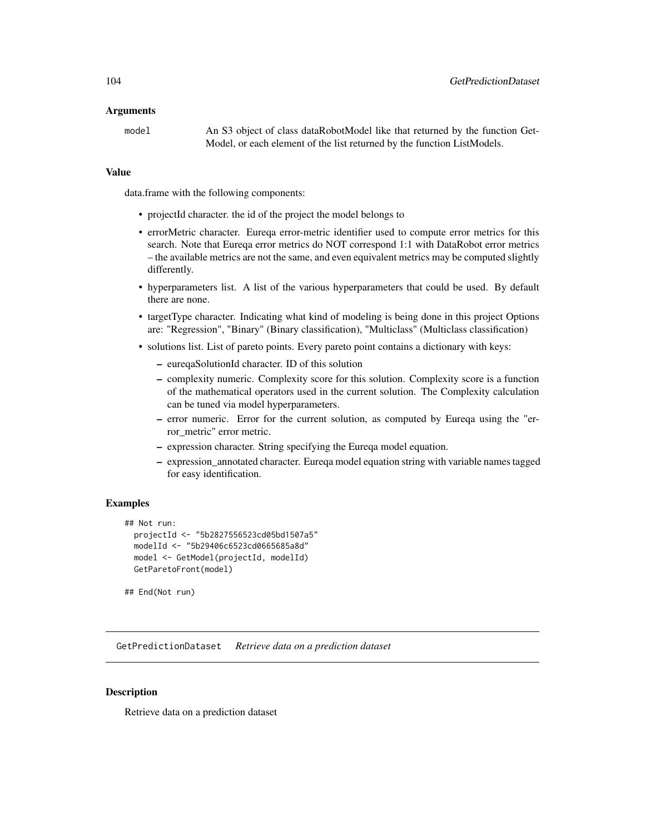## Arguments

model An S3 object of class dataRobotModel like that returned by the function Get-Model, or each element of the list returned by the function ListModels.

## Value

data.frame with the following components:

- projectId character. the id of the project the model belongs to
- errorMetric character. Eureqa error-metric identifier used to compute error metrics for this search. Note that Eureqa error metrics do NOT correspond 1:1 with DataRobot error metrics – the available metrics are not the same, and even equivalent metrics may be computed slightly differently.
- hyperparameters list. A list of the various hyperparameters that could be used. By default there are none.
- targetType character. Indicating what kind of modeling is being done in this project Options are: "Regression", "Binary" (Binary classification), "Multiclass" (Multiclass classification)
- solutions list. List of pareto points. Every pareto point contains a dictionary with keys:
	- eureqaSolutionId character. ID of this solution
	- complexity numeric. Complexity score for this solution. Complexity score is a function of the mathematical operators used in the current solution. The Complexity calculation can be tuned via model hyperparameters.
	- error numeric. Error for the current solution, as computed by Eureqa using the "error\_metric" error metric.
	- expression character. String specifying the Eureqa model equation.
	- expression\_annotated character. Eureqa model equation string with variable names tagged for easy identification.

# Examples

```
## Not run:
 projectId <- "5b2827556523cd05bd1507a5"
 modelId <- "5b29406c6523cd0665685a8d"
 model <- GetModel(projectId, modelId)
 GetParetoFront(model)
```
## End(Not run)

GetPredictionDataset *Retrieve data on a prediction dataset*

# Description

Retrieve data on a prediction dataset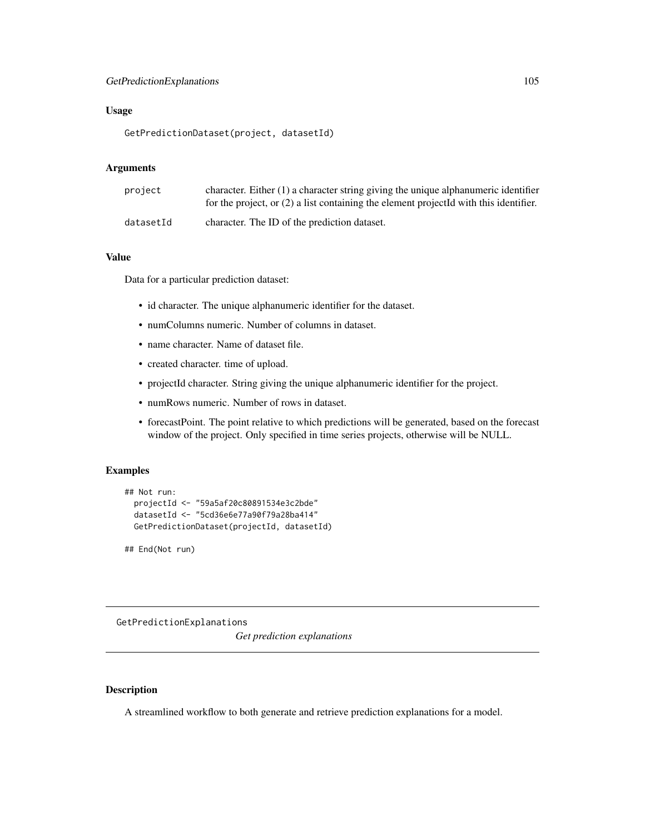# GetPredictionExplanations 105

# Usage

GetPredictionDataset(project, datasetId)

# Arguments

| project   | character. Either $(1)$ a character string giving the unique alphanumeric identifier<br>for the project, or $(2)$ a list containing the element projected with this identifier. |
|-----------|---------------------------------------------------------------------------------------------------------------------------------------------------------------------------------|
| datasetId | character. The ID of the prediction dataset.                                                                                                                                    |

## Value

Data for a particular prediction dataset:

- id character. The unique alphanumeric identifier for the dataset.
- numColumns numeric. Number of columns in dataset.
- name character. Name of dataset file.
- created character. time of upload.
- projectId character. String giving the unique alphanumeric identifier for the project.
- numRows numeric. Number of rows in dataset.
- forecastPoint. The point relative to which predictions will be generated, based on the forecast window of the project. Only specified in time series projects, otherwise will be NULL.

# Examples

```
## Not run:
 projectId <- "59a5af20c80891534e3c2bde"
 datasetId <- "5cd36e6e77a90f79a28ba414"
 GetPredictionDataset(projectId, datasetId)
```
## End(Not run)

GetPredictionExplanations

*Get prediction explanations*

# Description

A streamlined workflow to both generate and retrieve prediction explanations for a model.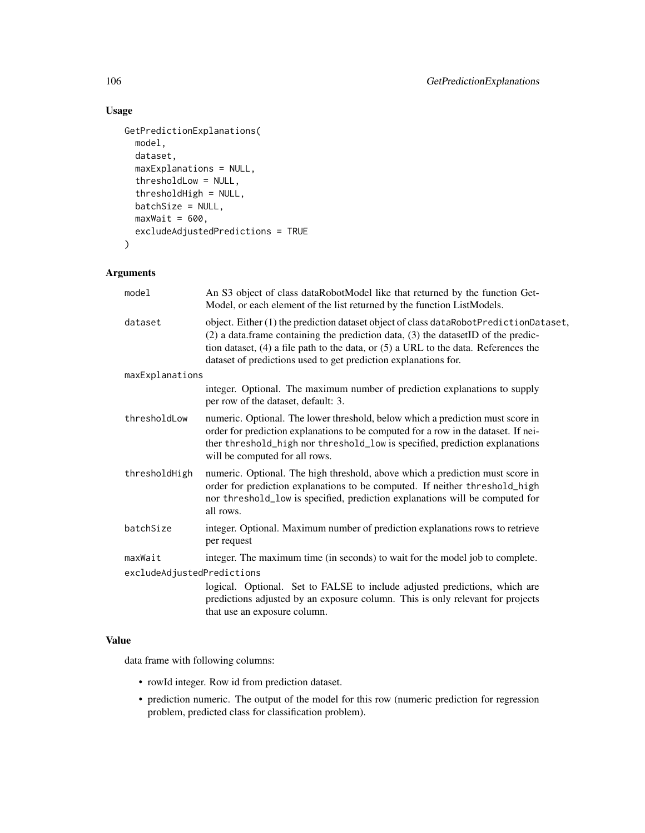# Usage

```
GetPredictionExplanations(
 model,
 dataset,
 maxExplanations = NULL,
  thresholdLow = NULL,
  thresholdHigh = NULL,
 batchSize = NULL,
 maxWait = 600,excludeAdjustedPredictions = TRUE
)
```
# Arguments

| model                      | An S3 object of class dataRobotModel like that returned by the function Get-<br>Model, or each element of the list returned by the function ListModels.                                                                                                                                                                                        |
|----------------------------|------------------------------------------------------------------------------------------------------------------------------------------------------------------------------------------------------------------------------------------------------------------------------------------------------------------------------------------------|
| dataset                    | object. Either (1) the prediction dataset object of class dataRobotPredictionDataset,<br>$(2)$ a data. frame containing the prediction data, $(3)$ the dataset ID of the predic-<br>tion dataset, $(4)$ a file path to the data, or $(5)$ a URL to the data. References the<br>dataset of predictions used to get prediction explanations for. |
| maxExplanations            |                                                                                                                                                                                                                                                                                                                                                |
|                            | integer. Optional. The maximum number of prediction explanations to supply<br>per row of the dataset, default: 3.                                                                                                                                                                                                                              |
| thresholdLow               | numeric. Optional. The lower threshold, below which a prediction must score in<br>order for prediction explanations to be computed for a row in the dataset. If nei-<br>ther threshold_high nor threshold_low is specified, prediction explanations<br>will be computed for all rows.                                                          |
| thresholdHigh              | numeric. Optional. The high threshold, above which a prediction must score in<br>order for prediction explanations to be computed. If neither threshold_high<br>nor threshold_low is specified, prediction explanations will be computed for<br>all rows.                                                                                      |
| batchSize                  | integer. Optional. Maximum number of prediction explanations rows to retrieve<br>per request                                                                                                                                                                                                                                                   |
| maxWait                    | integer. The maximum time (in seconds) to wait for the model job to complete.                                                                                                                                                                                                                                                                  |
| excludeAdjustedPredictions |                                                                                                                                                                                                                                                                                                                                                |
|                            | logical. Optional. Set to FALSE to include adjusted predictions, which are<br>predictions adjusted by an exposure column. This is only relevant for projects<br>that use an exposure column.                                                                                                                                                   |
|                            |                                                                                                                                                                                                                                                                                                                                                |

# Value

data frame with following columns:

- rowId integer. Row id from prediction dataset.
- prediction numeric. The output of the model for this row (numeric prediction for regression problem, predicted class for classification problem).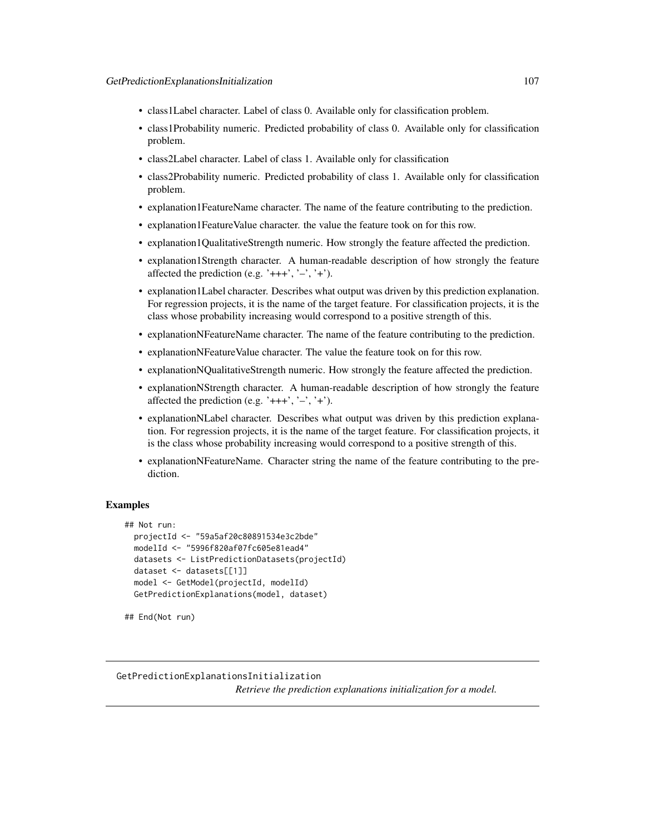- class1Label character. Label of class 0. Available only for classification problem.
- class1Probability numeric. Predicted probability of class 0. Available only for classification problem.
- class2Label character. Label of class 1. Available only for classification
- class2Probability numeric. Predicted probability of class 1. Available only for classification problem.
- explanation1FeatureName character. The name of the feature contributing to the prediction.
- explanation1FeatureValue character. the value the feature took on for this row.
- explanation1QualitativeStrength numeric. How strongly the feature affected the prediction.
- explanation1Strength character. A human-readable description of how strongly the feature affected the prediction (e.g. ' $+++$ ', ' $-$ ', ' $+$ ').
- explanation1Label character. Describes what output was driven by this prediction explanation. For regression projects, it is the name of the target feature. For classification projects, it is the class whose probability increasing would correspond to a positive strength of this.
- explanationNFeatureName character. The name of the feature contributing to the prediction.
- explanationNFeatureValue character. The value the feature took on for this row.
- explanationNQualitativeStrength numeric. How strongly the feature affected the prediction.
- explanationNStrength character. A human-readable description of how strongly the feature affected the prediction (e.g. ' $+++$ ', ' $-$ ', ' $+$ ').
- explanationNLabel character. Describes what output was driven by this prediction explanation. For regression projects, it is the name of the target feature. For classification projects, it is the class whose probability increasing would correspond to a positive strength of this.
- explanationNFeatureName. Character string the name of the feature contributing to the prediction.

# Examples

```
## Not run:
 projectId <- "59a5af20c80891534e3c2bde"
 modelId <- "5996f820af07fc605e81ead4"
 datasets <- ListPredictionDatasets(projectId)
 dataset <- datasets[[1]]
 model <- GetModel(projectId, modelId)
 GetPredictionExplanations(model, dataset)
```

```
## End(Not run)
```
GetPredictionExplanationsInitialization *Retrieve the prediction explanations initialization for a model.*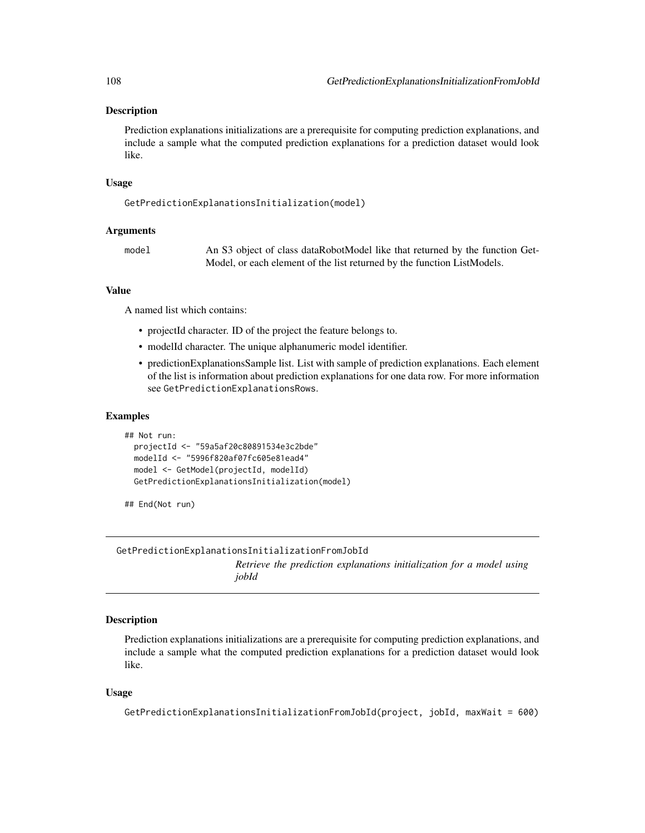# **Description**

Prediction explanations initializations are a prerequisite for computing prediction explanations, and include a sample what the computed prediction explanations for a prediction dataset would look like.

## Usage

```
GetPredictionExplanationsInitialization(model)
```
# Arguments

model An S3 object of class dataRobotModel like that returned by the function Get-Model, or each element of the list returned by the function ListModels.

# Value

A named list which contains:

- projectId character. ID of the project the feature belongs to.
- modelId character. The unique alphanumeric model identifier.
- predictionExplanationsSample list. List with sample of prediction explanations. Each element of the list is information about prediction explanations for one data row. For more information see GetPredictionExplanationsRows.

#### Examples

```
## Not run:
 projectId <- "59a5af20c80891534e3c2bde"
 modelId <- "5996f820af07fc605e81ead4"
 model <- GetModel(projectId, modelId)
 GetPredictionExplanationsInitialization(model)
```
## End(Not run)

GetPredictionExplanationsInitializationFromJobId

*Retrieve the prediction explanations initialization for a model using jobId*

## Description

Prediction explanations initializations are a prerequisite for computing prediction explanations, and include a sample what the computed prediction explanations for a prediction dataset would look like.

## Usage

```
GetPredictionExplanationsInitializationFromJobId(project, jobId, maxWait = 600)
```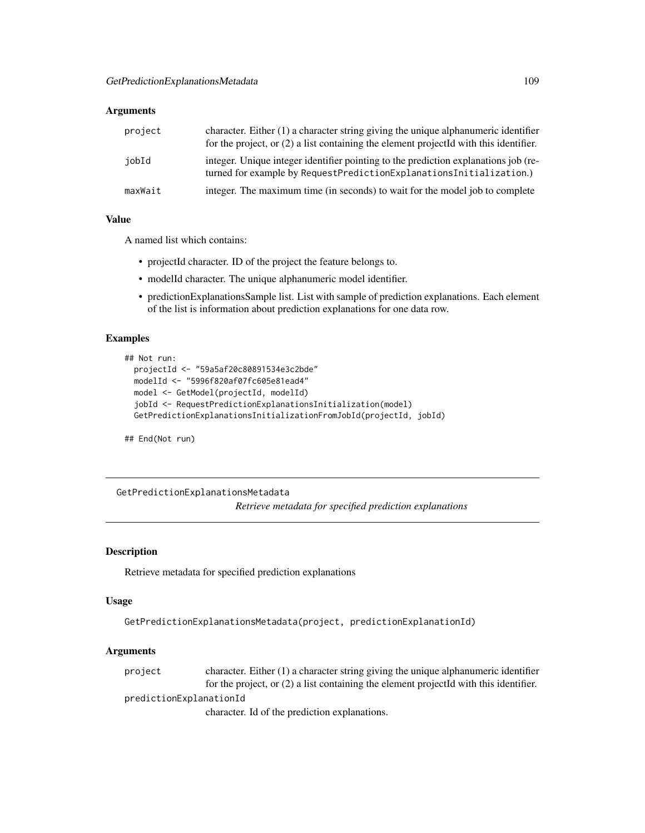| project | character. Either $(1)$ a character string giving the unique alphanumeric identifier<br>for the project, or $(2)$ a list containing the element project Id with this identifier. |
|---------|----------------------------------------------------------------------------------------------------------------------------------------------------------------------------------|
| iobId   | integer. Unique integer identifier pointing to the prediction explanations job (re-<br>turned for example by RequestPredictionExplanationsInitialization.)                       |
| maxWait | integer. The maximum time (in seconds) to wait for the model job to complete                                                                                                     |

## Value

A named list which contains:

- projectId character. ID of the project the feature belongs to.
- modelId character. The unique alphanumeric model identifier.
- predictionExplanationsSample list. List with sample of prediction explanations. Each element of the list is information about prediction explanations for one data row.

### Examples

```
## Not run:
 projectId <- "59a5af20c80891534e3c2bde"
 modelId <- "5996f820af07fc605e81ead4"
 model <- GetModel(projectId, modelId)
 jobId <- RequestPredictionExplanationsInitialization(model)
 GetPredictionExplanationsInitializationFromJobId(projectId, jobId)
```
## End(Not run)

GetPredictionExplanationsMetadata

*Retrieve metadata for specified prediction explanations*

### Description

Retrieve metadata for specified prediction explanations

### Usage

```
GetPredictionExplanationsMetadata(project, predictionExplanationId)
```
# Arguments

| project | character. Either $(1)$ a character string giving the unique alphanumeric identifier    |
|---------|-----------------------------------------------------------------------------------------|
|         | for the project, or $(2)$ a list containing the element projected with this identifier. |
|         | predictionExplanationId                                                                 |
|         | character. Id of the prediction explanations.                                           |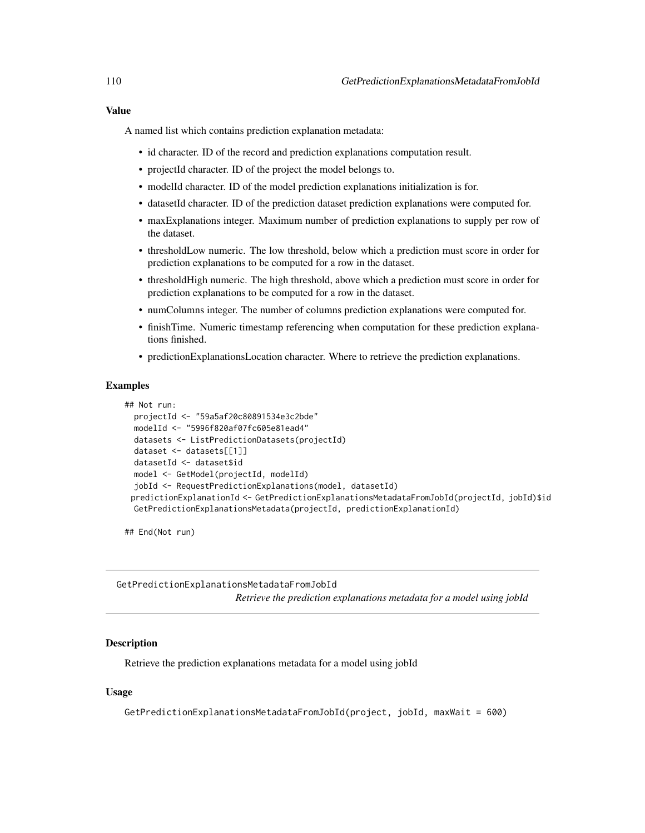# Value

A named list which contains prediction explanation metadata:

- id character. ID of the record and prediction explanations computation result.
- projectId character. ID of the project the model belongs to.
- modelId character. ID of the model prediction explanations initialization is for.
- datasetId character. ID of the prediction dataset prediction explanations were computed for.
- maxExplanations integer. Maximum number of prediction explanations to supply per row of the dataset.
- thresholdLow numeric. The low threshold, below which a prediction must score in order for prediction explanations to be computed for a row in the dataset.
- thresholdHigh numeric. The high threshold, above which a prediction must score in order for prediction explanations to be computed for a row in the dataset.
- numColumns integer. The number of columns prediction explanations were computed for.
- finishTime. Numeric timestamp referencing when computation for these prediction explanations finished.
- predictionExplanationsLocation character. Where to retrieve the prediction explanations.

## Examples

```
## Not run:
 projectId <- "59a5af20c80891534e3c2bde"
 modelId <- "5996f820af07fc605e81ead4"
 datasets <- ListPredictionDatasets(projectId)
 dataset <- datasets[[1]]
 datasetId <- dataset$id
 model <- GetModel(projectId, modelId)
 jobId <- RequestPredictionExplanations(model, datasetId)
 predictionExplanationId <- GetPredictionExplanationsMetadataFromJobId(projectId, jobId)$id
 GetPredictionExplanationsMetadata(projectId, predictionExplanationId)
```
## End(Not run)

GetPredictionExplanationsMetadataFromJobId *Retrieve the prediction explanations metadata for a model using jobId*

### Description

Retrieve the prediction explanations metadata for a model using jobId

### Usage

GetPredictionExplanationsMetadataFromJobId(project, jobId, maxWait = 600)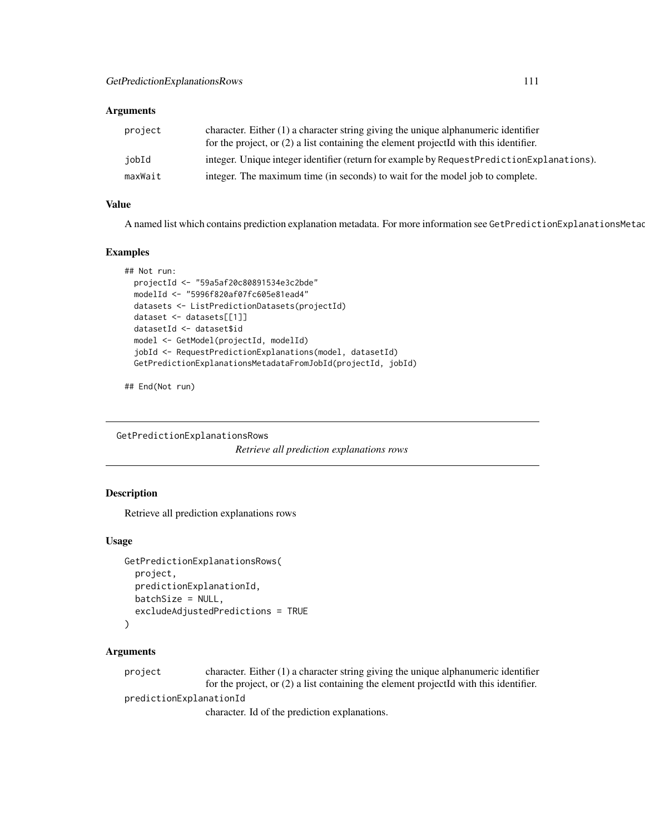| project | character. Either $(1)$ a character string giving the unique alphanumeric identifier<br>for the project, or $(2)$ a list containing the element projected with this identifier. |
|---------|---------------------------------------------------------------------------------------------------------------------------------------------------------------------------------|
| iobId   | integer. Unique integer identifier (return for example by Request Prediction Explanations).                                                                                     |
| maxWait | integer. The maximum time (in seconds) to wait for the model job to complete.                                                                                                   |

# Value

A named list which contains prediction explanation metadata. For more information see GetPredictionExplanationsMetad

#### Examples

```
## Not run:
 projectId <- "59a5af20c80891534e3c2bde"
 modelId <- "5996f820af07fc605e81ead4"
 datasets <- ListPredictionDatasets(projectId)
 dataset <- datasets[[1]]
 datasetId <- dataset$id
 model <- GetModel(projectId, modelId)
 jobId <- RequestPredictionExplanations(model, datasetId)
 GetPredictionExplanationsMetadataFromJobId(projectId, jobId)
```
## End(Not run)

GetPredictionExplanationsRows

*Retrieve all prediction explanations rows*

### Description

Retrieve all prediction explanations rows

### Usage

```
GetPredictionExplanationsRows(
 project,
 predictionExplanationId,
 batchSize = NULL,
  excludeAdjustedPredictions = TRUE
)
```
#### Arguments

project character. Either (1) a character string giving the unique alphanumeric identifier for the project, or (2) a list containing the element projectId with this identifier.

predictionExplanationId

character. Id of the prediction explanations.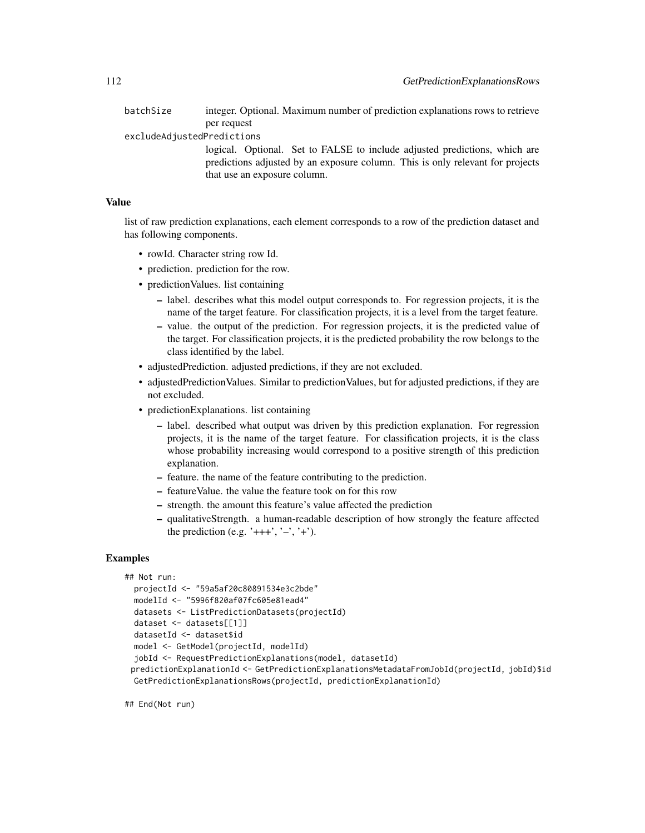batchSize integer. Optional. Maximum number of prediction explanations rows to retrieve per request

excludeAdjustedPredictions

logical. Optional. Set to FALSE to include adjusted predictions, which are predictions adjusted by an exposure column. This is only relevant for projects that use an exposure column.

### Value

list of raw prediction explanations, each element corresponds to a row of the prediction dataset and has following components.

- rowId. Character string row Id.
- prediction. prediction for the row.
- prediction Values. list containing
	- label. describes what this model output corresponds to. For regression projects, it is the name of the target feature. For classification projects, it is a level from the target feature.
	- value. the output of the prediction. For regression projects, it is the predicted value of the target. For classification projects, it is the predicted probability the row belongs to the class identified by the label.
- adjustedPrediction. adjusted predictions, if they are not excluded.
- adjustedPredictionValues. Similar to predictionValues, but for adjusted predictions, if they are not excluded.
- predictionExplanations. list containing
	- label. described what output was driven by this prediction explanation. For regression projects, it is the name of the target feature. For classification projects, it is the class whose probability increasing would correspond to a positive strength of this prediction explanation.
	- feature. the name of the feature contributing to the prediction.
	- featureValue. the value the feature took on for this row
	- strength. the amount this feature's value affected the prediction
	- qualitativeStrength. a human-readable description of how strongly the feature affected the prediction (e.g. ' $+++$ ', ' $-$ ', ' $+$ ').

### Examples

```
## Not run:
 projectId <- "59a5af20c80891534e3c2bde"
 modelId <- "5996f820af07fc605e81ead4"
 datasets <- ListPredictionDatasets(projectId)
 dataset <- datasets[[1]]
 datasetId <- dataset$id
 model <- GetModel(projectId, modelId)
 jobId <- RequestPredictionExplanations(model, datasetId)
 predictionExplanationId <- GetPredictionExplanationsMetadataFromJobId(projectId, jobId)$id
 GetPredictionExplanationsRows(projectId, predictionExplanationId)
```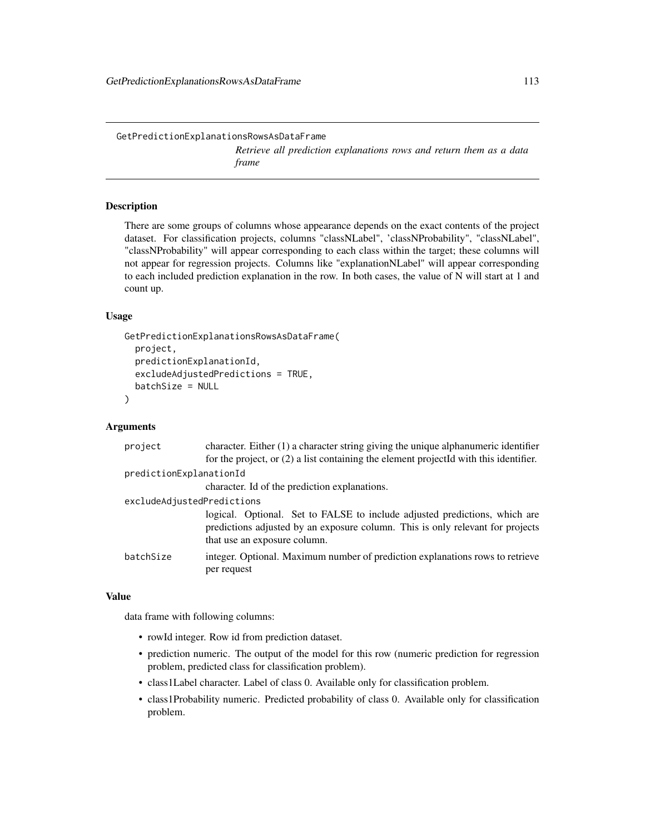GetPredictionExplanationsRowsAsDataFrame *Retrieve all prediction explanations rows and return them as a data frame*

#### Description

There are some groups of columns whose appearance depends on the exact contents of the project dataset. For classification projects, columns "classNLabel", 'classNProbability", "classNLabel", "classNProbability" will appear corresponding to each class within the target; these columns will not appear for regression projects. Columns like "explanationNLabel" will appear corresponding to each included prediction explanation in the row. In both cases, the value of N will start at 1 and count up.

#### Usage

```
GetPredictionExplanationsRowsAsDataFrame(
  project,
 predictionExplanationId,
  excludeAdjustedPredictions = TRUE,
 batchSize = NULL
)
```
### Arguments

| project                    | character. Either $(1)$ a character string giving the unique alphanumeric identifier<br>for the project, or $(2)$ a list containing the element projected with this identifier.              |
|----------------------------|----------------------------------------------------------------------------------------------------------------------------------------------------------------------------------------------|
| predictionExplanationId    |                                                                                                                                                                                              |
|                            | character. Id of the prediction explanations.                                                                                                                                                |
| excludeAdjustedPredictions |                                                                                                                                                                                              |
|                            | logical. Optional. Set to FALSE to include adjusted predictions, which are<br>predictions adjusted by an exposure column. This is only relevant for projects<br>that use an exposure column. |
| batchSize                  | integer. Optional. Maximum number of prediction explanations rows to retrieve<br>per request                                                                                                 |

#### Value

data frame with following columns:

- rowId integer. Row id from prediction dataset.
- prediction numeric. The output of the model for this row (numeric prediction for regression problem, predicted class for classification problem).
- class1Label character. Label of class 0. Available only for classification problem.
- class1Probability numeric. Predicted probability of class 0. Available only for classification problem.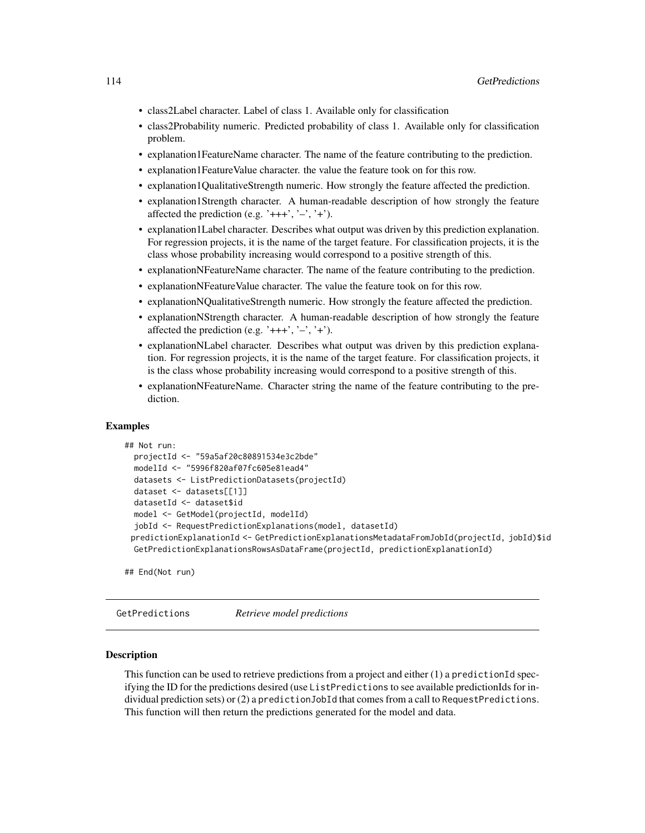- class2Label character. Label of class 1. Available only for classification
- class2Probability numeric. Predicted probability of class 1. Available only for classification problem.
- explanation1FeatureName character. The name of the feature contributing to the prediction.
- explanation1FeatureValue character. the value the feature took on for this row.
- explanation1QualitativeStrength numeric. How strongly the feature affected the prediction.
- explanation1Strength character. A human-readable description of how strongly the feature affected the prediction (e.g. ' $+++$ ', ' $-$ ', ' $+$ ').
- explanation1Label character. Describes what output was driven by this prediction explanation. For regression projects, it is the name of the target feature. For classification projects, it is the class whose probability increasing would correspond to a positive strength of this.
- explanationNFeatureName character. The name of the feature contributing to the prediction.
- explanationNFeatureValue character. The value the feature took on for this row.
- explanationNQualitativeStrength numeric. How strongly the feature affected the prediction.
- explanationNStrength character. A human-readable description of how strongly the feature affected the prediction (e.g. ' $+++$ ', ' $-$ ', ' $+$ ').
- explanationNLabel character. Describes what output was driven by this prediction explanation. For regression projects, it is the name of the target feature. For classification projects, it is the class whose probability increasing would correspond to a positive strength of this.
- explanationNFeatureName. Character string the name of the feature contributing to the prediction.

### Examples

```
## Not run:
 projectId <- "59a5af20c80891534e3c2bde"
 modelId <- "5996f820af07fc605e81ead4"
 datasets <- ListPredictionDatasets(projectId)
 dataset <- datasets[[1]]
 datasetId <- dataset$id
 model <- GetModel(projectId, modelId)
  jobId <- RequestPredictionExplanations(model, datasetId)
 predictionExplanationId <- GetPredictionExplanationsMetadataFromJobId(projectId, jobId)$id
 GetPredictionExplanationsRowsAsDataFrame(projectId, predictionExplanationId)
```
## End(Not run)

GetPredictions *Retrieve model predictions*

#### Description

This function can be used to retrieve predictions from a project and either (1) a predictionId specifying the ID for the predictions desired (use ListPredictions to see available predictionIds for individual prediction sets) or (2) a predictionJobId that comes from a call to RequestPredictions. This function will then return the predictions generated for the model and data.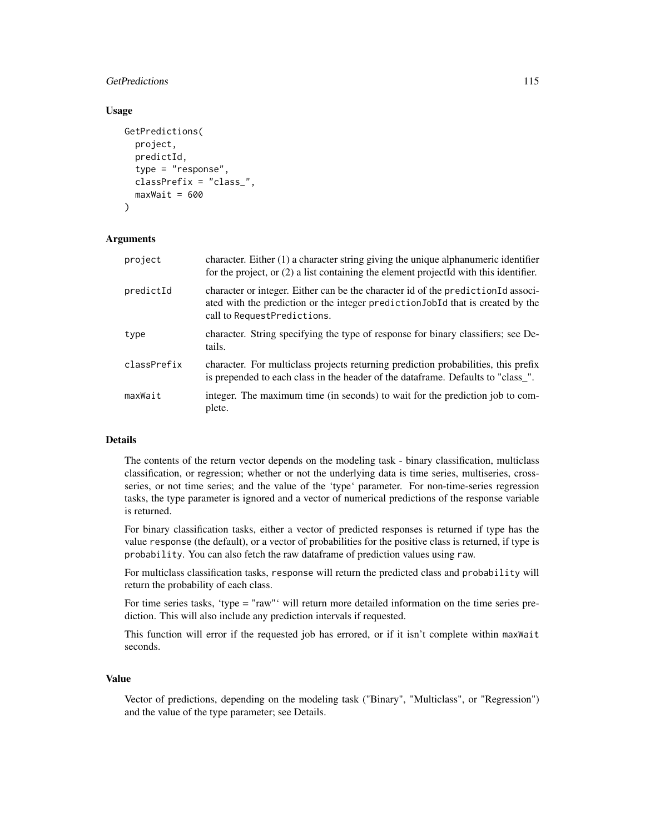## GetPredictions 115

#### Usage

```
GetPredictions(
  project,
  predictId,
  type = "response",
  classPrefix = "class_",
  maxWait = 600)
```
### Arguments

| project     | character. Either $(1)$ a character string giving the unique alphanumeric identifier<br>for the project, or $(2)$ a list containing the element projected with this identifier.                     |
|-------------|-----------------------------------------------------------------------------------------------------------------------------------------------------------------------------------------------------|
| predictId   | character or integer. Either can be the character id of the prediction Id associ-<br>ated with the prediction or the integer prediction JobId that is created by the<br>call to RequestPredictions. |
| type        | character. String specifying the type of response for binary classifiers; see De-<br>tails.                                                                                                         |
| classPrefix | character. For multiclass projects returning prediction probabilities, this prefix<br>is prepended to each class in the header of the dataframe. Defaults to "class_".                              |
| maxWait     | integer. The maximum time (in seconds) to wait for the prediction job to com-<br>plete.                                                                                                             |

# Details

The contents of the return vector depends on the modeling task - binary classification, multiclass classification, or regression; whether or not the underlying data is time series, multiseries, crossseries, or not time series; and the value of the 'type' parameter. For non-time-series regression tasks, the type parameter is ignored and a vector of numerical predictions of the response variable is returned.

For binary classification tasks, either a vector of predicted responses is returned if type has the value response (the default), or a vector of probabilities for the positive class is returned, if type is probability. You can also fetch the raw dataframe of prediction values using raw.

For multiclass classification tasks, response will return the predicted class and probability will return the probability of each class.

For time series tasks, 'type = "raw"' will return more detailed information on the time series prediction. This will also include any prediction intervals if requested.

This function will error if the requested job has errored, or if it isn't complete within maxWait seconds.

#### Value

Vector of predictions, depending on the modeling task ("Binary", "Multiclass", or "Regression") and the value of the type parameter; see Details.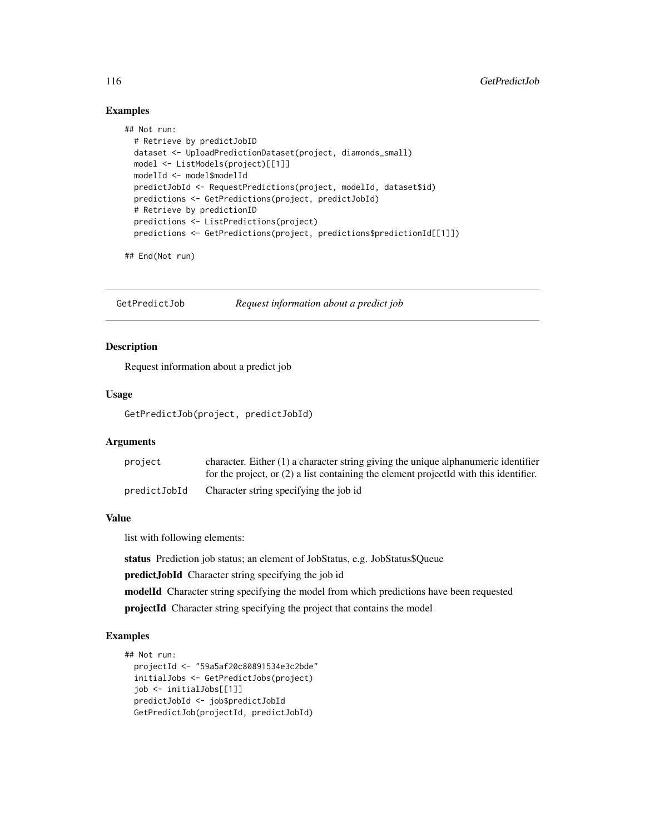### Examples

```
## Not run:
 # Retrieve by predictJobID
 dataset <- UploadPredictionDataset(project, diamonds_small)
 model <- ListModels(project)[[1]]
 modelId <- model$modelId
 predictJobId <- RequestPredictions(project, modelId, dataset$id)
 predictions <- GetPredictions(project, predictJobId)
 # Retrieve by predictionID
 predictions <- ListPredictions(project)
 predictions <- GetPredictions(project, predictions$predictionId[[1]])
```
## End(Not run)

GetPredictJob *Request information about a predict job*

# Description

Request information about a predict job

### Usage

GetPredictJob(project, predictJobId)

### Arguments

| project      | character. Either $(1)$ a character string giving the unique alphanumeric identifier    |
|--------------|-----------------------------------------------------------------------------------------|
|              | for the project, or $(2)$ a list containing the element projected with this identifier. |
| predictJobId | Character string specifying the job id                                                  |

# Value

list with following elements:

status Prediction job status; an element of JobStatus, e.g. JobStatus\$Queue

predictJobId Character string specifying the job id

modelId Character string specifying the model from which predictions have been requested

projectId Character string specifying the project that contains the model

#### Examples

```
## Not run:
 projectId <- "59a5af20c80891534e3c2bde"
 initialJobs <- GetPredictJobs(project)
 job <- initialJobs[[1]]
 predictJobId <- job$predictJobId
 GetPredictJob(projectId, predictJobId)
```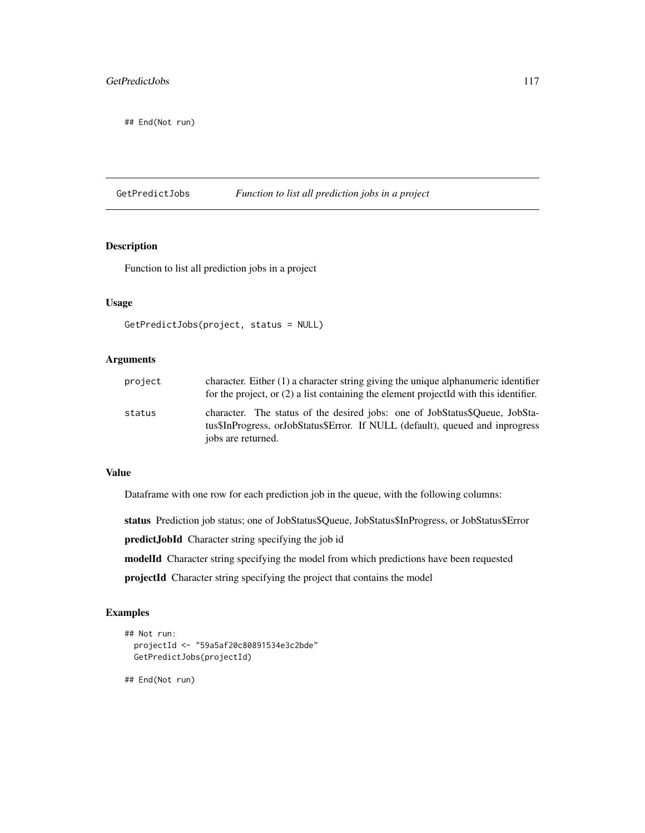## End(Not run)

GetPredictJobs *Function to list all prediction jobs in a project*

## Description

Function to list all prediction jobs in a project

# Usage

```
GetPredictJobs(project, status = NULL)
```
# Arguments

| project | character. Either $(1)$ a character string giving the unique alphanumeric identifier<br>for the project, or $(2)$ a list containing the element projected with this identifier.    |
|---------|------------------------------------------------------------------------------------------------------------------------------------------------------------------------------------|
| status  | character. The status of the desired jobs: one of JobStatus\$Oueue, JobSta-<br>tus\$InProgress, orJobStatus\$Error. If NULL (default), queued and inprogress<br>jobs are returned. |

### Value

Dataframe with one row for each prediction job in the queue, with the following columns:

status Prediction job status; one of JobStatus\$Queue, JobStatus\$InProgress, or JobStatus\$Error

predictJobId Character string specifying the job id

modelId Character string specifying the model from which predictions have been requested

projectId Character string specifying the project that contains the model

### Examples

```
## Not run:
 projectId <- "59a5af20c80891534e3c2bde"
 GetPredictJobs(projectId)
```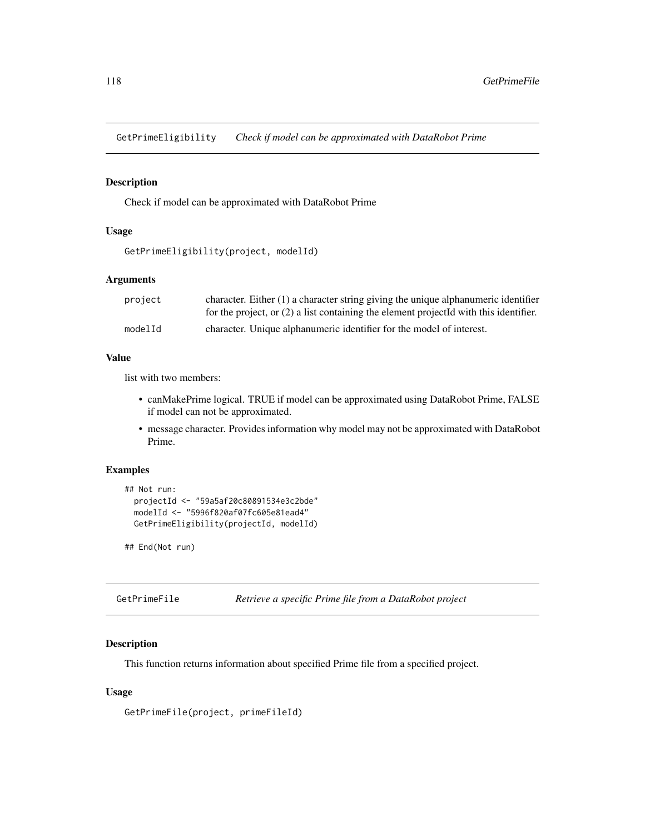GetPrimeEligibility *Check if model can be approximated with DataRobot Prime*

#### Description

Check if model can be approximated with DataRobot Prime

## Usage

```
GetPrimeEligibility(project, modelId)
```
### Arguments

| project | character. Either $(1)$ a character string giving the unique alphanumeric identifier<br>for the project, or $(2)$ a list containing the element projected with this identifier. |
|---------|---------------------------------------------------------------------------------------------------------------------------------------------------------------------------------|
| modelId | character. Unique alphanumeric identifier for the model of interest.                                                                                                            |

### Value

list with two members:

- canMakePrime logical. TRUE if model can be approximated using DataRobot Prime, FALSE if model can not be approximated.
- message character. Provides information why model may not be approximated with DataRobot Prime.

### Examples

```
## Not run:
  projectId <- "59a5af20c80891534e3c2bde"
  modelId <- "5996f820af07fc605e81ead4"
  GetPrimeEligibility(projectId, modelId)
```
## End(Not run)

| GetPrimeFile |  |  |  |  | Retrieve a specific Prime file from a DataRobot project |  |
|--------------|--|--|--|--|---------------------------------------------------------|--|
|--------------|--|--|--|--|---------------------------------------------------------|--|

#### Description

This function returns information about specified Prime file from a specified project.

#### Usage

GetPrimeFile(project, primeFileId)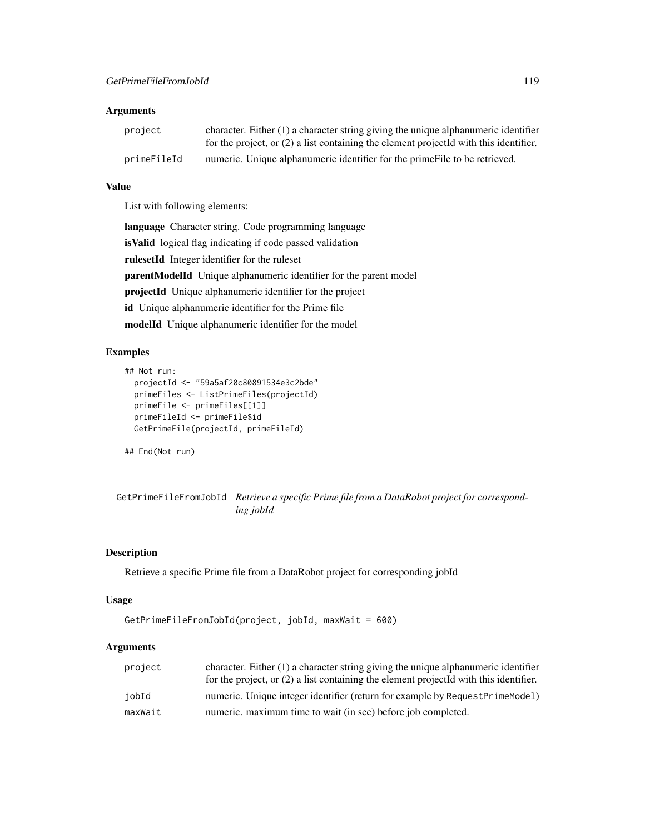| project     | character. Either $(1)$ a character string giving the unique alphanumeric identifier    |
|-------------|-----------------------------------------------------------------------------------------|
|             | for the project, or $(2)$ a list containing the element projected with this identifier. |
| primeFileId | numeric. Unique alphanumeric identifier for the prime File to be retrieved.             |

# Value

List with following elements:

language Character string. Code programming language isValid logical flag indicating if code passed validation rulesetId Integer identifier for the ruleset parentModelId Unique alphanumeric identifier for the parent model projectId Unique alphanumeric identifier for the project id Unique alphanumeric identifier for the Prime file modelId Unique alphanumeric identifier for the model

# Examples

```
## Not run:
 projectId <- "59a5af20c80891534e3c2bde"
 primeFiles <- ListPrimeFiles(projectId)
 primeFile <- primeFiles[[1]]
 primeFileId <- primeFile$id
 GetPrimeFile(projectId, primeFileId)
```
## End(Not run)

GetPrimeFileFromJobId *Retrieve a specific Prime file from a DataRobot project for corresponding jobId*

### Description

Retrieve a specific Prime file from a DataRobot project for corresponding jobId

#### Usage

```
GetPrimeFileFromJobId(project, jobId, maxWait = 600)
```
# Arguments

| project | character. Either $(1)$ a character string giving the unique alphanumeric identifier    |
|---------|-----------------------------------------------------------------------------------------|
|         | for the project, or $(2)$ a list containing the element projected with this identifier. |
| jobId   | numeric. Unique integer identifier (return for example by RequestPrimeModel)            |
| maxWait | numeric. maximum time to wait (in sec) before job completed.                            |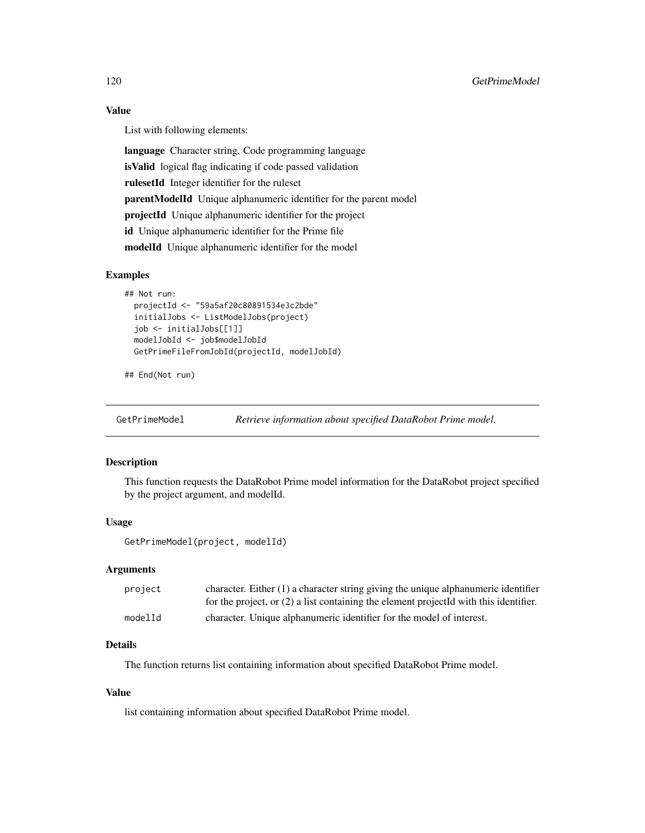## Value

List with following elements:

language Character string. Code programming language isValid logical flag indicating if code passed validation rulesetId Integer identifier for the ruleset parentModelId Unique alphanumeric identifier for the parent model projectId Unique alphanumeric identifier for the project id Unique alphanumeric identifier for the Prime file modelId Unique alphanumeric identifier for the model

#### Examples

```
## Not run:
 projectId <- "59a5af20c80891534e3c2bde"
 initialJobs <- ListModelJobs(project)
 job <- initialJobs[[1]]
 modelJobId <- job$modelJobId
 GetPrimeFileFromJobId(projectId, modelJobId)
```

```
## End(Not run)
```
GetPrimeModel *Retrieve information about specified DataRobot Prime model.*

### Description

This function requests the DataRobot Prime model information for the DataRobot project specified by the project argument, and modelId.

#### Usage

GetPrimeModel(project, modelId)

#### Arguments

| project | character. Either $(1)$ a character string giving the unique alphanumeric identifier    |
|---------|-----------------------------------------------------------------------------------------|
|         | for the project, or $(2)$ a list containing the element projected with this identifier. |
| modelId | character. Unique alphanumeric identifier for the model of interest.                    |

# Details

The function returns list containing information about specified DataRobot Prime model.

## Value

list containing information about specified DataRobot Prime model.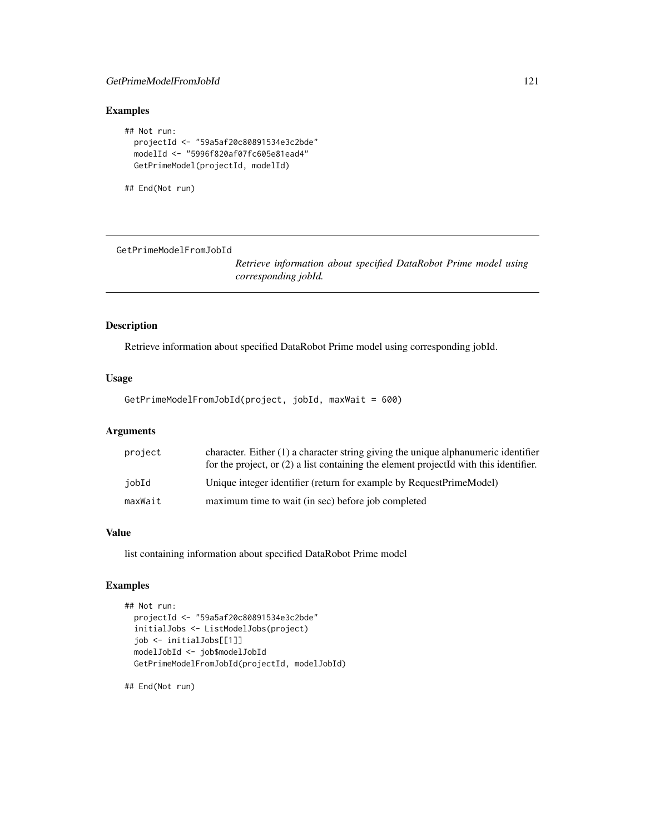## GetPrimeModelFromJobId 121

# Examples

```
## Not run:
 projectId <- "59a5af20c80891534e3c2bde"
 modelId <- "5996f820af07fc605e81ead4"
 GetPrimeModel(projectId, modelId)
```
## End(Not run)

GetPrimeModelFromJobId

*Retrieve information about specified DataRobot Prime model using corresponding jobId.*

## Description

Retrieve information about specified DataRobot Prime model using corresponding jobId.

#### Usage

GetPrimeModelFromJobId(project, jobId, maxWait = 600)

# Arguments

| project | character. Either (1) a character string giving the unique alphanumeric identifier<br>for the project, or (2) a list containing the element projectId with this identifier. |
|---------|-----------------------------------------------------------------------------------------------------------------------------------------------------------------------------|
| iobId   | Unique integer identifier (return for example by RequestPrimeModel)                                                                                                         |
| maxWait | maximum time to wait (in sec) before job completed                                                                                                                          |

## Value

list containing information about specified DataRobot Prime model

# Examples

```
## Not run:
 projectId <- "59a5af20c80891534e3c2bde"
 initialJobs <- ListModelJobs(project)
 job <- initialJobs[[1]]
 modelJobId <- job$modelJobId
 GetPrimeModelFromJobId(projectId, modelJobId)
```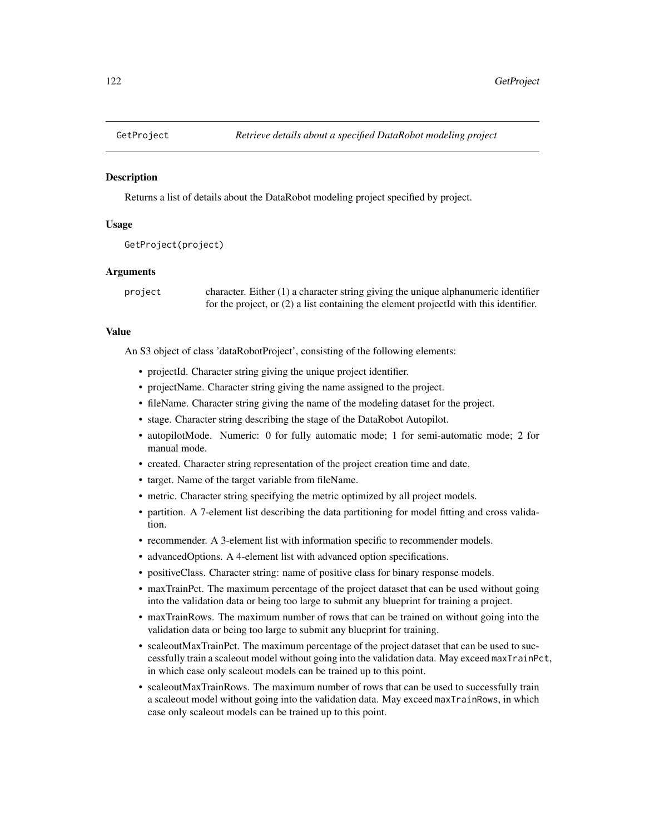#### **Description**

Returns a list of details about the DataRobot modeling project specified by project.

### Usage

```
GetProject(project)
```
### Arguments

project character. Either (1) a character string giving the unique alphanumeric identifier for the project, or (2) a list containing the element projectId with this identifier.

## Value

An S3 object of class 'dataRobotProject', consisting of the following elements:

- projectId. Character string giving the unique project identifier.
- projectName. Character string giving the name assigned to the project.
- fileName. Character string giving the name of the modeling dataset for the project.
- stage. Character string describing the stage of the DataRobot Autopilot.
- autopilotMode. Numeric: 0 for fully automatic mode; 1 for semi-automatic mode; 2 for manual mode.
- created. Character string representation of the project creation time and date.
- target. Name of the target variable from fileName.
- metric. Character string specifying the metric optimized by all project models.
- partition. A 7-element list describing the data partitioning for model fitting and cross validation.
- recommender. A 3-element list with information specific to recommender models.
- advancedOptions. A 4-element list with advanced option specifications.
- positiveClass. Character string: name of positive class for binary response models.
- maxTrainPct. The maximum percentage of the project dataset that can be used without going into the validation data or being too large to submit any blueprint for training a project.
- maxTrainRows. The maximum number of rows that can be trained on without going into the validation data or being too large to submit any blueprint for training.
- scaleoutMaxTrainPct. The maximum percentage of the project dataset that can be used to successfully train a scaleout model without going into the validation data. May exceed maxTrainPct, in which case only scaleout models can be trained up to this point.
- scaleoutMaxTrainRows. The maximum number of rows that can be used to successfully train a scaleout model without going into the validation data. May exceed maxTrainRows, in which case only scaleout models can be trained up to this point.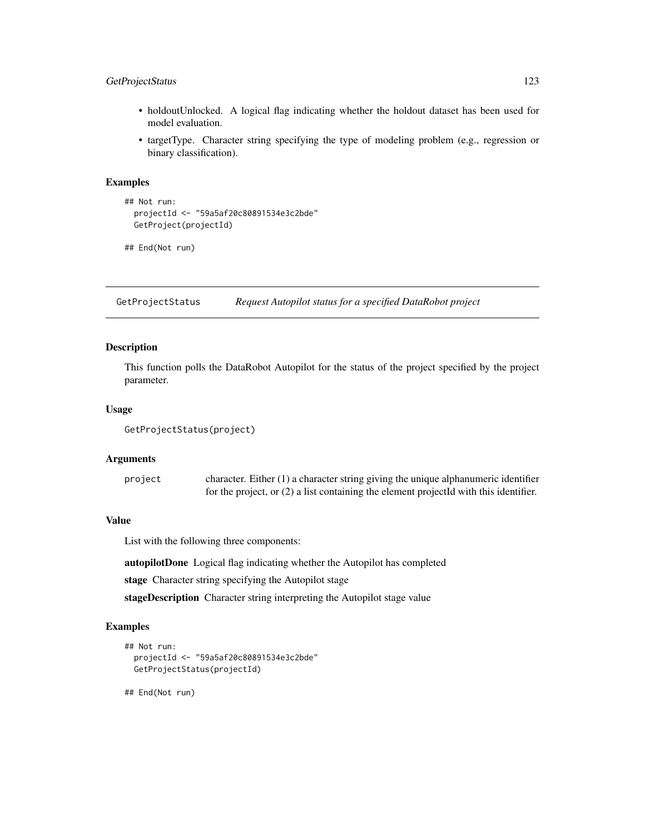## GetProjectStatus 123

- holdoutUnlocked. A logical flag indicating whether the holdout dataset has been used for model evaluation.
- targetType. Character string specifying the type of modeling problem (e.g., regression or binary classification).

### Examples

```
## Not run:
 projectId <- "59a5af20c80891534e3c2bde"
 GetProject(projectId)
```

```
## End(Not run)
```
GetProjectStatus *Request Autopilot status for a specified DataRobot project*

# Description

This function polls the DataRobot Autopilot for the status of the project specified by the project parameter.

### Usage

```
GetProjectStatus(project)
```
### **Arguments**

project character. Either (1) a character string giving the unique alphanumeric identifier for the project, or (2) a list containing the element projectId with this identifier.

## Value

List with the following three components:

autopilotDone Logical flag indicating whether the Autopilot has completed

stage Character string specifying the Autopilot stage

stageDescription Character string interpreting the Autopilot stage value

#### Examples

```
## Not run:
 projectId <- "59a5af20c80891534e3c2bde"
 GetProjectStatus(projectId)
```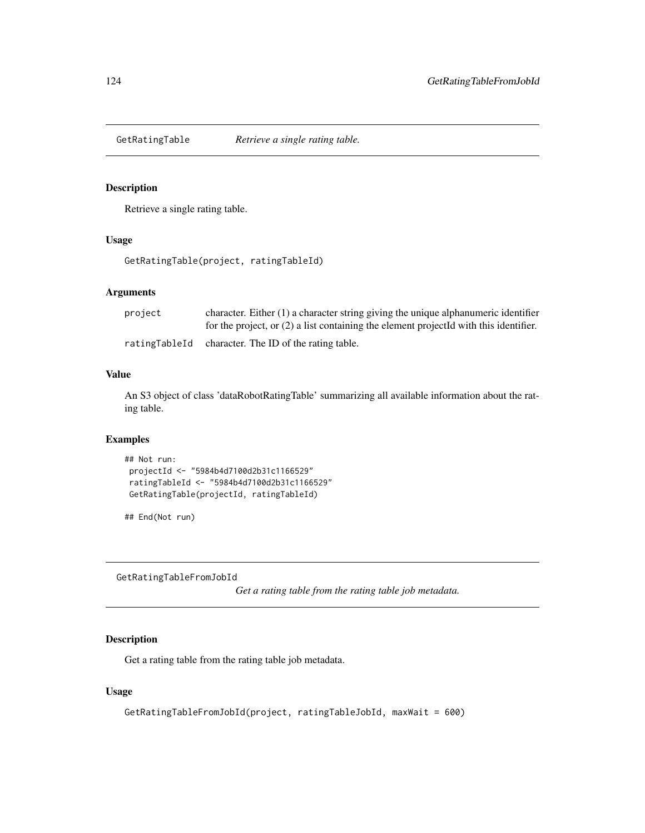### Description

Retrieve a single rating table.

### Usage

GetRatingTable(project, ratingTableId)

# Arguments

| project | character. Either $(1)$ a character string giving the unique alphanumeric identifier    |
|---------|-----------------------------------------------------------------------------------------|
|         | for the project, or $(2)$ a list containing the element projected with this identifier. |
|         | ratingTableId character. The ID of the rating table.                                    |

#### Value

An S3 object of class 'dataRobotRatingTable' summarizing all available information about the rating table.

# Examples

```
## Not run:
projectId <- "5984b4d7100d2b31c1166529"
ratingTableId <- "5984b4d7100d2b31c1166529"
GetRatingTable(projectId, ratingTableId)
```
## End(Not run)

GetRatingTableFromJobId

*Get a rating table from the rating table job metadata.*

# Description

Get a rating table from the rating table job metadata.

### Usage

```
GetRatingTableFromJobId(project, ratingTableJobId, maxWait = 600)
```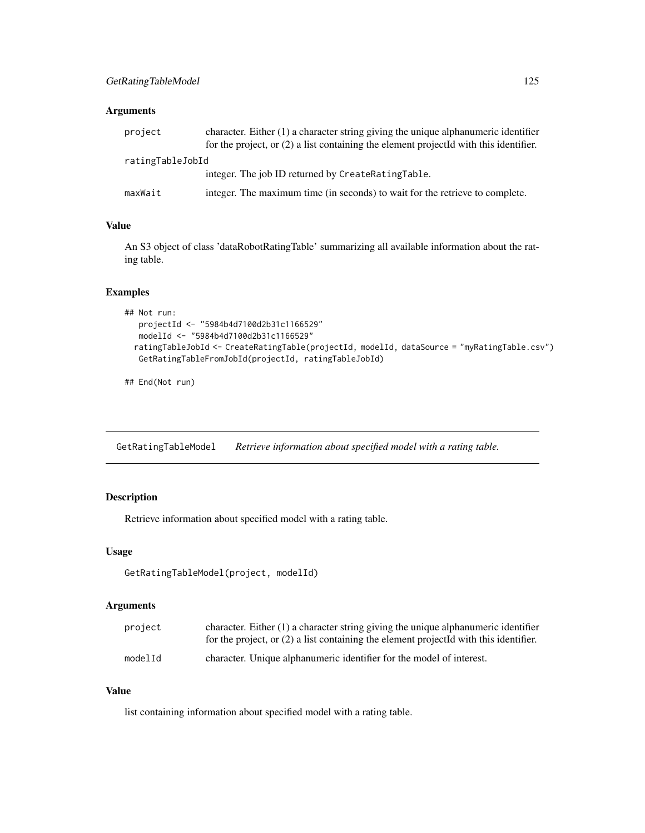| project          | character. Either $(1)$ a character string giving the unique alphanumeric identifier<br>for the project, or $(2)$ a list containing the element projected with this identifier. |  |
|------------------|---------------------------------------------------------------------------------------------------------------------------------------------------------------------------------|--|
| ratingTableJobId |                                                                                                                                                                                 |  |
|                  | integer. The job ID returned by CreateRatingTable.                                                                                                                              |  |
| maxWait          | integer. The maximum time (in seconds) to wait for the retrieve to complete.                                                                                                    |  |

## Value

An S3 object of class 'dataRobotRatingTable' summarizing all available information about the rating table.

# Examples

```
## Not run:
  projectId <- "5984b4d7100d2b31c1166529"
  modelId <- "5984b4d7100d2b31c1166529"
 ratingTableJobId <- CreateRatingTable(projectId, modelId, dataSource = "myRatingTable.csv")
  GetRatingTableFromJobId(projectId, ratingTableJobId)
```
## End(Not run)

GetRatingTableModel *Retrieve information about specified model with a rating table.*

## Description

Retrieve information about specified model with a rating table.

#### Usage

```
GetRatingTableModel(project, modelId)
```
### Arguments

| project | character. Either $(1)$ a character string giving the unique alphanumeric identifier<br>for the project, or $(2)$ a list containing the element projected with this identifier. |
|---------|---------------------------------------------------------------------------------------------------------------------------------------------------------------------------------|
| modelId | character. Unique alphanumeric identifier for the model of interest.                                                                                                            |

### Value

list containing information about specified model with a rating table.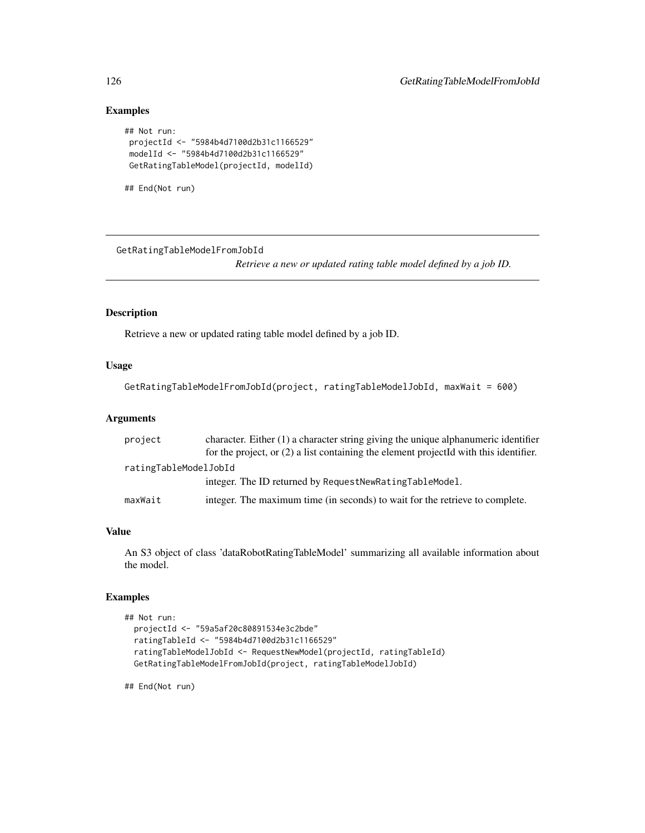# Examples

```
## Not run:
projectId <- "5984b4d7100d2b31c1166529"
modelId <- "5984b4d7100d2b31c1166529"
GetRatingTableModel(projectId, modelId)
```

```
## End(Not run)
```
GetRatingTableModelFromJobId

*Retrieve a new or updated rating table model defined by a job ID.*

# Description

Retrieve a new or updated rating table model defined by a job ID.

# Usage

```
GetRatingTableModelFromJobId(project, ratingTableModelJobId, maxWait = 600)
```
#### Arguments

| project               | character. Either $(1)$ a character string giving the unique alphanumeric identifier    |
|-----------------------|-----------------------------------------------------------------------------------------|
|                       | for the project, or $(2)$ a list containing the element projected with this identifier. |
| ratingTableModelJobId |                                                                                         |
|                       | integer. The ID returned by RequestNewRatingTableModel.                                 |
| maxWait               | integer. The maximum time (in seconds) to wait for the retrieve to complete.            |

## Value

An S3 object of class 'dataRobotRatingTableModel' summarizing all available information about the model.

## Examples

```
## Not run:
 projectId <- "59a5af20c80891534e3c2bde"
 ratingTableId <- "5984b4d7100d2b31c1166529"
 ratingTableModelJobId <- RequestNewModel(projectId, ratingTableId)
 GetRatingTableModelFromJobId(project, ratingTableModelJobId)
```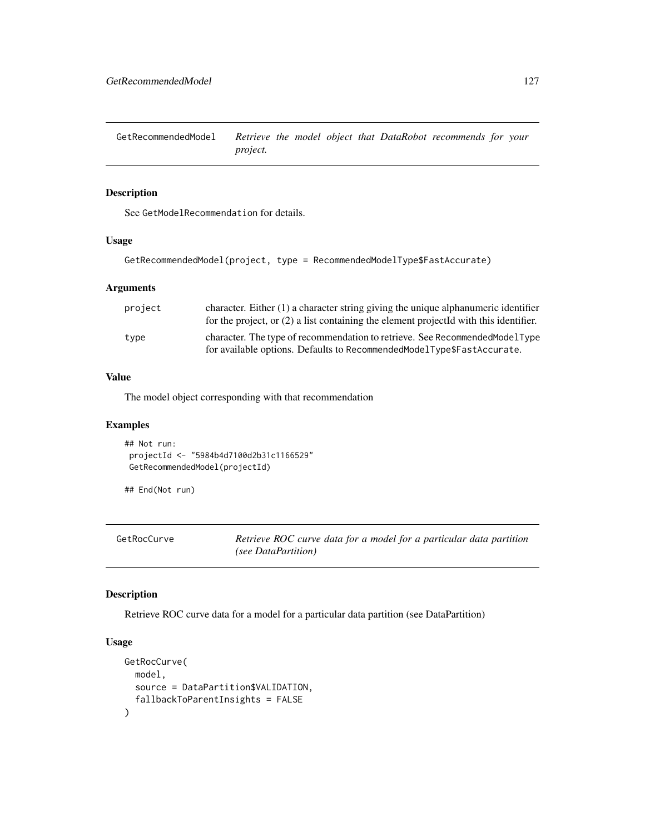GetRecommendedModel *Retrieve the model object that DataRobot recommends for your project.*

## Description

See GetModelRecommendation for details.

### Usage

GetRecommendedModel(project, type = RecommendedModelType\$FastAccurate)

### Arguments

| project | character. Either $(1)$ a character string giving the unique alphanumeric identifier<br>for the project, or $(2)$ a list containing the element projected with this identifier. |
|---------|---------------------------------------------------------------------------------------------------------------------------------------------------------------------------------|
| type    | character. The type of recommendation to retrieve. See Recommended Model Type<br>for available options. Defaults to RecommendedModelType\$FastAccurate.                         |

### Value

The model object corresponding with that recommendation

### Examples

```
## Not run:
projectId <- "5984b4d7100d2b31c1166529"
GetRecommendedModel(projectId)
```
## End(Not run)

GetRocCurve *Retrieve ROC curve data for a model for a particular data partition (see DataPartition)*

#### Description

Retrieve ROC curve data for a model for a particular data partition (see DataPartition)

# Usage

```
GetRocCurve(
  model,
  source = DataPartition$VALIDATION,
  fallbackToParentInsights = FALSE
\mathcal{E}
```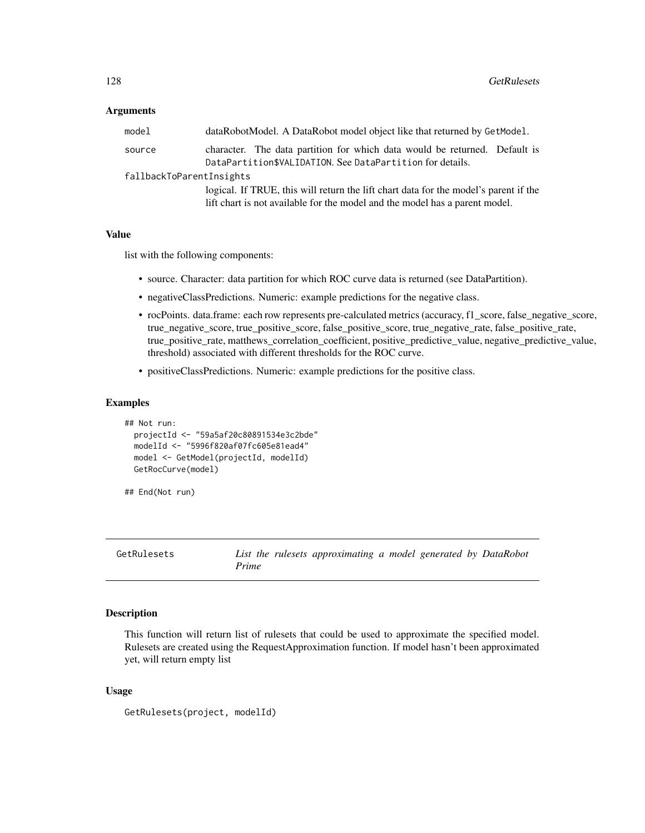| model                    | dataRobotModel. A DataRobot model object like that returned by GetModel.                                                                                            |  |
|--------------------------|---------------------------------------------------------------------------------------------------------------------------------------------------------------------|--|
| source                   | character. The data partition for which data would be returned. Default is<br>DataPartition\$VALIDATION. See DataPartition for details.                             |  |
| fallbackToParentInsights |                                                                                                                                                                     |  |
|                          | logical. If TRUE, this will return the lift chart data for the model's parent if the<br>lift chart is not available for the model and the model has a parent model. |  |

### Value

list with the following components:

- source. Character: data partition for which ROC curve data is returned (see DataPartition).
- negativeClassPredictions. Numeric: example predictions for the negative class.
- rocPoints. data.frame: each row represents pre-calculated metrics (accuracy, f1\_score, false\_negative\_score, true\_negative\_score, true\_positive\_score, false\_positive\_score, true\_negative\_rate, false\_positive\_rate, true\_positive\_rate, matthews\_correlation\_coefficient, positive\_predictive\_value, negative\_predictive\_value, threshold) associated with different thresholds for the ROC curve.
- positiveClassPredictions. Numeric: example predictions for the positive class.

#### Examples

```
## Not run:
 projectId <- "59a5af20c80891534e3c2bde"
 modelId <- "5996f820af07fc605e81ead4"
 model <- GetModel(projectId, modelId)
 GetRocCurve(model)
```
## End(Not run)

GetRulesets *List the rulesets approximating a model generated by DataRobot Prime*

#### Description

This function will return list of rulesets that could be used to approximate the specified model. Rulesets are created using the RequestApproximation function. If model hasn't been approximated yet, will return empty list

#### Usage

```
GetRulesets(project, modelId)
```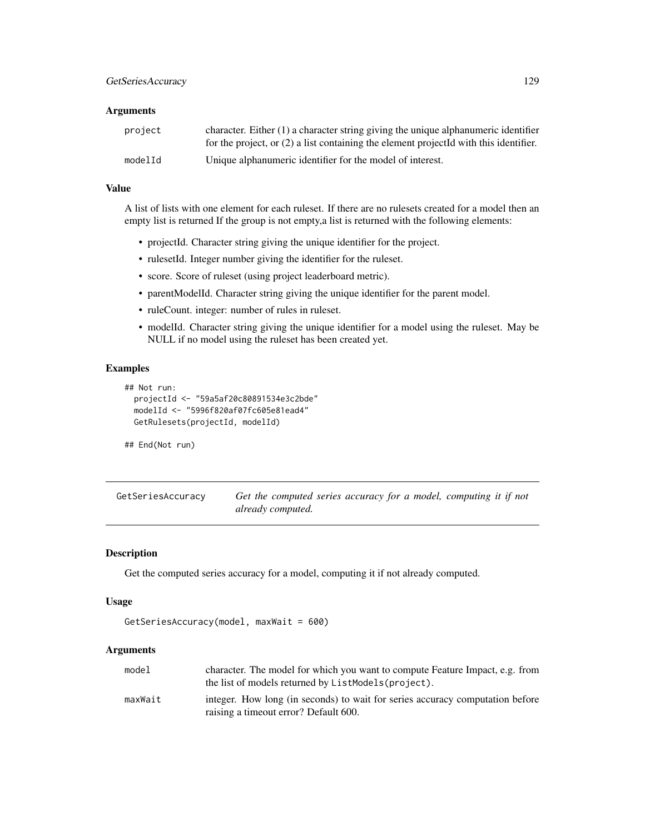| project | character. Either $(1)$ a character string giving the unique alphanumeric identifier<br>for the project, or $(2)$ a list containing the element projected with this identifier. |
|---------|---------------------------------------------------------------------------------------------------------------------------------------------------------------------------------|
| modelId | Unique alphanumeric identifier for the model of interest.                                                                                                                       |

### Value

A list of lists with one element for each ruleset. If there are no rulesets created for a model then an empty list is returned If the group is not empty,a list is returned with the following elements:

- projectId. Character string giving the unique identifier for the project.
- rulesetId. Integer number giving the identifier for the ruleset.
- score. Score of ruleset (using project leaderboard metric).
- parentModelId. Character string giving the unique identifier for the parent model.
- ruleCount. integer: number of rules in ruleset.
- modelId. Character string giving the unique identifier for a model using the ruleset. May be NULL if no model using the ruleset has been created yet.

### Examples

```
## Not run:
 projectId <- "59a5af20c80891534e3c2bde"
 modelId <- "5996f820af07fc605e81ead4"
 GetRulesets(projectId, modelId)
```
## End(Not run)

GetSeriesAccuracy *Get the computed series accuracy for a model, computing it if not already computed.*

### Description

Get the computed series accuracy for a model, computing it if not already computed.

#### Usage

```
GetSeriesAccuracy(model, maxWait = 600)
```
# Arguments

| model   | character. The model for which you want to compute Feature Impact, e.g. from<br>the list of models returned by ListModels (project). |
|---------|--------------------------------------------------------------------------------------------------------------------------------------|
| maxWait | integer. How long (in seconds) to wait for series accuracy computation before<br>raising a timeout error? Default 600.               |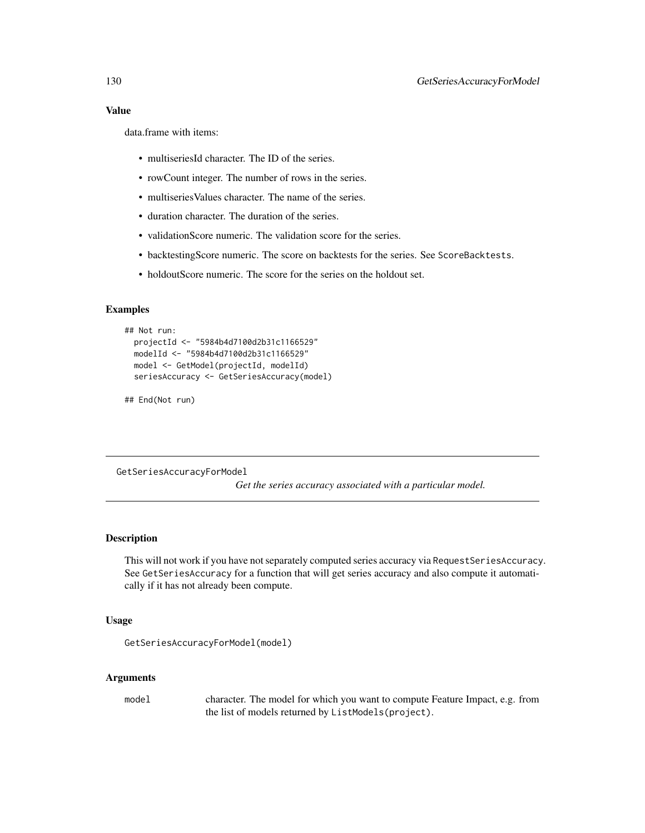data.frame with items:

- multiseriesId character. The ID of the series.
- rowCount integer. The number of rows in the series.
- multiseries Values character. The name of the series.
- duration character. The duration of the series.
- validationScore numeric. The validation score for the series.
- backtestingScore numeric. The score on backtests for the series. See ScoreBacktests.
- holdoutScore numeric. The score for the series on the holdout set.

### Examples

```
## Not run:
 projectId <- "5984b4d7100d2b31c1166529"
 modelId <- "5984b4d7100d2b31c1166529"
 model <- GetModel(projectId, modelId)
 seriesAccuracy <- GetSeriesAccuracy(model)
```
## End(Not run)

GetSeriesAccuracyForModel

*Get the series accuracy associated with a particular model.*

## **Description**

This will not work if you have not separately computed series accuracy via RequestSeriesAccuracy. See GetSeriesAccuracy for a function that will get series accuracy and also compute it automatically if it has not already been compute.

#### Usage

```
GetSeriesAccuracyForModel(model)
```
#### Arguments

model character. The model for which you want to compute Feature Impact, e.g. from the list of models returned by ListModels(project).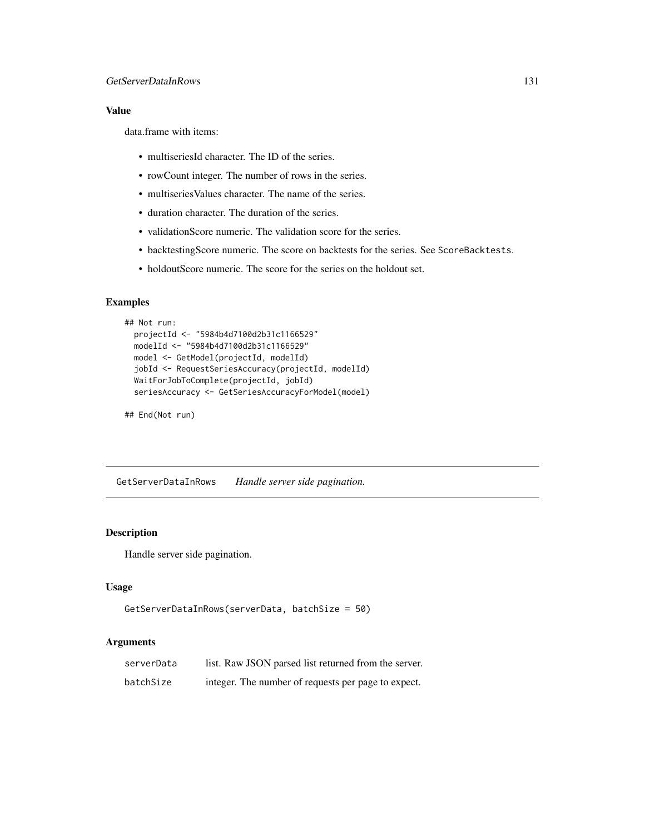# Value

data.frame with items:

- multiseriesId character. The ID of the series.
- rowCount integer. The number of rows in the series.
- multiseriesValues character. The name of the series.
- duration character. The duration of the series.
- validationScore numeric. The validation score for the series.
- backtestingScore numeric. The score on backtests for the series. See ScoreBacktests.
- holdoutScore numeric. The score for the series on the holdout set.

# Examples

```
## Not run:
 projectId <- "5984b4d7100d2b31c1166529"
 modelId <- "5984b4d7100d2b31c1166529"
 model <- GetModel(projectId, modelId)
 jobId <- RequestSeriesAccuracy(projectId, modelId)
 WaitForJobToComplete(projectId, jobId)
 seriesAccuracy <- GetSeriesAccuracyForModel(model)
```
## End(Not run)

GetServerDataInRows *Handle server side pagination.*

## Description

Handle server side pagination.

### Usage

```
GetServerDataInRows(serverData, batchSize = 50)
```
### Arguments

| serverData | list. Raw JSON parsed list returned from the server. |
|------------|------------------------------------------------------|
| batchSize  | integer. The number of requests per page to expect.  |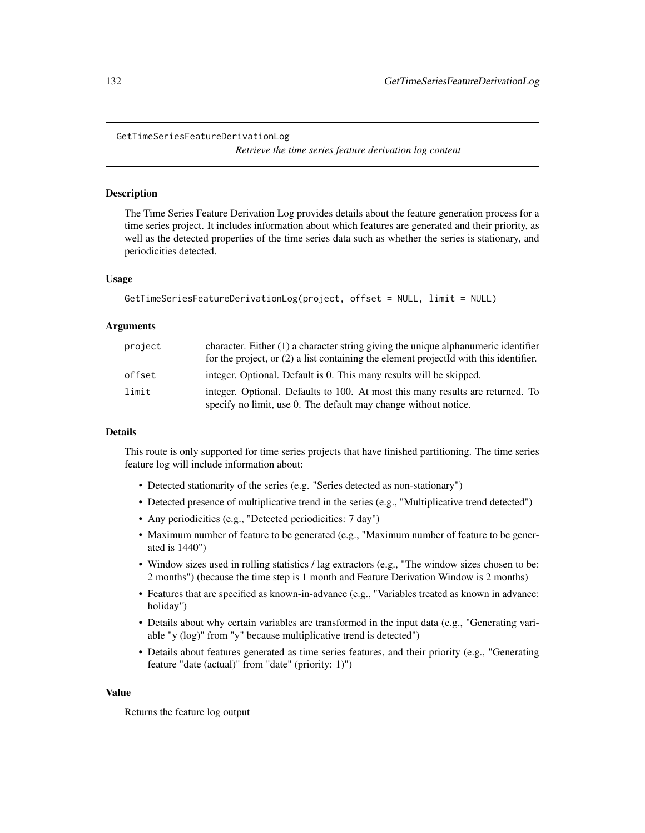*Retrieve the time series feature derivation log content*

### **Description**

The Time Series Feature Derivation Log provides details about the feature generation process for a time series project. It includes information about which features are generated and their priority, as well as the detected properties of the time series data such as whether the series is stationary, and periodicities detected.

#### Usage

```
GetTimeSeriesFeatureDerivationLog(project, offset = NULL, limit = NULL)
```
#### Arguments

| project | character. Either $(1)$ a character string giving the unique alphanumeric identifier<br>for the project, or $(2)$ a list containing the element projected with this identifier. |
|---------|---------------------------------------------------------------------------------------------------------------------------------------------------------------------------------|
| offset  | integer. Optional. Default is 0. This many results will be skipped.                                                                                                             |
| limit   | integer. Optional. Defaults to 100. At most this many results are returned. To<br>specify no limit, use 0. The default may change without notice.                               |

#### Details

This route is only supported for time series projects that have finished partitioning. The time series feature log will include information about:

- Detected stationarity of the series (e.g. "Series detected as non-stationary")
- Detected presence of multiplicative trend in the series (e.g., "Multiplicative trend detected")
- Any periodicities (e.g., "Detected periodicities: 7 day")
- Maximum number of feature to be generated (e.g., "Maximum number of feature to be generated is 1440")
- Window sizes used in rolling statistics / lag extractors (e.g., "The window sizes chosen to be: 2 months") (because the time step is 1 month and Feature Derivation Window is 2 months)
- Features that are specified as known-in-advance (e.g., "Variables treated as known in advance: holiday")
- Details about why certain variables are transformed in the input data (e.g., "Generating variable "y (log)" from "y" because multiplicative trend is detected")
- Details about features generated as time series features, and their priority (e.g., "Generating feature "date (actual)" from "date" (priority: 1)")

#### Value

Returns the feature log output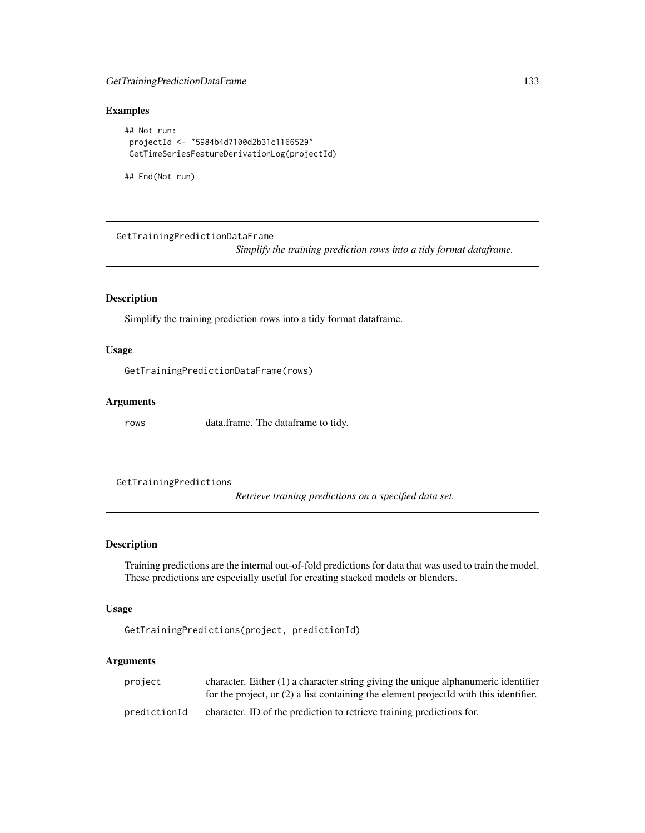# GetTrainingPredictionDataFrame 133

## Examples

```
## Not run:
projectId <- "5984b4d7100d2b31c1166529"
GetTimeSeriesFeatureDerivationLog(projectId)
```
## End(Not run)

GetTrainingPredictionDataFrame

*Simplify the training prediction rows into a tidy format dataframe.*

## Description

Simplify the training prediction rows into a tidy format dataframe.

#### Usage

GetTrainingPredictionDataFrame(rows)

### Arguments

rows data.frame. The dataframe to tidy.

GetTrainingPredictions

*Retrieve training predictions on a specified data set.*

## Description

Training predictions are the internal out-of-fold predictions for data that was used to train the model. These predictions are especially useful for creating stacked models or blenders.

# Usage

```
GetTrainingPredictions(project, predictionId)
```
## Arguments

| project      | character. Either $(1)$ a character string giving the unique alphanumeric identifier    |
|--------------|-----------------------------------------------------------------------------------------|
|              | for the project, or $(2)$ a list containing the element projected with this identifier. |
| predictionId | character. ID of the prediction to retrieve training predictions for.                   |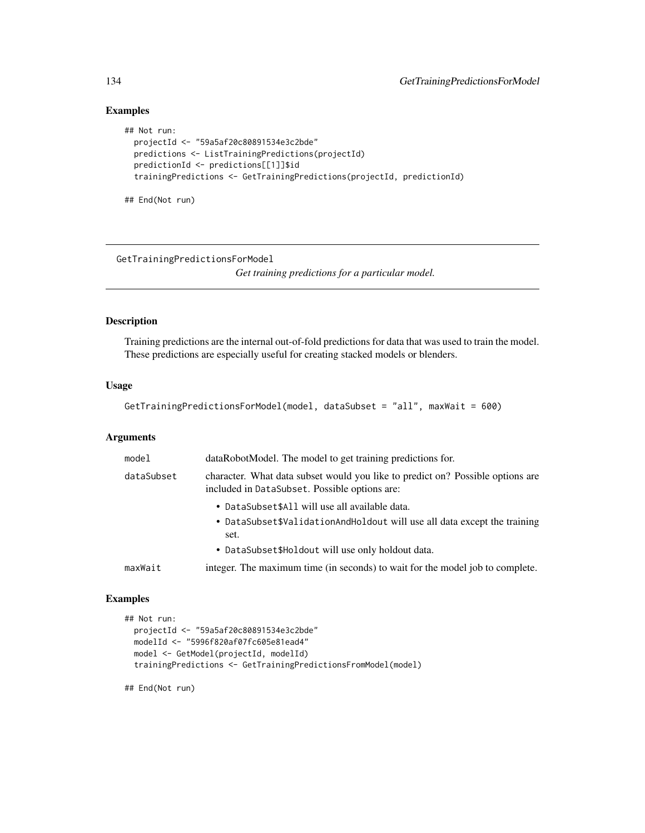# Examples

```
## Not run:
 projectId <- "59a5af20c80891534e3c2bde"
 predictions <- ListTrainingPredictions(projectId)
 predictionId <- predictions[[1]]$id
 trainingPredictions <- GetTrainingPredictions(projectId, predictionId)
```
## End(Not run)

GetTrainingPredictionsForModel

*Get training predictions for a particular model.*

# Description

Training predictions are the internal out-of-fold predictions for data that was used to train the model. These predictions are especially useful for creating stacked models or blenders.

### Usage

```
GetTrainingPredictionsForModel(model, dataSubset = "all", maxWait = 600)
```
### Arguments

| model      | dataRobotModel. The model to get training predictions for.                                                                      |
|------------|---------------------------------------------------------------------------------------------------------------------------------|
| dataSubset | character. What data subset would you like to predict on? Possible options are<br>included in DataSubset. Possible options are: |
|            | • DataSubset\$All will use all available data.                                                                                  |
|            | • DataSubset\$ValidationAndHoldout will use all data except the training<br>set.                                                |
|            | • DataSubset\$Holdout will use only holdout data.                                                                               |
| maxWait    | integer. The maximum time (in seconds) to wait for the model job to complete.                                                   |

### Examples

```
## Not run:
 projectId <- "59a5af20c80891534e3c2bde"
 modelId <- "5996f820af07fc605e81ead4"
 model <- GetModel(projectId, modelId)
 trainingPredictions <- GetTrainingPredictionsFromModel(model)
```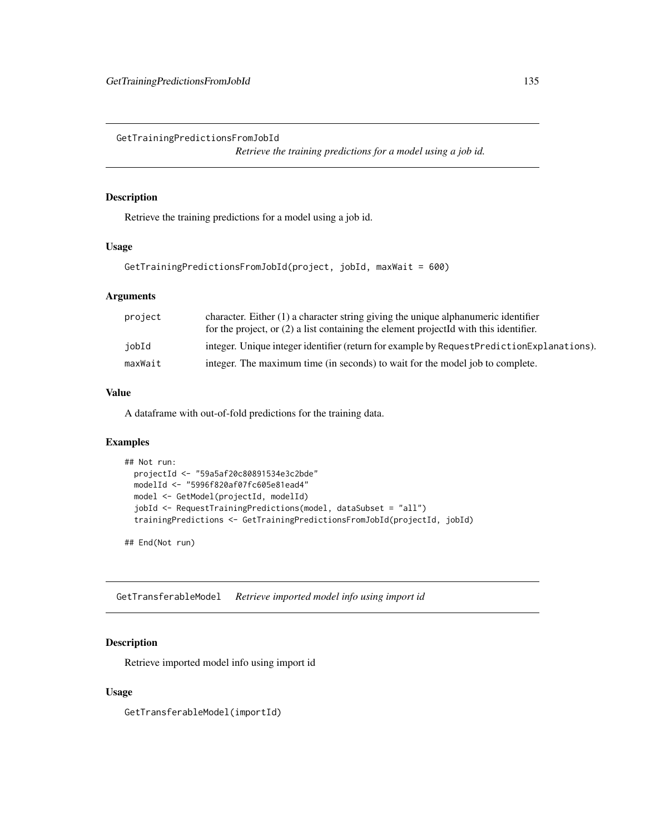GetTrainingPredictionsFromJobId

*Retrieve the training predictions for a model using a job id.*

## Description

Retrieve the training predictions for a model using a job id.

### Usage

```
GetTrainingPredictionsFromJobId(project, jobId, maxWait = 600)
```
# Arguments

| project | character. Either $(1)$ a character string giving the unique alphanumeric identifier<br>for the project, or $(2)$ a list containing the element projected with this identifier. |
|---------|---------------------------------------------------------------------------------------------------------------------------------------------------------------------------------|
| iobId   | integer. Unique integer identifier (return for example by Request Prediction Explanations).                                                                                     |
| maxWait | integer. The maximum time (in seconds) to wait for the model job to complete.                                                                                                   |

## Value

A dataframe with out-of-fold predictions for the training data.

# Examples

```
## Not run:
 projectId <- "59a5af20c80891534e3c2bde"
 modelId <- "5996f820af07fc605e81ead4"
 model <- GetModel(projectId, modelId)
 jobId <- RequestTrainingPredictions(model, dataSubset = "all")
 trainingPredictions <- GetTrainingPredictionsFromJobId(projectId, jobId)
```
## End(Not run)

GetTransferableModel *Retrieve imported model info using import id*

## Description

Retrieve imported model info using import id

#### Usage

GetTransferableModel(importId)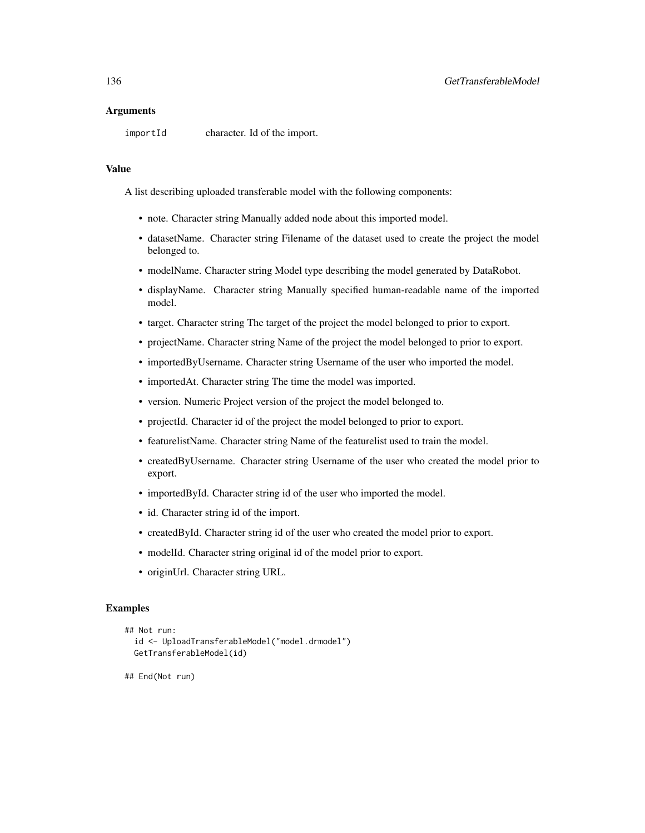importId character. Id of the import.

#### Value

A list describing uploaded transferable model with the following components:

- note. Character string Manually added node about this imported model.
- datasetName. Character string Filename of the dataset used to create the project the model belonged to.
- modelName. Character string Model type describing the model generated by DataRobot.
- displayName. Character string Manually specified human-readable name of the imported model.
- target. Character string The target of the project the model belonged to prior to export.
- projectName. Character string Name of the project the model belonged to prior to export.
- importedByUsername. Character string Username of the user who imported the model.
- importedAt. Character string The time the model was imported.
- version. Numeric Project version of the project the model belonged to.
- projectId. Character id of the project the model belonged to prior to export.
- featurelistName. Character string Name of the featurelist used to train the model.
- createdByUsername. Character string Username of the user who created the model prior to export.
- importedById. Character string id of the user who imported the model.
- id. Character string id of the import.
- createdById. Character string id of the user who created the model prior to export.
- modelId. Character string original id of the model prior to export.
- originUrl. Character string URL.

# Examples

```
## Not run:
 id <- UploadTransferableModel("model.drmodel")
 GetTransferableModel(id)
```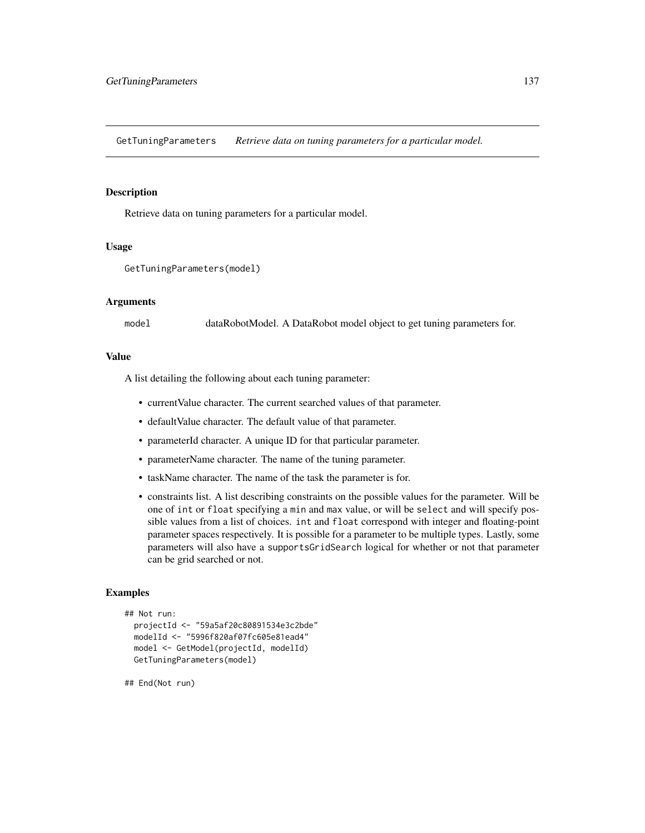GetTuningParameters *Retrieve data on tuning parameters for a particular model.*

## **Description**

Retrieve data on tuning parameters for a particular model.

#### Usage

```
GetTuningParameters(model)
```
#### Arguments

model dataRobotModel. A DataRobot model object to get tuning parameters for.

### Value

A list detailing the following about each tuning parameter:

- currentValue character. The current searched values of that parameter.
- defaultValue character. The default value of that parameter.
- parameterId character. A unique ID for that particular parameter.
- parameterName character. The name of the tuning parameter.
- taskName character. The name of the task the parameter is for.
- constraints list. A list describing constraints on the possible values for the parameter. Will be one of int or float specifying a min and max value, or will be select and will specify possible values from a list of choices. int and float correspond with integer and floating-point parameter spaces respectively. It is possible for a parameter to be multiple types. Lastly, some parameters will also have a supportsGridSearch logical for whether or not that parameter can be grid searched or not.

### Examples

```
## Not run:
 projectId <- "59a5af20c80891534e3c2bde"
 modelId <- "5996f820af07fc605e81ead4"
 model <- GetModel(projectId, modelId)
 GetTuningParameters(model)
```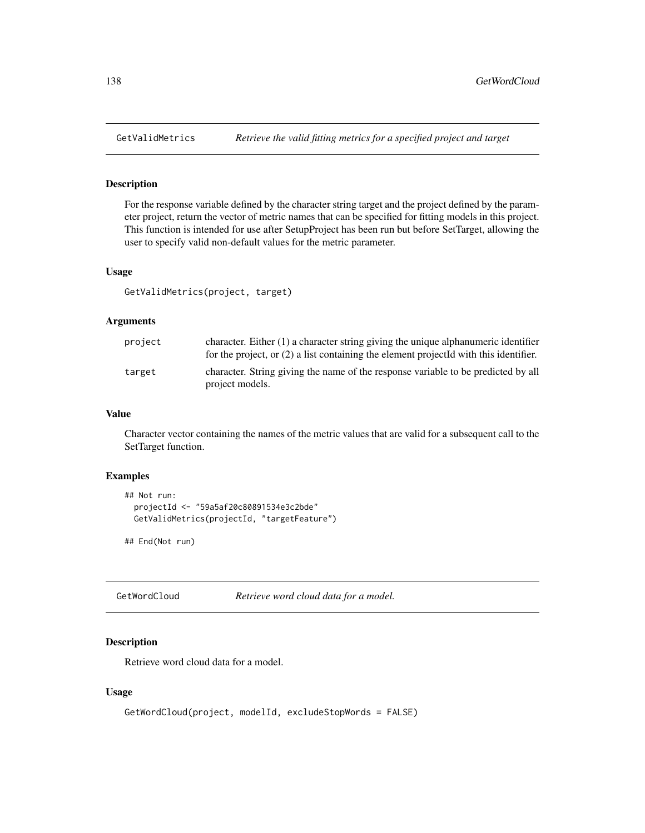# Description

For the response variable defined by the character string target and the project defined by the parameter project, return the vector of metric names that can be specified for fitting models in this project. This function is intended for use after SetupProject has been run but before SetTarget, allowing the user to specify valid non-default values for the metric parameter.

#### Usage

GetValidMetrics(project, target)

### Arguments

| project | character. Either $(1)$ a character string giving the unique alphanumeric identifier<br>for the project, or $(2)$ a list containing the element projected with this identifier. |
|---------|---------------------------------------------------------------------------------------------------------------------------------------------------------------------------------|
| target  | character. String giving the name of the response variable to be predicted by all<br>project models.                                                                            |

#### Value

Character vector containing the names of the metric values that are valid for a subsequent call to the SetTarget function.

# Examples

```
## Not run:
 projectId <- "59a5af20c80891534e3c2bde"
 GetValidMetrics(projectId, "targetFeature")
```
## End(Not run)

GetWordCloud *Retrieve word cloud data for a model.*

# Description

Retrieve word cloud data for a model.

#### Usage

```
GetWordCloud(project, modelId, excludeStopWords = FALSE)
```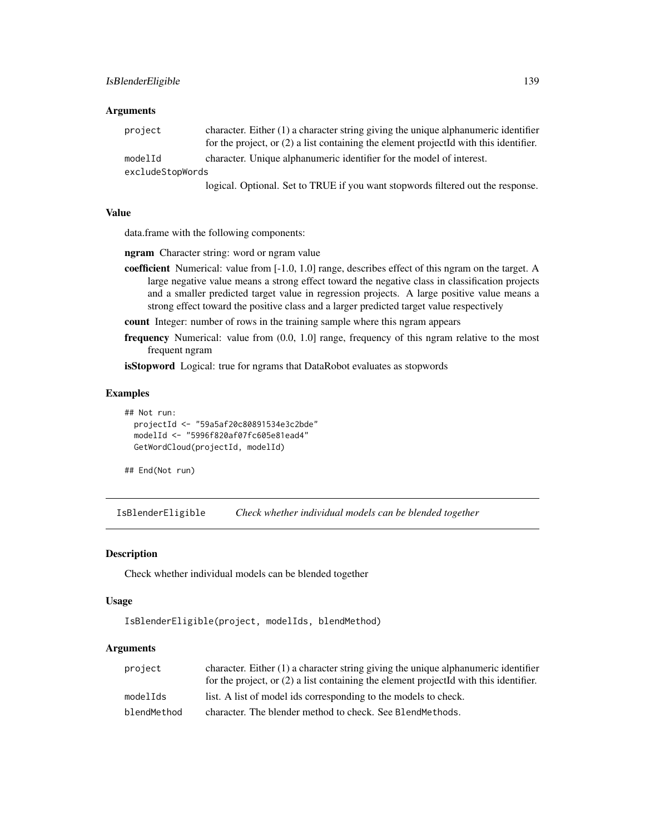| project          | character. Either $(1)$ a character string giving the unique alphanumeric identifier<br>for the project, or $(2)$ a list containing the element projected with this identifier. |
|------------------|---------------------------------------------------------------------------------------------------------------------------------------------------------------------------------|
| modelId          | character. Unique alphanumeric identifier for the model of interest.                                                                                                            |
| excludeStopWords |                                                                                                                                                                                 |
|                  | $1 \cdot 1 \cdot 1 \cdot 1$ $1 \cdot 1 \cdot 1 \cdot 1$                                                                                                                         |

logical. Optional. Set to TRUE if you want stopwords filtered out the response.

## Value

data.frame with the following components:

ngram Character string: word or ngram value

- coefficient Numerical: value from [-1.0, 1.0] range, describes effect of this ngram on the target. A large negative value means a strong effect toward the negative class in classification projects and a smaller predicted target value in regression projects. A large positive value means a strong effect toward the positive class and a larger predicted target value respectively
- count Integer: number of rows in the training sample where this ngram appears
- frequency Numerical: value from (0.0, 1.0] range, frequency of this ngram relative to the most frequent ngram

isStopword Logical: true for ngrams that DataRobot evaluates as stopwords

#### Examples

```
## Not run:
 projectId <- "59a5af20c80891534e3c2bde"
 modelId <- "5996f820af07fc605e81ead4"
 GetWordCloud(projectId, modelId)
```
## End(Not run)

IsBlenderEligible *Check whether individual models can be blended together*

#### Description

Check whether individual models can be blended together

#### Usage

```
IsBlenderEligible(project, modelIds, blendMethod)
```
## Arguments

| project     | character. Either $(1)$ a character string giving the unique alphanumeric identifier    |
|-------------|-----------------------------------------------------------------------------------------|
|             | for the project, or $(2)$ a list containing the element projected with this identifier. |
| modelIds    | list. A list of model ids corresponding to the models to check.                         |
| blendMethod | character. The blender method to check. See BlendMethods.                               |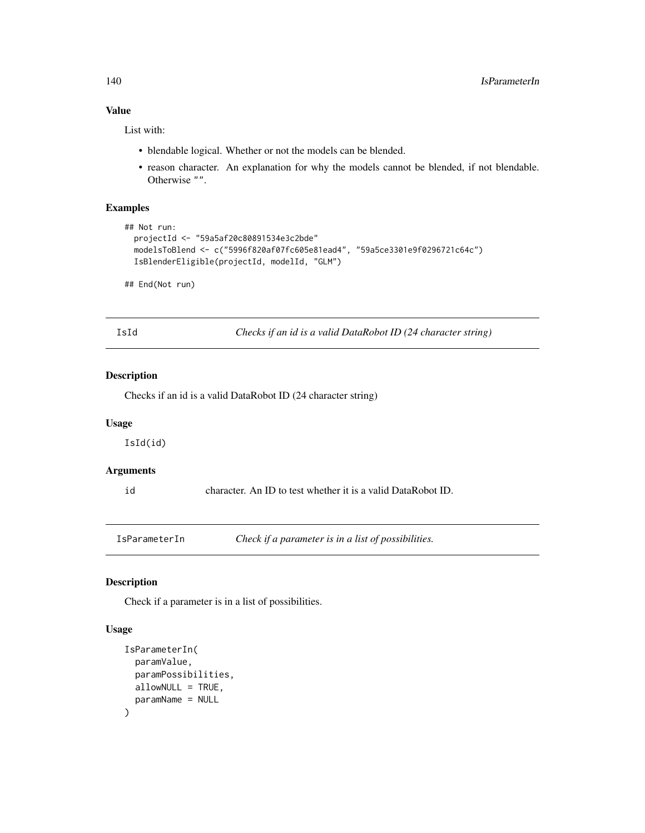# Value

List with:

- blendable logical. Whether or not the models can be blended.
- reason character. An explanation for why the models cannot be blended, if not blendable. Otherwise "".

# Examples

```
## Not run:
 projectId <- "59a5af20c80891534e3c2bde"
 modelsToBlend <- c("5996f820af07fc605e81ead4", "59a5ce3301e9f0296721c64c")
 IsBlenderEligible(projectId, modelId, "GLM")
```
## End(Not run)

IsId *Checks if an id is a valid DataRobot ID (24 character string)*

# Description

Checks if an id is a valid DataRobot ID (24 character string)

### Usage

IsId(id)

# Arguments

id character. An ID to test whether it is a valid DataRobot ID.

IsParameterIn *Check if a parameter is in a list of possibilities.*

# Description

Check if a parameter is in a list of possibilities.

### Usage

```
IsParameterIn(
 paramValue,
 paramPossibilities,
 allowNULL = TRUE,
 paramName = NULL
)
```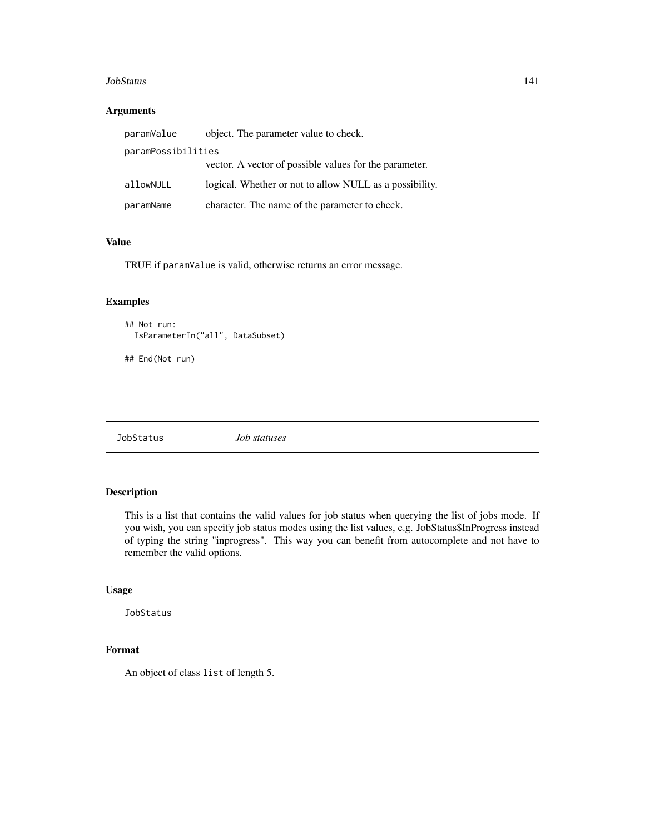#### JobStatus 141

## Arguments

| paramValue         | object. The parameter value to check.                   |
|--------------------|---------------------------------------------------------|
| paramPossibilities |                                                         |
|                    | vector. A vector of possible values for the parameter.  |
| allowNULL          | logical. Whether or not to allow NULL as a possibility. |
| paramName          | character. The name of the parameter to check.          |

## Value

TRUE if paramValue is valid, otherwise returns an error message.

# Examples

```
## Not run:
 IsParameterIn("all", DataSubset)
```
## End(Not run)

JobStatus *Job statuses*

# Description

This is a list that contains the valid values for job status when querying the list of jobs mode. If you wish, you can specify job status modes using the list values, e.g. JobStatus\$InProgress instead of typing the string "inprogress". This way you can benefit from autocomplete and not have to remember the valid options.

### Usage

JobStatus

# Format

An object of class list of length 5.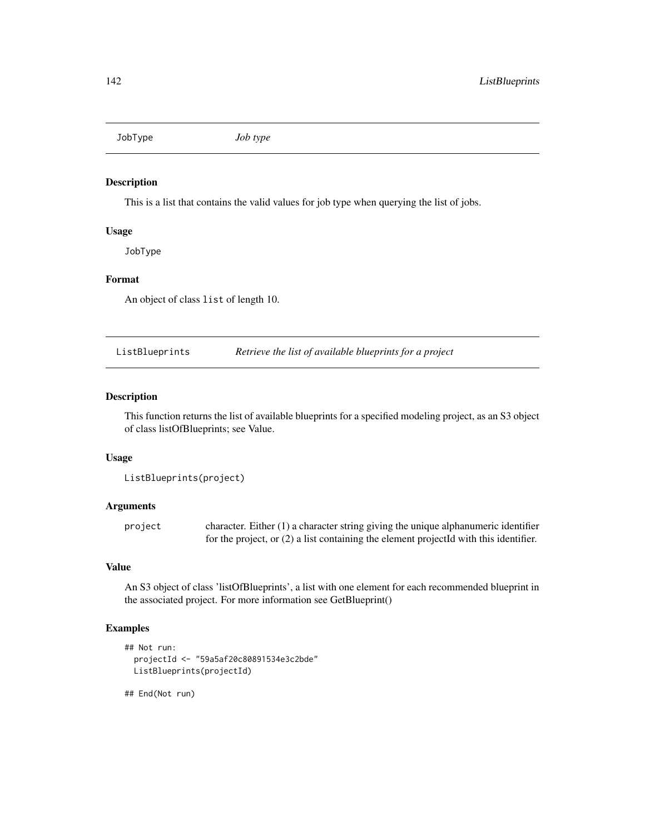JobType *Job type*

### Description

This is a list that contains the valid values for job type when querying the list of jobs.

# Usage

JobType

#### Format

An object of class list of length 10.

ListBlueprints *Retrieve the list of available blueprints for a project*

#### Description

This function returns the list of available blueprints for a specified modeling project, as an S3 object of class listOfBlueprints; see Value.

#### Usage

ListBlueprints(project)

# Arguments

project character. Either (1) a character string giving the unique alphanumeric identifier for the project, or (2) a list containing the element projectId with this identifier.

# Value

An S3 object of class 'listOfBlueprints', a list with one element for each recommended blueprint in the associated project. For more information see GetBlueprint()

# Examples

```
## Not run:
 projectId <- "59a5af20c80891534e3c2bde"
 ListBlueprints(projectId)
```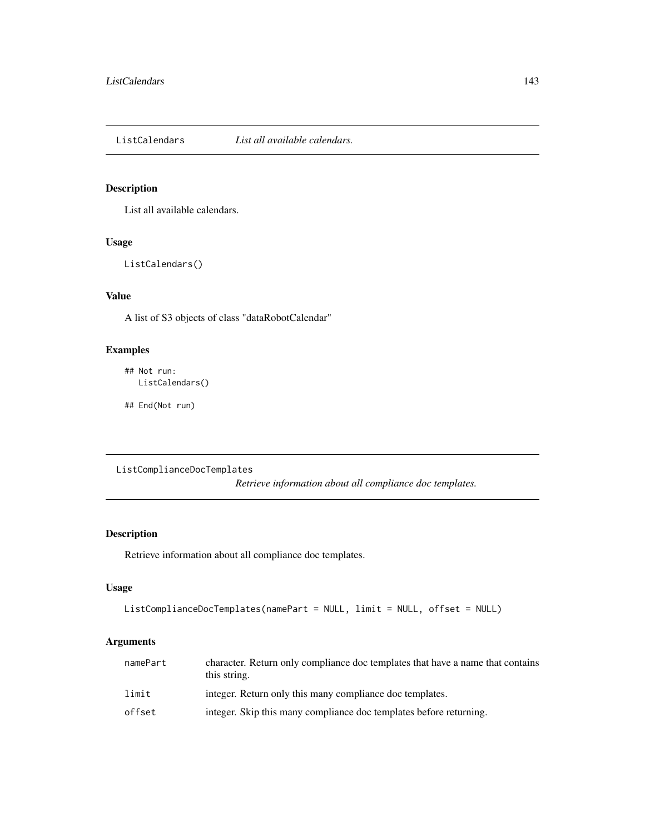ListCalendars *List all available calendars.*

# Description

List all available calendars.

# Usage

ListCalendars()

# Value

A list of S3 objects of class "dataRobotCalendar"

# Examples

## Not run: ListCalendars()

## End(Not run)

ListComplianceDocTemplates *Retrieve information about all compliance doc templates.*

# Description

Retrieve information about all compliance doc templates.

## Usage

```
ListComplianceDocTemplates(namePart = NULL, limit = NULL, offset = NULL)
```
# Arguments

| namePart | character. Return only compliance doc templates that have a name that contains<br>this string. |
|----------|------------------------------------------------------------------------------------------------|
| limit    | integer. Return only this many compliance doc templates.                                       |
| offset   | integer. Skip this many compliance doc templates before returning.                             |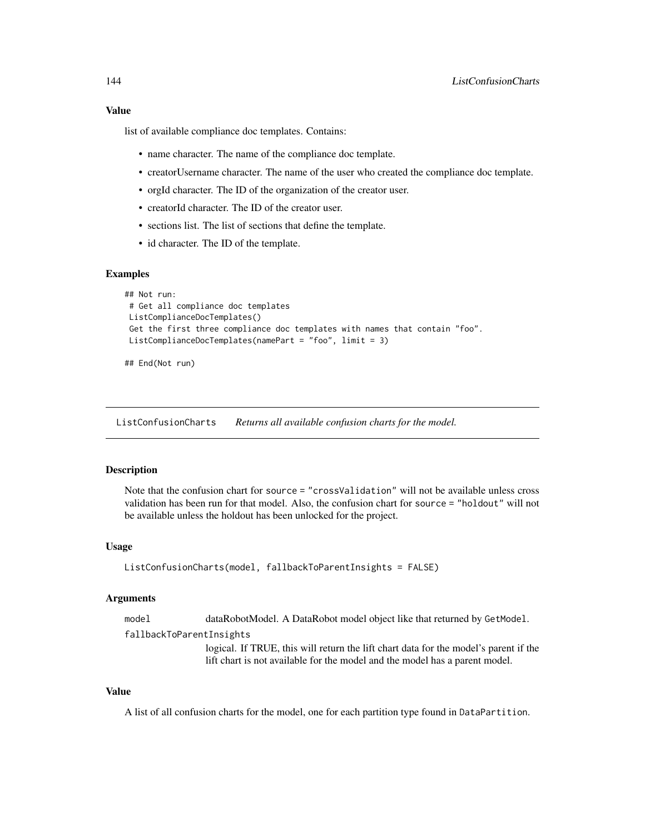## Value

list of available compliance doc templates. Contains:

- name character. The name of the compliance doc template.
- creatorUsername character. The name of the user who created the compliance doc template.
- orgId character. The ID of the organization of the creator user.
- creatorId character. The ID of the creator user.
- sections list. The list of sections that define the template.
- id character. The ID of the template.

#### Examples

```
## Not run:
# Get all compliance doc templates
ListComplianceDocTemplates()
Get the first three compliance doc templates with names that contain "foo".
ListComplianceDocTemplates(namePart = "foo", limit = 3)
```

```
## End(Not run)
```
ListConfusionCharts *Returns all available confusion charts for the model.*

## **Description**

Note that the confusion chart for source = "crossValidation" will not be available unless cross validation has been run for that model. Also, the confusion chart for source = "holdout" will not be available unless the holdout has been unlocked for the project.

#### Usage

```
ListConfusionCharts(model, fallbackToParentInsights = FALSE)
```
#### Arguments

model dataRobotModel. A DataRobot model object like that returned by GetModel.

fallbackToParentInsights

logical. If TRUE, this will return the lift chart data for the model's parent if the lift chart is not available for the model and the model has a parent model.

#### Value

A list of all confusion charts for the model, one for each partition type found in DataPartition.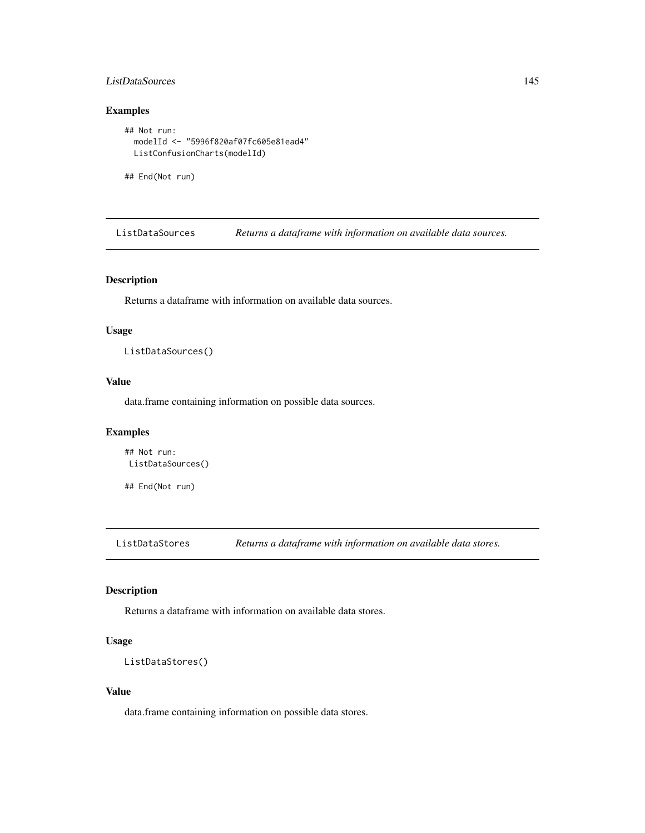### ListDataSources 145

### Examples

```
## Not run:
 modelId <- "5996f820af07fc605e81ead4"
 ListConfusionCharts(modelId)
```
## End(Not run)

ListDataSources *Returns a dataframe with information on available data sources.*

## Description

Returns a dataframe with information on available data sources.

### Usage

ListDataSources()

# Value

data.frame containing information on possible data sources.

### Examples

```
## Not run:
ListDataSources()
```
## End(Not run)

ListDataStores *Returns a dataframe with information on available data stores.*

### Description

Returns a dataframe with information on available data stores.

### Usage

```
ListDataStores()
```
#### Value

data.frame containing information on possible data stores.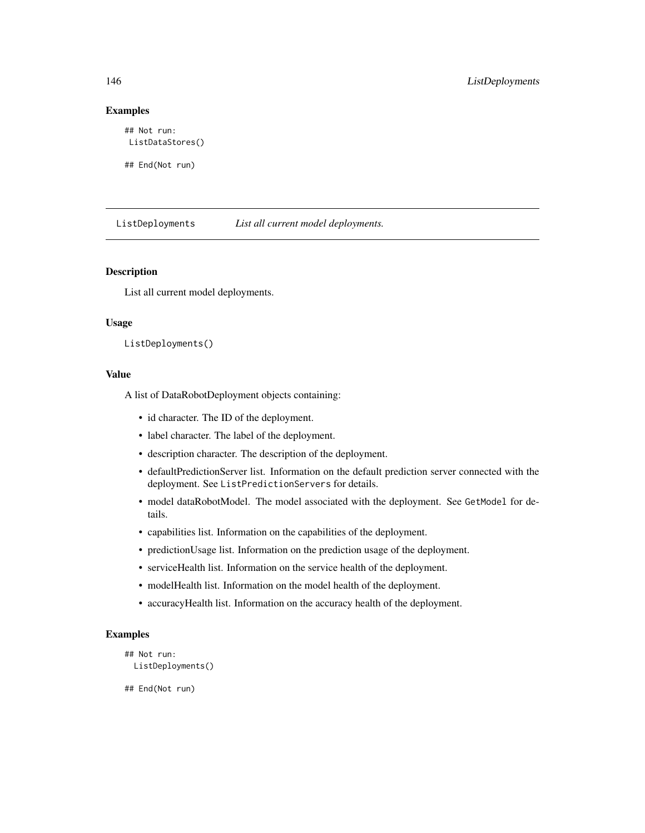### Examples

## Not run: ListDataStores()

## End(Not run)

ListDeployments *List all current model deployments.*

### Description

List all current model deployments.

### Usage

```
ListDeployments()
```
#### Value

A list of DataRobotDeployment objects containing:

- id character. The ID of the deployment.
- label character. The label of the deployment.
- description character. The description of the deployment.
- defaultPredictionServer list. Information on the default prediction server connected with the deployment. See ListPredictionServers for details.
- model dataRobotModel. The model associated with the deployment. See GetModel for details.
- capabilities list. Information on the capabilities of the deployment.
- predictionUsage list. Information on the prediction usage of the deployment.
- serviceHealth list. Information on the service health of the deployment.
- modelHealth list. Information on the model health of the deployment.
- accuracyHealth list. Information on the accuracy health of the deployment.

### Examples

```
## Not run:
 ListDeployments()
```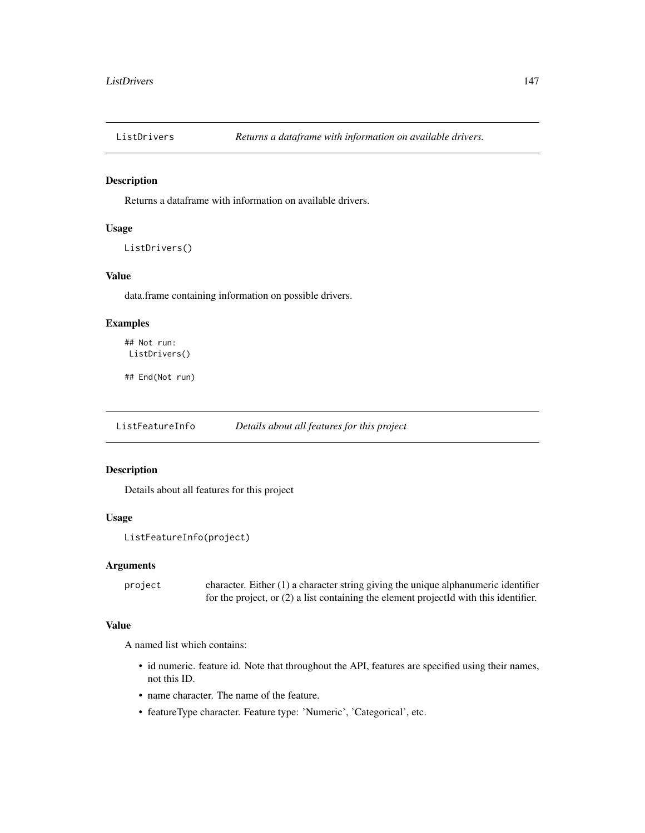Returns a dataframe with information on available drivers.

### Usage

```
ListDrivers()
```
# Value

data.frame containing information on possible drivers.

### Examples

```
## Not run:
ListDrivers()
```
## End(Not run)

ListFeatureInfo *Details about all features for this project*

# Description

Details about all features for this project

#### Usage

```
ListFeatureInfo(project)
```
#### Arguments

project character. Either (1) a character string giving the unique alphanumeric identifier for the project, or (2) a list containing the element projectId with this identifier.

### Value

A named list which contains:

- id numeric. feature id. Note that throughout the API, features are specified using their names, not this ID.
- name character. The name of the feature.
- featureType character. Feature type: 'Numeric', 'Categorical', etc.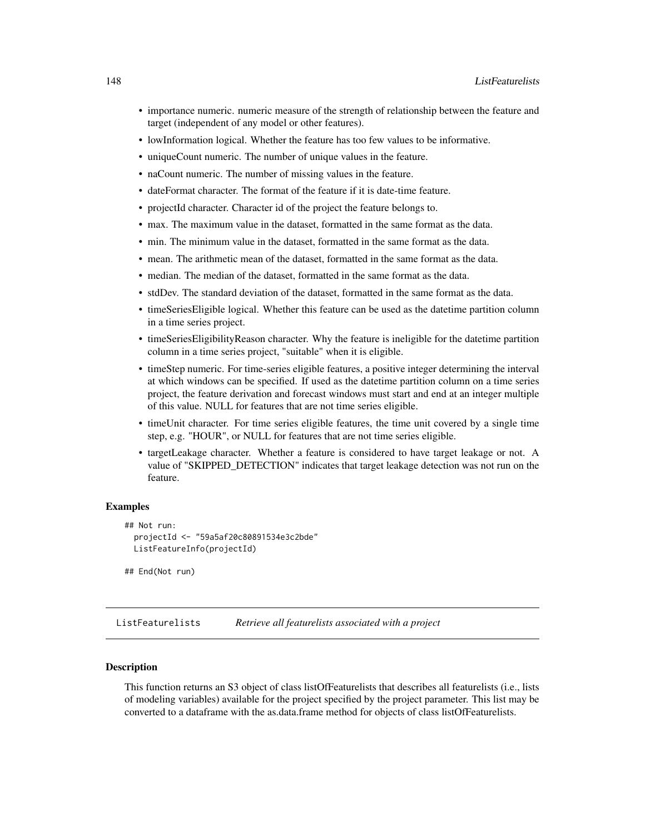- importance numeric. numeric measure of the strength of relationship between the feature and target (independent of any model or other features).
- lowInformation logical. Whether the feature has too few values to be informative.
- uniqueCount numeric. The number of unique values in the feature.
- naCount numeric. The number of missing values in the feature.
- dateFormat character. The format of the feature if it is date-time feature.
- projectId character. Character id of the project the feature belongs to.
- max. The maximum value in the dataset, formatted in the same format as the data.
- min. The minimum value in the dataset, formatted in the same format as the data.
- mean. The arithmetic mean of the dataset, formatted in the same format as the data.
- median. The median of the dataset, formatted in the same format as the data.
- stdDev. The standard deviation of the dataset, formatted in the same format as the data.
- timeSeriesEligible logical. Whether this feature can be used as the datetime partition column in a time series project.
- timeSeriesEligibilityReason character. Why the feature is ineligible for the datetime partition column in a time series project, "suitable" when it is eligible.
- timeStep numeric. For time-series eligible features, a positive integer determining the interval at which windows can be specified. If used as the datetime partition column on a time series project, the feature derivation and forecast windows must start and end at an integer multiple of this value. NULL for features that are not time series eligible.
- timeUnit character. For time series eligible features, the time unit covered by a single time step, e.g. "HOUR", or NULL for features that are not time series eligible.
- targetLeakage character. Whether a feature is considered to have target leakage or not. A value of "SKIPPED\_DETECTION" indicates that target leakage detection was not run on the feature.

### Examples

```
## Not run:
 projectId <- "59a5af20c80891534e3c2bde"
 ListFeatureInfo(projectId)
```

```
## End(Not run)
```
ListFeaturelists *Retrieve all featurelists associated with a project*

#### **Description**

This function returns an S3 object of class listOfFeaturelists that describes all featurelists (i.e., lists of modeling variables) available for the project specified by the project parameter. This list may be converted to a dataframe with the as.data.frame method for objects of class listOfFeaturelists.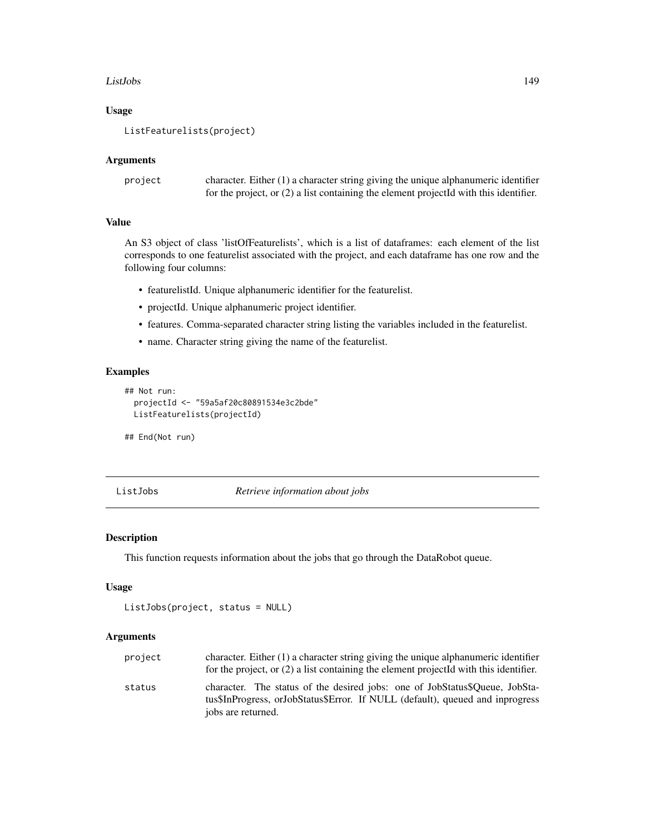#### ListJobs 149

### Usage

```
ListFeaturelists(project)
```
#### Arguments

| project | character. Either $(1)$ a character string giving the unique alphanumeric identifier    |
|---------|-----------------------------------------------------------------------------------------|
|         | for the project, or $(2)$ a list containing the element projected with this identifier. |

#### Value

An S3 object of class 'listOfFeaturelists', which is a list of dataframes: each element of the list corresponds to one featurelist associated with the project, and each dataframe has one row and the following four columns:

- featurelistId. Unique alphanumeric identifier for the featurelist.
- projectId. Unique alphanumeric project identifier.
- features. Comma-separated character string listing the variables included in the featurelist.
- name. Character string giving the name of the featurelist.

## Examples

```
## Not run:
 projectId <- "59a5af20c80891534e3c2bde"
 ListFeaturelists(projectId)
```
## End(Not run)

ListJobs *Retrieve information about jobs*

## Description

This function requests information about the jobs that go through the DataRobot queue.

### Usage

```
ListJobs(project, status = NULL)
```
### Arguments

| project | character. Either (1) a character string giving the unique alphanumeric identifier<br>for the project, or $(2)$ a list containing the element projected with this identifier.      |
|---------|------------------------------------------------------------------------------------------------------------------------------------------------------------------------------------|
| status  | character. The status of the desired jobs: one of JobStatus\$Oueue, JobSta-<br>tus\$InProgress, orJobStatus\$Error. If NULL (default), queued and inprogress<br>jobs are returned. |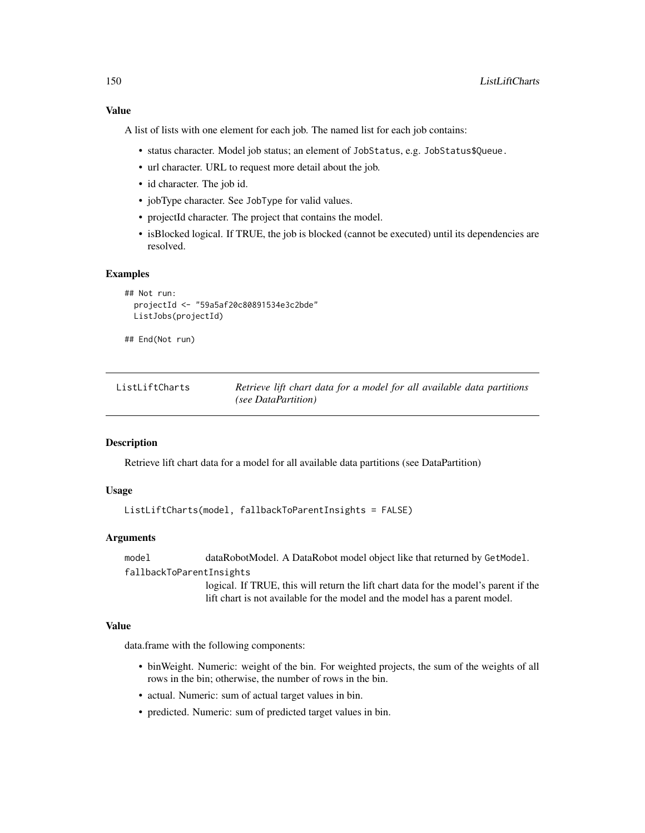A list of lists with one element for each job. The named list for each job contains:

- status character. Model job status; an element of JobStatus, e.g. JobStatus\$Queue.
- url character. URL to request more detail about the job.
- id character. The job id.
- jobType character. See JobType for valid values.
- projectId character. The project that contains the model.
- isBlocked logical. If TRUE, the job is blocked (cannot be executed) until its dependencies are resolved.

#### Examples

```
## Not run:
 projectId <- "59a5af20c80891534e3c2bde"
 ListJobs(projectId)
```
## End(Not run)

| ListLiftCharts | Retrieve lift chart data for a model for all available data partitions |
|----------------|------------------------------------------------------------------------|
|                | (see DataPartition)                                                    |

#### Description

Retrieve lift chart data for a model for all available data partitions (see DataPartition)

### Usage

```
ListLiftCharts(model, fallbackToParentInsights = FALSE)
```
### Arguments

model dataRobotModel. A DataRobot model object like that returned by GetModel.

fallbackToParentInsights

logical. If TRUE, this will return the lift chart data for the model's parent if the lift chart is not available for the model and the model has a parent model.

### Value

data.frame with the following components:

- binWeight. Numeric: weight of the bin. For weighted projects, the sum of the weights of all rows in the bin; otherwise, the number of rows in the bin.
- actual. Numeric: sum of actual target values in bin.
- predicted. Numeric: sum of predicted target values in bin.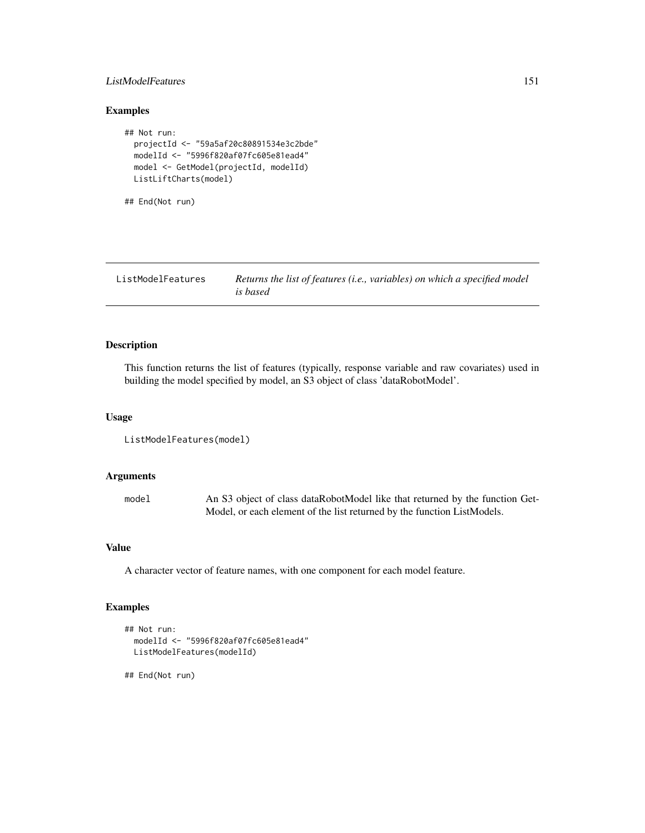### ListModelFeatures 151

### Examples

```
## Not run:
 projectId <- "59a5af20c80891534e3c2bde"
 modelId <- "5996f820af07fc605e81ead4"
 model <- GetModel(projectId, modelId)
 ListLiftCharts(model)
```
## End(Not run)

ListModelFeatures *Returns the list of features (i.e., variables) on which a specified model is based*

### Description

This function returns the list of features (typically, response variable and raw covariates) used in building the model specified by model, an S3 object of class 'dataRobotModel'.

### Usage

```
ListModelFeatures(model)
```
## Arguments

model An S3 object of class dataRobotModel like that returned by the function Get-Model, or each element of the list returned by the function ListModels.

#### Value

A character vector of feature names, with one component for each model feature.

# Examples

```
## Not run:
 modelId <- "5996f820af07fc605e81ead4"
 ListModelFeatures(modelId)
```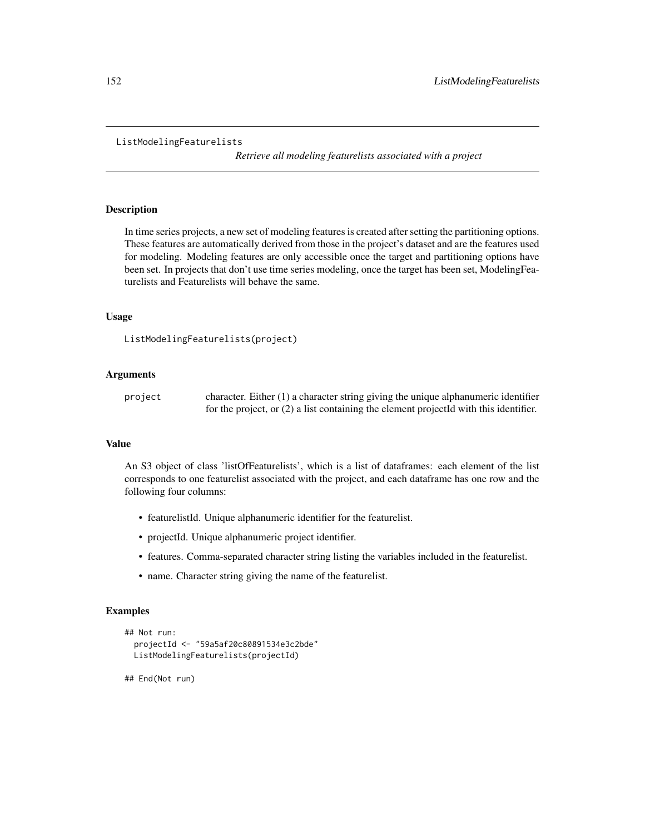#### ListModelingFeaturelists

*Retrieve all modeling featurelists associated with a project*

## Description

In time series projects, a new set of modeling features is created after setting the partitioning options. These features are automatically derived from those in the project's dataset and are the features used for modeling. Modeling features are only accessible once the target and partitioning options have been set. In projects that don't use time series modeling, once the target has been set, ModelingFeaturelists and Featurelists will behave the same.

### Usage

```
ListModelingFeaturelists(project)
```
### Arguments

| project | character. Either $(1)$ a character string giving the unique alphanumeric identifier    |
|---------|-----------------------------------------------------------------------------------------|
|         | for the project, or $(2)$ a list containing the element projected with this identifier. |

#### Value

An S3 object of class 'listOfFeaturelists', which is a list of dataframes: each element of the list corresponds to one featurelist associated with the project, and each dataframe has one row and the following four columns:

- featurelistId. Unique alphanumeric identifier for the featurelist.
- projectId. Unique alphanumeric project identifier.
- features. Comma-separated character string listing the variables included in the featurelist.
- name. Character string giving the name of the featurelist.

#### Examples

```
## Not run:
 projectId <- "59a5af20c80891534e3c2bde"
 ListModelingFeaturelists(projectId)
```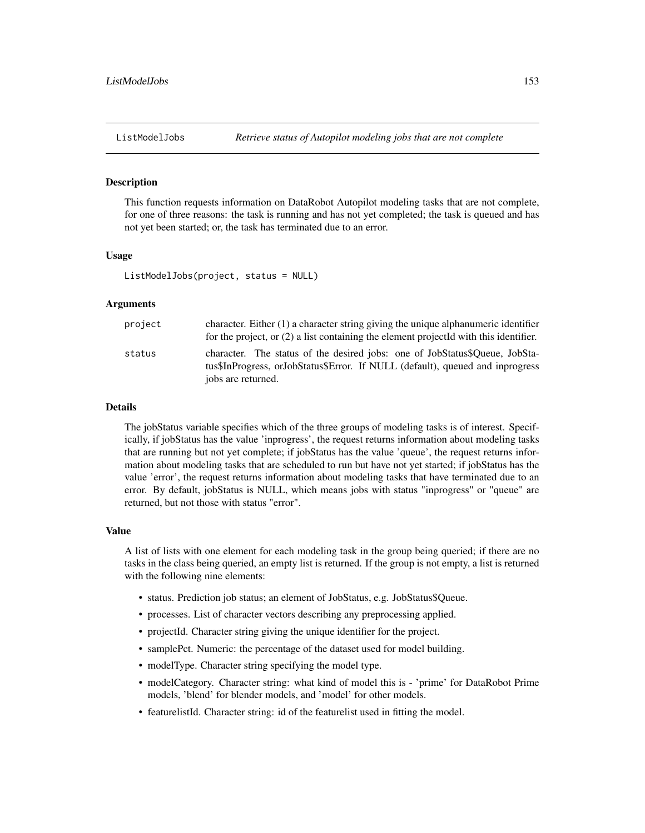This function requests information on DataRobot Autopilot modeling tasks that are not complete, for one of three reasons: the task is running and has not yet completed; the task is queued and has not yet been started; or, the task has terminated due to an error.

#### Usage

ListModelJobs(project, status = NULL)

#### Arguments

| project | character. Either (1) a character string giving the unique alphanumeric identifier<br>for the project, or $(2)$ a list containing the element projected with this identifier.      |
|---------|------------------------------------------------------------------------------------------------------------------------------------------------------------------------------------|
| status  | character. The status of the desired jobs: one of JobStatus\$Oueue, JobSta-<br>tus\$InProgress, orJobStatus\$Error. If NULL (default), queued and inprogress<br>jobs are returned. |

#### Details

The jobStatus variable specifies which of the three groups of modeling tasks is of interest. Specifically, if jobStatus has the value 'inprogress', the request returns information about modeling tasks that are running but not yet complete; if jobStatus has the value 'queue', the request returns information about modeling tasks that are scheduled to run but have not yet started; if jobStatus has the value 'error', the request returns information about modeling tasks that have terminated due to an error. By default, jobStatus is NULL, which means jobs with status "inprogress" or "queue" are returned, but not those with status "error".

### Value

A list of lists with one element for each modeling task in the group being queried; if there are no tasks in the class being queried, an empty list is returned. If the group is not empty, a list is returned with the following nine elements:

- status. Prediction job status; an element of JobStatus, e.g. JobStatus\$Queue.
- processes. List of character vectors describing any preprocessing applied.
- projectId. Character string giving the unique identifier for the project.
- samplePct. Numeric: the percentage of the dataset used for model building.
- modelType. Character string specifying the model type.
- modelCategory. Character string: what kind of model this is 'prime' for DataRobot Prime models, 'blend' for blender models, and 'model' for other models.
- featurelistId. Character string: id of the featurelist used in fitting the model.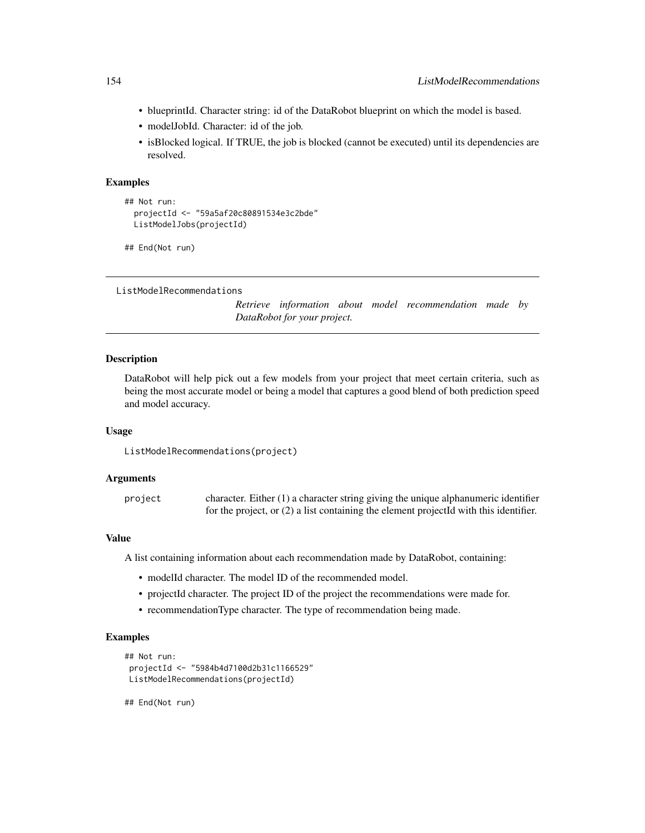- blueprintId. Character string: id of the DataRobot blueprint on which the model is based.
- modelJobId. Character: id of the job.
- isBlocked logical. If TRUE, the job is blocked (cannot be executed) until its dependencies are resolved.

#### Examples

```
## Not run:
 projectId <- "59a5af20c80891534e3c2bde"
 ListModelJobs(projectId)
```
## End(Not run)

```
ListModelRecommendations
```
*Retrieve information about model recommendation made by DataRobot for your project.*

## **Description**

DataRobot will help pick out a few models from your project that meet certain criteria, such as being the most accurate model or being a model that captures a good blend of both prediction speed and model accuracy.

#### Usage

ListModelRecommendations(project)

#### Arguments

project character. Either (1) a character string giving the unique alphanumeric identifier for the project, or (2) a list containing the element projectId with this identifier.

### Value

A list containing information about each recommendation made by DataRobot, containing:

- modelId character. The model ID of the recommended model.
- projectId character. The project ID of the project the recommendations were made for.
- recommendationType character. The type of recommendation being made.

#### Examples

```
## Not run:
projectId <- "5984b4d7100d2b31c1166529"
ListModelRecommendations(projectId)
```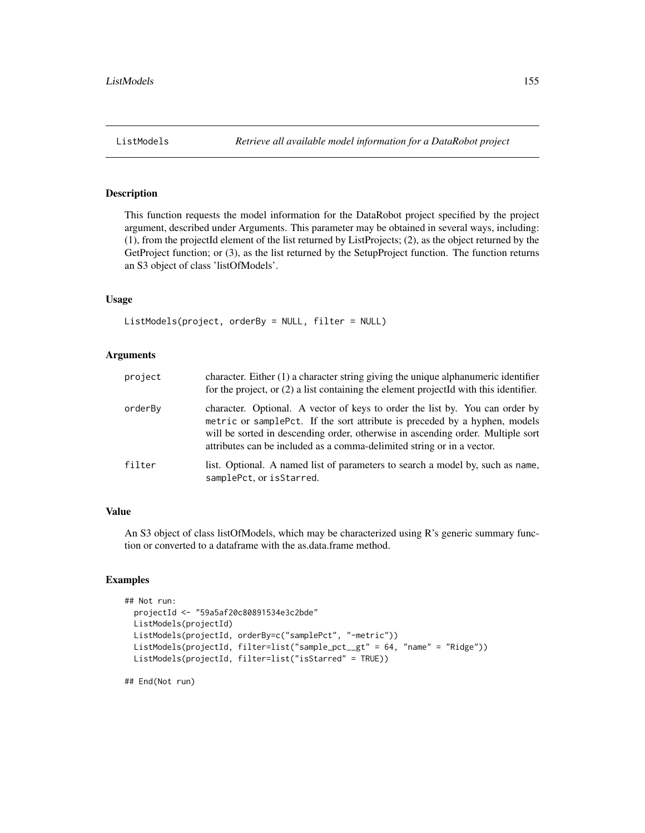This function requests the model information for the DataRobot project specified by the project argument, described under Arguments. This parameter may be obtained in several ways, including: (1), from the projectId element of the list returned by ListProjects; (2), as the object returned by the GetProject function; or (3), as the list returned by the SetupProject function. The function returns an S3 object of class 'listOfModels'.

### Usage

```
ListModels(project, orderBy = NULL, filter = NULL)
```
#### **Arguments**

| project | character. Either (1) a character string giving the unique alphanumeric identifier<br>for the project, or (2) a list containing the element projectId with this identifier.                                                                                                                                             |
|---------|-------------------------------------------------------------------------------------------------------------------------------------------------------------------------------------------------------------------------------------------------------------------------------------------------------------------------|
| orderBy | character. Optional. A vector of keys to order the list by. You can order by<br>metric or samplePct. If the sort attribute is preceded by a hyphen, models<br>will be sorted in descending order, otherwise in ascending order. Multiple sort<br>attributes can be included as a comma-delimited string or in a vector. |
| filter  | list. Optional. A named list of parameters to search a model by, such as name,<br>samplePct, or isStarred.                                                                                                                                                                                                              |

### Value

An S3 object of class listOfModels, which may be characterized using R's generic summary function or converted to a dataframe with the as.data.frame method.

### Examples

```
## Not run:
 projectId <- "59a5af20c80891534e3c2bde"
 ListModels(projectId)
 ListModels(projectId, orderBy=c("samplePct", "-metric"))
 ListModels(projectId, filter=list("sample_pct__gt" = 64, "name" = "Ridge"))
 ListModels(projectId, filter=list("isStarred" = TRUE))
```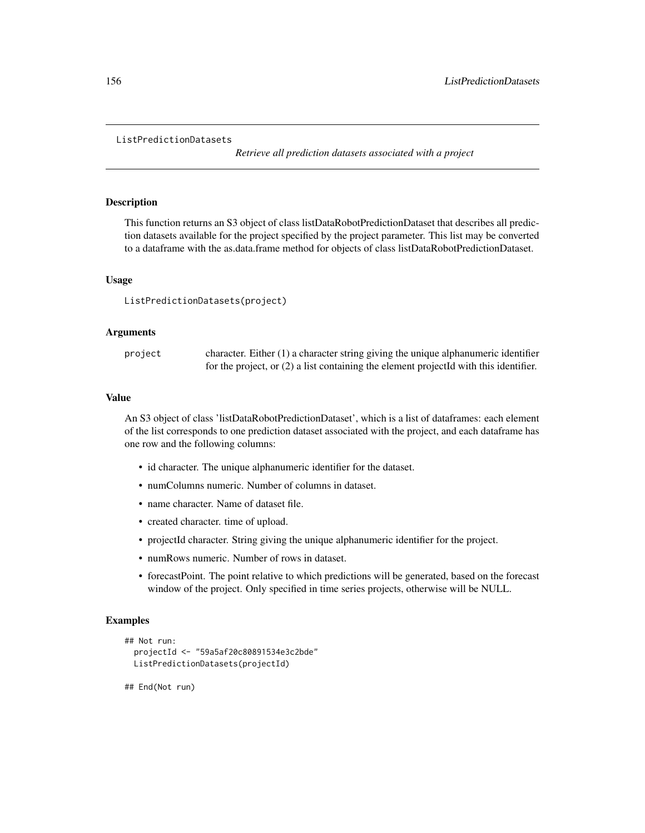#### ListPredictionDatasets

*Retrieve all prediction datasets associated with a project*

#### Description

This function returns an S3 object of class listDataRobotPredictionDataset that describes all prediction datasets available for the project specified by the project parameter. This list may be converted to a dataframe with the as.data.frame method for objects of class listDataRobotPredictionDataset.

#### Usage

ListPredictionDatasets(project)

#### Arguments

| project | character. Either $(1)$ a character string giving the unique alphanumeric identifier    |
|---------|-----------------------------------------------------------------------------------------|
|         | for the project, or $(2)$ a list containing the element projected with this identifier. |

#### Value

An S3 object of class 'listDataRobotPredictionDataset', which is a list of dataframes: each element of the list corresponds to one prediction dataset associated with the project, and each dataframe has one row and the following columns:

- id character. The unique alphanumeric identifier for the dataset.
- numColumns numeric. Number of columns in dataset.
- name character. Name of dataset file.
- created character. time of upload.
- projectId character. String giving the unique alphanumeric identifier for the project.
- numRows numeric. Number of rows in dataset.
- forecastPoint. The point relative to which predictions will be generated, based on the forecast window of the project. Only specified in time series projects, otherwise will be NULL.

### Examples

```
## Not run:
 projectId <- "59a5af20c80891534e3c2bde"
 ListPredictionDatasets(projectId)
```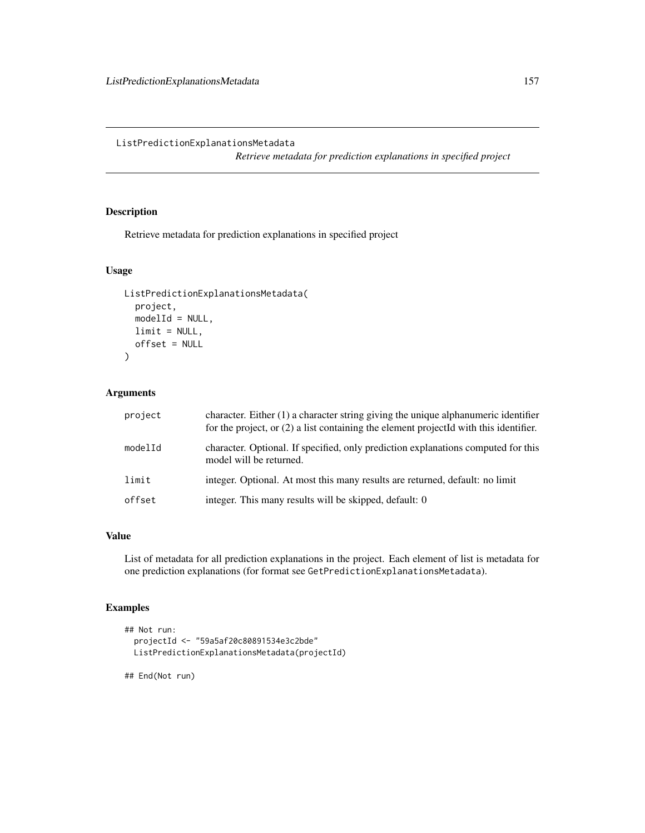## ListPredictionExplanationsMetadata

*Retrieve metadata for prediction explanations in specified project*

# Description

Retrieve metadata for prediction explanations in specified project

### Usage

```
ListPredictionExplanationsMetadata(
 project,
 modelId = NULL,limit = NULL,
 offset = NULL
)
```
# Arguments

| project | character. Either (1) a character string giving the unique alphanumeric identifier<br>for the project, or $(2)$ a list containing the element projected with this identifier. |
|---------|-------------------------------------------------------------------------------------------------------------------------------------------------------------------------------|
| modelId | character. Optional. If specified, only prediction explanations computed for this<br>model will be returned.                                                                  |
| limit   | integer. Optional. At most this many results are returned, default: no limit                                                                                                  |
| offset  | integer. This many results will be skipped, default: 0                                                                                                                        |

#### Value

List of metadata for all prediction explanations in the project. Each element of list is metadata for one prediction explanations (for format see GetPredictionExplanationsMetadata).

# Examples

```
## Not run:
 projectId <- "59a5af20c80891534e3c2bde"
 ListPredictionExplanationsMetadata(projectId)
```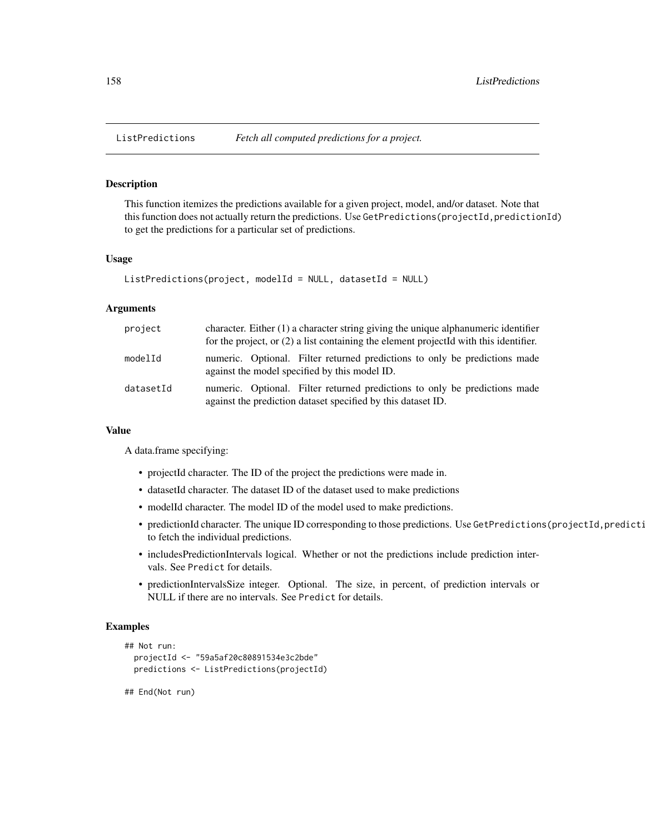This function itemizes the predictions available for a given project, model, and/or dataset. Note that this function does not actually return the predictions. Use GetPredictions(projectId,predictionId) to get the predictions for a particular set of predictions.

#### Usage

```
ListPredictions(project, modelId = NULL, datasetId = NULL)
```
#### Arguments

| project   | character. Either $(1)$ a character string giving the unique alphanumeric identifier<br>for the project, or $(2)$ a list containing the element projected with this identifier. |
|-----------|---------------------------------------------------------------------------------------------------------------------------------------------------------------------------------|
| modelId   | numeric. Optional. Filter returned predictions to only be predictions made<br>against the model specified by this model ID.                                                     |
| datasetId | numeric. Optional. Filter returned predictions to only be predictions made<br>against the prediction dataset specified by this dataset ID.                                      |

#### Value

A data.frame specifying:

- projectId character. The ID of the project the predictions were made in.
- datasetId character. The dataset ID of the dataset used to make predictions
- modelId character. The model ID of the model used to make predictions.
- predictionId character. The unique ID corresponding to those predictions. Use GetPredictions(projectId,predicti to fetch the individual predictions.
- includesPredictionIntervals logical. Whether or not the predictions include prediction intervals. See Predict for details.
- predictionIntervalsSize integer. Optional. The size, in percent, of prediction intervals or NULL if there are no intervals. See Predict for details.

# Examples

```
## Not run:
 projectId <- "59a5af20c80891534e3c2bde"
 predictions <- ListPredictions(projectId)
```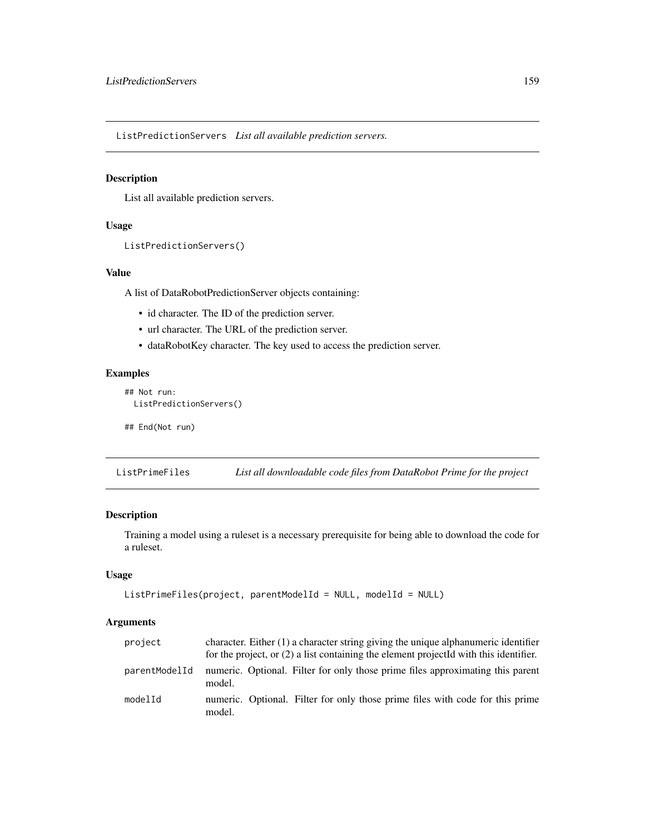ListPredictionServers *List all available prediction servers.*

## Description

List all available prediction servers.

### Usage

```
ListPredictionServers()
```
# Value

A list of DataRobotPredictionServer objects containing:

- id character. The ID of the prediction server.
- url character. The URL of the prediction server.
- dataRobotKey character. The key used to access the prediction server.

### Examples

```
## Not run:
 ListPredictionServers()
```
## End(Not run)

ListPrimeFiles *List all downloadable code files from DataRobot Prime for the project*

# Description

Training a model using a ruleset is a necessary prerequisite for being able to download the code for a ruleset.

#### Usage

```
ListPrimeFiles(project, parentModelId = NULL, modelId = NULL)
```
### Arguments

| project       | character. Either (1) a character string giving the unique alphanumeric identifier<br>for the project, or $(2)$ a list containing the element project Id with this identifier. |
|---------------|--------------------------------------------------------------------------------------------------------------------------------------------------------------------------------|
| parentModelId | numeric. Optional. Filter for only those prime files approximating this parent<br>model.                                                                                       |
| modelId       | numeric. Optional. Filter for only those prime files with code for this prime<br>model.                                                                                        |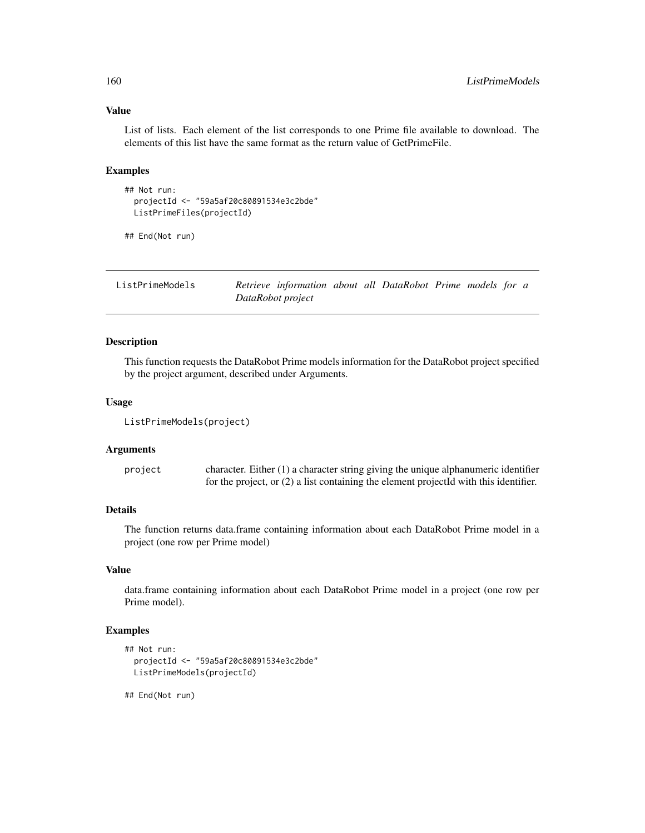### Value

List of lists. Each element of the list corresponds to one Prime file available to download. The elements of this list have the same format as the return value of GetPrimeFile.

#### Examples

```
## Not run:
 projectId <- "59a5af20c80891534e3c2bde"
 ListPrimeFiles(projectId)
```
## End(Not run)

| ListPrimeModels | Retrieve information about all DataRobot Prime models for a |  |  |  |  |
|-----------------|-------------------------------------------------------------|--|--|--|--|
|                 | DataRobot project                                           |  |  |  |  |

# Description

This function requests the DataRobot Prime models information for the DataRobot project specified by the project argument, described under Arguments.

#### Usage

```
ListPrimeModels(project)
```
#### Arguments

project character. Either (1) a character string giving the unique alphanumeric identifier for the project, or (2) a list containing the element projectId with this identifier.

# Details

The function returns data.frame containing information about each DataRobot Prime model in a project (one row per Prime model)

### Value

data.frame containing information about each DataRobot Prime model in a project (one row per Prime model).

# Examples

```
## Not run:
 projectId <- "59a5af20c80891534e3c2bde"
 ListPrimeModels(projectId)
```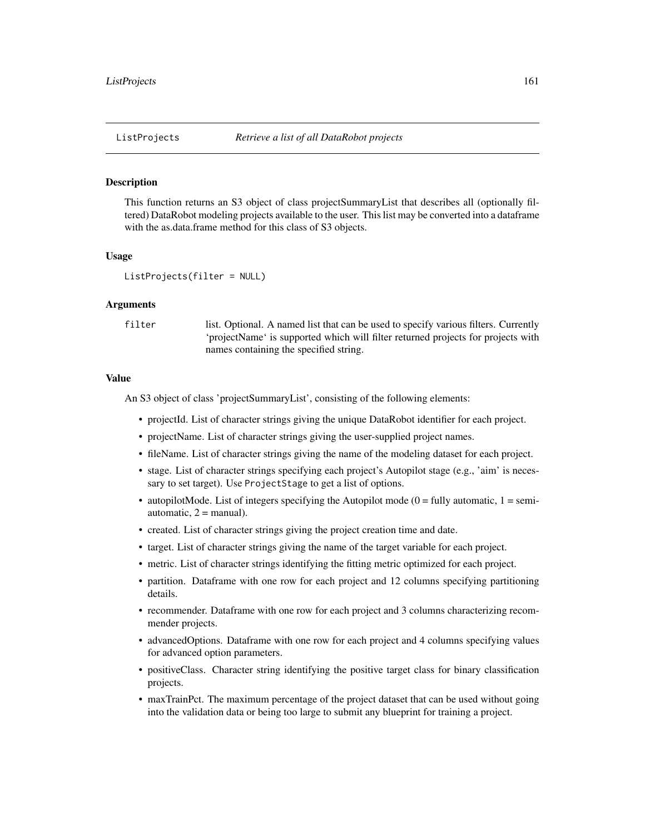This function returns an S3 object of class projectSummaryList that describes all (optionally filtered) DataRobot modeling projects available to the user. This list may be converted into a dataframe with the as.data.frame method for this class of S3 objects.

#### Usage

```
ListProjects(filter = NULL)
```
#### Arguments

filter list. Optional. A named list that can be used to specify various filters. Currently 'projectName' is supported which will filter returned projects for projects with names containing the specified string.

#### Value

An S3 object of class 'projectSummaryList', consisting of the following elements:

- projectId. List of character strings giving the unique DataRobot identifier for each project.
- projectName. List of character strings giving the user-supplied project names.
- fileName. List of character strings giving the name of the modeling dataset for each project.
- stage. List of character strings specifying each project's Autopilot stage (e.g., 'aim' is necessary to set target). Use ProjectStage to get a list of options.
- autopilotMode. List of integers specifying the Autopilot mode  $(0 = \text{fully automatic}, 1 = \text{semi-}$ automatic,  $2 =$  manual).
- created. List of character strings giving the project creation time and date.
- target. List of character strings giving the name of the target variable for each project.
- metric. List of character strings identifying the fitting metric optimized for each project.
- partition. Dataframe with one row for each project and 12 columns specifying partitioning details.
- recommender. Dataframe with one row for each project and 3 columns characterizing recommender projects.
- advancedOptions. Dataframe with one row for each project and 4 columns specifying values for advanced option parameters.
- positiveClass. Character string identifying the positive target class for binary classification projects.
- maxTrainPct. The maximum percentage of the project dataset that can be used without going into the validation data or being too large to submit any blueprint for training a project.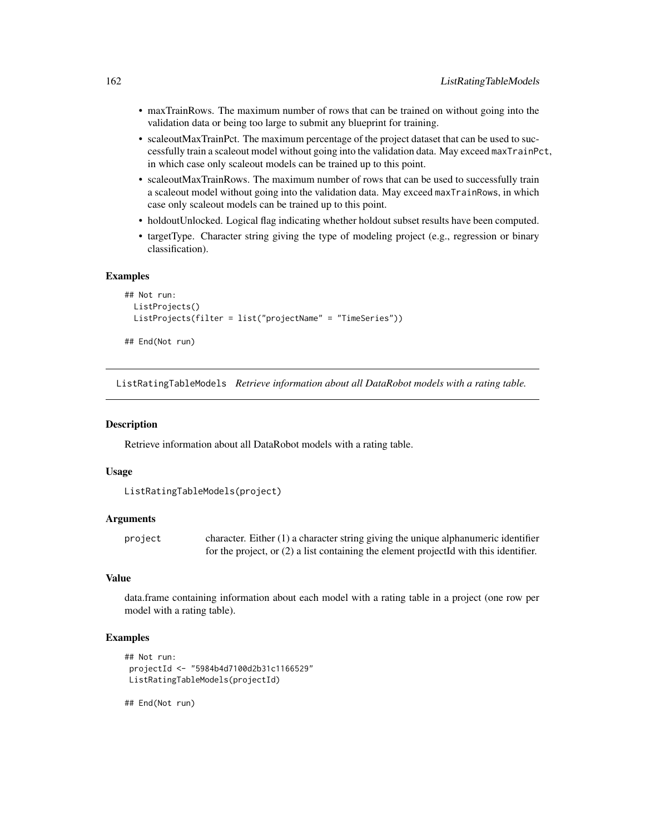- maxTrainRows. The maximum number of rows that can be trained on without going into the validation data or being too large to submit any blueprint for training.
- scaleoutMaxTrainPct. The maximum percentage of the project dataset that can be used to successfully train a scaleout model without going into the validation data. May exceed maxTrainPct, in which case only scaleout models can be trained up to this point.
- scaleoutMaxTrainRows. The maximum number of rows that can be used to successfully train a scaleout model without going into the validation data. May exceed maxTrainRows, in which case only scaleout models can be trained up to this point.
- holdoutUnlocked. Logical flag indicating whether holdout subset results have been computed.
- targetType. Character string giving the type of modeling project (e.g., regression or binary classification).

#### Examples

```
## Not run:
 ListProjects()
 ListProjects(filter = list("projectName" = "TimeSeries"))
## End(Not run)
```
ListRatingTableModels *Retrieve information about all DataRobot models with a rating table.*

#### Description

Retrieve information about all DataRobot models with a rating table.

#### Usage

```
ListRatingTableModels(project)
```
#### Arguments

project character. Either (1) a character string giving the unique alphanumeric identifier for the project, or (2) a list containing the element projectId with this identifier.

### Value

data.frame containing information about each model with a rating table in a project (one row per model with a rating table).

#### Examples

```
## Not run:
projectId <- "5984b4d7100d2b31c1166529"
ListRatingTableModels(projectId)
```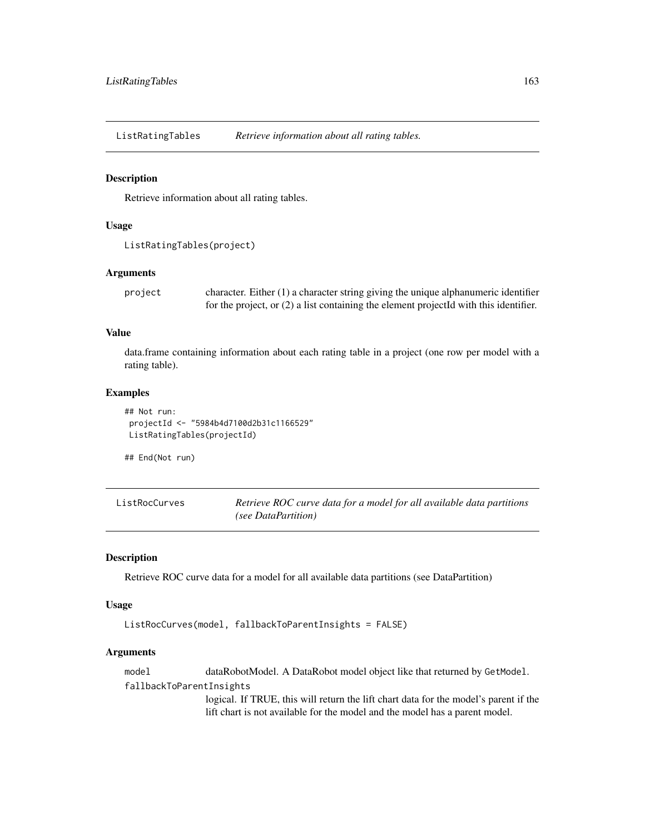ListRatingTables *Retrieve information about all rating tables.*

#### Description

Retrieve information about all rating tables.

# Usage

```
ListRatingTables(project)
```
### Arguments

project character. Either (1) a character string giving the unique alphanumeric identifier for the project, or (2) a list containing the element projectId with this identifier.

### Value

data.frame containing information about each rating table in a project (one row per model with a rating table).

### Examples

```
## Not run:
projectId <- "5984b4d7100d2b31c1166529"
ListRatingTables(projectId)
```
## End(Not run)

ListRocCurves *Retrieve ROC curve data for a model for all available data partitions (see DataPartition)*

#### Description

Retrieve ROC curve data for a model for all available data partitions (see DataPartition)

#### Usage

```
ListRocCurves(model, fallbackToParentInsights = FALSE)
```
### Arguments

model dataRobotModel. A DataRobot model object like that returned by GetModel. fallbackToParentInsights

> logical. If TRUE, this will return the lift chart data for the model's parent if the lift chart is not available for the model and the model has a parent model.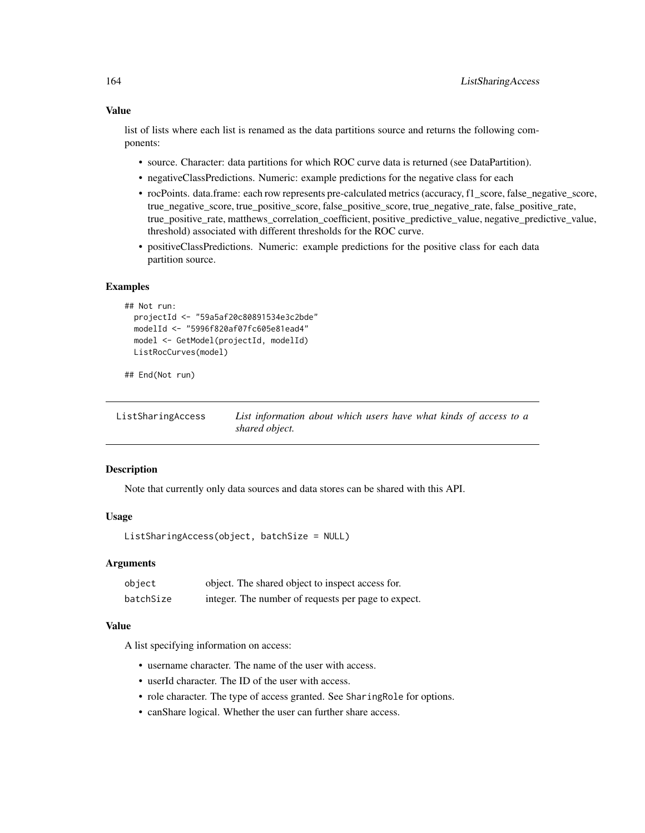### Value

list of lists where each list is renamed as the data partitions source and returns the following components:

- source. Character: data partitions for which ROC curve data is returned (see DataPartition).
- negativeClassPredictions. Numeric: example predictions for the negative class for each
- rocPoints. data.frame: each row represents pre-calculated metrics (accuracy, f1\_score, false\_negative\_score, true\_negative\_score, true\_positive\_score, false\_positive\_score, true\_negative\_rate, false\_positive\_rate, true\_positive\_rate, matthews\_correlation\_coefficient, positive\_predictive\_value, negative\_predictive\_value, threshold) associated with different thresholds for the ROC curve.
- positiveClassPredictions. Numeric: example predictions for the positive class for each data partition source.

#### Examples

```
## Not run:
 projectId <- "59a5af20c80891534e3c2bde"
 modelId <- "5996f820af07fc605e81ead4"
 model <- GetModel(projectId, modelId)
 ListRocCurves(model)
```
## End(Not run)

ListSharingAccess *List information about which users have what kinds of access to a shared object.*

#### Description

Note that currently only data sources and data stores can be shared with this API.

### Usage

```
ListSharingAccess(object, batchSize = NULL)
```
#### Arguments

| object    | object. The shared object to inspect access for.    |
|-----------|-----------------------------------------------------|
| batchSize | integer. The number of requests per page to expect. |

### Value

A list specifying information on access:

- username character. The name of the user with access.
- userId character. The ID of the user with access.
- role character. The type of access granted. See SharingRole for options.
- canShare logical. Whether the user can further share access.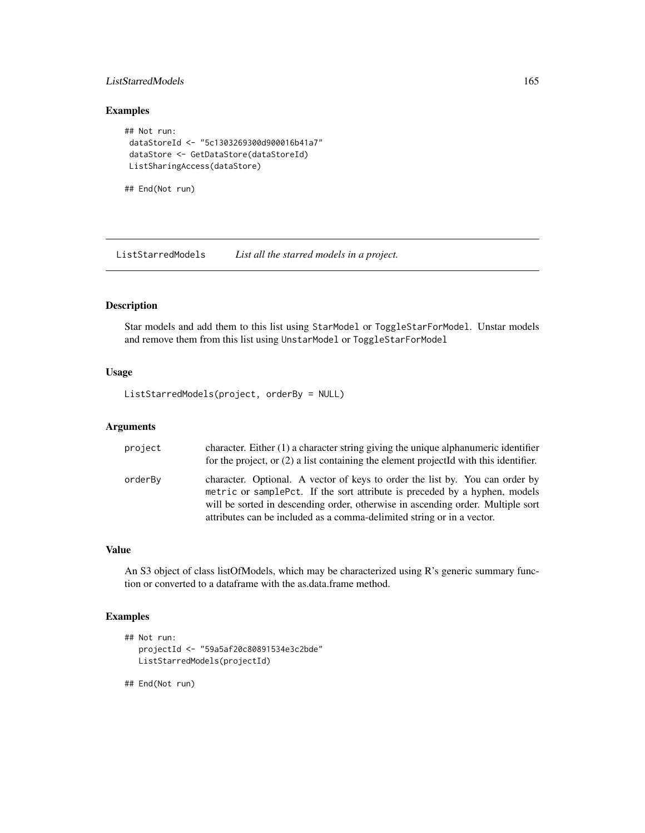### ListStarredModels 165

### Examples

```
## Not run:
dataStoreId <- "5c1303269300d900016b41a7"
dataStore <- GetDataStore(dataStoreId)
ListSharingAccess(dataStore)
```
## End(Not run)

ListStarredModels *List all the starred models in a project.*

### Description

Star models and add them to this list using StarModel or ToggleStarForModel. Unstar models and remove them from this list using UnstarModel or ToggleStarForModel

#### Usage

ListStarredModels(project, orderBy = NULL)

#### Arguments

| project | character. Either (1) a character string giving the unique alphanumeric identifier<br>for the project, or $(2)$ a list containing the element projected with this identifier.                                                                                                                                           |
|---------|-------------------------------------------------------------------------------------------------------------------------------------------------------------------------------------------------------------------------------------------------------------------------------------------------------------------------|
| orderBy | character. Optional. A vector of keys to order the list by. You can order by<br>metric or samplePct. If the sort attribute is preceded by a hyphen, models<br>will be sorted in descending order, otherwise in ascending order. Multiple sort<br>attributes can be included as a comma-delimited string or in a vector. |

### Value

An S3 object of class listOfModels, which may be characterized using R's generic summary function or converted to a dataframe with the as.data.frame method.

### Examples

```
## Not run:
  projectId <- "59a5af20c80891534e3c2bde"
  ListStarredModels(projectId)
```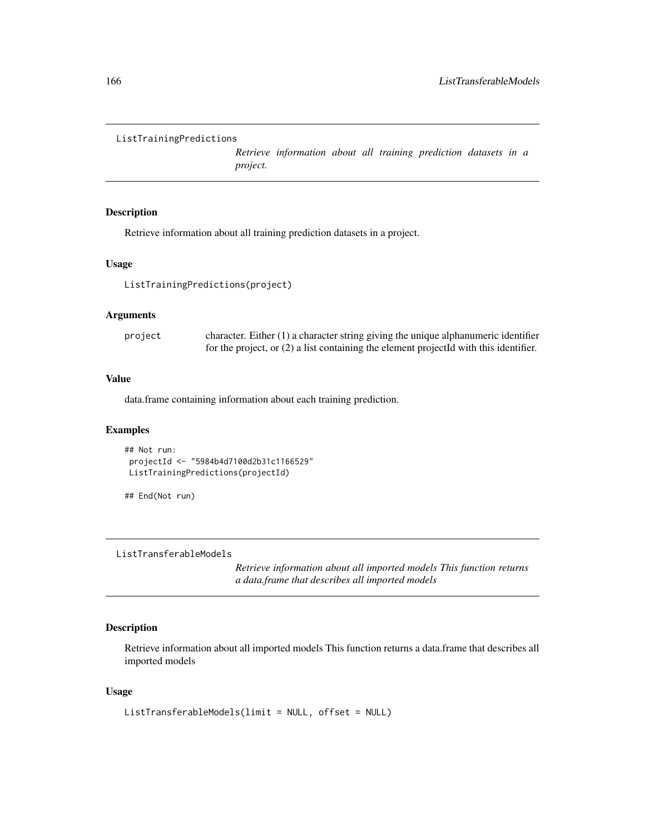```
ListTrainingPredictions
```
*Retrieve information about all training prediction datasets in a project.*

## Description

Retrieve information about all training prediction datasets in a project.

#### Usage

ListTrainingPredictions(project)

#### Arguments

| project | character. Either $(1)$ a character string giving the unique alphanumeric identifier    |
|---------|-----------------------------------------------------------------------------------------|
|         | for the project, or $(2)$ a list containing the element projected with this identifier. |

### Value

data.frame containing information about each training prediction.

### Examples

```
## Not run:
projectId <- "5984b4d7100d2b31c1166529"
ListTrainingPredictions(projectId)
```
## End(Not run)

ListTransferableModels

*Retrieve information about all imported models This function returns a data.frame that describes all imported models*

### Description

Retrieve information about all imported models This function returns a data.frame that describes all imported models

#### Usage

```
ListTransferableModels(limit = NULL, offset = NULL)
```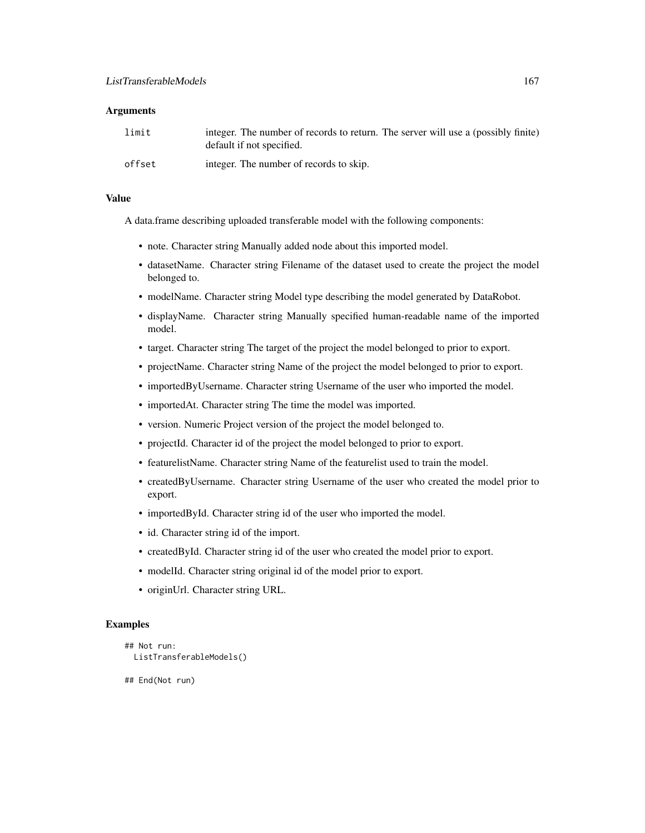#### **Arguments**

| limit  | integer. The number of records to return. The server will use a (possibly finite)<br>default if not specified. |
|--------|----------------------------------------------------------------------------------------------------------------|
| offset | integer. The number of records to skip.                                                                        |

# Value

A data.frame describing uploaded transferable model with the following components:

- note. Character string Manually added node about this imported model.
- datasetName. Character string Filename of the dataset used to create the project the model belonged to.
- modelName. Character string Model type describing the model generated by DataRobot.
- displayName. Character string Manually specified human-readable name of the imported model.
- target. Character string The target of the project the model belonged to prior to export.
- projectName. Character string Name of the project the model belonged to prior to export.
- importedByUsername. Character string Username of the user who imported the model.
- importedAt. Character string The time the model was imported.
- version. Numeric Project version of the project the model belonged to.
- projectId. Character id of the project the model belonged to prior to export.
- featurelistName. Character string Name of the featurelist used to train the model.
- createdByUsername. Character string Username of the user who created the model prior to export.
- importedById. Character string id of the user who imported the model.
- id. Character string id of the import.
- createdById. Character string id of the user who created the model prior to export.
- modelId. Character string original id of the model prior to export.
- originUrl. Character string URL.

# **Examples**

```
## Not run:
 ListTransferableModels()
```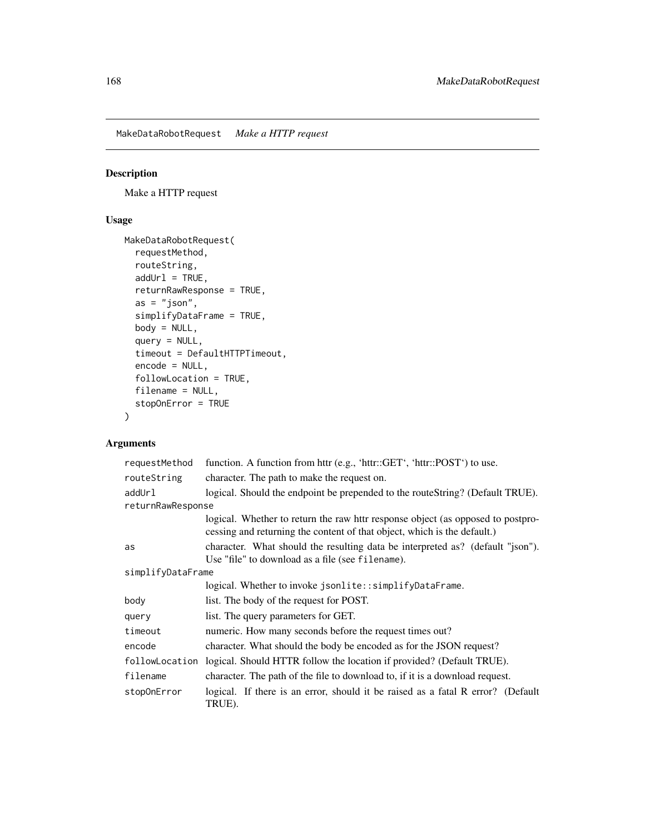MakeDataRobotRequest *Make a HTTP request*

# Description

Make a HTTP request

# Usage

```
MakeDataRobotRequest(
 requestMethod,
 routeString,
 addUr1 = TRUE,returnRawResponse = TRUE,
 as = "json",simplifyDataFrame = TRUE,
 body = NULL,
 query = NULL,
  timeout = DefaultHTTPTimeout,
  encode = NULL,
  followLocation = TRUE,
 filename = NULL,
  stopOnError = TRUE
)
```
# Arguments

| requestMethod     | function. A function from httr (e.g., 'httr::GET', 'httr::POST') to use.                                                                                    |  |
|-------------------|-------------------------------------------------------------------------------------------------------------------------------------------------------------|--|
| routeString       | character. The path to make the request on.                                                                                                                 |  |
| addUrl            | logical. Should the endpoint be prepended to the routeString? (Default TRUE).                                                                               |  |
| returnRawResponse |                                                                                                                                                             |  |
|                   | logical. Whether to return the raw httr response object (as opposed to postpro-<br>cessing and returning the content of that object, which is the default.) |  |
| as                | character. What should the resulting data be interpreted as? (default "json").<br>Use "file" to download as a file (see filename).                          |  |
| simplifyDataFrame |                                                                                                                                                             |  |
|                   | logical. Whether to invoke jsonlite::simplifyDataFrame.                                                                                                     |  |
| body              | list. The body of the request for POST.                                                                                                                     |  |
| query             | list. The query parameters for GET.                                                                                                                         |  |
| timeout           | numeric. How many seconds before the request times out?                                                                                                     |  |
| encode            | character. What should the body be encoded as for the JSON request?                                                                                         |  |
| followLocation    | logical. Should HTTR follow the location if provided? (Default TRUE).                                                                                       |  |
| filename          | character. The path of the file to download to, if it is a download request.                                                                                |  |
| stop0nError       | logical. If there is an error, should it be raised as a fatal R error? (Default<br>TRUE).                                                                   |  |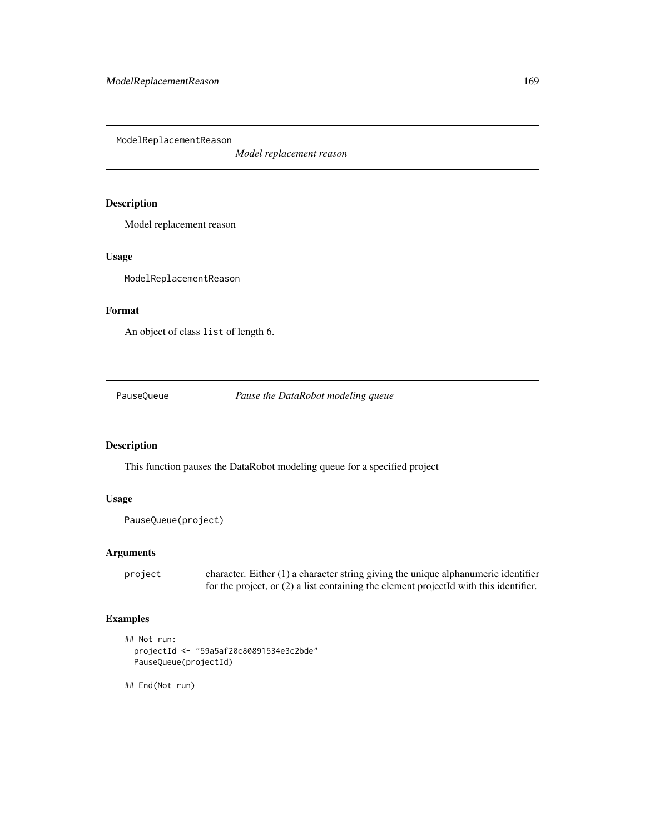ModelReplacementReason

*Model replacement reason*

### Description

Model replacement reason

# Usage

ModelReplacementReason

### Format

An object of class list of length 6.

PauseQueue *Pause the DataRobot modeling queue*

# Description

This function pauses the DataRobot modeling queue for a specified project

# Usage

```
PauseQueue(project)
```
### Arguments

project character. Either (1) a character string giving the unique alphanumeric identifier for the project, or (2) a list containing the element projectId with this identifier.

## Examples

```
## Not run:
 projectId <- "59a5af20c80891534e3c2bde"
 PauseQueue(projectId)
```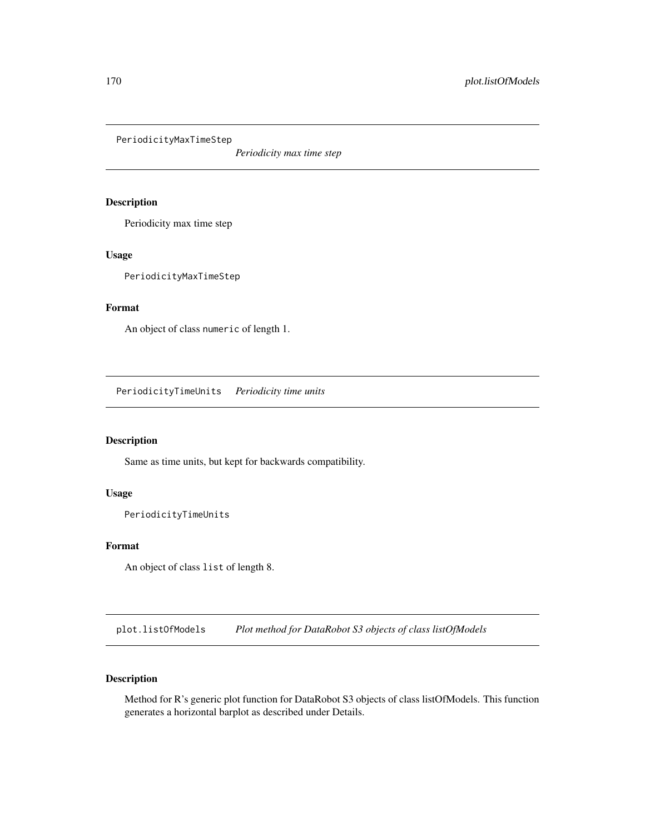PeriodicityMaxTimeStep

*Periodicity max time step*

## Description

Periodicity max time step

# Usage

PeriodicityMaxTimeStep

### Format

An object of class numeric of length 1.

PeriodicityTimeUnits *Periodicity time units*

### Description

Same as time units, but kept for backwards compatibility.

### Usage

PeriodicityTimeUnits

#### Format

An object of class list of length 8.

plot.listOfModels *Plot method for DataRobot S3 objects of class listOfModels*

### Description

Method for R's generic plot function for DataRobot S3 objects of class listOfModels. This function generates a horizontal barplot as described under Details.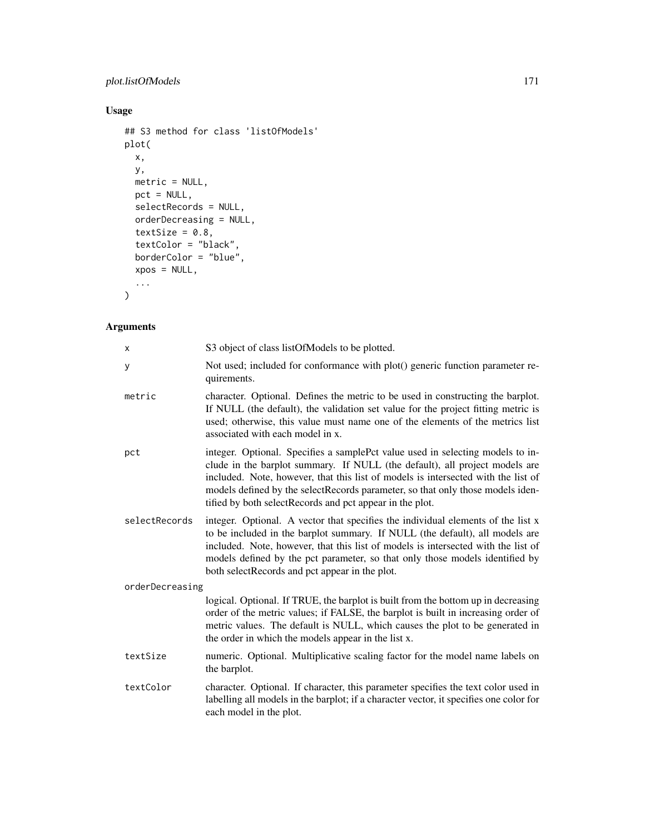# plot.listOfModels 171

# Usage

```
## S3 method for class 'listOfModels'
plot(
 x,
 y,
 metric = NULL,
 pct = NULL,
 selectRecords = NULL,
 orderDecreasing = NULL,
  textSize = 0.8,
 textColor = "black",
 borderColor = "blue",
 xpos = NULL,...
\mathcal{L}
```
# Arguments

| x               | S3 object of class listOfModels to be plotted.                                                                                                                                                                                                                                                                                                                                                    |  |
|-----------------|---------------------------------------------------------------------------------------------------------------------------------------------------------------------------------------------------------------------------------------------------------------------------------------------------------------------------------------------------------------------------------------------------|--|
| у               | Not used; included for conformance with plot() generic function parameter re-<br>quirements.                                                                                                                                                                                                                                                                                                      |  |
| metric          | character. Optional. Defines the metric to be used in constructing the barplot.<br>If NULL (the default), the validation set value for the project fitting metric is<br>used; otherwise, this value must name one of the elements of the metrics list<br>associated with each model in x.                                                                                                         |  |
| pct             | integer. Optional. Specifies a samplePct value used in selecting models to in-<br>clude in the barplot summary. If NULL (the default), all project models are<br>included. Note, however, that this list of models is intersected with the list of<br>models defined by the selectRecords parameter, so that only those models iden-<br>tified by both select Records and pct appear in the plot. |  |
| selectRecords   | integer. Optional. A vector that specifies the individual elements of the list x<br>to be included in the barplot summary. If NULL (the default), all models are<br>included. Note, however, that this list of models is intersected with the list of<br>models defined by the pct parameter, so that only those models identified by<br>both selectRecords and pct appear in the plot.           |  |
| orderDecreasing |                                                                                                                                                                                                                                                                                                                                                                                                   |  |
|                 | logical. Optional. If TRUE, the barplot is built from the bottom up in decreasing<br>order of the metric values; if FALSE, the barplot is built in increasing order of<br>metric values. The default is NULL, which causes the plot to be generated in<br>the order in which the models appear in the list x.                                                                                     |  |
| textSize        | numeric. Optional. Multiplicative scaling factor for the model name labels on<br>the barplot.                                                                                                                                                                                                                                                                                                     |  |
| textColor       | character. Optional. If character, this parameter specifies the text color used in<br>labelling all models in the barplot; if a character vector, it specifies one color for<br>each model in the plot.                                                                                                                                                                                           |  |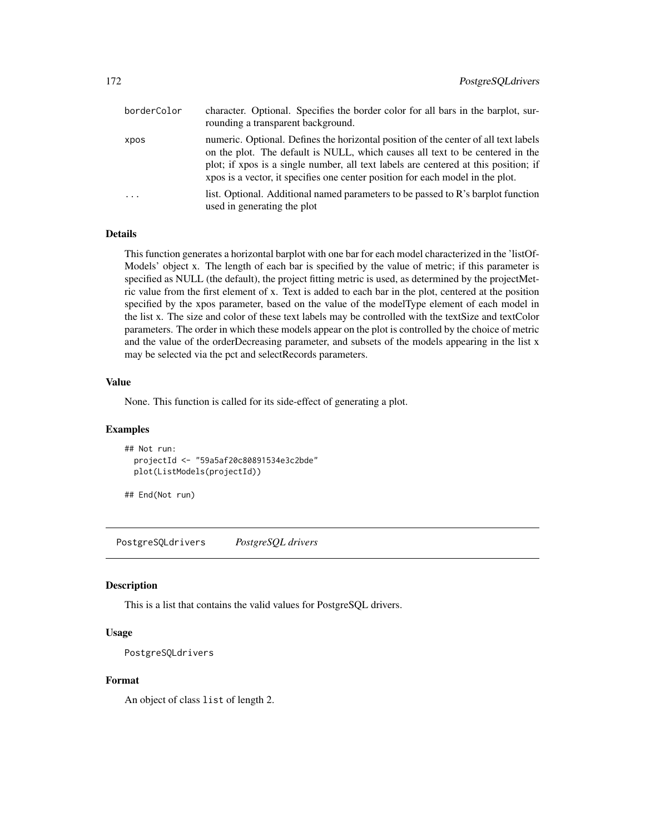| borderColor | character. Optional. Specifies the border color for all bars in the barplot, sur-<br>rounding a transparent background.                                                                                                                                                                                                                       |
|-------------|-----------------------------------------------------------------------------------------------------------------------------------------------------------------------------------------------------------------------------------------------------------------------------------------------------------------------------------------------|
| xpos        | numeric. Optional. Defines the horizontal position of the center of all text labels<br>on the plot. The default is NULL, which causes all text to be centered in the<br>plot; if xpos is a single number, all text labels are centered at this position; if<br>xpos is a vector, it specifies one center position for each model in the plot. |
| $\ddots$    | list. Optional. Additional named parameters to be passed to $\mathbb{R}^3$ barplot function<br>used in generating the plot                                                                                                                                                                                                                    |

### **Details**

This function generates a horizontal barplot with one bar for each model characterized in the 'listOf-Models' object x. The length of each bar is specified by the value of metric; if this parameter is specified as NULL (the default), the project fitting metric is used, as determined by the projectMetric value from the first element of x. Text is added to each bar in the plot, centered at the position specified by the xpos parameter, based on the value of the modelType element of each model in the list x. The size and color of these text labels may be controlled with the textSize and textColor parameters. The order in which these models appear on the plot is controlled by the choice of metric and the value of the orderDecreasing parameter, and subsets of the models appearing in the list x may be selected via the pct and selectRecords parameters.

### Value

None. This function is called for its side-effect of generating a plot.

#### Examples

```
## Not run:
 projectId <- "59a5af20c80891534e3c2bde"
 plot(ListModels(projectId))
```
## End(Not run)

PostgreSQLdrivers *PostgreSQL drivers*

### Description

This is a list that contains the valid values for PostgreSQL drivers.

### Usage

```
PostgreSQLdrivers
```
#### Format

An object of class list of length 2.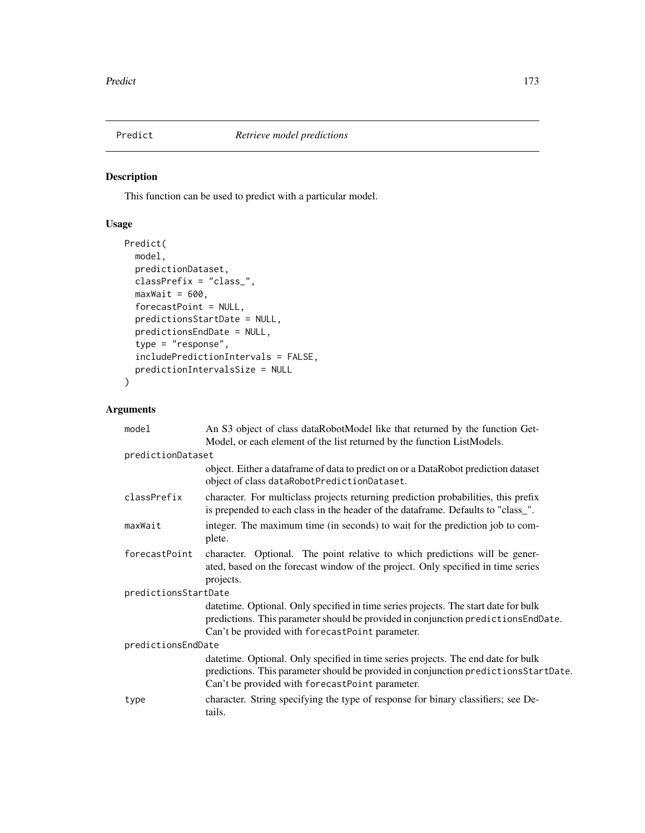This function can be used to predict with a particular model.

# Usage

```
Predict(
 model,
 predictionDataset,
 classPrefix = "class_",
 maxWait = 600,forecastPoint = NULL,
 predictionsStartDate = NULL,
 predictionsEndDate = NULL,
  type = "response",
  includePredictionIntervals = FALSE,
 predictionIntervalsSize = NULL
\overline{\phantom{a}}
```
## Arguments

| model                | An S3 object of class dataRobotModel like that returned by the function Get-                                                                                                                                                  |
|----------------------|-------------------------------------------------------------------------------------------------------------------------------------------------------------------------------------------------------------------------------|
|                      | Model, or each element of the list returned by the function ListModels.                                                                                                                                                       |
| predictionDataset    |                                                                                                                                                                                                                               |
|                      | object. Either a dataframe of data to predict on or a DataRobot prediction dataset<br>object of class dataRobotPredictionDataset.                                                                                             |
| classPrefix          | character. For multiclass projects returning prediction probabilities, this prefix<br>is prepended to each class in the header of the dataframe. Defaults to "class_".                                                        |
| maxWait              | integer. The maximum time (in seconds) to wait for the prediction job to com-<br>plete.                                                                                                                                       |
| forecastPoint        | character. Optional. The point relative to which predictions will be gener-<br>ated, based on the forecast window of the project. Only specified in time series<br>projects.                                                  |
| predictionsStartDate |                                                                                                                                                                                                                               |
|                      | date time. Optional. Only specified in time series projects. The start date for bulk<br>predictions. This parameter should be provided in conjunction predictions EndDate.<br>Can't be provided with forecastPoint parameter. |
| predictionsEndDate   |                                                                                                                                                                                                                               |
|                      | datetime. Optional. Only specified in time series projects. The end date for bulk<br>predictions. This parameter should be provided in conjunction predictionsStartDate.<br>Can't be provided with forecastPoint parameter.   |
| type                 | character. String specifying the type of response for binary classifiers; see De-<br>tails.                                                                                                                                   |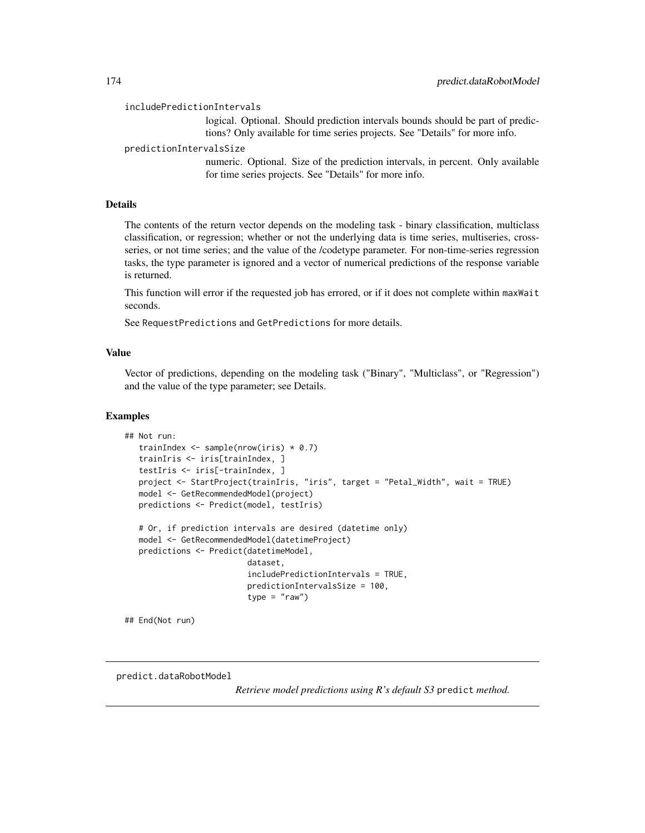includePredictionIntervals

logical. Optional. Should prediction intervals bounds should be part of predictions? Only available for time series projects. See "Details" for more info.

predictionIntervalsSize

numeric. Optional. Size of the prediction intervals, in percent. Only available for time series projects. See "Details" for more info.

#### Details

The contents of the return vector depends on the modeling task - binary classification, multiclass classification, or regression; whether or not the underlying data is time series, multiseries, crossseries, or not time series; and the value of the /codetype parameter. For non-time-series regression tasks, the type parameter is ignored and a vector of numerical predictions of the response variable is returned.

This function will error if the requested job has errored, or if it does not complete within maxWait seconds.

See RequestPredictions and GetPredictions for more details.

### Value

Vector of predictions, depending on the modeling task ("Binary", "Multiclass", or "Regression") and the value of the type parameter; see Details.

#### Examples

```
## Not run:
  trainIndex \leq sample(nrow(iris) \neq 0.7)
  trainIris <- iris[trainIndex, ]
  testIris <- iris[-trainIndex, ]
  project <- StartProject(trainIris, "iris", target = "Petal_Width", wait = TRUE)
  model <- GetRecommendedModel(project)
  predictions <- Predict(model, testIris)
  # Or, if prediction intervals are desired (datetime only)
  model <- GetRecommendedModel(datetimeProject)
  predictions <- Predict(datetimeModel,
                          dataset,
                          includePredictionIntervals = TRUE,
                          predictionIntervalsSize = 100,
                          type = "raw")
```
## End(Not run)

predict.dataRobotModel

*Retrieve model predictions using R's default S3* predict *method.*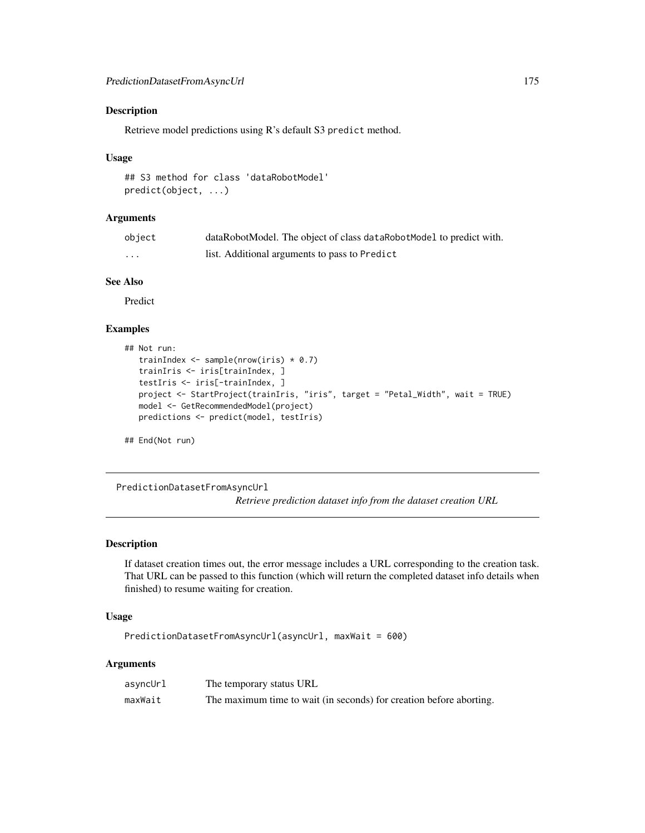Retrieve model predictions using R's default S3 predict method.

#### Usage

```
## S3 method for class 'dataRobotModel'
predict(object, ...)
```
### Arguments

| object | dataRobotModel. The object of class dataRobotModel to predict with. |
|--------|---------------------------------------------------------------------|
| .      | list. Additional arguments to pass to Predict                       |

#### See Also

Predict

# Examples

```
## Not run:
  trainIndex <- sample(nrow(iris) * 0.7)
  trainIris <- iris[trainIndex, ]
  testIris <- iris[-trainIndex, ]
  project <- StartProject(trainIris, "iris", target = "Petal_Width", wait = TRUE)
  model <- GetRecommendedModel(project)
  predictions <- predict(model, testIris)
## End(Not run)
```
PredictionDatasetFromAsyncUrl

*Retrieve prediction dataset info from the dataset creation URL*

# Description

If dataset creation times out, the error message includes a URL corresponding to the creation task. That URL can be passed to this function (which will return the completed dataset info details when finished) to resume waiting for creation.

### Usage

```
PredictionDatasetFromAsyncUrl(asyncUrl, maxWait = 600)
```
#### Arguments

| asyncUrl | The temporary status URL                                            |
|----------|---------------------------------------------------------------------|
| maxWait  | The maximum time to wait (in seconds) for creation before aborting. |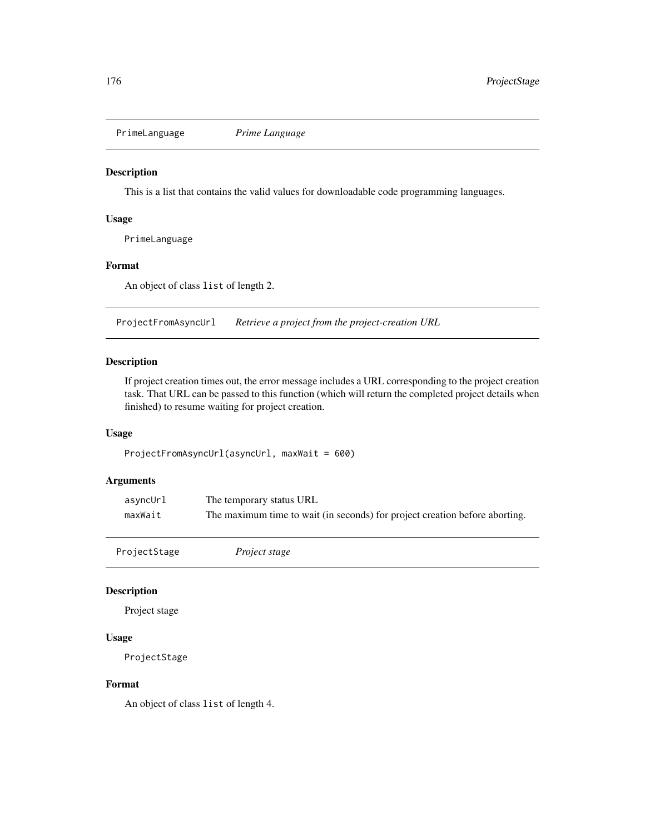PrimeLanguage *Prime Language*

### Description

This is a list that contains the valid values for downloadable code programming languages.

### Usage

PrimeLanguage

### Format

An object of class list of length 2.

ProjectFromAsyncUrl *Retrieve a project from the project-creation URL*

### Description

If project creation times out, the error message includes a URL corresponding to the project creation task. That URL can be passed to this function (which will return the completed project details when finished) to resume waiting for project creation.

### Usage

ProjectFromAsyncUrl(asyncUrl, maxWait = 600)

# Arguments

| asyncUrl | The temporary status URL                                                    |
|----------|-----------------------------------------------------------------------------|
| maxWait  | The maximum time to wait (in seconds) for project creation before aborting. |

ProjectStage *Project stage*

### Description

Project stage

#### Usage

ProjectStage

### Format

An object of class list of length 4.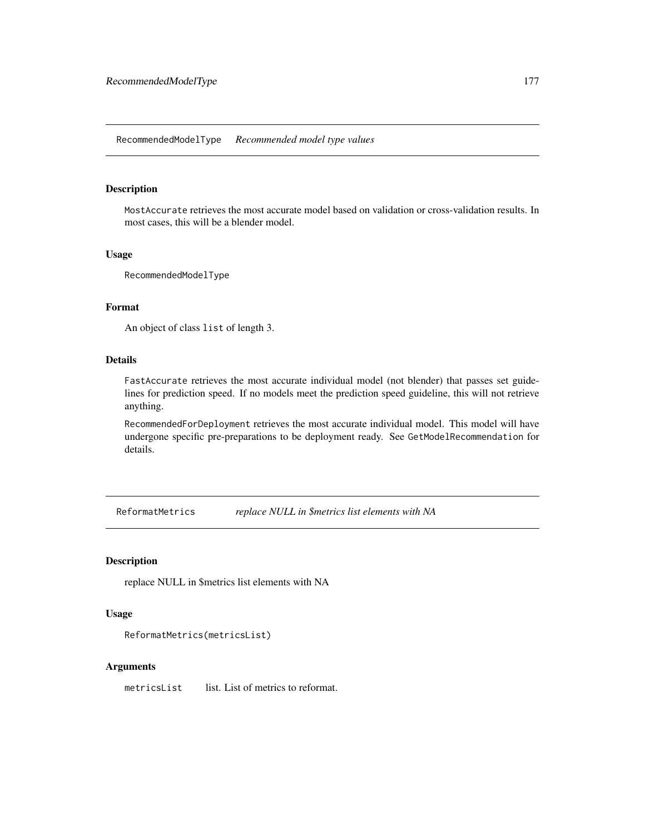MostAccurate retrieves the most accurate model based on validation or cross-validation results. In most cases, this will be a blender model.

### Usage

RecommendedModelType

### Format

An object of class list of length 3.

# Details

FastAccurate retrieves the most accurate individual model (not blender) that passes set guidelines for prediction speed. If no models meet the prediction speed guideline, this will not retrieve anything.

RecommendedForDeployment retrieves the most accurate individual model. This model will have undergone specific pre-preparations to be deployment ready. See GetModelRecommendation for details.

ReformatMetrics *replace NULL in \$metrics list elements with NA*

### Description

replace NULL in \$metrics list elements with NA

### Usage

```
ReformatMetrics(metricsList)
```
### Arguments

metricsList list. List of metrics to reformat.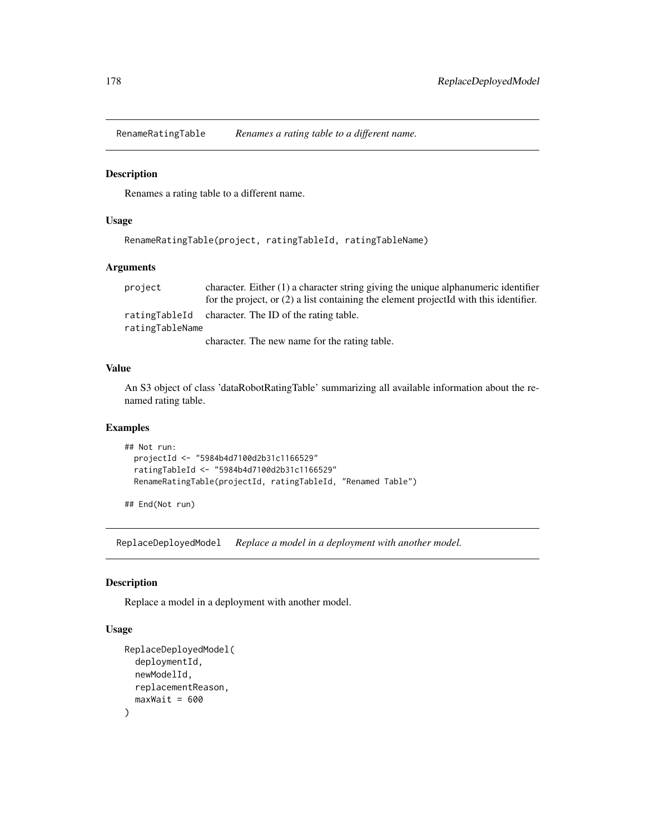RenameRatingTable *Renames a rating table to a different name.*

### Description

Renames a rating table to a different name.

# Usage

RenameRatingTable(project, ratingTableId, ratingTableName)

### Arguments

project character. Either (1) a character string giving the unique alphanumeric identifier for the project, or (2) a list containing the element projectId with this identifier. ratingTableId character. The ID of the rating table. ratingTableName character. The new name for the rating table.

### Value

An S3 object of class 'dataRobotRatingTable' summarizing all available information about the renamed rating table.

### Examples

```
## Not run:
 projectId <- "5984b4d7100d2b31c1166529"
 ratingTableId <- "5984b4d7100d2b31c1166529"
 RenameRatingTable(projectId, ratingTableId, "Renamed Table")
```
## End(Not run)

ReplaceDeployedModel *Replace a model in a deployment with another model.*

#### Description

Replace a model in a deployment with another model.

#### Usage

```
ReplaceDeployedModel(
  deploymentId,
  newModelId,
  replacementReason,
  maxWait = 600)
```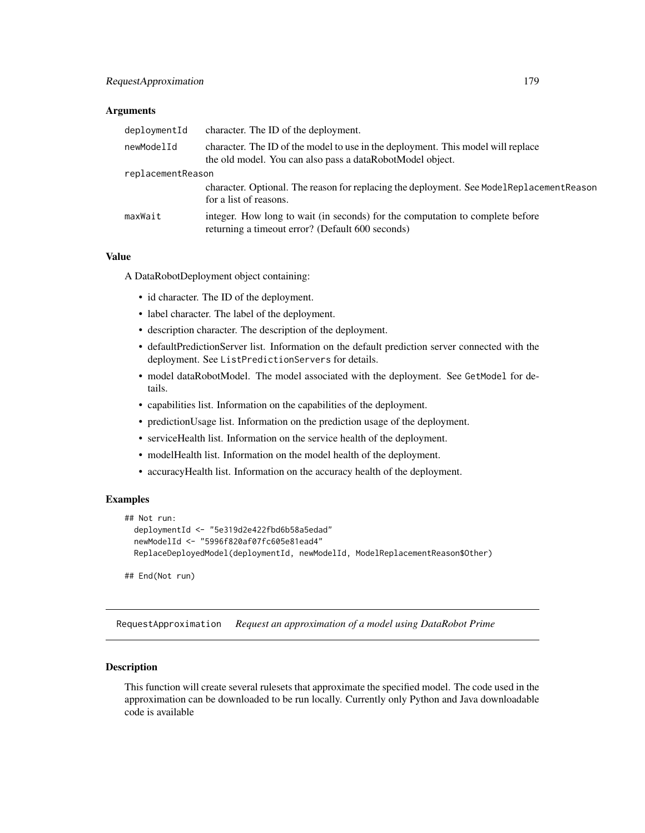#### **Arguments**

| deploymentId      | character. The ID of the deployment.                                                                                                          |
|-------------------|-----------------------------------------------------------------------------------------------------------------------------------------------|
| newModelId        | character. The ID of the model to use in the deployment. This model will replace<br>the old model. You can also pass a dataRobotModel object. |
| replacementReason |                                                                                                                                               |
|                   | character. Optional. The reason for replacing the deployment. See ModelReplacementReason<br>for a list of reasons.                            |
| maxWait           | integer. How long to wait (in seconds) for the computation to complete before<br>returning a timeout error? (Default 600 seconds)             |

### Value

A DataRobotDeployment object containing:

- id character. The ID of the deployment.
- label character. The label of the deployment.
- description character. The description of the deployment.
- defaultPredictionServer list. Information on the default prediction server connected with the deployment. See ListPredictionServers for details.
- model dataRobotModel. The model associated with the deployment. See GetModel for details.
- capabilities list. Information on the capabilities of the deployment.
- predictionUsage list. Information on the prediction usage of the deployment.
- serviceHealth list. Information on the service health of the deployment.
- modelHealth list. Information on the model health of the deployment.
- accuracyHealth list. Information on the accuracy health of the deployment.

### Examples

```
## Not run:
 deploymentId <- "5e319d2e422fbd6b58a5edad"
 newModelId <- "5996f820af07fc605e81ead4"
 ReplaceDeployedModel(deploymentId, newModelId, ModelReplacementReason$Other)
```
## End(Not run)

RequestApproximation *Request an approximation of a model using DataRobot Prime*

### **Description**

This function will create several rulesets that approximate the specified model. The code used in the approximation can be downloaded to be run locally. Currently only Python and Java downloadable code is available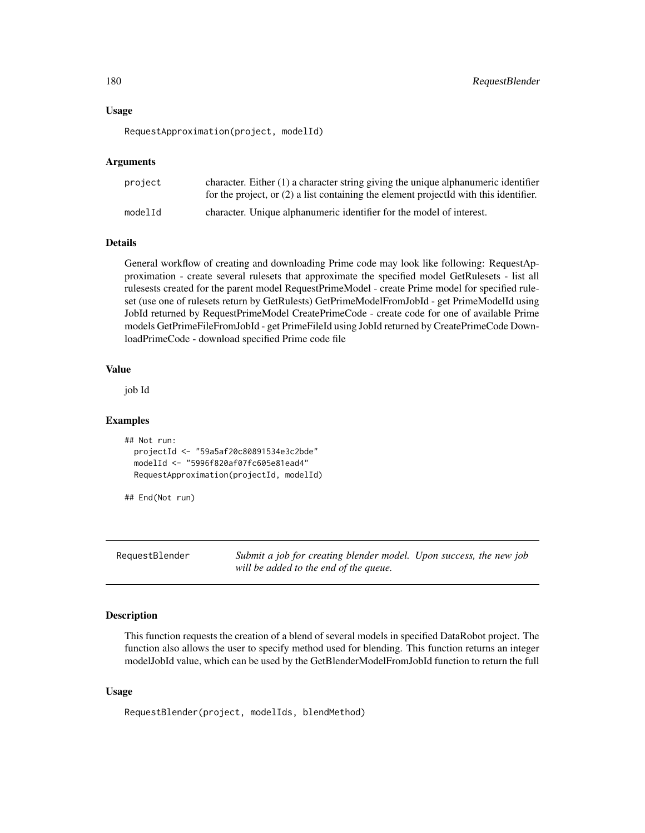#### Usage

RequestApproximation(project, modelId)

### Arguments

| project | character. Either $(1)$ a character string giving the unique alphanumeric identifier<br>for the project, or $(2)$ a list containing the element projectId with this identifier. |
|---------|---------------------------------------------------------------------------------------------------------------------------------------------------------------------------------|
| modelId | character. Unique alphanumeric identifier for the model of interest.                                                                                                            |

### Details

General workflow of creating and downloading Prime code may look like following: RequestApproximation - create several rulesets that approximate the specified model GetRulesets - list all rulesests created for the parent model RequestPrimeModel - create Prime model for specified ruleset (use one of rulesets return by GetRulests) GetPrimeModelFromJobId - get PrimeModelId using JobId returned by RequestPrimeModel CreatePrimeCode - create code for one of available Prime models GetPrimeFileFromJobId - get PrimeFileId using JobId returned by CreatePrimeCode DownloadPrimeCode - download specified Prime code file

### Value

job Id

#### Examples

```
## Not run:
 projectId <- "59a5af20c80891534e3c2bde"
 modelId <- "5996f820af07fc605e81ead4"
 RequestApproximation(projectId, modelId)
```
## End(Not run)

RequestBlender *Submit a job for creating blender model. Upon success, the new job will be added to the end of the queue.*

#### Description

This function requests the creation of a blend of several models in specified DataRobot project. The function also allows the user to specify method used for blending. This function returns an integer modelJobId value, which can be used by the GetBlenderModelFromJobId function to return the full

#### Usage

RequestBlender(project, modelIds, blendMethod)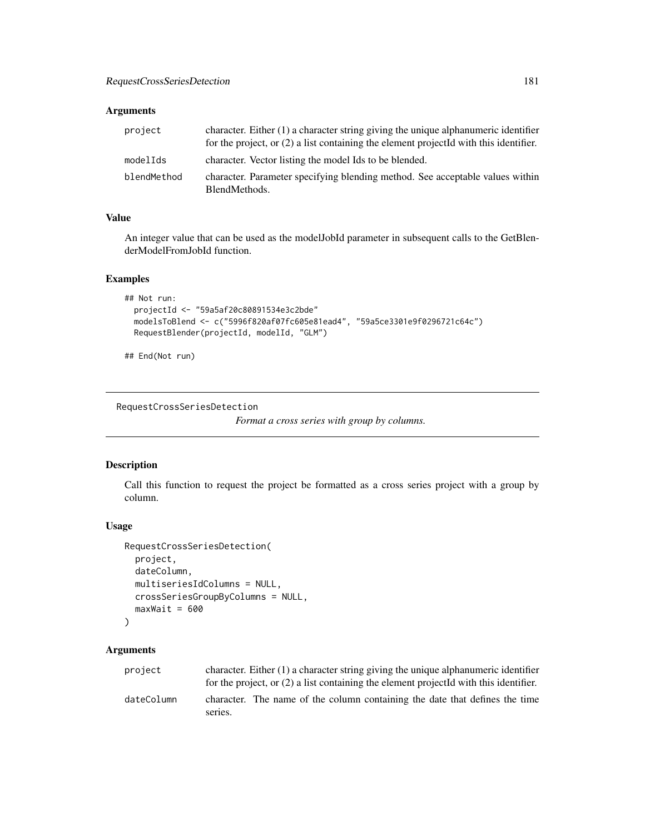## Arguments

| project     | character. Either $(1)$ a character string giving the unique alphanumeric identifier<br>for the project, or $(2)$ a list containing the element projected with this identifier. |
|-------------|---------------------------------------------------------------------------------------------------------------------------------------------------------------------------------|
| modelIds    | character. Vector listing the model Ids to be blended.                                                                                                                          |
| blendMethod | character. Parameter specifying blending method. See acceptable values within<br>BlendMethods.                                                                                  |

## Value

An integer value that can be used as the modelJobId parameter in subsequent calls to the GetBlenderModelFromJobId function.

## Examples

```
## Not run:
 projectId <- "59a5af20c80891534e3c2bde"
 modelsToBlend <- c("5996f820af07fc605e81ead4", "59a5ce3301e9f0296721c64c")
 RequestBlender(projectId, modelId, "GLM")
```
## End(Not run)

RequestCrossSeriesDetection

*Format a cross series with group by columns.*

## Description

Call this function to request the project be formatted as a cross series project with a group by column.

## Usage

```
RequestCrossSeriesDetection(
 project,
 dateColumn,
 multiseriesIdColumns = NULL,
 crossSeriesGroupByColumns = NULL,
 maxWait = 600\lambda
```

| project    | character. Either $(1)$ a character string giving the unique alphanumeric identifier<br>for the project, or $(2)$ a list containing the element projected with this identifier. |  |  |  |  |  |  |
|------------|---------------------------------------------------------------------------------------------------------------------------------------------------------------------------------|--|--|--|--|--|--|
| dateColumn | character. The name of the column containing the date that defines the time<br>series.                                                                                          |  |  |  |  |  |  |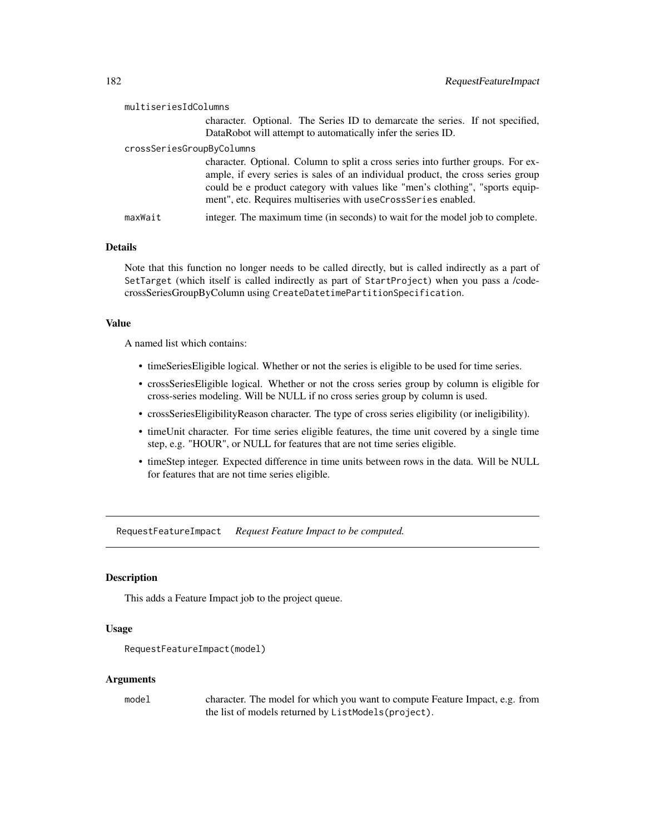# multiseriesIdColumns

character. Optional. The Series ID to demarcate the series. If not specified, DataRobot will attempt to automatically infer the series ID.

#### crossSeriesGroupByColumns

|         | character. Optional. Column to split a cross series into further groups. For ex- |
|---------|----------------------------------------------------------------------------------|
|         | ample, if every series is sales of an individual product, the cross series group |
|         | could be e product category with values like "men's clothing", "sports equip-    |
|         | ment", etc. Requires multiseries with useCrossSeries enabled.                    |
| maxWait | integer. The maximum time (in seconds) to wait for the model job to complete.    |

#### Details

Note that this function no longer needs to be called directly, but is called indirectly as a part of SetTarget (which itself is called indirectly as part of StartProject) when you pass a /codecrossSeriesGroupByColumn using CreateDatetimePartitionSpecification.

## Value

A named list which contains:

- timeSeriesEligible logical. Whether or not the series is eligible to be used for time series.
- crossSeriesEligible logical. Whether or not the cross series group by column is eligible for cross-series modeling. Will be NULL if no cross series group by column is used.
- crossSeriesEligibilityReason character. The type of cross series eligibility (or ineligibility).
- timeUnit character. For time series eligible features, the time unit covered by a single time step, e.g. "HOUR", or NULL for features that are not time series eligible.
- timeStep integer. Expected difference in time units between rows in the data. Will be NULL for features that are not time series eligible.

RequestFeatureImpact *Request Feature Impact to be computed.*

## Description

This adds a Feature Impact job to the project queue.

## Usage

```
RequestFeatureImpact(model)
```
#### Arguments

model character. The model for which you want to compute Feature Impact, e.g. from the list of models returned by ListModels(project).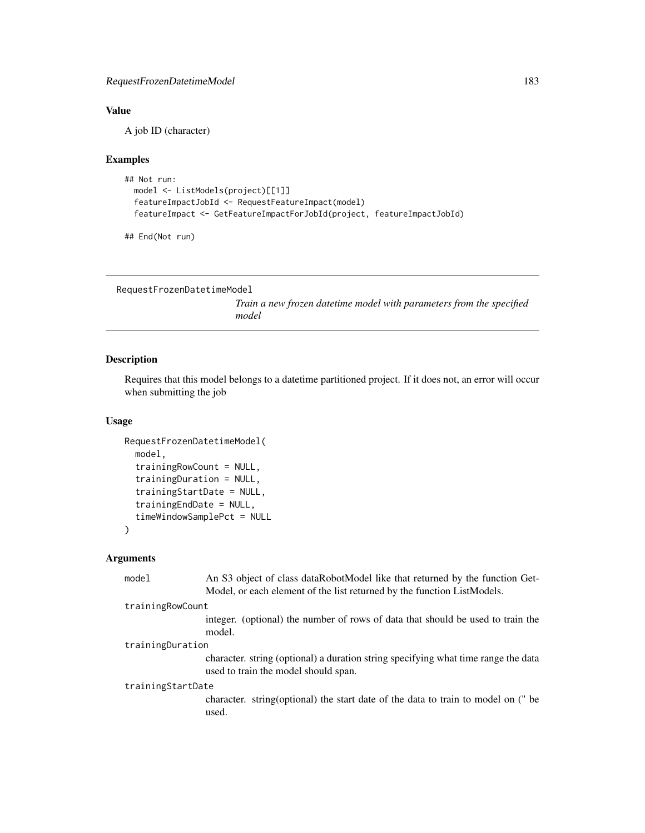## Value

A job ID (character)

## Examples

```
## Not run:
  model <- ListModels(project)[[1]]
  featureImpactJobId <- RequestFeatureImpact(model)
  featureImpact <- GetFeatureImpactForJobId(project, featureImpactJobId)
```

```
## End(Not run)
```

```
RequestFrozenDatetimeModel
```
*Train a new frozen datetime model with parameters from the specified model*

## Description

Requires that this model belongs to a datetime partitioned project. If it does not, an error will occur when submitting the job

## Usage

```
RequestFrozenDatetimeModel(
 model,
  trainingRowCount = NULL,
  trainingDuration = NULL,
  trainingStartDate = NULL,
  trainingEndDate = NULL,
  timeWindowSamplePct = NULL
)
```

| model             | An S3 object of class dataRobotModel like that returned by the function Get-<br>Model, or each element of the list returned by the function ListModels. |  |  |
|-------------------|---------------------------------------------------------------------------------------------------------------------------------------------------------|--|--|
| trainingRowCount  |                                                                                                                                                         |  |  |
|                   | integer. (optional) the number of rows of data that should be used to train the<br>model.                                                               |  |  |
| trainingDuration  |                                                                                                                                                         |  |  |
|                   | character. string (optional) a duration string specifying what time range the data<br>used to train the model should span.                              |  |  |
| trainingStartDate |                                                                                                                                                         |  |  |
|                   | character. string (optional) the start date of the data to train to model on (" be<br>used.                                                             |  |  |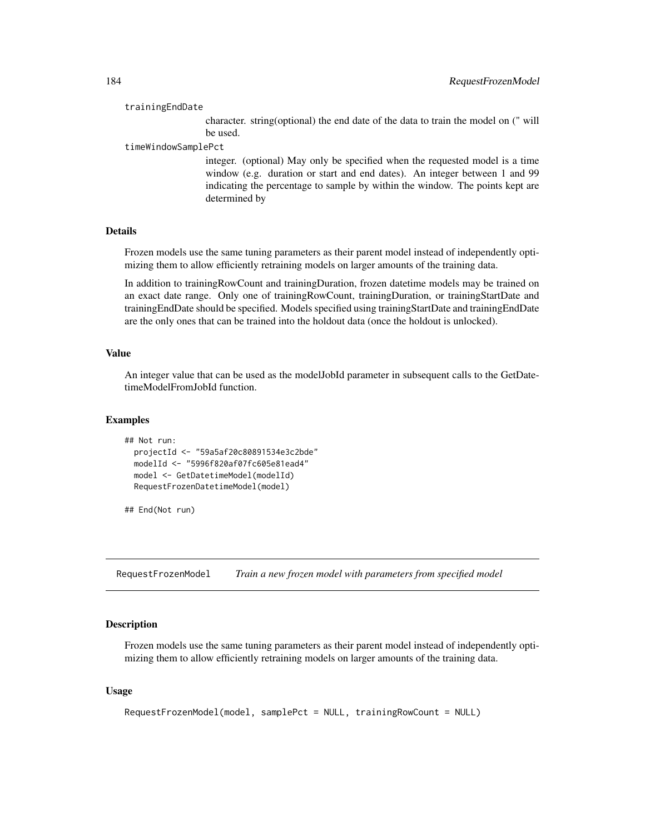#### trainingEndDate

character. string(optional) the end date of the data to train the model on (" will be used.

#### timeWindowSamplePct

integer. (optional) May only be specified when the requested model is a time window (e.g. duration or start and end dates). An integer between 1 and 99 indicating the percentage to sample by within the window. The points kept are determined by

## Details

Frozen models use the same tuning parameters as their parent model instead of independently optimizing them to allow efficiently retraining models on larger amounts of the training data.

In addition to trainingRowCount and trainingDuration, frozen datetime models may be trained on an exact date range. Only one of trainingRowCount, trainingDuration, or trainingStartDate and trainingEndDate should be specified. Models specified using trainingStartDate and trainingEndDate are the only ones that can be trained into the holdout data (once the holdout is unlocked).

## Value

An integer value that can be used as the modelJobId parameter in subsequent calls to the GetDatetimeModelFromJobId function.

#### Examples

```
## Not run:
 projectId <- "59a5af20c80891534e3c2bde"
 modelId <- "5996f820af07fc605e81ead4"
 model <- GetDatetimeModel(modelId)
 RequestFrozenDatetimeModel(model)
```
## End(Not run)

RequestFrozenModel *Train a new frozen model with parameters from specified model*

#### Description

Frozen models use the same tuning parameters as their parent model instead of independently optimizing them to allow efficiently retraining models on larger amounts of the training data.

#### Usage

```
RequestFrozenModel(model, samplePct = NULL, trainingRowCount = NULL)
```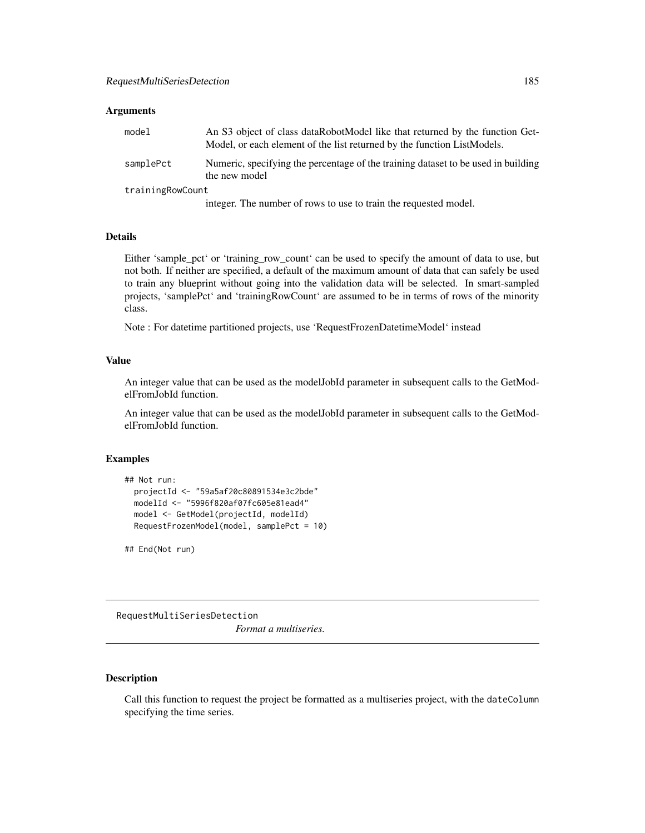#### Arguments

| model            | An S3 object of class dataRobotModel like that returned by the function Get-<br>Model, or each element of the list returned by the function ListModels. |  |  |  |  |  |
|------------------|---------------------------------------------------------------------------------------------------------------------------------------------------------|--|--|--|--|--|
| samplePct        | Numeric, specifying the percentage of the training dataset to be used in building<br>the new model                                                      |  |  |  |  |  |
| trainingRowCount |                                                                                                                                                         |  |  |  |  |  |
|                  |                                                                                                                                                         |  |  |  |  |  |

integer. The number of rows to use to train the requested model.

## Details

Either 'sample\_pct' or 'training\_row\_count' can be used to specify the amount of data to use, but not both. If neither are specified, a default of the maximum amount of data that can safely be used to train any blueprint without going into the validation data will be selected. In smart-sampled projects, 'samplePct' and 'trainingRowCount' are assumed to be in terms of rows of the minority class.

Note : For datetime partitioned projects, use 'RequestFrozenDatetimeModel' instead

## Value

An integer value that can be used as the modelJobId parameter in subsequent calls to the GetModelFromJobId function.

An integer value that can be used as the modelJobId parameter in subsequent calls to the GetModelFromJobId function.

## Examples

```
## Not run:
 projectId <- "59a5af20c80891534e3c2bde"
 modelId <- "5996f820af07fc605e81ead4"
 model <- GetModel(projectId, modelId)
 RequestFrozenModel(model, samplePct = 10)
```
## End(Not run)

RequestMultiSeriesDetection

*Format a multiseries.*

## Description

Call this function to request the project be formatted as a multiseries project, with the dateColumn specifying the time series.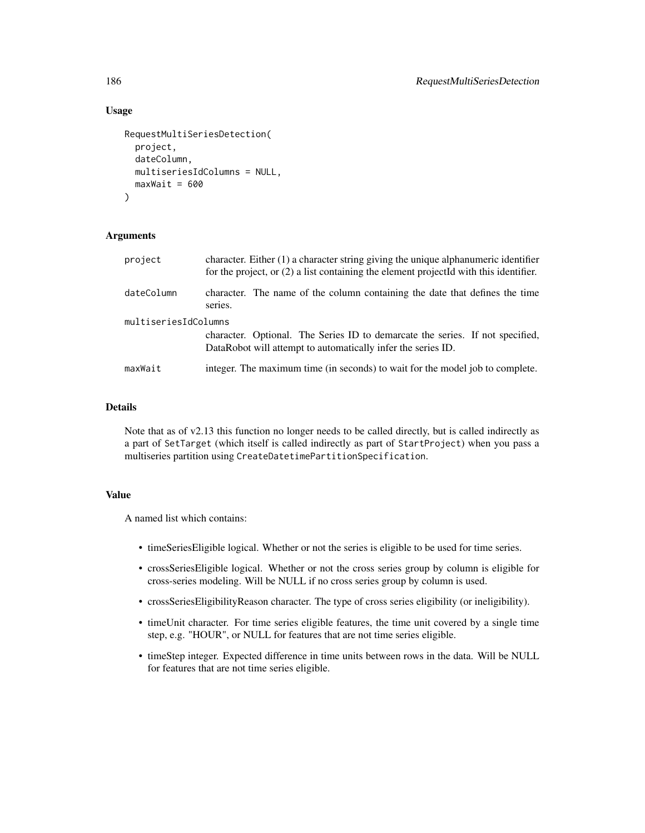#### Usage

```
RequestMultiSeriesDetection(
 project,
 dateColumn,
 multiseriesIdColumns = NULL,
 maxWait = 600)
```
## Arguments

| project              | character. Either $(1)$ a character string giving the unique alphanumeric identifier<br>for the project, or $(2)$ a list containing the element projected with this identifier. |  |  |  |  |  |
|----------------------|---------------------------------------------------------------------------------------------------------------------------------------------------------------------------------|--|--|--|--|--|
| dateColumn           | character. The name of the column containing the date that defines the time<br>series.                                                                                          |  |  |  |  |  |
| multiseriesIdColumns | character. Optional. The Series ID to demarcate the series. If not specified,<br>DataRobot will attempt to automatically infer the series ID.                                   |  |  |  |  |  |
| maxWait              | integer. The maximum time (in seconds) to wait for the model job to complete.                                                                                                   |  |  |  |  |  |

### Details

Note that as of v2.13 this function no longer needs to be called directly, but is called indirectly as a part of SetTarget (which itself is called indirectly as part of StartProject) when you pass a multiseries partition using CreateDatetimePartitionSpecification.

## Value

A named list which contains:

- timeSeriesEligible logical. Whether or not the series is eligible to be used for time series.
- crossSeriesEligible logical. Whether or not the cross series group by column is eligible for cross-series modeling. Will be NULL if no cross series group by column is used.
- crossSeriesEligibilityReason character. The type of cross series eligibility (or ineligibility).
- timeUnit character. For time series eligible features, the time unit covered by a single time step, e.g. "HOUR", or NULL for features that are not time series eligible.
- timeStep integer. Expected difference in time units between rows in the data. Will be NULL for features that are not time series eligible.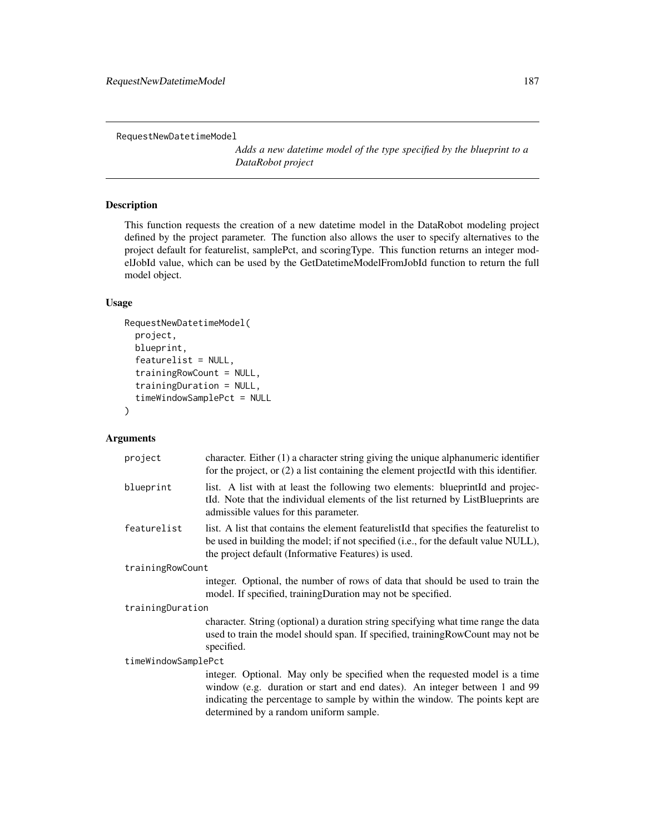RequestNewDatetimeModel

*Adds a new datetime model of the type specified by the blueprint to a DataRobot project*

## Description

This function requests the creation of a new datetime model in the DataRobot modeling project defined by the project parameter. The function also allows the user to specify alternatives to the project default for featurelist, samplePct, and scoringType. This function returns an integer modelJobId value, which can be used by the GetDatetimeModelFromJobId function to return the full model object.

#### Usage

```
RequestNewDatetimeModel(
  project,
  blueprint,
  featurelist = NULL,
  trainingRowCount = NULL,
  trainingDuration = NULL,
  timeWindowSamplePct = NULL
)
```

| project             | character. Either $(1)$ a character string giving the unique alphanumeric identifier<br>for the project, or (2) a list containing the element projectId with this identifier.                                                                                                        |  |  |  |
|---------------------|--------------------------------------------------------------------------------------------------------------------------------------------------------------------------------------------------------------------------------------------------------------------------------------|--|--|--|
| blueprint           | list. A list with at least the following two elements: blueprint d and projec-<br>tId. Note that the individual elements of the list returned by ListBlueprints are<br>admissible values for this parameter.                                                                         |  |  |  |
| featurelist         | list. A list that contains the element featurelist of that specifies the featurelist to<br>be used in building the model; if not specified (i.e., for the default value NULL),<br>the project default (Informative Features) is used.                                                |  |  |  |
| trainingRowCount    |                                                                                                                                                                                                                                                                                      |  |  |  |
|                     | integer. Optional, the number of rows of data that should be used to train the<br>model. If specified, training Duration may not be specified.                                                                                                                                       |  |  |  |
| trainingDuration    |                                                                                                                                                                                                                                                                                      |  |  |  |
|                     | character. String (optional) a duration string specifying what time range the data<br>used to train the model should span. If specified, training RowCount may not be<br>specified.                                                                                                  |  |  |  |
| timeWindowSamplePct |                                                                                                                                                                                                                                                                                      |  |  |  |
|                     | integer. Optional. May only be specified when the requested model is a time<br>window (e.g. duration or start and end dates). An integer between 1 and 99<br>indicating the percentage to sample by within the window. The points kept are<br>determined by a random uniform sample. |  |  |  |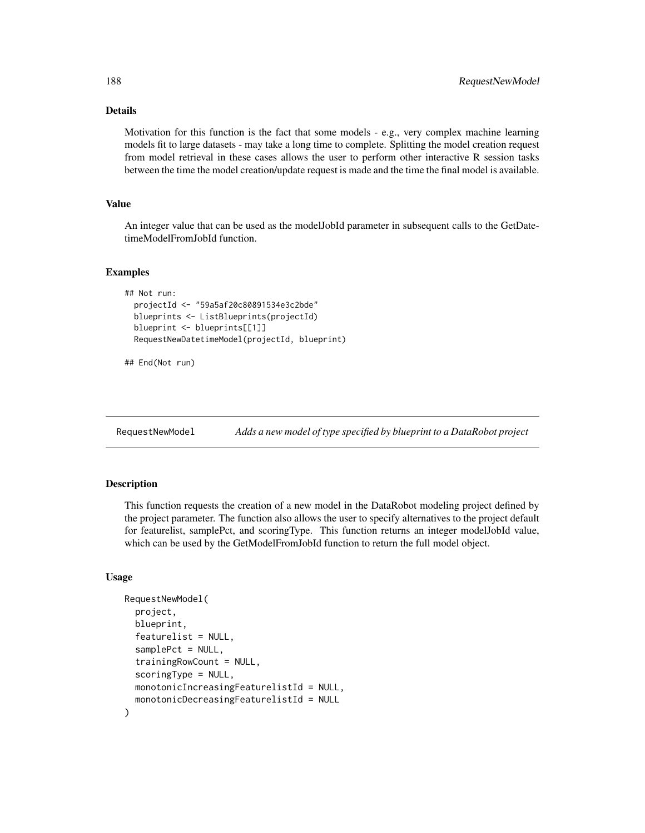## Details

Motivation for this function is the fact that some models - e.g., very complex machine learning models fit to large datasets - may take a long time to complete. Splitting the model creation request from model retrieval in these cases allows the user to perform other interactive R session tasks between the time the model creation/update request is made and the time the final model is available.

## Value

An integer value that can be used as the modelJobId parameter in subsequent calls to the GetDatetimeModelFromJobId function.

#### Examples

```
## Not run:
 projectId <- "59a5af20c80891534e3c2bde"
 blueprints <- ListBlueprints(projectId)
 blueprint <- blueprints[[1]]
 RequestNewDatetimeModel(projectId, blueprint)
```

```
## End(Not run)
```
RequestNewModel *Adds a new model of type specified by blueprint to a DataRobot project*

#### Description

This function requests the creation of a new model in the DataRobot modeling project defined by the project parameter. The function also allows the user to specify alternatives to the project default for featurelist, samplePct, and scoringType. This function returns an integer modelJobId value, which can be used by the GetModelFromJobId function to return the full model object.

#### Usage

```
RequestNewModel(
  project,
  blueprint,
  featurelist = NULL,
  samplePct = NULL,
  trainingRowCount = NULL,
  scoringType = NULL,
 monotonicIncreasingFeaturelistId = NULL,
  monotonicDecreasingFeaturelistId = NULL
)
```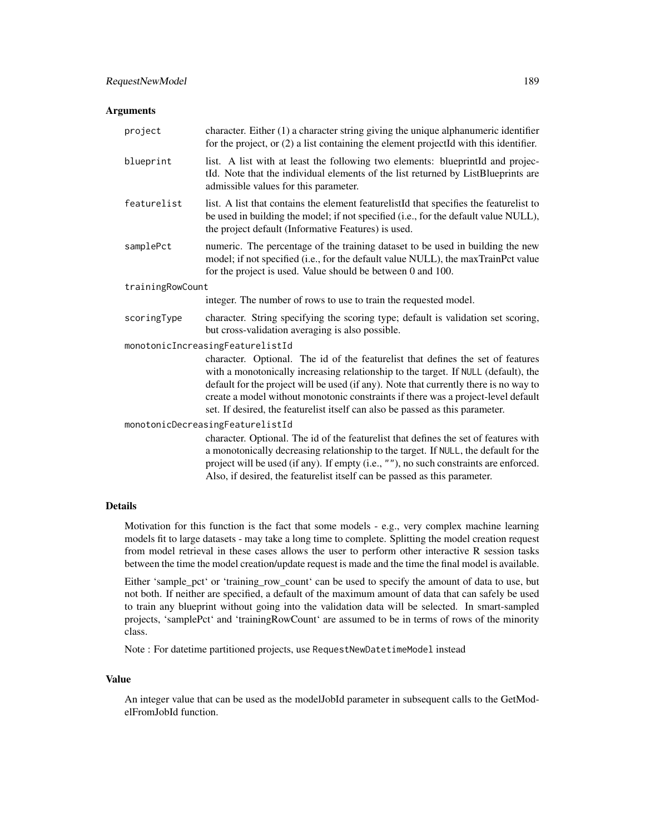#### Arguments

| project                          | character. Either $(1)$ a character string giving the unique alphanumeric identifier<br>for the project, or (2) a list containing the element projectId with this identifier.                                                                                                                                                                                                                                                        |  |  |  |  |  |
|----------------------------------|--------------------------------------------------------------------------------------------------------------------------------------------------------------------------------------------------------------------------------------------------------------------------------------------------------------------------------------------------------------------------------------------------------------------------------------|--|--|--|--|--|
| blueprint                        | list. A list with at least the following two elements: blueprintId and projec-<br>tId. Note that the individual elements of the list returned by ListBlueprints are<br>admissible values for this parameter.                                                                                                                                                                                                                         |  |  |  |  |  |
| featurelist                      | list. A list that contains the element featurelistId that specifies the featurelist to<br>be used in building the model; if not specified (i.e., for the default value NULL),<br>the project default (Informative Features) is used.                                                                                                                                                                                                 |  |  |  |  |  |
| samplePct                        | numeric. The percentage of the training dataset to be used in building the new<br>model; if not specified (i.e., for the default value NULL), the maxTrainPct value<br>for the project is used. Value should be between 0 and 100.                                                                                                                                                                                                   |  |  |  |  |  |
| trainingRowCount                 |                                                                                                                                                                                                                                                                                                                                                                                                                                      |  |  |  |  |  |
|                                  | integer. The number of rows to use to train the requested model.                                                                                                                                                                                                                                                                                                                                                                     |  |  |  |  |  |
| scoringType                      | character. String specifying the scoring type; default is validation set scoring,<br>but cross-validation averaging is also possible.                                                                                                                                                                                                                                                                                                |  |  |  |  |  |
|                                  | monotonicIncreasingFeaturelistId                                                                                                                                                                                                                                                                                                                                                                                                     |  |  |  |  |  |
|                                  | character. Optional. The id of the featurelist that defines the set of features<br>with a monotonically increasing relationship to the target. If NULL (default), the<br>default for the project will be used (if any). Note that currently there is no way to<br>create a model without monotonic constraints if there was a project-level default<br>set. If desired, the featurelist itself can also be passed as this parameter. |  |  |  |  |  |
| monotonicDecreasingFeaturelistId |                                                                                                                                                                                                                                                                                                                                                                                                                                      |  |  |  |  |  |
|                                  | character. Optional. The id of the featurelist that defines the set of features with<br>a monotonically decreasing relationship to the target. If NULL, the default for the<br>project will be used (if any). If empty (i.e., ""), no such constraints are enforced.<br>Also, if desired, the featurelist itself can be passed as this parameter.                                                                                    |  |  |  |  |  |

## Details

Motivation for this function is the fact that some models - e.g., very complex machine learning models fit to large datasets - may take a long time to complete. Splitting the model creation request from model retrieval in these cases allows the user to perform other interactive R session tasks between the time the model creation/update request is made and the time the final model is available.

Either 'sample\_pct' or 'training\_row\_count' can be used to specify the amount of data to use, but not both. If neither are specified, a default of the maximum amount of data that can safely be used to train any blueprint without going into the validation data will be selected. In smart-sampled projects, 'samplePct' and 'trainingRowCount' are assumed to be in terms of rows of the minority class.

Note : For datetime partitioned projects, use RequestNewDatetimeModel instead

## Value

An integer value that can be used as the modelJobId parameter in subsequent calls to the GetModelFromJobId function.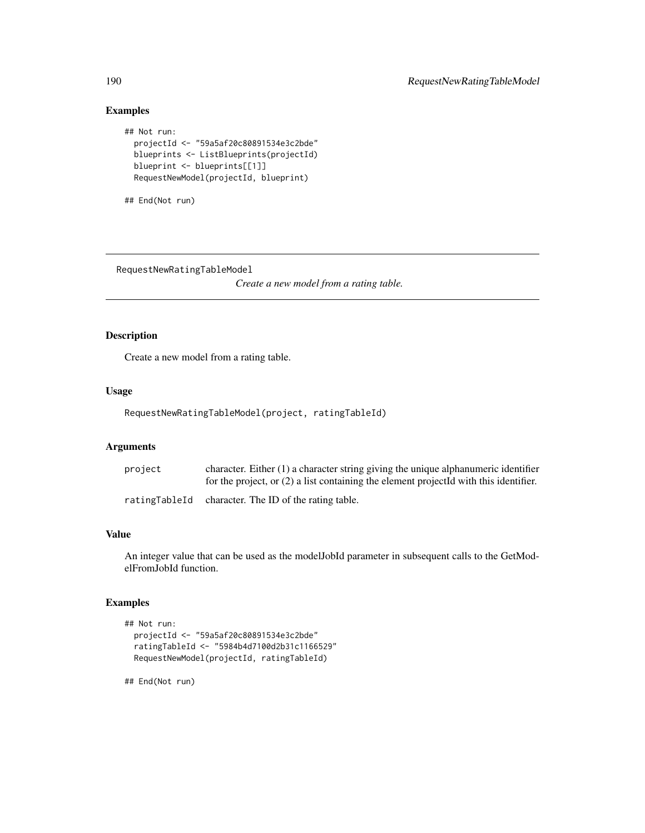## Examples

```
## Not run:
 projectId <- "59a5af20c80891534e3c2bde"
 blueprints <- ListBlueprints(projectId)
 blueprint <- blueprints[[1]]
 RequestNewModel(projectId, blueprint)
```

```
## End(Not run)
```
RequestNewRatingTableModel

*Create a new model from a rating table.*

## Description

Create a new model from a rating table.

#### Usage

RequestNewRatingTableModel(project, ratingTableId)

#### Arguments

| project | character. Either $(1)$ a character string giving the unique alphanumeric identifier<br>for the project, or $(2)$ a list containing the element projected with this identifier. |
|---------|---------------------------------------------------------------------------------------------------------------------------------------------------------------------------------|
|         | ratingTableId character. The ID of the rating table.                                                                                                                            |

## Value

An integer value that can be used as the modelJobId parameter in subsequent calls to the GetModelFromJobId function.

## Examples

```
## Not run:
 projectId <- "59a5af20c80891534e3c2bde"
 ratingTableId <- "5984b4d7100d2b31c1166529"
 RequestNewModel(projectId, ratingTableId)
```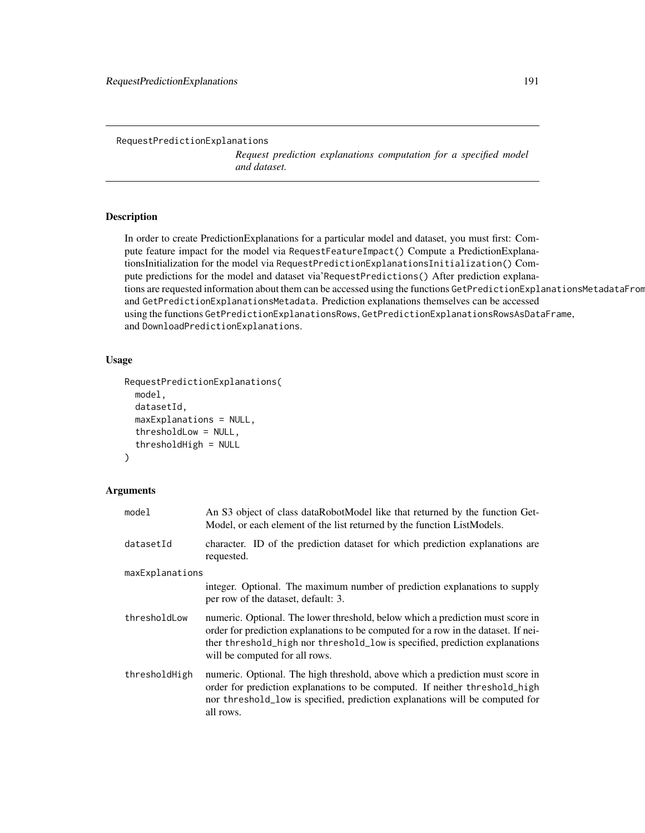RequestPredictionExplanations

*Request prediction explanations computation for a specified model and dataset.*

#### Description

In order to create PredictionExplanations for a particular model and dataset, you must first: Compute feature impact for the model via RequestFeatureImpact() Compute a PredictionExplanationsInitialization for the model via RequestPredictionExplanationsInitialization() Compute predictions for the model and dataset via'RequestPredictions() After prediction explanations are requested information about them can be accessed using the functions GetPredictionExplanationsMetadataFrom and GetPredictionExplanationsMetadata. Prediction explanations themselves can be accessed using the functions GetPredictionExplanationsRows, GetPredictionExplanationsRowsAsDataFrame, and DownloadPredictionExplanations.

#### Usage

```
RequestPredictionExplanations(
  model,
  datasetId,
  maxExplanations = NULL,
  thresholdLow = NULL,
  thresholdHigh = NULL
)
```

| model           | An S3 object of class dataRobotModel like that returned by the function Get-<br>Model, or each element of the list returned by the function ListModels.                                                                                                                               |  |  |  |  |  |
|-----------------|---------------------------------------------------------------------------------------------------------------------------------------------------------------------------------------------------------------------------------------------------------------------------------------|--|--|--|--|--|
| datasetId       | character. ID of the prediction dataset for which prediction explanations are<br>requested.                                                                                                                                                                                           |  |  |  |  |  |
| maxExplanations |                                                                                                                                                                                                                                                                                       |  |  |  |  |  |
|                 | integer. Optional. The maximum number of prediction explanations to supply<br>per row of the dataset, default: 3.                                                                                                                                                                     |  |  |  |  |  |
| thresholdLow    | numeric. Optional. The lower threshold, below which a prediction must score in<br>order for prediction explanations to be computed for a row in the dataset. If nei-<br>ther threshold_high nor threshold_low is specified, prediction explanations<br>will be computed for all rows. |  |  |  |  |  |
| thresholdHigh   | numeric. Optional. The high threshold, above which a prediction must score in<br>order for prediction explanations to be computed. If neither threshold_high<br>nor threshold_low is specified, prediction explanations will be computed for<br>all rows.                             |  |  |  |  |  |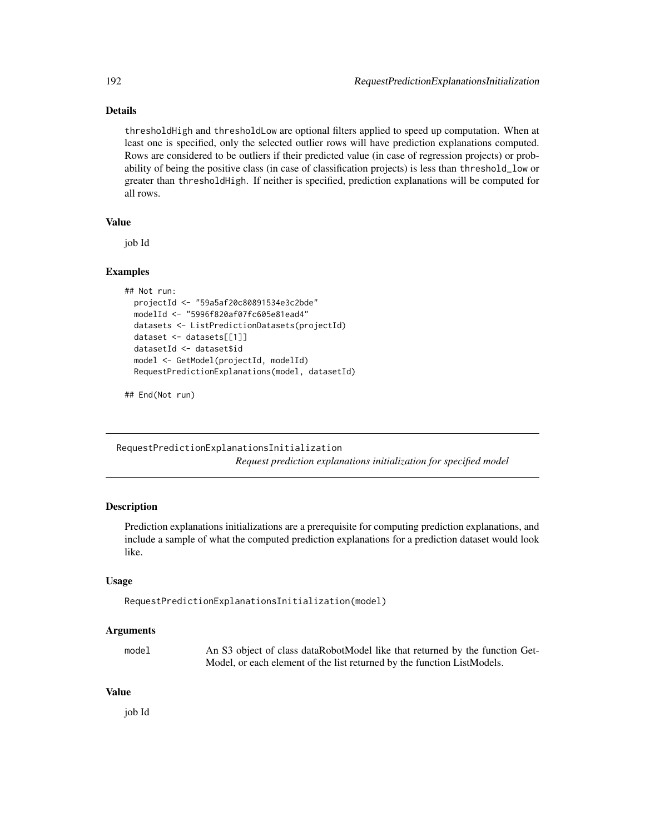## Details

thresholdHigh and thresholdLow are optional filters applied to speed up computation. When at least one is specified, only the selected outlier rows will have prediction explanations computed. Rows are considered to be outliers if their predicted value (in case of regression projects) or probability of being the positive class (in case of classification projects) is less than threshold\_low or greater than thresholdHigh. If neither is specified, prediction explanations will be computed for all rows.

#### Value

job Id

### Examples

```
## Not run:
 projectId <- "59a5af20c80891534e3c2bde"
 modelId <- "5996f820af07fc605e81ead4"
 datasets <- ListPredictionDatasets(projectId)
 dataset <- datasets[[1]]
 datasetId <- dataset$id
 model <- GetModel(projectId, modelId)
 RequestPredictionExplanations(model, datasetId)
```
## End(Not run)

RequestPredictionExplanationsInitialization *Request prediction explanations initialization for specified model*

## Description

Prediction explanations initializations are a prerequisite for computing prediction explanations, and include a sample of what the computed prediction explanations for a prediction dataset would look like.

### Usage

```
RequestPredictionExplanationsInitialization(model)
```
#### Arguments

| model | An S3 object of class dataRobotModel like that returned by the function Get- |
|-------|------------------------------------------------------------------------------|
|       | Model, or each element of the list returned by the function ListModels.      |

#### Value

job Id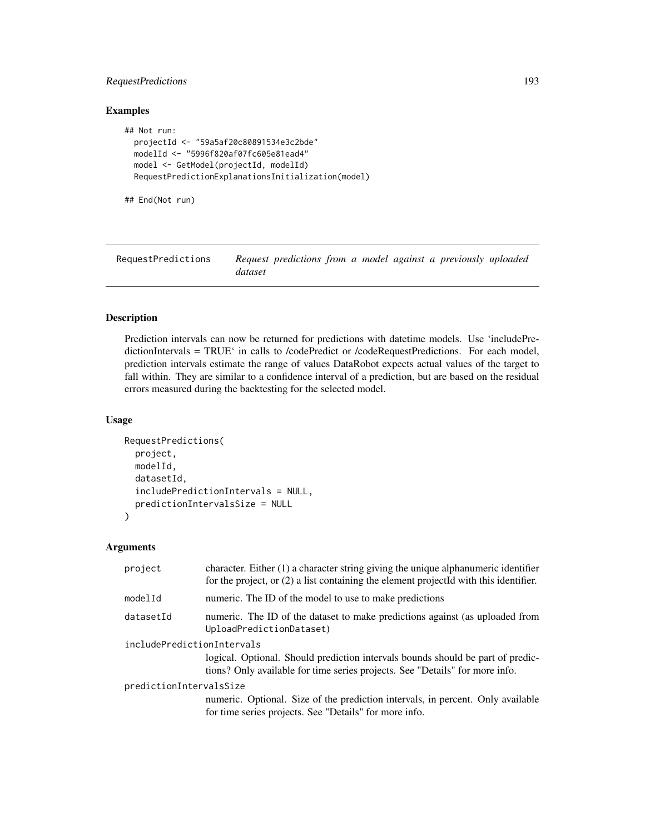## RequestPredictions 193

## Examples

```
## Not run:
 projectId <- "59a5af20c80891534e3c2bde"
 modelId <- "5996f820af07fc605e81ead4"
 model <- GetModel(projectId, modelId)
 RequestPredictionExplanationsInitialization(model)
```
## End(Not run)

| RequestPredictions | Request predictions from a model against a previously uploaded |  |  |  |
|--------------------|----------------------------------------------------------------|--|--|--|
|                    | dataset                                                        |  |  |  |

## Description

Prediction intervals can now be returned for predictions with datetime models. Use 'includePredictionIntervals = TRUE' in calls to /codePredict or /codeRequestPredictions. For each model, prediction intervals estimate the range of values DataRobot expects actual values of the target to fall within. They are similar to a confidence interval of a prediction, but are based on the residual errors measured during the backtesting for the selected model.

#### Usage

```
RequestPredictions(
 project,
 modelId,
 datasetId,
  includePredictionIntervals = NULL,
  predictionIntervalsSize = NULL
)
```

| project                    | character. Either $(1)$ a character string giving the unique alphanumeric identifier<br>for the project, or (2) a list containing the element projectId with this identifier. |
|----------------------------|-------------------------------------------------------------------------------------------------------------------------------------------------------------------------------|
| modelId                    | numeric. The ID of the model to use to make predictions                                                                                                                       |
| datasetId                  | numeric. The ID of the dataset to make predictions against (as uploaded from<br>UploadPredictionDataset)                                                                      |
| includePredictionIntervals | logical. Optional. Should prediction intervals bounds should be part of predic-<br>tions? Only available for time series projects. See "Details" for more info.               |
| predictionIntervalsSize    | numeric. Optional. Size of the prediction intervals, in percent. Only available<br>for time series projects. See "Details" for more info.                                     |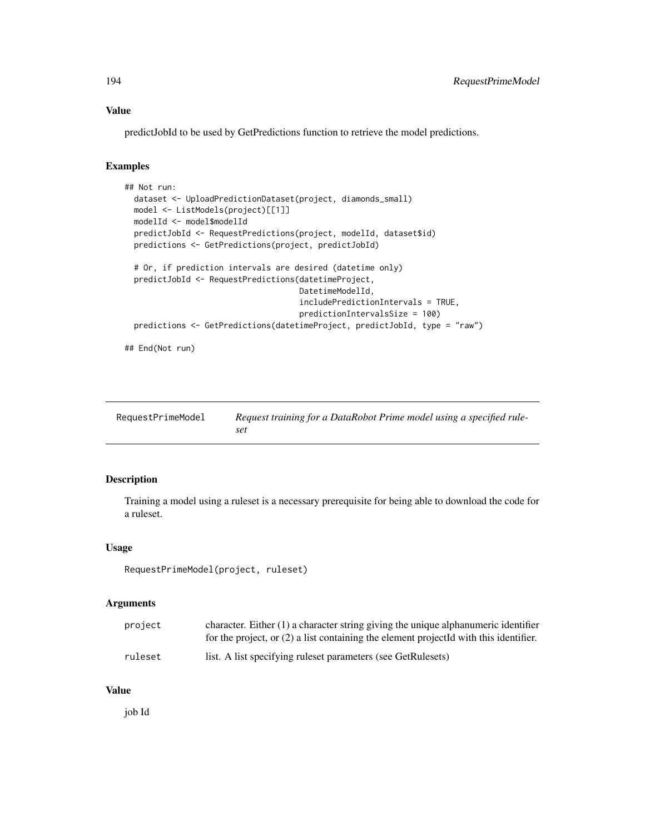### Value

predictJobId to be used by GetPredictions function to retrieve the model predictions.

#### Examples

```
## Not run:
 dataset <- UploadPredictionDataset(project, diamonds_small)
 model <- ListModels(project)[[1]]
 modelId <- model$modelId
 predictJobId <- RequestPredictions(project, modelId, dataset$id)
 predictions <- GetPredictions(project, predictJobId)
 # Or, if prediction intervals are desired (datetime only)
 predictJobId <- RequestPredictions(datetimeProject,
                                     DatetimeModelId,
                                     includePredictionIntervals = TRUE,
                                     predictionIntervalsSize = 100)
 predictions <- GetPredictions(datetimeProject, predictJobId, type = "raw")
```
## End(Not run)

| RequestPrimeModel | Request training for a DataRobot Prime model using a specified rule- |
|-------------------|----------------------------------------------------------------------|
|                   | set                                                                  |

## Description

Training a model using a ruleset is a necessary prerequisite for being able to download the code for a ruleset.

#### Usage

```
RequestPrimeModel(project, ruleset)
```
#### Arguments

| project | character. Either $(1)$ a character string giving the unique alphanumeric identifier    |
|---------|-----------------------------------------------------------------------------------------|
|         | for the project, or $(2)$ a list containing the element projected with this identifier. |
| ruleset | list. A list specifying rules t parameters (see GetRules ets)                           |

#### Value

job Id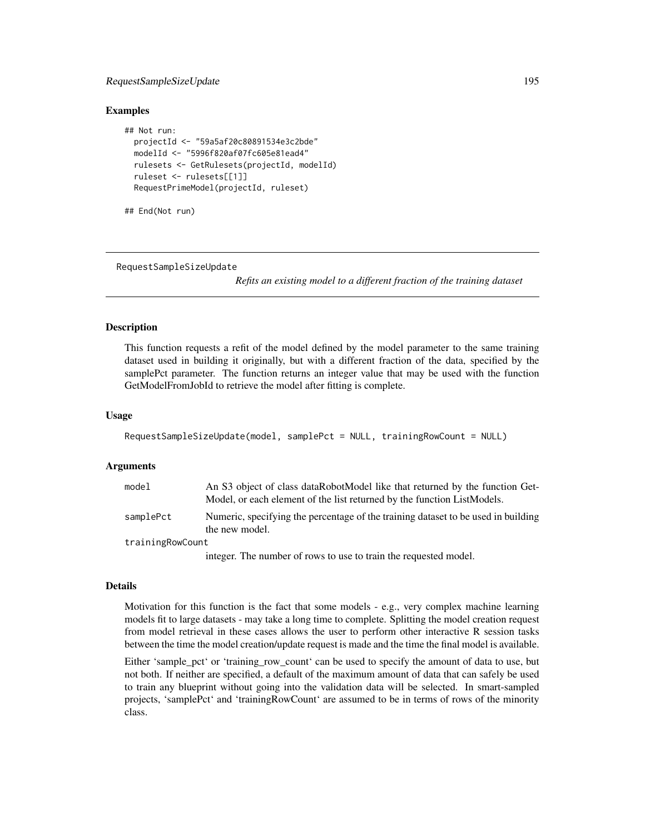## RequestSampleSizeUpdate 195

#### Examples

```
## Not run:
 projectId <- "59a5af20c80891534e3c2bde"
 modelId <- "5996f820af07fc605e81ead4"
 rulesets <- GetRulesets(projectId, modelId)
 ruleset <- rulesets[[1]]
 RequestPrimeModel(projectId, ruleset)
```
## End(Not run)

RequestSampleSizeUpdate

*Refits an existing model to a different fraction of the training dataset*

### Description

This function requests a refit of the model defined by the model parameter to the same training dataset used in building it originally, but with a different fraction of the data, specified by the samplePct parameter. The function returns an integer value that may be used with the function GetModelFromJobId to retrieve the model after fitting is complete.

#### Usage

```
RequestSampleSizeUpdate(model, samplePct = NULL, trainingRowCount = NULL)
```
#### Arguments

| model            | An S3 object of class dataRobotModel like that returned by the function Get-<br>Model, or each element of the list returned by the function ListModels. |
|------------------|---------------------------------------------------------------------------------------------------------------------------------------------------------|
| samplePct        | Numeric, specifying the percentage of the training dataset to be used in building<br>the new model.                                                     |
| trainingRowCount |                                                                                                                                                         |
|                  | integer. The number of rows to use to train the requested model.                                                                                        |

#### Details

Motivation for this function is the fact that some models - e.g., very complex machine learning models fit to large datasets - may take a long time to complete. Splitting the model creation request from model retrieval in these cases allows the user to perform other interactive R session tasks between the time the model creation/update request is made and the time the final model is available.

Either 'sample\_pct' or 'training\_row\_count' can be used to specify the amount of data to use, but not both. If neither are specified, a default of the maximum amount of data that can safely be used to train any blueprint without going into the validation data will be selected. In smart-sampled projects, 'samplePct' and 'trainingRowCount' are assumed to be in terms of rows of the minority class.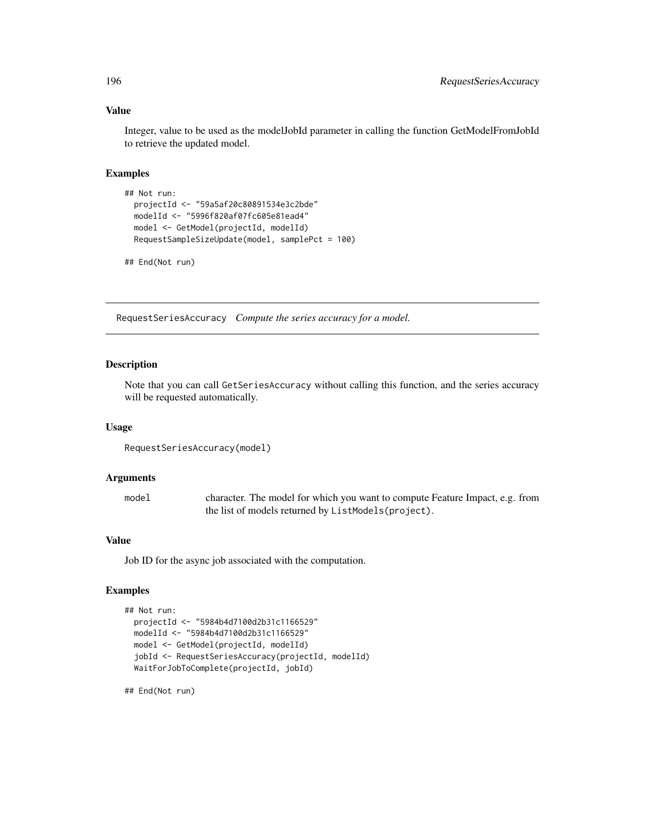## Value

Integer, value to be used as the modelJobId parameter in calling the function GetModelFromJobId to retrieve the updated model.

## Examples

```
## Not run:
 projectId <- "59a5af20c80891534e3c2bde"
 modelId <- "5996f820af07fc605e81ead4"
 model <- GetModel(projectId, modelId)
 RequestSampleSizeUpdate(model, samplePct = 100)
```
## End(Not run)

RequestSeriesAccuracy *Compute the series accuracy for a model.*

## Description

Note that you can call GetSeriesAccuracy without calling this function, and the series accuracy will be requested automatically.

#### Usage

```
RequestSeriesAccuracy(model)
```
### Arguments

| model | character. The model for which you want to compute Feature Impact, e.g. from |
|-------|------------------------------------------------------------------------------|
|       | the list of models returned by ListModels(project).                          |

## Value

Job ID for the async job associated with the computation.

## Examples

```
## Not run:
 projectId <- "5984b4d7100d2b31c1166529"
 modelId <- "5984b4d7100d2b31c1166529"
 model <- GetModel(projectId, modelId)
 jobId <- RequestSeriesAccuracy(projectId, modelId)
 WaitForJobToComplete(projectId, jobId)
```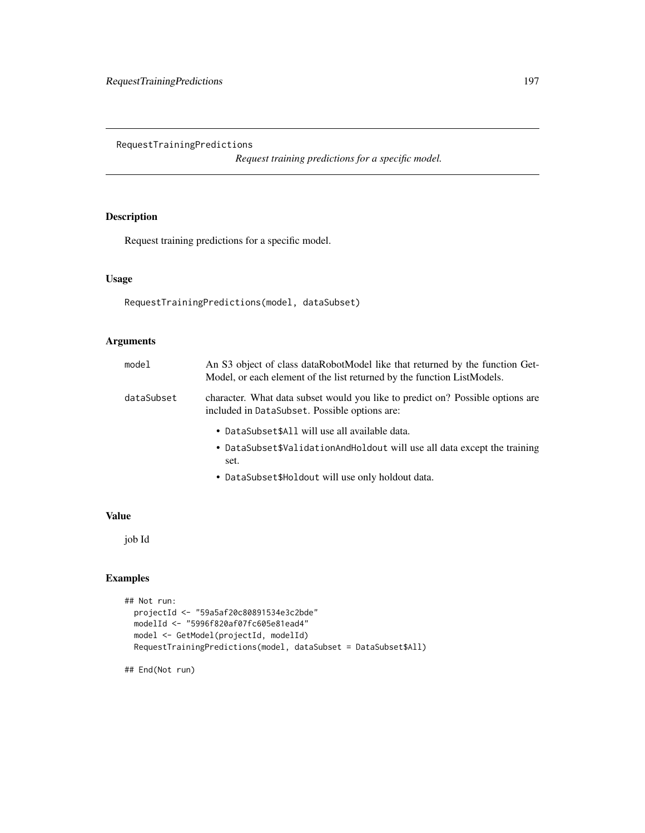RequestTrainingPredictions

*Request training predictions for a specific model.*

## Description

Request training predictions for a specific model.

## Usage

```
RequestTrainingPredictions(model, dataSubset)
```
## Arguments

| model      | An S3 object of class dataRobotModel like that returned by the function Get-<br>Model, or each element of the list returned by the function ListModels. |
|------------|---------------------------------------------------------------------------------------------------------------------------------------------------------|
| dataSubset | character. What data subset would you like to predict on? Possible options are<br>included in DataSubset. Possible options are:                         |
|            | • DataSubset\$All will use all available data.<br>• DataSubset\$ValidationAndHoldout will use all data except the training<br>set.                      |

• DataSubset\$Holdout will use only holdout data.

## Value

job Id

## Examples

```
## Not run:
  projectId <- "59a5af20c80891534e3c2bde"
  modelId <- "5996f820af07fc605e81ead4"
  model <- GetModel(projectId, modelId)
  RequestTrainingPredictions(model, dataSubset = DataSubset$All)
```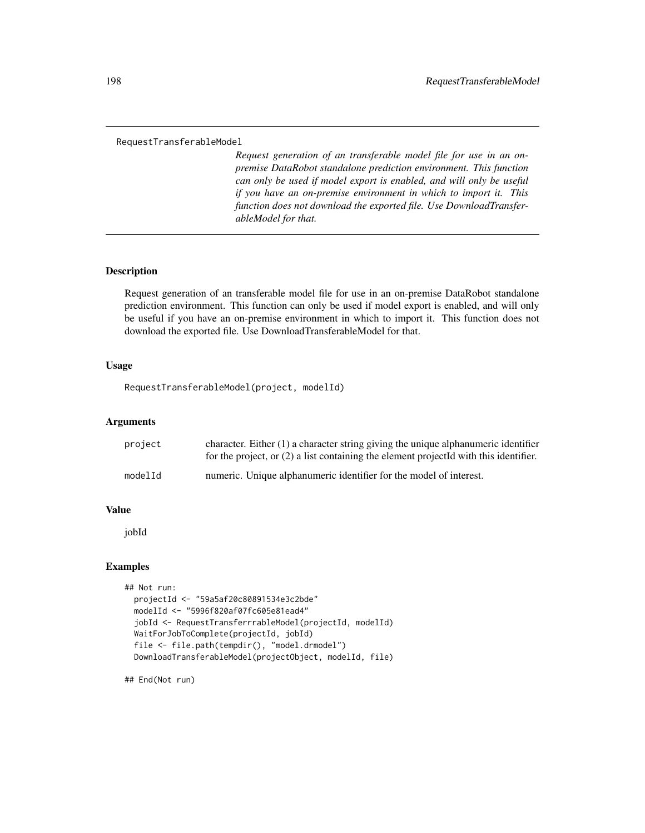#### RequestTransferableModel

*Request generation of an transferable model file for use in an onpremise DataRobot standalone prediction environment. This function can only be used if model export is enabled, and will only be useful if you have an on-premise environment in which to import it. This function does not download the exported file. Use DownloadTransferableModel for that.*

## **Description**

Request generation of an transferable model file for use in an on-premise DataRobot standalone prediction environment. This function can only be used if model export is enabled, and will only be useful if you have an on-premise environment in which to import it. This function does not download the exported file. Use DownloadTransferableModel for that.

#### Usage

RequestTransferableModel(project, modelId)

## Arguments

| project | character. Either $(1)$ a character string giving the unique alphanumeric identifier<br>for the project, or $(2)$ a list containing the element projected with this identifier. |
|---------|---------------------------------------------------------------------------------------------------------------------------------------------------------------------------------|
| modelId | numeric. Unique alphanumeric identifier for the model of interest.                                                                                                              |

## Value

jobId

## Examples

```
## Not run:
 projectId <- "59a5af20c80891534e3c2bde"
 modelId <- "5996f820af07fc605e81ead4"
 jobId <- RequestTransferrrableModel(projectId, modelId)
 WaitForJobToComplete(projectId, jobId)
 file <- file.path(tempdir(), "model.drmodel")
 DownloadTransferableModel(projectObject, modelId, file)
```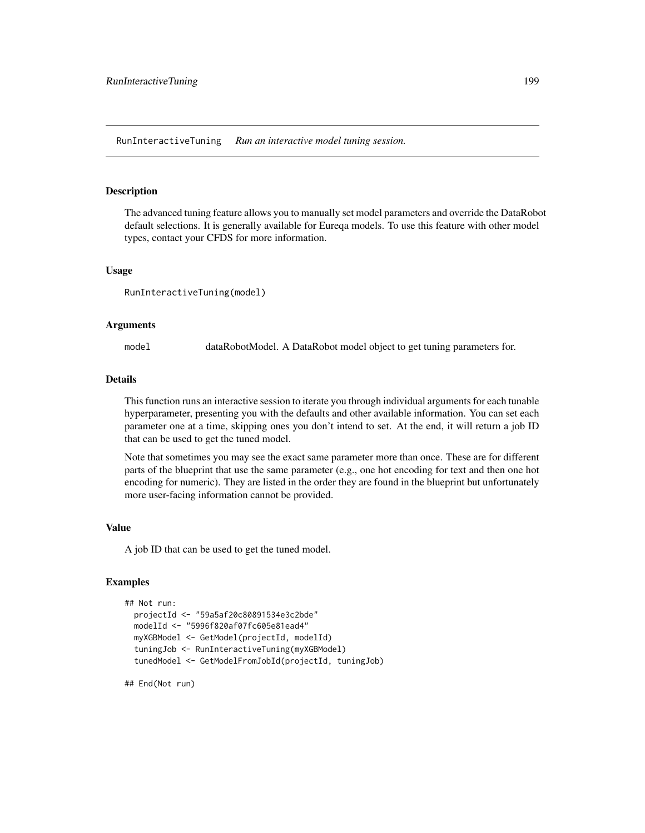RunInteractiveTuning *Run an interactive model tuning session.*

#### Description

The advanced tuning feature allows you to manually set model parameters and override the DataRobot default selections. It is generally available for Eureqa models. To use this feature with other model types, contact your CFDS for more information.

#### Usage

```
RunInteractiveTuning(model)
```
#### Arguments

model dataRobotModel. A DataRobot model object to get tuning parameters for.

#### Details

This function runs an interactive session to iterate you through individual arguments for each tunable hyperparameter, presenting you with the defaults and other available information. You can set each parameter one at a time, skipping ones you don't intend to set. At the end, it will return a job ID that can be used to get the tuned model.

Note that sometimes you may see the exact same parameter more than once. These are for different parts of the blueprint that use the same parameter (e.g., one hot encoding for text and then one hot encoding for numeric). They are listed in the order they are found in the blueprint but unfortunately more user-facing information cannot be provided.

## Value

A job ID that can be used to get the tuned model.

### Examples

```
## Not run:
 projectId <- "59a5af20c80891534e3c2bde"
 modelId <- "5996f820af07fc605e81ead4"
 myXGBModel <- GetModel(projectId, modelId)
 tuningJob <- RunInteractiveTuning(myXGBModel)
 tunedModel <- GetModelFromJobId(projectId, tuningJob)
```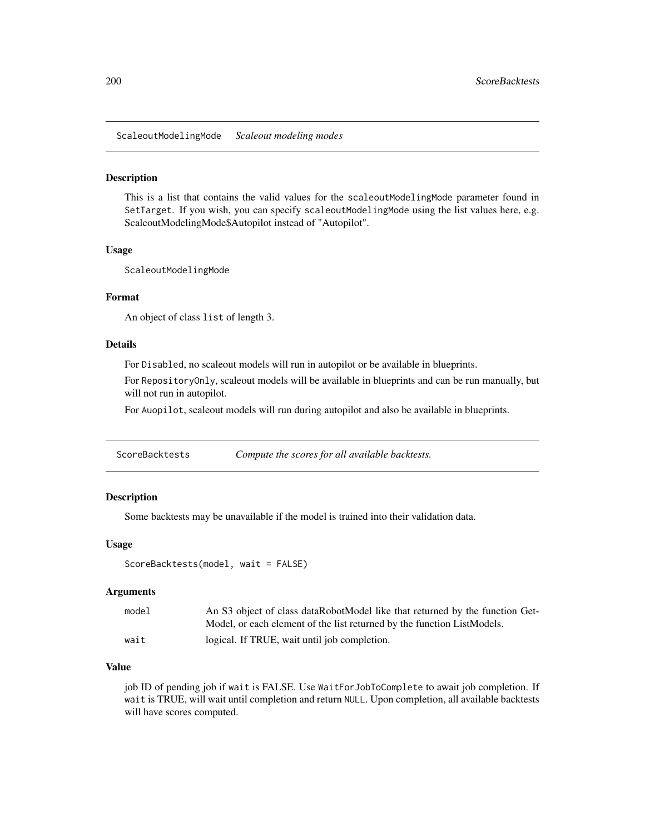ScaleoutModelingMode *Scaleout modeling modes*

#### Description

This is a list that contains the valid values for the scaleoutModelingMode parameter found in SetTarget. If you wish, you can specify scaleoutModelingMode using the list values here, e.g. ScaleoutModelingMode\$Autopilot instead of "Autopilot".

#### Usage

ScaleoutModelingMode

#### Format

An object of class list of length 3.

#### Details

For Disabled, no scaleout models will run in autopilot or be available in blueprints.

For RepositoryOnly, scaleout models will be available in blueprints and can be run manually, but will not run in autopilot.

For Auopilot, scaleout models will run during autopilot and also be available in blueprints.

ScoreBacktests *Compute the scores for all available backtests.*

## Description

Some backtests may be unavailable if the model is trained into their validation data.

#### Usage

```
ScoreBacktests(model, wait = FALSE)
```
#### Arguments

| model | An S3 object of class dataRobotModel like that returned by the function Get- |
|-------|------------------------------------------------------------------------------|
|       | Model, or each element of the list returned by the function ListModels.      |
| wait  | logical. If TRUE, wait until job completion.                                 |

## Value

job ID of pending job if wait is FALSE. Use WaitForJobToComplete to await job completion. If wait is TRUE, will wait until completion and return NULL. Upon completion, all available backtests will have scores computed.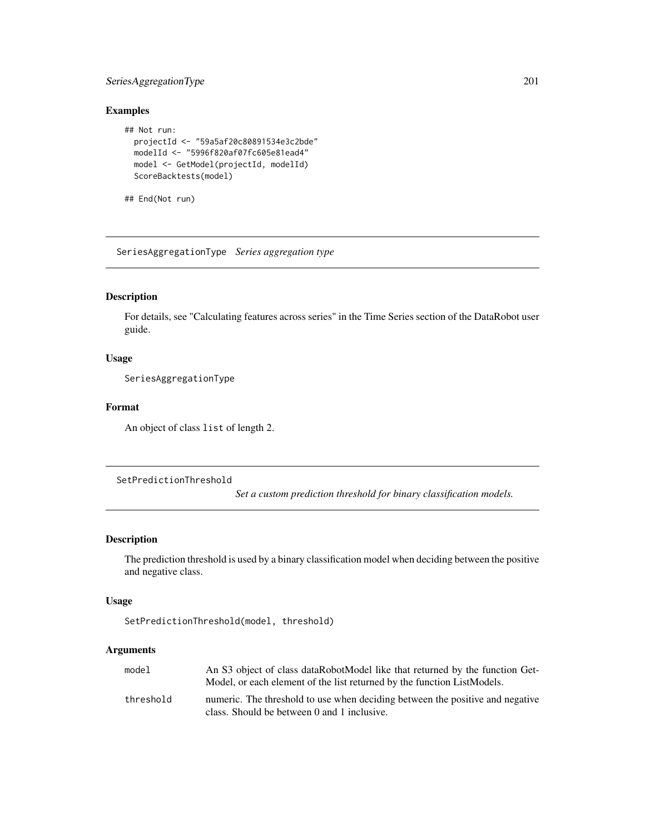## SeriesAggregationType 201

## Examples

```
## Not run:
 projectId <- "59a5af20c80891534e3c2bde"
 modelId <- "5996f820af07fc605e81ead4"
 model <- GetModel(projectId, modelId)
 ScoreBacktests(model)
```
## End(Not run)

SeriesAggregationType *Series aggregation type*

## Description

For details, see "Calculating features across series" in the Time Series section of the DataRobot user guide.

## Usage

SeriesAggregationType

### Format

An object of class list of length 2.

SetPredictionThreshold

*Set a custom prediction threshold for binary classification models.*

## Description

The prediction threshold is used by a binary classification model when deciding between the positive and negative class.

## Usage

```
SetPredictionThreshold(model, threshold)
```

| mode1     | An S3 object of class dataRobotModel like that returned by the function Get-  |
|-----------|-------------------------------------------------------------------------------|
|           | Model, or each element of the list returned by the function ListModels.       |
| threshold | numeric. The threshold to use when deciding between the positive and negative |
|           | class. Should be between 0 and 1 inclusive.                                   |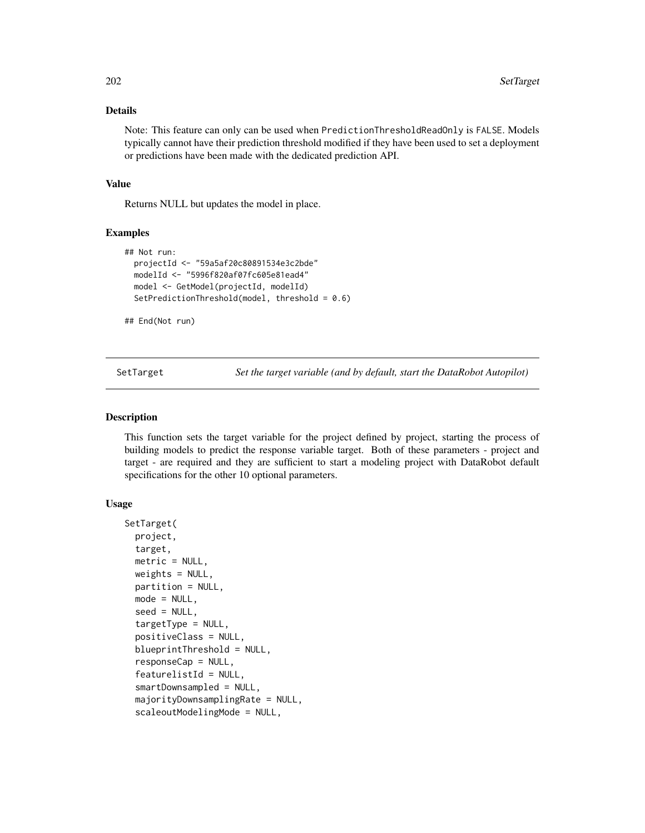## Details

Note: This feature can only can be used when PredictionThresholdReadOnly is FALSE. Models typically cannot have their prediction threshold modified if they have been used to set a deployment or predictions have been made with the dedicated prediction API.

## Value

Returns NULL but updates the model in place.

#### Examples

```
## Not run:
 projectId <- "59a5af20c80891534e3c2bde"
 modelId <- "5996f820af07fc605e81ead4"
 model <- GetModel(projectId, modelId)
 SetPredictionThreshold(model, threshold = 0.6)
```
## End(Not run)

SetTarget *Set the target variable (and by default, start the DataRobot Autopilot)*

## **Description**

This function sets the target variable for the project defined by project, starting the process of building models to predict the response variable target. Both of these parameters - project and target - are required and they are sufficient to start a modeling project with DataRobot default specifications for the other 10 optional parameters.

## Usage

```
SetTarget(
 project,
  target,
 metric = NULL,
 weights = NULL,
 partition = NULL,
 mode = NULL,seed = NULL,
  targetType = NULL,
  positiveClass = NULL,
  blueprintThreshold = NULL,
  responseCap = NULL,
  featurelistId = NULL,smartDownsampled = NULL,
  majorityDownsamplingRate = NULL,
  scaleoutModelingMode = NULL,
```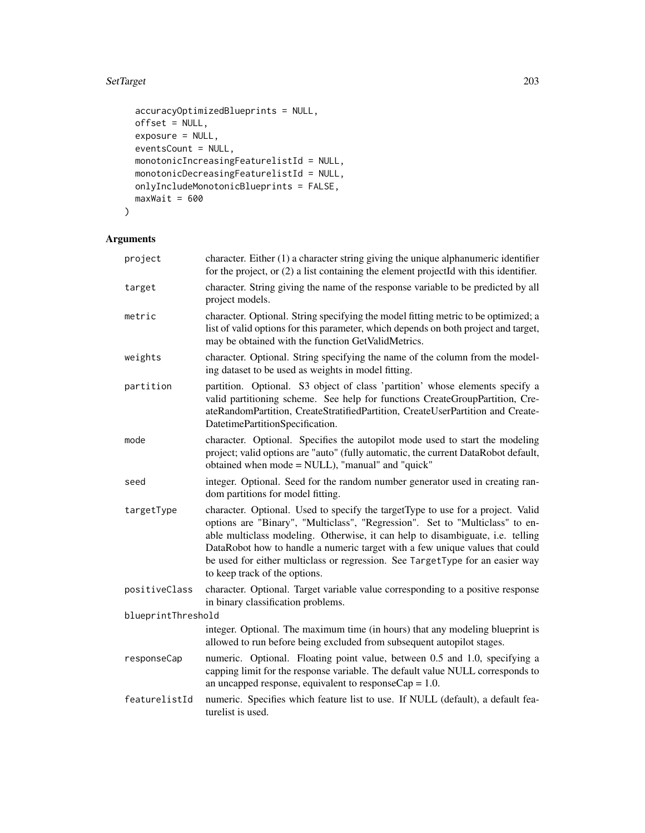## SetTarget 203

```
accuracyOptimizedBlueprints = NULL,
 offset = NULL,
 exposure = NULL,
 eventsCount = NULL,
 monotonicIncreasingFeaturelistId = NULL,
 monotonicDecreasingFeaturelistId = NULL,
 onlyIncludeMonotonicBlueprints = FALSE,
 maxWait = 600)
```

| project            | character. Either $(1)$ a character string giving the unique alphanumeric identifier<br>for the project, or (2) a list containing the element projectId with this identifier.                                                                                                                                                                                                                                                                       |
|--------------------|-----------------------------------------------------------------------------------------------------------------------------------------------------------------------------------------------------------------------------------------------------------------------------------------------------------------------------------------------------------------------------------------------------------------------------------------------------|
| target             | character. String giving the name of the response variable to be predicted by all<br>project models.                                                                                                                                                                                                                                                                                                                                                |
| metric             | character. Optional. String specifying the model fitting metric to be optimized; a<br>list of valid options for this parameter, which depends on both project and target,<br>may be obtained with the function GetValidMetrics.                                                                                                                                                                                                                     |
| weights            | character. Optional. String specifying the name of the column from the model-<br>ing dataset to be used as weights in model fitting.                                                                                                                                                                                                                                                                                                                |
| partition          | partition. Optional. S3 object of class 'partition' whose elements specify a<br>valid partitioning scheme. See help for functions CreateGroupPartition, Cre-<br>ateRandomPartition, CreateStratifiedPartition, CreateUserPartition and Create-<br>DatetimePartitionSpecification.                                                                                                                                                                   |
| mode               | character. Optional. Specifies the autopilot mode used to start the modeling<br>project; valid options are "auto" (fully automatic, the current DataRobot default,<br>obtained when mode = NULL), "manual" and "quick"                                                                                                                                                                                                                              |
| seed               | integer. Optional. Seed for the random number generator used in creating ran-<br>dom partitions for model fitting.                                                                                                                                                                                                                                                                                                                                  |
| targetType         | character. Optional. Used to specify the targetType to use for a project. Valid<br>options are "Binary", "Multiclass", "Regression". Set to "Multiclass" to en-<br>able multiclass modeling. Otherwise, it can help to disambiguate, i.e. telling<br>DataRobot how to handle a numeric target with a few unique values that could<br>be used for either multiclass or regression. See TargetType for an easier way<br>to keep track of the options. |
| positiveClass      | character. Optional. Target variable value corresponding to a positive response<br>in binary classification problems.                                                                                                                                                                                                                                                                                                                               |
| blueprintThreshold |                                                                                                                                                                                                                                                                                                                                                                                                                                                     |
|                    | integer. Optional. The maximum time (in hours) that any modeling blueprint is<br>allowed to run before being excluded from subsequent autopilot stages.                                                                                                                                                                                                                                                                                             |
| responseCap        | numeric. Optional. Floating point value, between 0.5 and 1.0, specifying a<br>capping limit for the response variable. The default value NULL corresponds to<br>an uncapped response, equivalent to response $Cap = 1.0$ .                                                                                                                                                                                                                          |
| featurelistId      | numeric. Specifies which feature list to use. If NULL (default), a default fea-<br>turelist is used.                                                                                                                                                                                                                                                                                                                                                |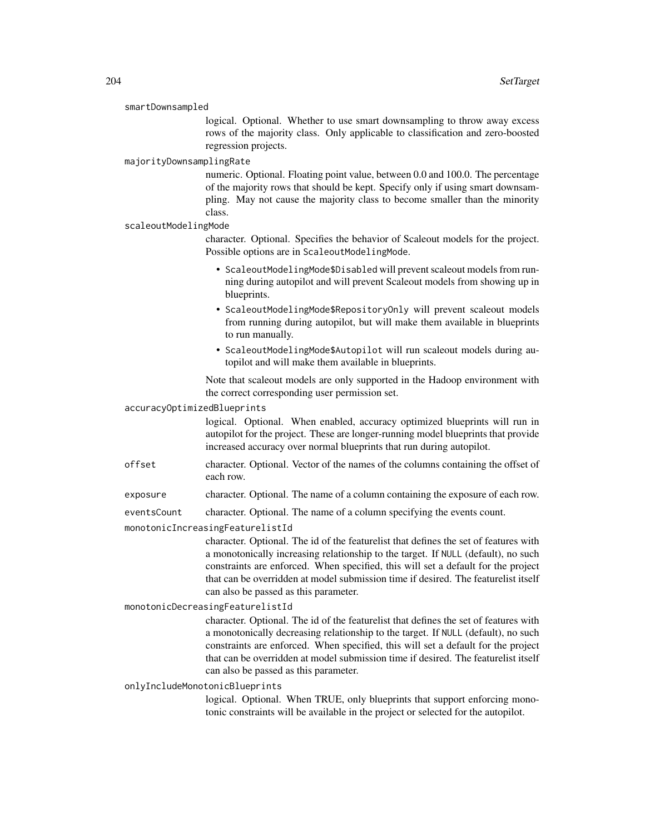#### smartDownsampled

logical. Optional. Whether to use smart downsampling to throw away excess rows of the majority class. Only applicable to classification and zero-boosted regression projects.

#### majorityDownsamplingRate

numeric. Optional. Floating point value, between 0.0 and 100.0. The percentage of the majority rows that should be kept. Specify only if using smart downsampling. May not cause the majority class to become smaller than the minority class.

#### scaleoutModelingMode

character. Optional. Specifies the behavior of Scaleout models for the project. Possible options are in ScaleoutModelingMode.

- ScaleoutModelingMode\$Disabled will prevent scaleout models from running during autopilot and will prevent Scaleout models from showing up in blueprints.
- ScaleoutModelingMode\$RepositoryOnly will prevent scaleout models from running during autopilot, but will make them available in blueprints to run manually.
- ScaleoutModelingMode\$Autopilot will run scaleout models during autopilot and will make them available in blueprints.

Note that scaleout models are only supported in the Hadoop environment with the correct corresponding user permission set.

#### accuracyOptimizedBlueprints

logical. Optional. When enabled, accuracy optimized blueprints will run in autopilot for the project. These are longer-running model blueprints that provide increased accuracy over normal blueprints that run during autopilot.

- offset character. Optional. Vector of the names of the columns containing the offset of each row.
- exposure character. Optional. The name of a column containing the exposure of each row.

eventsCount character. Optional. The name of a column specifying the events count.

monotonicIncreasingFeaturelistId

character. Optional. The id of the featurelist that defines the set of features with a monotonically increasing relationship to the target. If NULL (default), no such constraints are enforced. When specified, this will set a default for the project that can be overridden at model submission time if desired. The featurelist itself can also be passed as this parameter.

#### monotonicDecreasingFeaturelistId

character. Optional. The id of the featurelist that defines the set of features with a monotonically decreasing relationship to the target. If NULL (default), no such constraints are enforced. When specified, this will set a default for the project that can be overridden at model submission time if desired. The featurelist itself can also be passed as this parameter.

#### onlyIncludeMonotonicBlueprints

logical. Optional. When TRUE, only blueprints that support enforcing monotonic constraints will be available in the project or selected for the autopilot.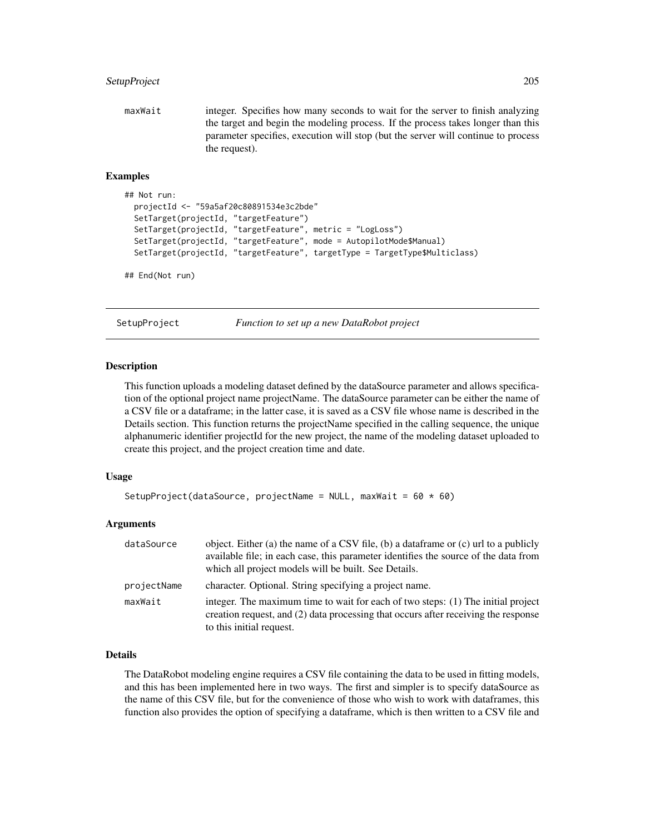## SetupProject 205

maxWait integer. Specifies how many seconds to wait for the server to finish analyzing the target and begin the modeling process. If the process takes longer than this parameter specifies, execution will stop (but the server will continue to process the request).

#### Examples

```
## Not run:
 projectId <- "59a5af20c80891534e3c2bde"
 SetTarget(projectId, "targetFeature")
 SetTarget(projectId, "targetFeature", metric = "LogLoss")
 SetTarget(projectId, "targetFeature", mode = AutopilotMode$Manual)
 SetTarget(projectId, "targetFeature", targetType = TargetType$Multiclass)
```
## End(Not run)

SetupProject *Function to set up a new DataRobot project*

#### Description

This function uploads a modeling dataset defined by the dataSource parameter and allows specification of the optional project name projectName. The dataSource parameter can be either the name of a CSV file or a dataframe; in the latter case, it is saved as a CSV file whose name is described in the Details section. This function returns the projectName specified in the calling sequence, the unique alphanumeric identifier projectId for the new project, the name of the modeling dataset uploaded to create this project, and the project creation time and date.

#### Usage

```
SetupProject(dataSource, projectName = NULL, maxWait = 60 \times 60)
```
#### Arguments

| dataSource  | object. Either (a) the name of a CSV file, (b) a dataframe or (c) url to a publicly<br>available file; in each case, this parameter identifies the source of the data from<br>which all project models will be built. See Details. |
|-------------|------------------------------------------------------------------------------------------------------------------------------------------------------------------------------------------------------------------------------------|
| projectName | character. Optional. String specifying a project name.                                                                                                                                                                             |
| maxWait     | integer. The maximum time to wait for each of two steps: (1) The initial project<br>creation request, and (2) data processing that occurs after receiving the response<br>to this initial request.                                 |

## Details

The DataRobot modeling engine requires a CSV file containing the data to be used in fitting models, and this has been implemented here in two ways. The first and simpler is to specify dataSource as the name of this CSV file, but for the convenience of those who wish to work with dataframes, this function also provides the option of specifying a dataframe, which is then written to a CSV file and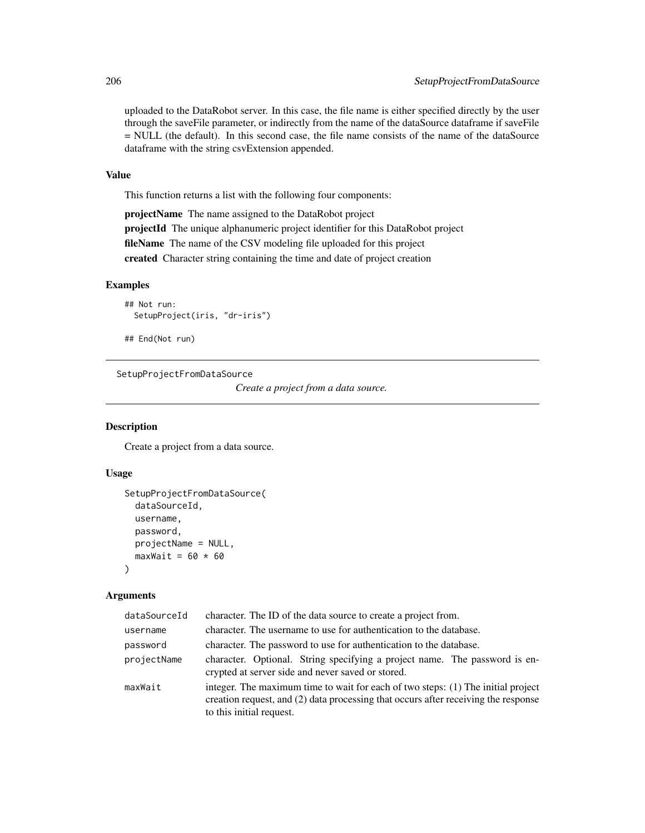uploaded to the DataRobot server. In this case, the file name is either specified directly by the user through the saveFile parameter, or indirectly from the name of the dataSource dataframe if saveFile = NULL (the default). In this second case, the file name consists of the name of the dataSource dataframe with the string csvExtension appended.

## Value

This function returns a list with the following four components:

projectName The name assigned to the DataRobot project projectId The unique alphanumeric project identifier for this DataRobot project fileName The name of the CSV modeling file uploaded for this project created Character string containing the time and date of project creation

#### Examples

```
## Not run:
 SetupProject(iris, "dr-iris")
```
## End(Not run)

SetupProjectFromDataSource

*Create a project from a data source.*

## Description

Create a project from a data source.

## Usage

```
SetupProjectFromDataSource(
  dataSourceId,
 username,
 password,
 projectName = NULL,
 maxWait = 60 \times 60)
```

| dataSourceId | character. The ID of the data source to create a project from.                                                                                                                                     |
|--------------|----------------------------------------------------------------------------------------------------------------------------------------------------------------------------------------------------|
| username     | character. The username to use for authentication to the database.                                                                                                                                 |
| password     | character. The password to use for authentication to the database.                                                                                                                                 |
| projectName  | character. Optional. String specifying a project name. The password is en-<br>crypted at server side and never saved or stored.                                                                    |
| maxWait      | integer. The maximum time to wait for each of two steps: (1) The initial project<br>creation request, and (2) data processing that occurs after receiving the response<br>to this initial request. |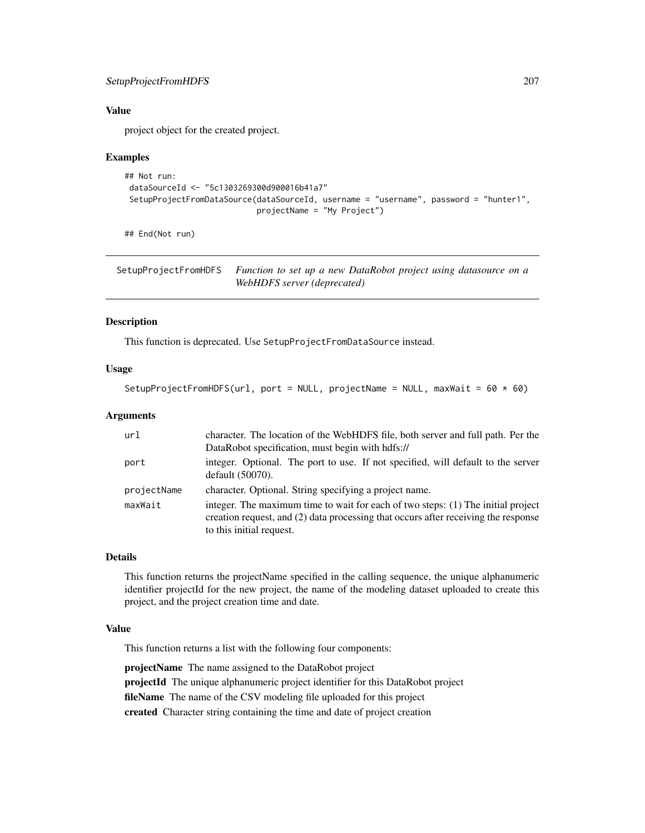## SetupProjectFromHDFS 207

## Value

project object for the created project.

#### Examples

```
## Not run:
dataSourceId <- "5c1303269300d900016b41a7"
SetupProjectFromDataSource(dataSourceId, username = "username", password = "hunter1",
                            projectName = "My Project")
```
## End(Not run)

SetupProjectFromHDFS *Function to set up a new DataRobot project using datasource on a WebHDFS server (deprecated)*

### Description

This function is deprecated. Use SetupProjectFromDataSource instead.

### Usage

```
SetupProjectFromHDFS(url, port = NULL, projectName = NULL, maxWait = 60 \times 60)
```
## Arguments

| url         | character. The location of the WebHDFS file, both server and full path. Per the<br>DataRobot specification, must begin with hdfs://                                                                |
|-------------|----------------------------------------------------------------------------------------------------------------------------------------------------------------------------------------------------|
| port        | integer. Optional. The port to use. If not specified, will default to the server<br>default $(50070)$ .                                                                                            |
| projectName | character. Optional. String specifying a project name.                                                                                                                                             |
| maxWait     | integer. The maximum time to wait for each of two steps: (1) The initial project<br>creation request, and (2) data processing that occurs after receiving the response<br>to this initial request. |

## Details

This function returns the projectName specified in the calling sequence, the unique alphanumeric identifier projectId for the new project, the name of the modeling dataset uploaded to create this project, and the project creation time and date.

## Value

This function returns a list with the following four components:

projectName The name assigned to the DataRobot project projectId The unique alphanumeric project identifier for this DataRobot project fileName The name of the CSV modeling file uploaded for this project created Character string containing the time and date of project creation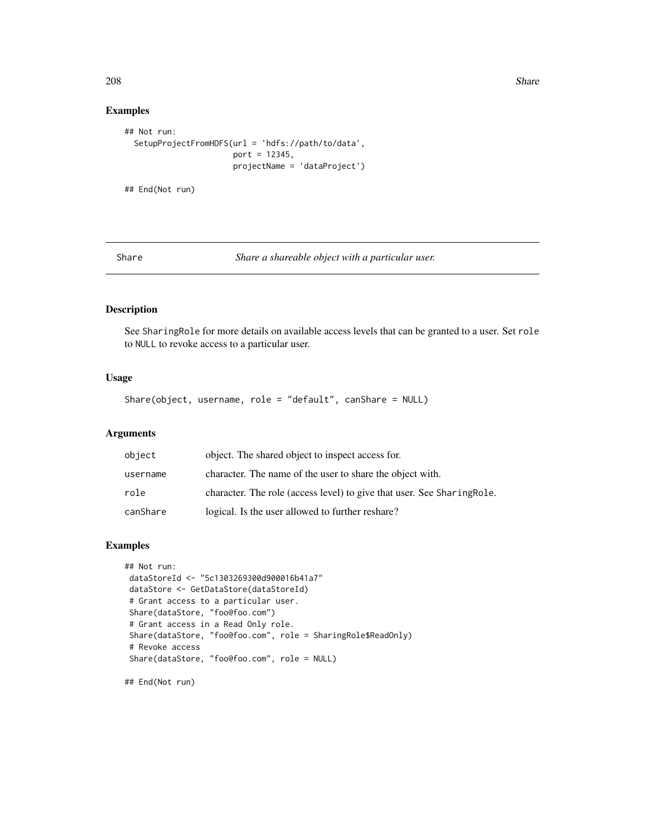208 Share **Share Share Share Share Share** Share Share Share Share Share Share Share Share Share Share Share Share Share Share Share Share Share Share Share Share Share Share Share Share Share Share Share Share Share Share

## Examples

```
## Not run:
 SetupProjectFromHDFS(url = 'hdfs://path/to/data',
                       port = 12345,
                       projectName = 'dataProject')
```
## End(Not run)

Share *Share a shareable object with a particular user.*

## Description

See SharingRole for more details on available access levels that can be granted to a user. Set role to NULL to revoke access to a particular user.

#### Usage

Share(object, username, role = "default", canShare = NULL)

## Arguments

| object   | object. The shared object to inspect access for.                        |
|----------|-------------------------------------------------------------------------|
| username | character. The name of the user to share the object with.               |
| role     | character. The role (access level) to give that user. See Sharing Role. |
| canShare | logical. Is the user allowed to further reshare?                        |

## Examples

```
## Not run:
dataStoreId <- "5c1303269300d900016b41a7"
dataStore <- GetDataStore(dataStoreId)
# Grant access to a particular user.
Share(dataStore, "foo@foo.com")
# Grant access in a Read Only role.
Share(dataStore, "foo@foo.com", role = SharingRole$ReadOnly)
# Revoke access
Share(dataStore, "foo@foo.com", role = NULL)
```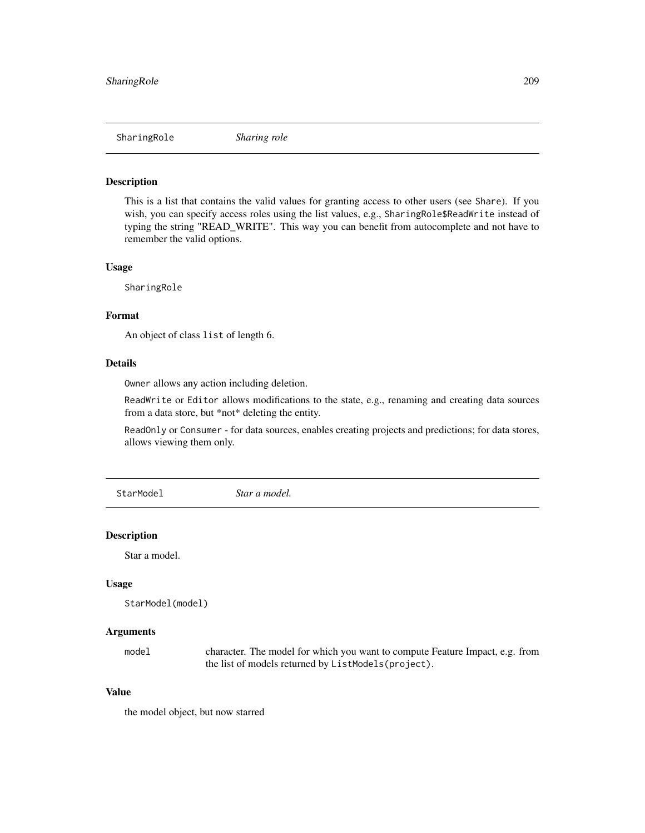#### Description

This is a list that contains the valid values for granting access to other users (see Share). If you wish, you can specify access roles using the list values, e.g., SharingRole\$ReadWrite instead of typing the string "READ\_WRITE". This way you can benefit from autocomplete and not have to remember the valid options.

#### Usage

SharingRole

## Format

An object of class list of length 6.

## Details

Owner allows any action including deletion.

ReadWrite or Editor allows modifications to the state, e.g., renaming and creating data sources from a data store, but \*not\* deleting the entity.

ReadOnly or Consumer - for data sources, enables creating projects and predictions; for data stores, allows viewing them only.

StarModel *Star a model.*

#### Description

Star a model.

### Usage

```
StarModel(model)
```
## Arguments

model character. The model for which you want to compute Feature Impact, e.g. from the list of models returned by ListModels(project).

## Value

the model object, but now starred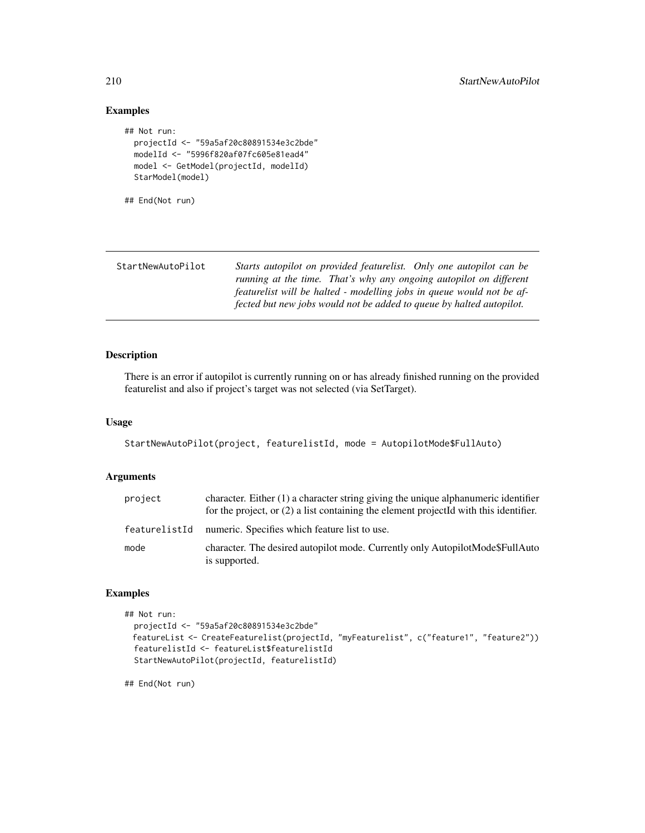## Examples

```
## Not run:
 projectId <- "59a5af20c80891534e3c2bde"
 modelId <- "5996f820af07fc605e81ead4"
 model <- GetModel(projectId, modelId)
 StarModel(model)
```
## End(Not run)

| StartNewAutoPilot | Starts autopilot on provided featurelist. Only one autopilot can be   |
|-------------------|-----------------------------------------------------------------------|
|                   | running at the time. That's why any ongoing autopilot on different    |
|                   | featurelist will be halted - modelling jobs in queue would not be af- |
|                   | fected but new jobs would not be added to queue by halted autopilot.  |

## Description

There is an error if autopilot is currently running on or has already finished running on the provided featurelist and also if project's target was not selected (via SetTarget).

## Usage

```
StartNewAutoPilot(project, featurelistId, mode = AutopilotMode$FullAuto)
```
## Arguments

| project       | character. Either $(1)$ a character string giving the unique alphanumeric identifier<br>for the project, or $(2)$ a list containing the element projected with this identifier. |
|---------------|---------------------------------------------------------------------------------------------------------------------------------------------------------------------------------|
| featurelistId | numeric. Specifies which feature list to use.                                                                                                                                   |
| mode          | character. The desired autopilot mode. Currently only AutopilotMode\$FullAuto<br>is supported.                                                                                  |

## Examples

```
## Not run:
 projectId <- "59a5af20c80891534e3c2bde"
 featureList <- CreateFeaturelist(projectId, "myFeaturelist", c("feature1", "feature2"))
 featurelistId <- featureList$featurelistId
 StartNewAutoPilot(projectId, featurelistId)
```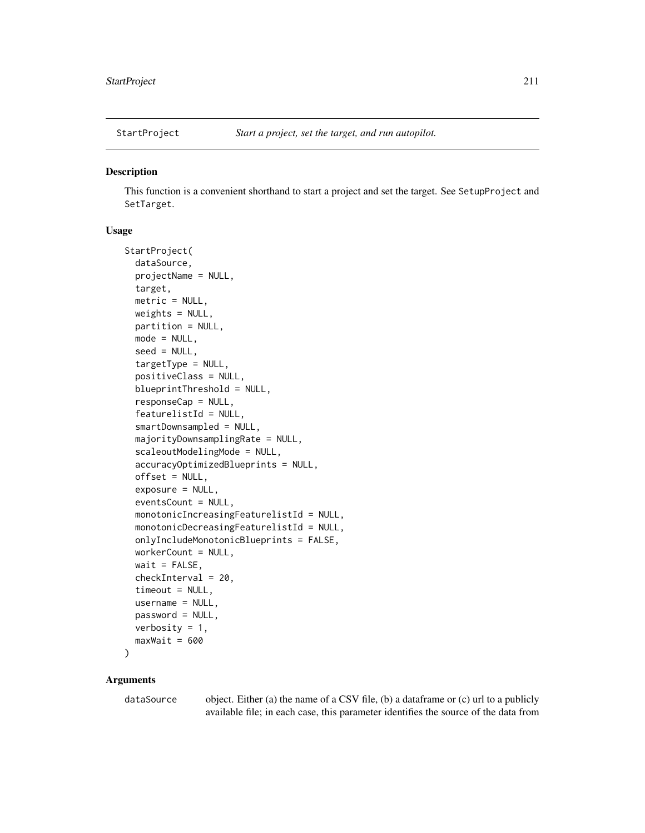#### **Description**

This function is a convenient shorthand to start a project and set the target. See SetupProject and SetTarget.

## Usage

```
StartProject(
  dataSource,
  projectName = NULL,
  target,
  metric = NULL,
  weights = NULL,partition = NULL,
  mode = NULL,seed = NULL,
  targetType = NULL,
  positiveClass = NULL,
  blueprintThreshold = NULL,
  responseCap = NULL,
  featurelistId = NULL,smartDownsampled = NULL,
  majorityDownsamplingRate = NULL,
  scaleoutModelingMode = NULL,
  accuracyOptimizedBlueprints = NULL,
  offset = NULL,
  exposure = NULL,
  eventsCount = NULL,
  monotonicIncreasingFeaturelistId = NULL,
  monotonicDecreasingFeaturelistId = NULL,
  onlyIncludeMonotonicBlueprints = FALSE,
  workerCount = NULL,
  wait = FALSE,checkInterval = 20,
  timeout = NULL,
  username = NULL,
  password = NULL,
  verbosity = 1,
  maxWait = 600\lambda
```
# Arguments

dataSource object. Either (a) the name of a CSV file, (b) a dataframe or (c) url to a publicly available file; in each case, this parameter identifies the source of the data from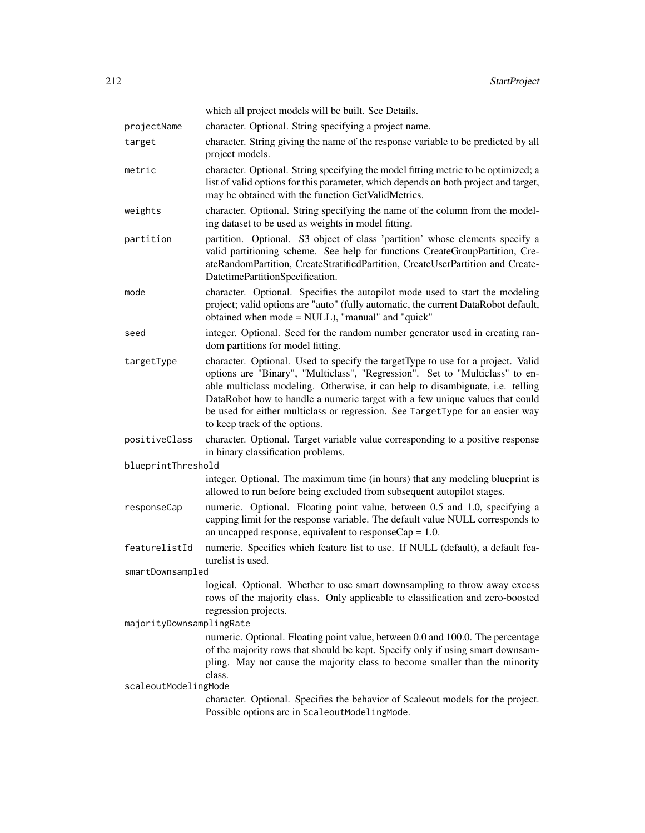|                          | which all project models will be built. See Details.                                                                                                                                                                                                                                                                                                                                                                                                |
|--------------------------|-----------------------------------------------------------------------------------------------------------------------------------------------------------------------------------------------------------------------------------------------------------------------------------------------------------------------------------------------------------------------------------------------------------------------------------------------------|
| projectName              | character. Optional. String specifying a project name.                                                                                                                                                                                                                                                                                                                                                                                              |
| target                   | character. String giving the name of the response variable to be predicted by all<br>project models.                                                                                                                                                                                                                                                                                                                                                |
| metric                   | character. Optional. String specifying the model fitting metric to be optimized; a<br>list of valid options for this parameter, which depends on both project and target,<br>may be obtained with the function GetValidMetrics.                                                                                                                                                                                                                     |
| weights                  | character. Optional. String specifying the name of the column from the model-<br>ing dataset to be used as weights in model fitting.                                                                                                                                                                                                                                                                                                                |
| partition                | partition. Optional. S3 object of class 'partition' whose elements specify a<br>valid partitioning scheme. See help for functions CreateGroupPartition, Cre-<br>ateRandomPartition, CreateStratifiedPartition, CreateUserPartition and Create-<br>DatetimePartitionSpecification.                                                                                                                                                                   |
| mode                     | character. Optional. Specifies the autopilot mode used to start the modeling<br>project; valid options are "auto" (fully automatic, the current DataRobot default,<br>obtained when mode = NULL), "manual" and "quick"                                                                                                                                                                                                                              |
| seed                     | integer. Optional. Seed for the random number generator used in creating ran-<br>dom partitions for model fitting.                                                                                                                                                                                                                                                                                                                                  |
| targetType               | character. Optional. Used to specify the targetType to use for a project. Valid<br>options are "Binary", "Multiclass", "Regression". Set to "Multiclass" to en-<br>able multiclass modeling. Otherwise, it can help to disambiguate, i.e. telling<br>DataRobot how to handle a numeric target with a few unique values that could<br>be used for either multiclass or regression. See TargetType for an easier way<br>to keep track of the options. |
| positiveClass            | character. Optional. Target variable value corresponding to a positive response<br>in binary classification problems.                                                                                                                                                                                                                                                                                                                               |
| blueprintThreshold       |                                                                                                                                                                                                                                                                                                                                                                                                                                                     |
|                          | integer. Optional. The maximum time (in hours) that any modeling blueprint is<br>allowed to run before being excluded from subsequent autopilot stages.                                                                                                                                                                                                                                                                                             |
| responseCap              | numeric. Optional. Floating point value, between 0.5 and 1.0, specifying a<br>capping limit for the response variable. The default value NULL corresponds to<br>an uncapped response, equivalent to response $Cap = 1.0$ .                                                                                                                                                                                                                          |
| featurelistId            | numeric. Specifies which feature list to use. If NULL (default), a default fea-<br>turelist is used.                                                                                                                                                                                                                                                                                                                                                |
| smartDownsampled         |                                                                                                                                                                                                                                                                                                                                                                                                                                                     |
|                          | logical. Optional. Whether to use smart downsampling to throw away excess<br>rows of the majority class. Only applicable to classification and zero-boosted<br>regression projects.                                                                                                                                                                                                                                                                 |
| majorityDownsamplingRate |                                                                                                                                                                                                                                                                                                                                                                                                                                                     |
|                          | numeric. Optional. Floating point value, between 0.0 and 100.0. The percentage<br>of the majority rows that should be kept. Specify only if using smart downsam-                                                                                                                                                                                                                                                                                    |
|                          | pling. May not cause the majority class to become smaller than the minority                                                                                                                                                                                                                                                                                                                                                                         |
|                          | class.                                                                                                                                                                                                                                                                                                                                                                                                                                              |
| scaleoutModelingMode     |                                                                                                                                                                                                                                                                                                                                                                                                                                                     |
|                          | character. Optional. Specifies the behavior of Scaleout models for the project.<br>Possible options are in ScaleoutModelingMode.                                                                                                                                                                                                                                                                                                                    |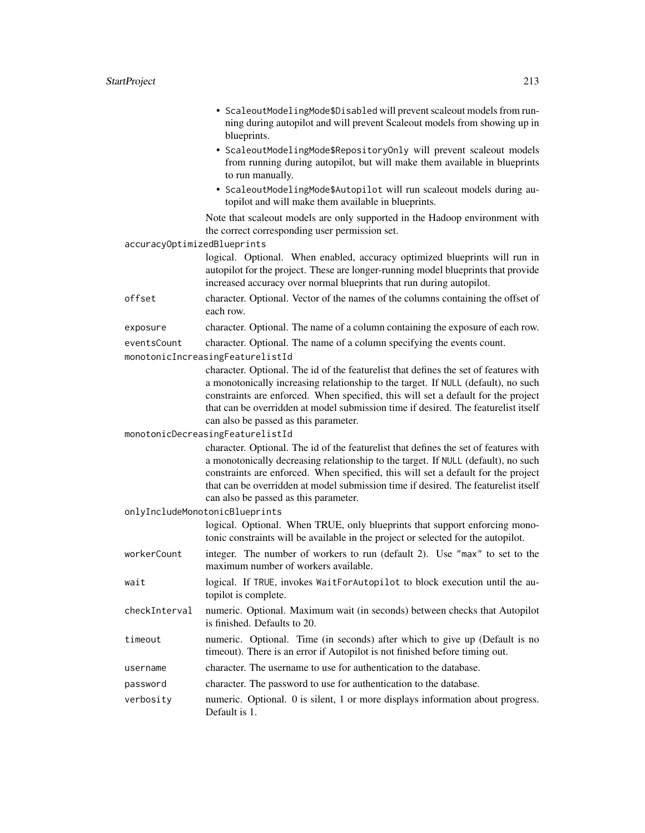• ScaleoutModelingMode\$Disabled will prevent scaleout models from running during autopilot and will prevent Scaleout models from showing up in blueprints. • ScaleoutModelingMode\$RepositoryOnly will prevent scaleout models from running during autopilot, but will make them available in blueprints to run manually. • ScaleoutModelingMode\$Autopilot will run scaleout models during autopilot and will make them available in blueprints. Note that scaleout models are only supported in the Hadoop environment with the correct corresponding user permission set. accuracyOptimizedBlueprints

> logical. Optional. When enabled, accuracy optimized blueprints will run in autopilot for the project. These are longer-running model blueprints that provide increased accuracy over normal blueprints that run during autopilot.

offset character. Optional. Vector of the names of the columns containing the offset of each row.

```
exposure character. Optional. The name of a column containing the exposure of each row.
```
eventsCount character. Optional. The name of a column specifying the events count.

monotonicIncreasingFeaturelistId

character. Optional. The id of the featurelist that defines the set of features with a monotonically increasing relationship to the target. If NULL (default), no such constraints are enforced. When specified, this will set a default for the project that can be overridden at model submission time if desired. The featurelist itself can also be passed as this parameter.

monotonicDecreasingFeaturelistId

character. Optional. The id of the featurelist that defines the set of features with a monotonically decreasing relationship to the target. If NULL (default), no such constraints are enforced. When specified, this will set a default for the project that can be overridden at model submission time if desired. The featurelist itself can also be passed as this parameter.

onlyIncludeMonotonicBlueprints

logical. Optional. When TRUE, only blueprints that support enforcing monotonic constraints will be available in the project or selected for the autopilot.

- workerCount integer. The number of workers to run (default 2). Use "max" to set to the maximum number of workers available.
- wait logical. If TRUE, invokes WaitForAutopilot to block execution until the autopilot is complete.
- checkInterval numeric. Optional. Maximum wait (in seconds) between checks that Autopilot is finished. Defaults to 20.
- timeout numeric. Optional. Time (in seconds) after which to give up (Default is no timeout). There is an error if Autopilot is not finished before timing out.
- username character. The username to use for authentication to the database.
- password character. The password to use for authentication to the database.
- verbosity numeric. Optional. 0 is silent, 1 or more displays information about progress. Default is 1.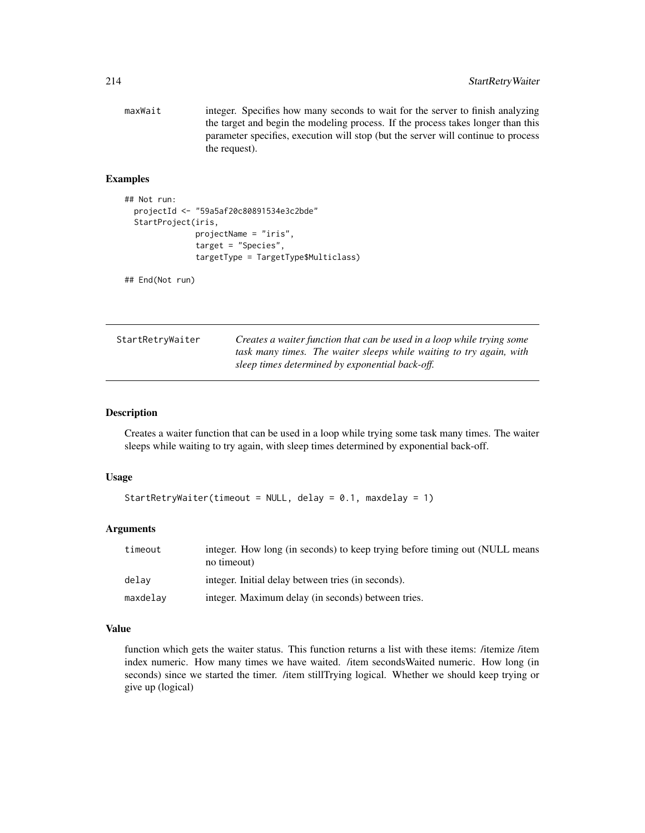maxWait integer. Specifies how many seconds to wait for the server to finish analyzing the target and begin the modeling process. If the process takes longer than this parameter specifies, execution will stop (but the server will continue to process the request).

## Examples

```
## Not run:
 projectId <- "59a5af20c80891534e3c2bde"
 StartProject(iris,
               projectName = "iris",
               target = "Species",
               targetType = TargetType$Multiclass)
```
## End(Not run)

| StartRetryWaiter | Creates a waiter function that can be used in a loop while trying some |
|------------------|------------------------------------------------------------------------|
|                  | task many times. The waiter sleeps while waiting to try again, with    |
|                  | sleep times determined by exponential back-off.                        |

#### Description

Creates a waiter function that can be used in a loop while trying some task many times. The waiter sleeps while waiting to try again, with sleep times determined by exponential back-off.

#### Usage

```
StartRetryWaiter(timeout = NULL, delay = 0.1, maxdelay = 1)
```
### Arguments

| timeout  | integer. How long (in seconds) to keep trying before timing out (NULL means<br>no timeout) |
|----------|--------------------------------------------------------------------------------------------|
| delav    | integer. Initial delay between tries (in seconds).                                         |
| maxdelay | integer. Maximum delay (in seconds) between tries.                                         |

## Value

function which gets the waiter status. This function returns a list with these items: /itemize /item index numeric. How many times we have waited. /item secondsWaited numeric. How long (in seconds) since we started the timer. /item stillTrying logical. Whether we should keep trying or give up (logical)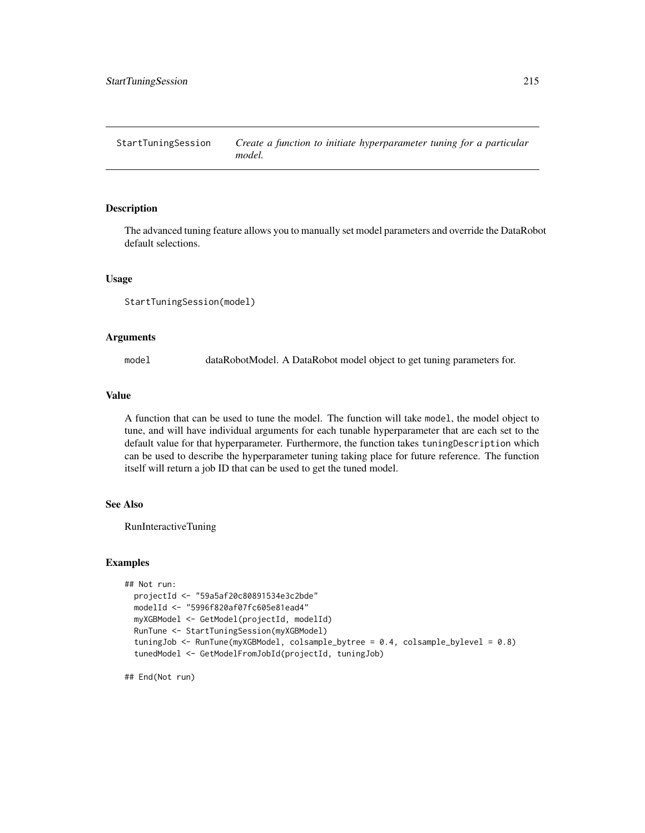StartTuningSession *Create a function to initiate hyperparameter tuning for a particular model.*

## Description

The advanced tuning feature allows you to manually set model parameters and override the DataRobot default selections.

#### Usage

```
StartTuningSession(model)
```
#### Arguments

model dataRobotModel. A DataRobot model object to get tuning parameters for.

#### Value

A function that can be used to tune the model. The function will take model, the model object to tune, and will have individual arguments for each tunable hyperparameter that are each set to the default value for that hyperparameter. Furthermore, the function takes tuningDescription which can be used to describe the hyperparameter tuning taking place for future reference. The function itself will return a job ID that can be used to get the tuned model.

## See Also

RunInteractiveTuning

#### Examples

```
## Not run:
 projectId <- "59a5af20c80891534e3c2bde"
 modelId <- "5996f820af07fc605e81ead4"
 myXGBModel <- GetModel(projectId, modelId)
 RunTune <- StartTuningSession(myXGBModel)
 tuningJob <- RunTune(myXGBModel, colsample_bytree = 0.4, colsample_bylevel = 0.8)
 tunedModel <- GetModelFromJobId(projectId, tuningJob)
```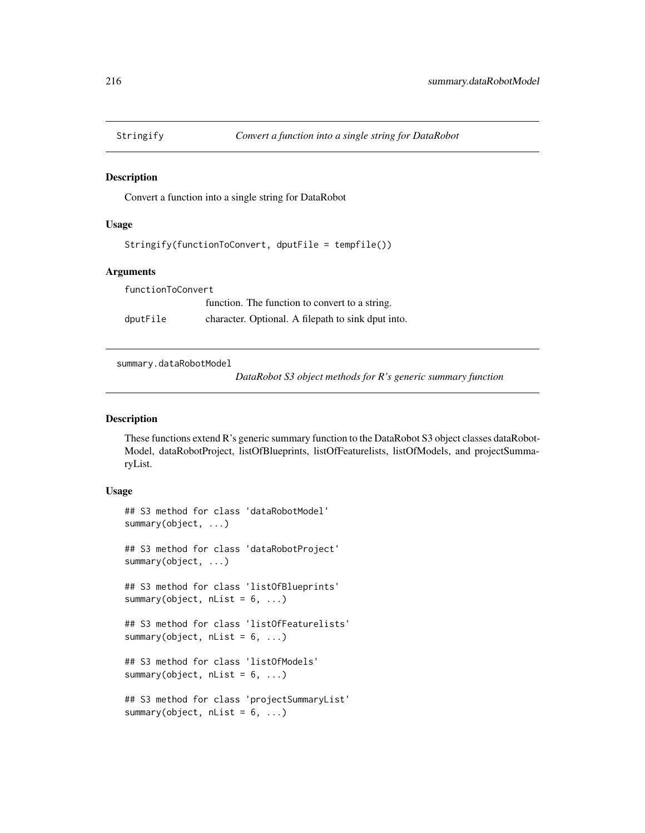#### Description

Convert a function into a single string for DataRobot

#### Usage

Stringify(functionToConvert, dputFile = tempfile())

#### Arguments

functionToConvert function. The function to convert to a string. dputFile character. Optional. A filepath to sink dput into.

summary.dataRobotModel

*DataRobot S3 object methods for R's generic summary function*

#### Description

These functions extend R's generic summary function to the DataRobot S3 object classes dataRobot-Model, dataRobotProject, listOfBlueprints, listOfFeaturelists, listOfModels, and projectSummaryList.

### Usage

```
## S3 method for class 'dataRobotModel'
summary(object, ...)
## S3 method for class 'dataRobotProject'
summary(object, ...)
## S3 method for class 'listOfBlueprints'
summary(object, nList = 6, ...)
## S3 method for class 'listOfFeaturelists'
summary(object, nList = 6, ...)
## S3 method for class 'listOfModels'
summary(object, nList = 6, ...)
## S3 method for class 'projectSummaryList'
summary(object, nList = 6, ...)
```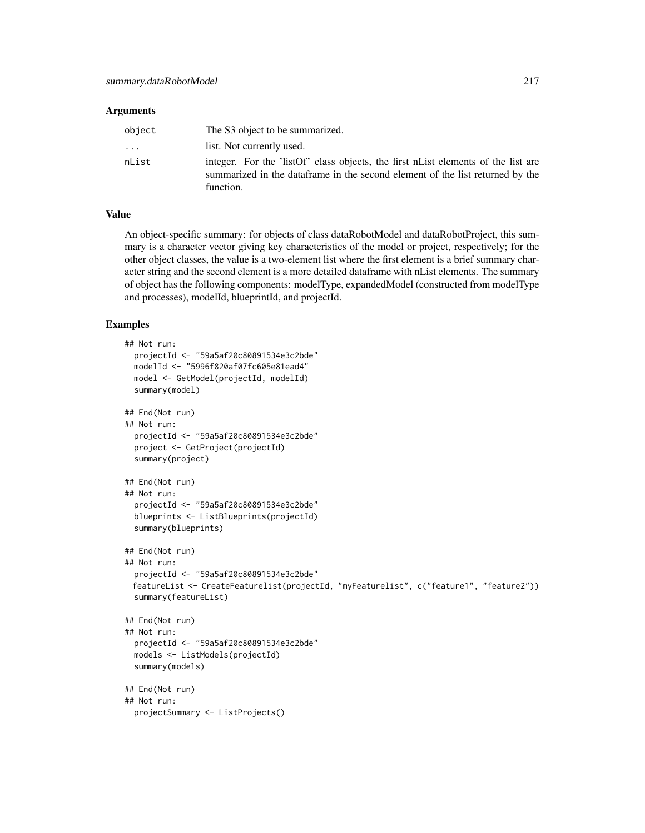#### **Arguments**

| object   | The S3 object to be summarized.                                                                                                                                                  |
|----------|----------------------------------------------------------------------------------------------------------------------------------------------------------------------------------|
| $\cdots$ | list. Not currently used.                                                                                                                                                        |
| nList    | integer. For the 'listOf' class objects, the first nList elements of the list are<br>summarized in the data frame in the second element of the list returned by the<br>function. |

# Value

An object-specific summary: for objects of class dataRobotModel and dataRobotProject, this summary is a character vector giving key characteristics of the model or project, respectively; for the other object classes, the value is a two-element list where the first element is a brief summary character string and the second element is a more detailed dataframe with nList elements. The summary of object has the following components: modelType, expandedModel (constructed from modelType and processes), modelId, blueprintId, and projectId.

#### Examples

```
## Not run:
 projectId <- "59a5af20c80891534e3c2bde"
 modelId <- "5996f820af07fc605e81ead4"
 model <- GetModel(projectId, modelId)
 summary(model)
## End(Not run)
## Not run:
 projectId <- "59a5af20c80891534e3c2bde"
 project <- GetProject(projectId)
 summary(project)
## End(Not run)
## Not run:
 projectId <- "59a5af20c80891534e3c2bde"
 blueprints <- ListBlueprints(projectId)
 summary(blueprints)
## End(Not run)
## Not run:
 projectId <- "59a5af20c80891534e3c2bde"
 featureList <- CreateFeaturelist(projectId, "myFeaturelist", c("feature1", "feature2"))
 summary(featureList)
## End(Not run)
## Not run:
 projectId <- "59a5af20c80891534e3c2bde"
 models <- ListModels(projectId)
 summary(models)
## End(Not run)
## Not run:
 projectSummary <- ListProjects()
```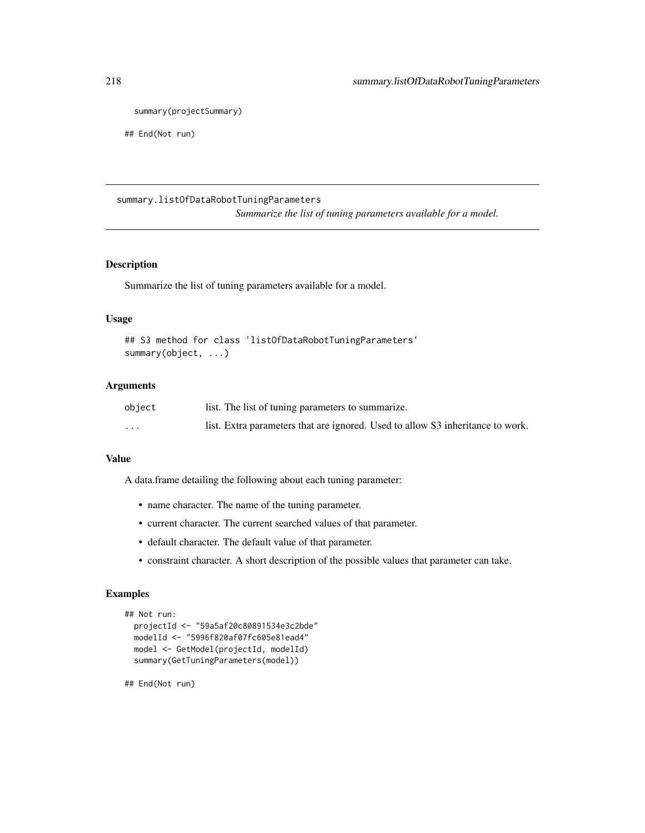```
summary(projectSummary)
```
## End(Not run)

# summary.listOfDataRobotTuningParameters

*Summarize the list of tuning parameters available for a model.*

#### Description

Summarize the list of tuning parameters available for a model.

# Usage

```
## S3 method for class 'listOfDataRobotTuningParameters'
summary(object, ...)
```
#### Arguments

| object                  | list. The list of tuning parameters to summarize.                              |
|-------------------------|--------------------------------------------------------------------------------|
| $\cdot$ $\cdot$ $\cdot$ | list. Extra parameters that are ignored. Used to allow S3 inheritance to work. |

#### Value

A data.frame detailing the following about each tuning parameter:

- name character. The name of the tuning parameter.
- current character. The current searched values of that parameter.
- default character. The default value of that parameter.
- constraint character. A short description of the possible values that parameter can take.

#### Examples

```
## Not run:
 projectId <- "59a5af20c80891534e3c2bde"
 modelId <- "5996f820af07fc605e81ead4"
 model <- GetModel(projectId, modelId)
 summary(GetTuningParameters(model))
```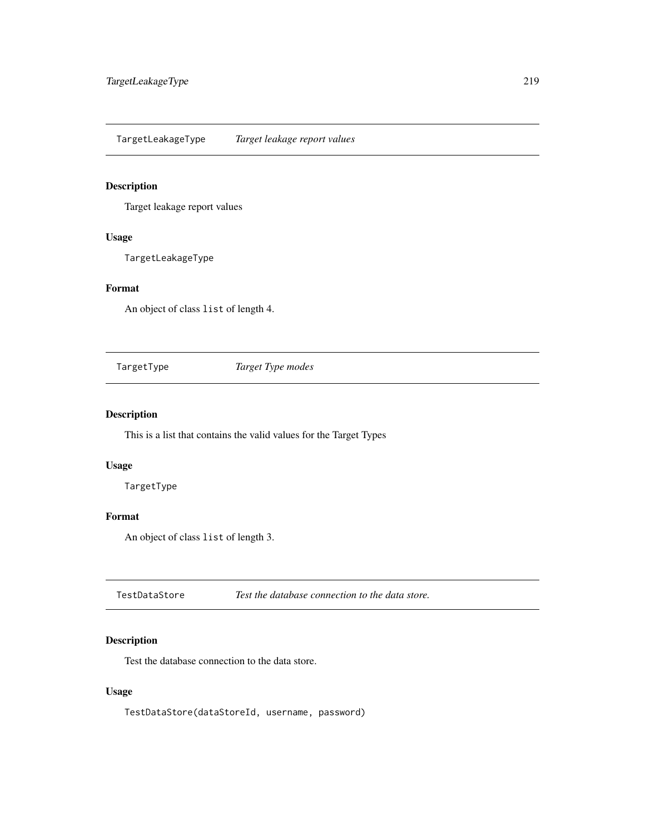<span id="page-218-0"></span>TargetLeakageType *Target leakage report values*

#### Description

Target leakage report values

# Usage

TargetLeakageType

#### Format

An object of class list of length 4.

TargetType *Target Type modes*

# Description

This is a list that contains the valid values for the Target Types

#### Usage

TargetType

#### Format

An object of class list of length 3.

TestDataStore *Test the database connection to the data store.*

# Description

Test the database connection to the data store.

# Usage

TestDataStore(dataStoreId, username, password)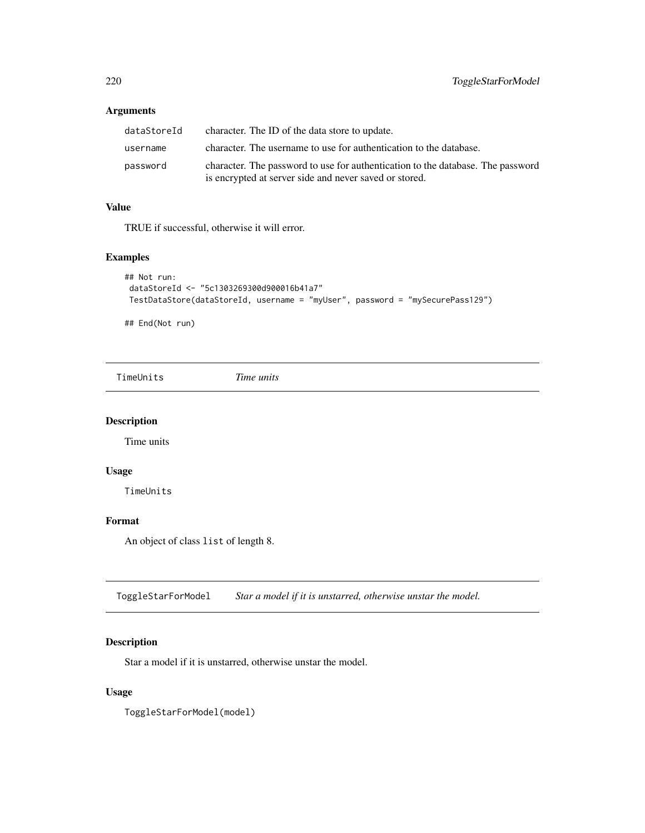# <span id="page-219-0"></span>Arguments

| dataStoreId | character. The ID of the data store to update.                                                                                            |
|-------------|-------------------------------------------------------------------------------------------------------------------------------------------|
| username    | character. The username to use for authentication to the database.                                                                        |
| password    | character. The password to use for authentication to the database. The password<br>is encrypted at server side and never saved or stored. |

#### Value

TRUE if successful, otherwise it will error.

#### Examples

```
## Not run:
dataStoreId <- "5c1303269300d900016b41a7"
TestDataStore(dataStoreId, username = "myUser", password = "mySecurePass129")
```
## End(Not run)

TimeUnits *Time units*

# Description

Time units

# Usage

TimeUnits

# Format

An object of class list of length 8.

ToggleStarForModel *Star a model if it is unstarred, otherwise unstar the model.*

# Description

Star a model if it is unstarred, otherwise unstar the model.

# Usage

ToggleStarForModel(model)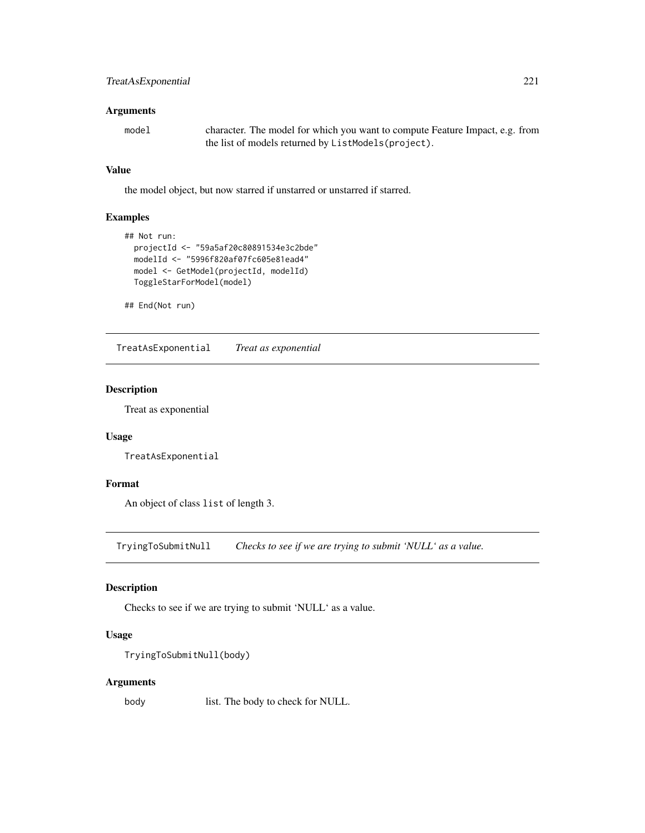# <span id="page-220-0"></span>TreatAsExponential 221

#### Arguments

| model | character. The model for which you want to compute Feature Impact, e.g. from |
|-------|------------------------------------------------------------------------------|
|       | the list of models returned by ListModels (project).                         |

#### Value

the model object, but now starred if unstarred or unstarred if starred.

# Examples

```
## Not run:
  projectId <- "59a5af20c80891534e3c2bde"
  modelId <- "5996f820af07fc605e81ead4"
  model <- GetModel(projectId, modelId)
  ToggleStarForModel(model)
```
## End(Not run)

TreatAsExponential *Treat as exponential*

#### Description

Treat as exponential

#### Usage

TreatAsExponential

# Format

An object of class list of length 3.

TryingToSubmitNull *Checks to see if we are trying to submit 'NULL' as a value.*

#### Description

Checks to see if we are trying to submit 'NULL' as a value.

#### Usage

```
TryingToSubmitNull(body)
```
# Arguments

body list. The body to check for NULL.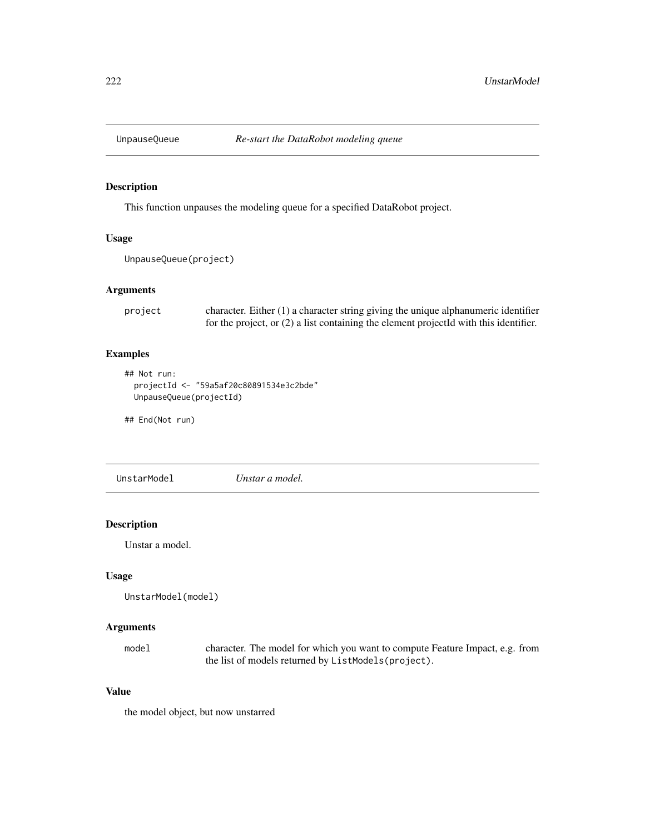<span id="page-221-0"></span>

#### Description

This function unpauses the modeling queue for a specified DataRobot project.

#### Usage

```
UnpauseQueue(project)
```
#### Arguments

```
project character. Either (1) a character string giving the unique alphanumeric identifier
                  for the project, or (2) a list containing the element projectId with this identifier.
```
# Examples

```
## Not run:
 projectId <- "59a5af20c80891534e3c2bde"
 UnpauseQueue(projectId)
```
## End(Not run)

UnstarModel *Unstar a model.*

#### Description

Unstar a model.

#### Usage

```
UnstarModel(model)
```
#### Arguments

model character. The model for which you want to compute Feature Impact, e.g. from the list of models returned by ListModels(project).

#### Value

the model object, but now unstarred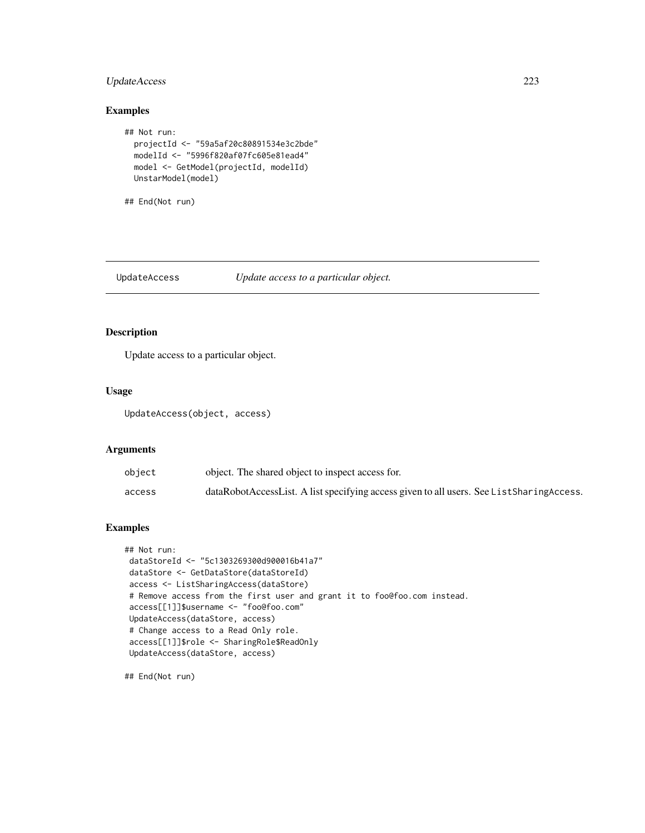# <span id="page-222-0"></span>UpdateAccess 223

# Examples

```
## Not run:
 projectId <- "59a5af20c80891534e3c2bde"
 modelId <- "5996f820af07fc605e81ead4"
 model <- GetModel(projectId, modelId)
 UnstarModel(model)
```
## End(Not run)

# UpdateAccess *Update access to a particular object.*

#### Description

Update access to a particular object.

#### Usage

UpdateAccess(object, access)

#### Arguments

| object | object. The shared object to inspect access for.                                         |
|--------|------------------------------------------------------------------------------------------|
| access | dataRobotAccessList. A list specifying access given to all users. See ListSharingAccess. |

# Examples

```
## Not run:
dataStoreId <- "5c1303269300d900016b41a7"
dataStore <- GetDataStore(dataStoreId)
access <- ListSharingAccess(dataStore)
# Remove access from the first user and grant it to foo@foo.com instead.
access[[1]]$username <- "foo@foo.com"
UpdateAccess(dataStore, access)
# Change access to a Read Only role.
access[[1]]$role <- SharingRole$ReadOnly
UpdateAccess(dataStore, access)
```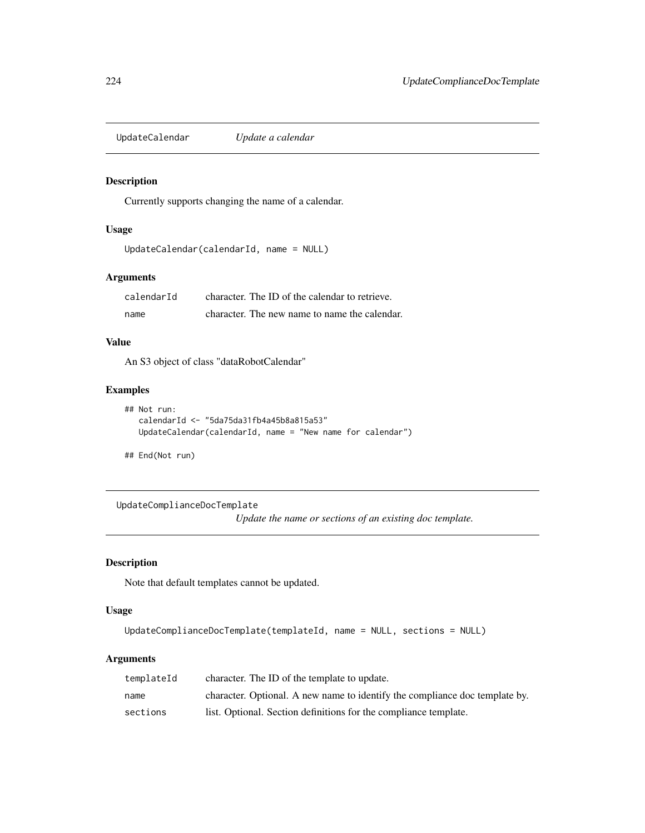<span id="page-223-0"></span>UpdateCalendar *Update a calendar*

# Description

Currently supports changing the name of a calendar.

# Usage

```
UpdateCalendar(calendarId, name = NULL)
```
# Arguments

| calendarId | character. The ID of the calendar to retrieve. |
|------------|------------------------------------------------|
| name       | character. The new name to name the calendar.  |

# Value

An S3 object of class "dataRobotCalendar"

# Examples

```
## Not run:
  calendarId <- "5da75da31fb4a45b8a815a53"
  UpdateCalendar(calendarId, name = "New name for calendar")
```
## End(Not run)

UpdateComplianceDocTemplate

*Update the name or sections of an existing doc template.*

# Description

Note that default templates cannot be updated.

#### Usage

```
UpdateComplianceDocTemplate(templateId, name = NULL, sections = NULL)
```
# Arguments

| templateId | character. The ID of the template to update.                                |
|------------|-----------------------------------------------------------------------------|
| name       | character. Optional. A new name to identify the compliance doc template by. |
| sections   | list. Optional. Section definitions for the compliance template.            |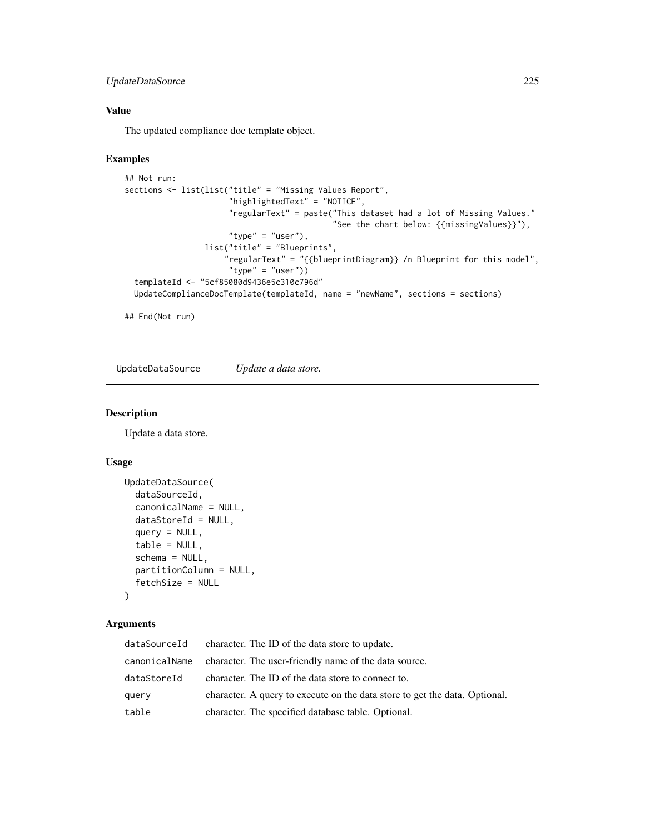# <span id="page-224-0"></span>UpdateDataSource 225

# Value

The updated compliance doc template object.

# Examples

```
## Not run:
sections <- list(list("title" = "Missing Values Report",
                      "highlightedText" = "NOTICE",
                      "regularText" = paste("This dataset had a lot of Missing Values."
                                            "See the chart below: {{missingValues}}"),
                      "type" = "user"),
                 list("title" = "Blueprints",
                     "regularText" = "{{blueprintDiagram}} /n Blueprint for this model",
                      "type" = "user"))
 templateId <- "5cf85080d9436e5c310c796d"
 UpdateComplianceDocTemplate(templateId, name = "newName", sections = sections)
```
## End(Not run)

UpdateDataSource *Update a data store.*

#### Description

Update a data store.

#### Usage

```
UpdateDataSource(
  dataSourceId,
  canonicalName = NULL,
  dataStoreId = NULL,
  query = NULL,table = NULL,
  schema = NULL,
 partitionColumn = NULL,
  fetchSize = NULL
)
```
# Arguments

| dataSourceId | character. The ID of the data store to update.                             |
|--------------|----------------------------------------------------------------------------|
|              | canonicalName character. The user-friendly name of the data source.        |
| dataStoreId  | character. The ID of the data store to connect to.                         |
| query        | character. A query to execute on the data store to get the data. Optional. |
| table        | character. The specified database table. Optional.                         |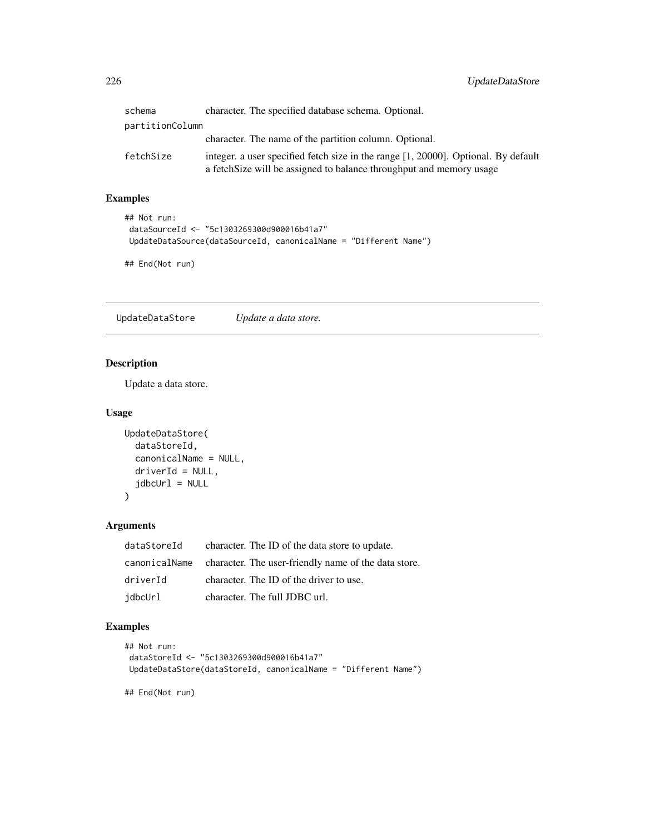<span id="page-225-0"></span>

| schema          | character. The specified database schema. Optional.                                                                                                        |  |
|-----------------|------------------------------------------------------------------------------------------------------------------------------------------------------------|--|
| partitionColumn |                                                                                                                                                            |  |
|                 | character. The name of the partition column. Optional.                                                                                                     |  |
| fetchSize       | integer, a user specified fetch size in the range [1, 20000]. Optional, By default<br>a fetch Size will be assigned to balance throughput and memory usage |  |

# Examples

```
## Not run:
 dataSourceId <- "5c1303269300d900016b41a7"
 UpdateDataSource(dataSourceId, canonicalName = "Different Name")
```
## End(Not run)

UpdateDataStore *Update a data store.*

# Description

Update a data store.

#### Usage

```
UpdateDataStore(
  dataStoreId,
  canonicalName = NULL,
  driverId = NULL,jdbcUr1 = NULL)
```
#### Arguments

| dataStoreId | character. The ID of the data store to update.                     |
|-------------|--------------------------------------------------------------------|
|             | canonicalName character. The user-friendly name of the data store. |
| driverId    | character. The ID of the driver to use.                            |
| jdbcUrl     | character. The full JDBC url.                                      |

#### Examples

```
## Not run:
dataStoreId <- "5c1303269300d900016b41a7"
UpdateDataStore(dataStoreId, canonicalName = "Different Name")
## End(Not run)
```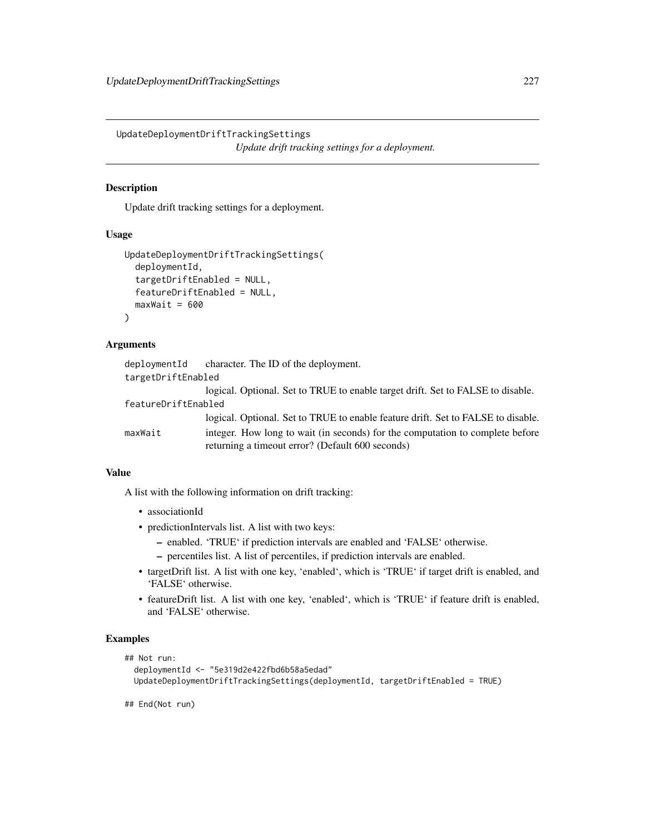<span id="page-226-0"></span>UpdateDeploymentDriftTrackingSettings *Update drift tracking settings for a deployment.*

### Description

Update drift tracking settings for a deployment.

#### Usage

```
UpdateDeploymentDriftTrackingSettings(
  deploymentId,
  targetDriftEnabled = NULL,
  featureDriftEnabled = NULL,
  maxWait = 600)
```
#### Arguments

|                     | deploymentId character. The ID of the deployment.                                |
|---------------------|----------------------------------------------------------------------------------|
| targetDriftEnabled  |                                                                                  |
|                     | logical. Optional. Set to TRUE to enable target drift. Set to FALSE to disable.  |
| featureDriftEnabled |                                                                                  |
|                     | logical. Optional. Set to TRUE to enable feature drift. Set to FALSE to disable. |
| maxWait             | integer. How long to wait (in seconds) for the computation to complete before    |
|                     | returning a timeout error? (Default 600 seconds)                                 |

# Value

A list with the following information on drift tracking:

- associationId
- predictionIntervals list. A list with two keys:
	- enabled. 'TRUE' if prediction intervals are enabled and 'FALSE' otherwise.
	- percentiles list. A list of percentiles, if prediction intervals are enabled.
- targetDrift list. A list with one key, 'enabled', which is 'TRUE' if target drift is enabled, and 'FALSE' otherwise.
- featureDrift list. A list with one key, 'enabled', which is 'TRUE' if feature drift is enabled, and 'FALSE' otherwise.

#### Examples

```
## Not run:
 deploymentId <- "5e319d2e422fbd6b58a5edad"
 UpdateDeploymentDriftTrackingSettings(deploymentId, targetDriftEnabled = TRUE)
```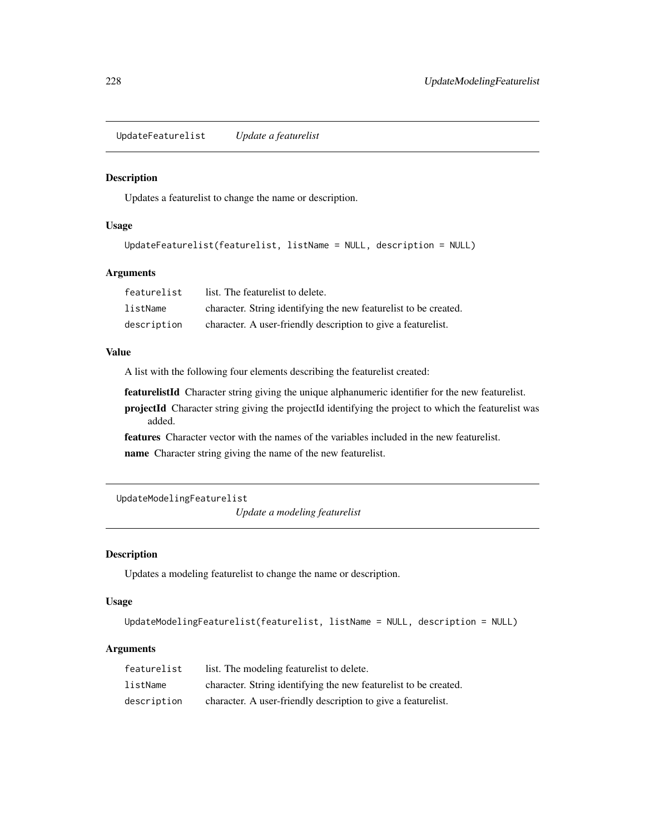<span id="page-227-0"></span>UpdateFeaturelist *Update a featurelist*

#### Description

Updates a featurelist to change the name or description.

# Usage

```
UpdateFeaturelist(featurelist, listName = NULL, description = NULL)
```
#### Arguments

| featurelist | list. The featurelist to delete.                                 |
|-------------|------------------------------------------------------------------|
| listName    | character. String identifying the new featurelist to be created. |
| description | character. A user-friendly description to give a featurelist.    |

#### Value

A list with the following four elements describing the featurelist created:

featurelistId Character string giving the unique alphanumeric identifier for the new featurelist.

projectId Character string giving the projectId identifying the project to which the featurelist was added.

features Character vector with the names of the variables included in the new featurelist.

name Character string giving the name of the new featurelist.

UpdateModelingFeaturelist

*Update a modeling featurelist*

# Description

Updates a modeling featurelist to change the name or description.

#### Usage

```
UpdateModelingFeaturelist(featurelist, listName = NULL, description = NULL)
```
#### Arguments

| featurelist | list. The modeling featurelist to delete.                        |
|-------------|------------------------------------------------------------------|
| listName    | character. String identifying the new featurelist to be created. |
| description | character. A user-friendly description to give a featurelist.    |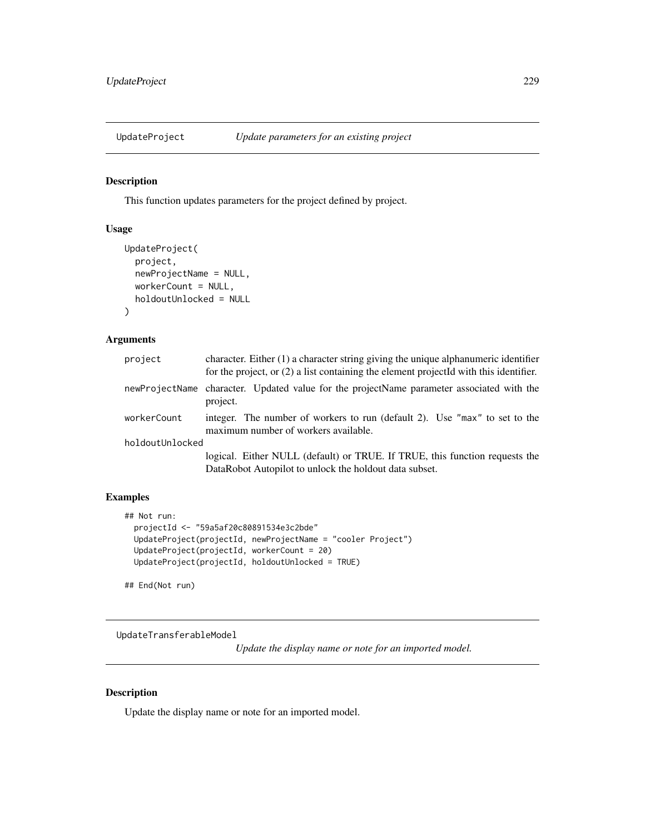<span id="page-228-0"></span>

# Description

This function updates parameters for the project defined by project.

# Usage

```
UpdateProject(
  project,
  newProjectName = NULL,
  workerCount = NULL,
  holdoutUnlocked = NULL
\mathcal{E}
```
#### Arguments

| project         | character. Either $(1)$ a character string giving the unique alphanumeric identifier<br>for the project, or $(2)$ a list containing the element projected with this identifier. |
|-----------------|---------------------------------------------------------------------------------------------------------------------------------------------------------------------------------|
|                 | newProjectName character. Updated value for the projectName parameter associated with the<br>project.                                                                           |
| workerCount     | integer. The number of workers to run (default 2). Use "max" to set to the<br>maximum number of workers available.                                                              |
| holdoutUnlocked |                                                                                                                                                                                 |
|                 | logical. Either NULL (default) or TRUE. If TRUE, this function requests the<br>DataRobot Autopilot to unlock the holdout data subset.                                           |

### Examples

```
## Not run:
 projectId <- "59a5af20c80891534e3c2bde"
 UpdateProject(projectId, newProjectName = "cooler Project")
 UpdateProject(projectId, workerCount = 20)
 UpdateProject(projectId, holdoutUnlocked = TRUE)
```
## End(Not run)

UpdateTransferableModel

*Update the display name or note for an imported model.*

# Description

Update the display name or note for an imported model.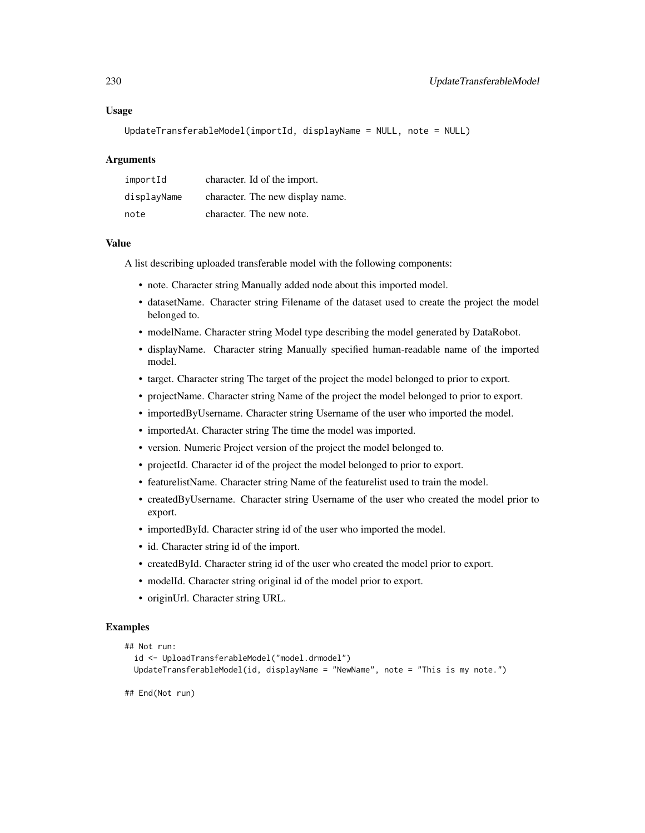#### Usage

UpdateTransferableModel(importId, displayName = NULL, note = NULL)

#### Arguments

| importId    | character. Id of the import.     |
|-------------|----------------------------------|
| displayName | character. The new display name. |
| note        | character. The new note.         |

#### Value

A list describing uploaded transferable model with the following components:

- note. Character string Manually added node about this imported model.
- datasetName. Character string Filename of the dataset used to create the project the model belonged to.
- modelName. Character string Model type describing the model generated by DataRobot.
- displayName. Character string Manually specified human-readable name of the imported model.
- target. Character string The target of the project the model belonged to prior to export.
- projectName. Character string Name of the project the model belonged to prior to export.
- importedByUsername. Character string Username of the user who imported the model.
- importedAt. Character string The time the model was imported.
- version. Numeric Project version of the project the model belonged to.
- projectId. Character id of the project the model belonged to prior to export.
- featurelistName. Character string Name of the featurelist used to train the model.
- createdByUsername. Character string Username of the user who created the model prior to export.
- importedById. Character string id of the user who imported the model.
- id. Character string id of the import.
- createdById. Character string id of the user who created the model prior to export.
- modelId. Character string original id of the model prior to export.
- originUrl. Character string URL.

#### Examples

```
## Not run:
```

```
id <- UploadTransferableModel("model.drmodel")
UpdateTransferableModel(id, displayName = "NewName", note = "This is my note.")
```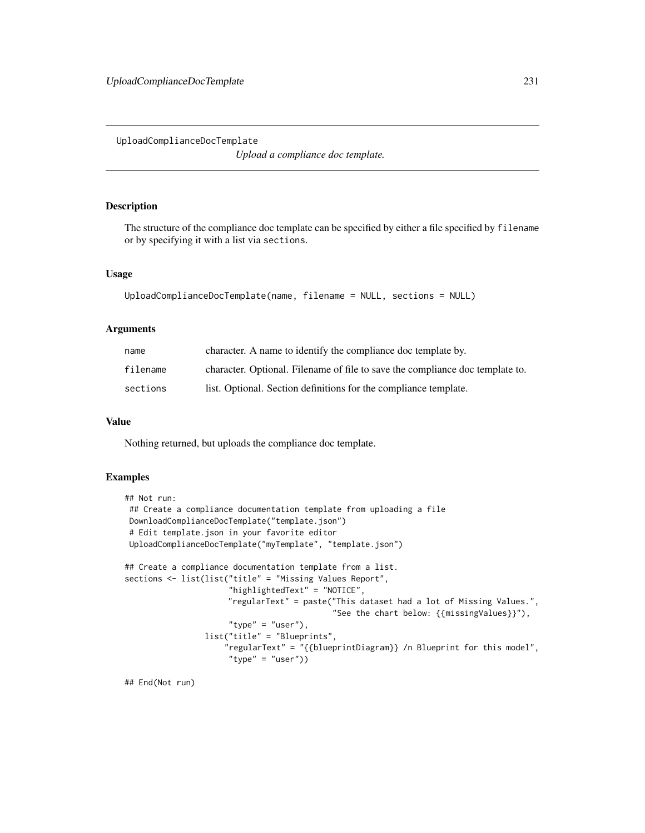<span id="page-230-0"></span>UploadComplianceDocTemplate

*Upload a compliance doc template.*

#### Description

The structure of the compliance doc template can be specified by either a file specified by filename or by specifying it with a list via sections.

# Usage

```
UploadComplianceDocTemplate(name, filename = NULL, sections = NULL)
```
#### Arguments

| name     | character. A name to identify the compliance doc template by.                 |
|----------|-------------------------------------------------------------------------------|
| filename | character. Optional. Filename of file to save the compliance doc template to. |
| sections | list. Optional. Section definitions for the compliance template.              |

#### Value

Nothing returned, but uploads the compliance doc template.

#### Examples

```
## Not run:
## Create a compliance documentation template from uploading a file
DownloadComplianceDocTemplate("template.json")
 # Edit template.json in your favorite editor
UploadComplianceDocTemplate("myTemplate", "template.json")
## Create a compliance documentation template from a list.
sections <- list(list("title" = "Missing Values Report",
                      "highlightedText" = "NOTICE",
                      "regularText" = paste("This dataset had a lot of Missing Values.",
                                            "See the chart below: {{missingValues}}"),
                      "type" = "user"),
                 list("title" = "Blueprints",
                     "regularText" = "{{blueprintDiagram}} /n Blueprint for this model",
                      "type" = "user"))
```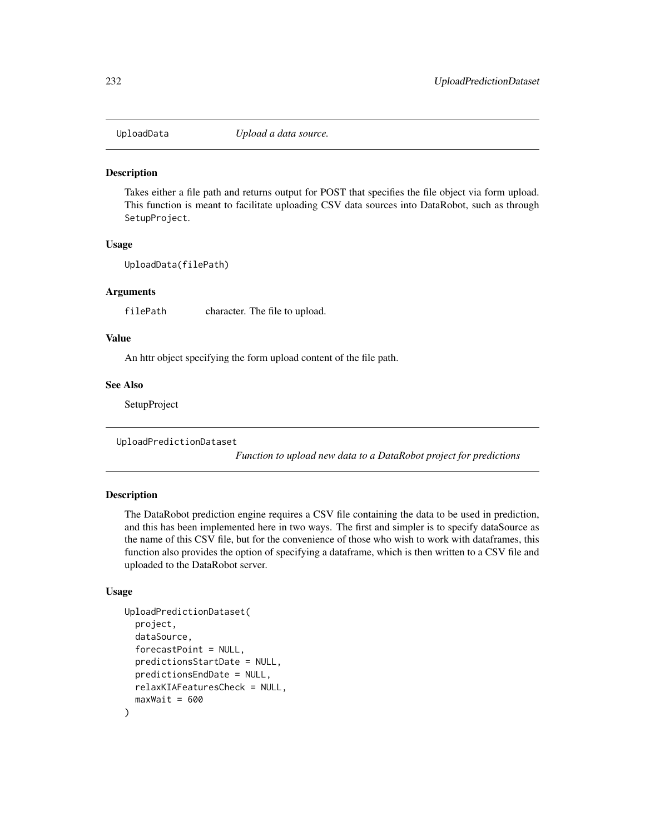<span id="page-231-0"></span>

#### **Description**

Takes either a file path and returns output for POST that specifies the file object via form upload. This function is meant to facilitate uploading CSV data sources into DataRobot, such as through SetupProject.

#### Usage

UploadData(filePath)

#### Arguments

filePath character. The file to upload.

#### Value

An httr object specifying the form upload content of the file path.

#### See Also

**SetupProject** 

UploadPredictionDataset

*Function to upload new data to a DataRobot project for predictions*

# Description

The DataRobot prediction engine requires a CSV file containing the data to be used in prediction, and this has been implemented here in two ways. The first and simpler is to specify dataSource as the name of this CSV file, but for the convenience of those who wish to work with dataframes, this function also provides the option of specifying a dataframe, which is then written to a CSV file and uploaded to the DataRobot server.

#### Usage

```
UploadPredictionDataset(
  project,
  dataSource,
  forecastPoint = NULL,
  predictionsStartDate = NULL,
  predictionsEndDate = NULL,
  relaxKIAFeaturesCheck = NULL,
  maxWait = 600)
```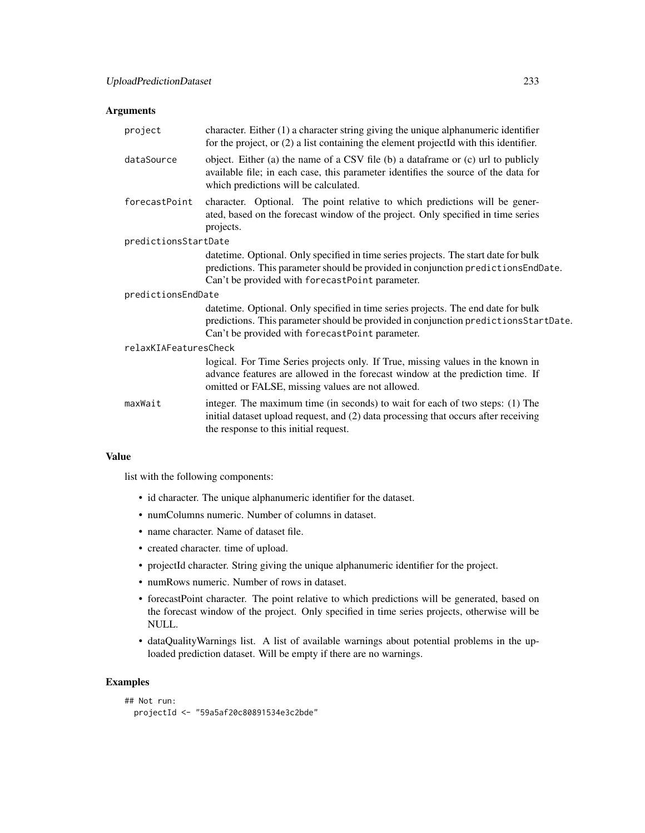#### Arguments

| project               | character. Either $(1)$ a character string giving the unique alphanumeric identifier<br>for the project, or $(2)$ a list containing the element projectId with this identifier.                                              |  |
|-----------------------|------------------------------------------------------------------------------------------------------------------------------------------------------------------------------------------------------------------------------|--|
| dataSource            | object. Either (a) the name of a CSV file (b) a dataframe or (c) url to publicly<br>available file; in each case, this parameter identifies the source of the data for<br>which predictions will be calculated.              |  |
| forecastPoint         | character. Optional. The point relative to which predictions will be gener-<br>ated, based on the forecast window of the project. Only specified in time series<br>projects.                                                 |  |
| predictionsStartDate  |                                                                                                                                                                                                                              |  |
|                       | datetime. Optional. Only specified in time series projects. The start date for bulk<br>predictions. This parameter should be provided in conjunction predictions EndDate.<br>Can't be provided with forecastPoint parameter. |  |
| predictionsEndDate    |                                                                                                                                                                                                                              |  |
|                       | datetime. Optional. Only specified in time series projects. The end date for bulk<br>predictions. This parameter should be provided in conjunction predictions StartDate.<br>Can't be provided with forecastPoint parameter. |  |
| relaxKIAFeaturesCheck |                                                                                                                                                                                                                              |  |
|                       | logical. For Time Series projects only. If True, missing values in the known in<br>advance features are allowed in the forecast window at the prediction time. If<br>omitted or FALSE, missing values are not allowed.       |  |
| maxWait               | integer. The maximum time (in seconds) to wait for each of two steps: (1) The<br>initial dataset upload request, and (2) data processing that occurs after receiving<br>the response to this initial request.                |  |

### Value

list with the following components:

- id character. The unique alphanumeric identifier for the dataset.
- numColumns numeric. Number of columns in dataset.
- name character. Name of dataset file.
- created character. time of upload.
- projectId character. String giving the unique alphanumeric identifier for the project.
- numRows numeric. Number of rows in dataset.
- forecastPoint character. The point relative to which predictions will be generated, based on the forecast window of the project. Only specified in time series projects, otherwise will be NULL.
- dataQualityWarnings list. A list of available warnings about potential problems in the uploaded prediction dataset. Will be empty if there are no warnings.

# Examples

```
## Not run:
 projectId <- "59a5af20c80891534e3c2bde"
```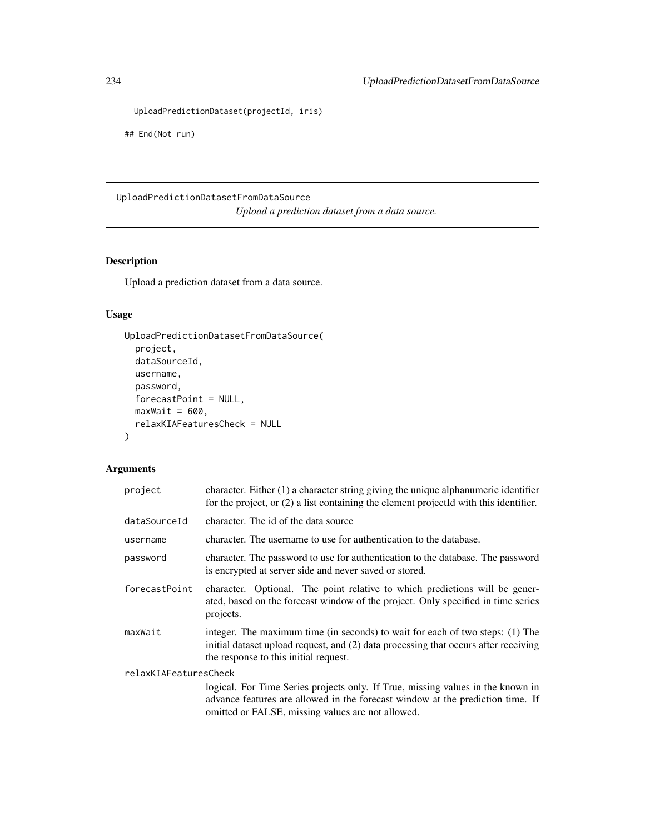```
UploadPredictionDataset(projectId, iris)
```
## End(Not run)

# UploadPredictionDatasetFromDataSource *Upload a prediction dataset from a data source.*

# Description

Upload a prediction dataset from a data source.

# Usage

```
UploadPredictionDatasetFromDataSource(
 project,
 dataSourceId,
 username,
 password,
 forecastPoint = NULL,
 maxWait = 600,relaxKIAFeaturesCheck = NULL
)
```
# Arguments

| project               | character. Either $(1)$ a character string giving the unique alphanumeric identifier<br>for the project, or $(2)$ a list containing the element projected with this identifier.                                        |  |
|-----------------------|------------------------------------------------------------------------------------------------------------------------------------------------------------------------------------------------------------------------|--|
| dataSourceId          | character. The id of the data source                                                                                                                                                                                   |  |
| username              | character. The username to use for authentication to the database.                                                                                                                                                     |  |
| password              | character. The password to use for authentication to the database. The password<br>is encrypted at server side and never saved or stored.                                                                              |  |
| forecastPoint         | character. Optional. The point relative to which predictions will be gener-<br>ated, based on the forecast window of the project. Only specified in time series<br>projects.                                           |  |
| maxWait               | integer. The maximum time (in seconds) to wait for each of two steps: (1) The<br>initial dataset upload request, and (2) data processing that occurs after receiving<br>the response to this initial request.          |  |
| relaxKIAFeaturesCheck |                                                                                                                                                                                                                        |  |
|                       | logical. For Time Series projects only. If True, missing values in the known in<br>advance features are allowed in the forecast window at the prediction time. If<br>omitted or FALSE, missing values are not allowed. |  |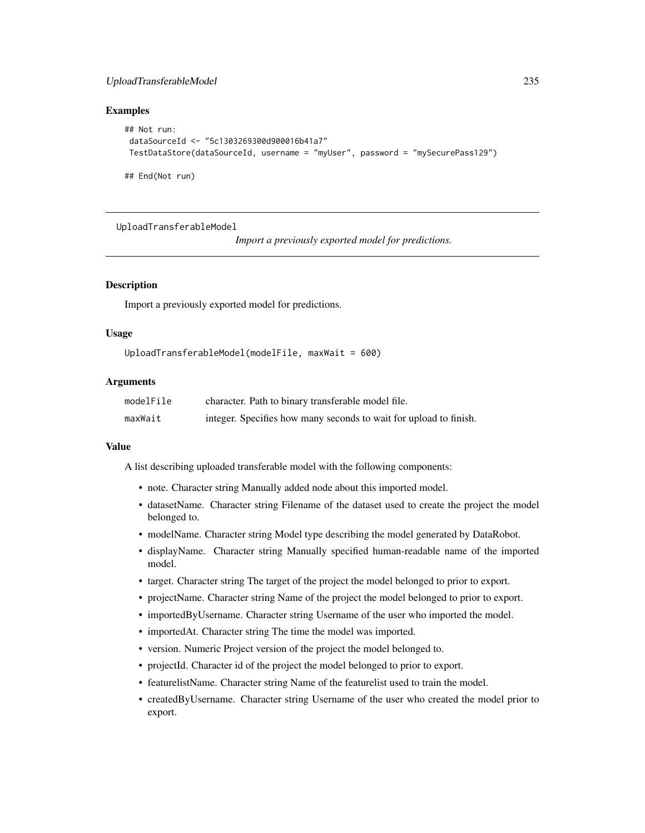# <span id="page-234-0"></span>UploadTransferableModel 235

#### Examples

```
## Not run:
dataSourceId <- "5c1303269300d900016b41a7"
TestDataStore(dataSourceId, username = "myUser", password = "mySecurePass129")
```
## End(Not run)

UploadTransferableModel

*Import a previously exported model for predictions.*

#### Description

Import a previously exported model for predictions.

#### Usage

```
UploadTransferableModel(modelFile, maxWait = 600)
```
# Arguments

| modelFile | character. Path to binary transferable model file.                |
|-----------|-------------------------------------------------------------------|
| maxWait   | integer. Specifies how many seconds to wait for upload to finish. |

#### Value

A list describing uploaded transferable model with the following components:

- note. Character string Manually added node about this imported model.
- datasetName. Character string Filename of the dataset used to create the project the model belonged to.
- modelName. Character string Model type describing the model generated by DataRobot.
- displayName. Character string Manually specified human-readable name of the imported model.
- target. Character string The target of the project the model belonged to prior to export.
- projectName. Character string Name of the project the model belonged to prior to export.
- importedByUsername. Character string Username of the user who imported the model.
- importedAt. Character string The time the model was imported.
- version. Numeric Project version of the project the model belonged to.
- projectId. Character id of the project the model belonged to prior to export.
- featurelistName. Character string Name of the featurelist used to train the model.
- createdByUsername. Character string Username of the user who created the model prior to export.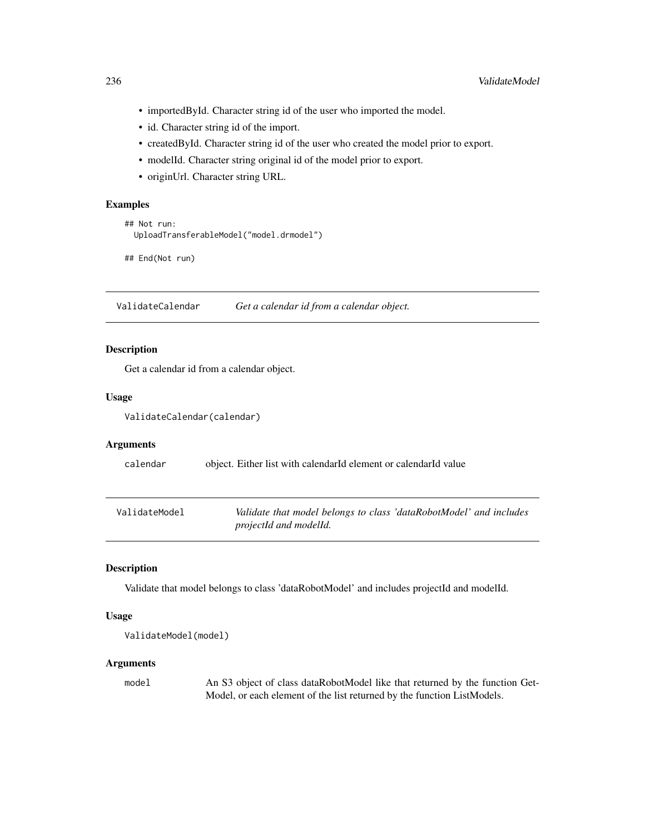- <span id="page-235-0"></span>• importedById. Character string id of the user who imported the model.
- id. Character string id of the import.
- createdById. Character string id of the user who created the model prior to export.
- modelId. Character string original id of the model prior to export.
- originUrl. Character string URL.

#### Examples

```
## Not run:
 UploadTransferableModel("model.drmodel")
```
## End(Not run)

ValidateCalendar *Get a calendar id from a calendar object.*

#### Description

Get a calendar id from a calendar object.

#### Usage

ValidateCalendar(calendar)

#### Arguments

calendar object. Either list with calendarId element or calendarId value

| ValidateModel | Validate that model belongs to class 'dataRobotModel' and includes |
|---------------|--------------------------------------------------------------------|
|               | projectId and modelId.                                             |

#### Description

Validate that model belongs to class 'dataRobotModel' and includes projectId and modelId.

#### Usage

```
ValidateModel(model)
```
#### Arguments

model An S3 object of class dataRobotModel like that returned by the function Get-Model, or each element of the list returned by the function ListModels.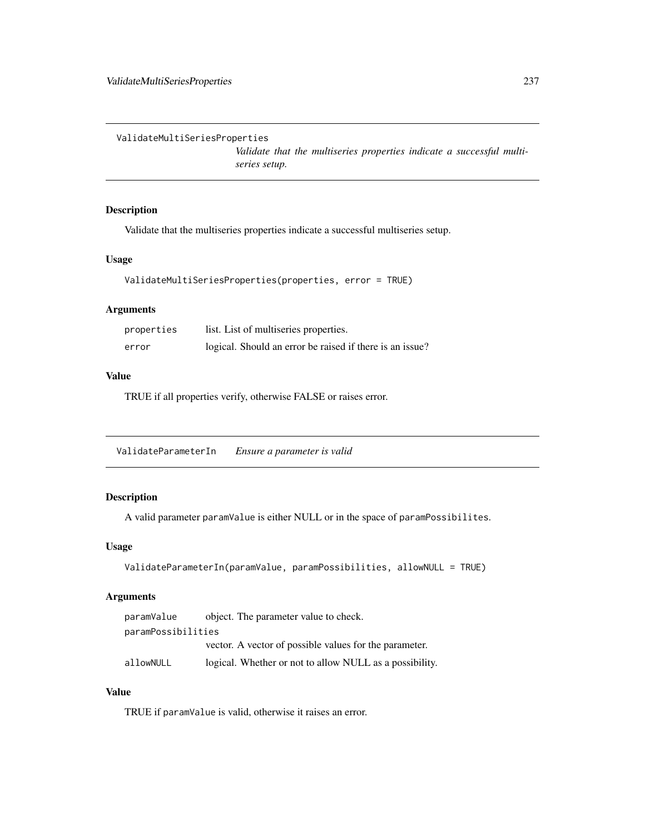<span id="page-236-0"></span>ValidateMultiSeriesProperties

*Validate that the multiseries properties indicate a successful multiseries setup.*

### Description

Validate that the multiseries properties indicate a successful multiseries setup.

# Usage

```
ValidateMultiSeriesProperties(properties, error = TRUE)
```
#### Arguments

| properties | list. List of multiseries properties.                    |
|------------|----------------------------------------------------------|
| error      | logical. Should an error be raised if there is an issue? |

# Value

TRUE if all properties verify, otherwise FALSE or raises error.

ValidateParameterIn *Ensure a parameter is valid*

# Description

A valid parameter paramValue is either NULL or in the space of paramPossibilites.

#### Usage

```
ValidateParameterIn(paramValue, paramPossibilities, allowNULL = TRUE)
```
#### Arguments

| paramValue         | object. The parameter value to check.                   |
|--------------------|---------------------------------------------------------|
| paramPossibilities |                                                         |
|                    | vector. A vector of possible values for the parameter.  |
| allowNULL          | logical. Whether or not to allow NULL as a possibility. |

# Value

TRUE if paramValue is valid, otherwise it raises an error.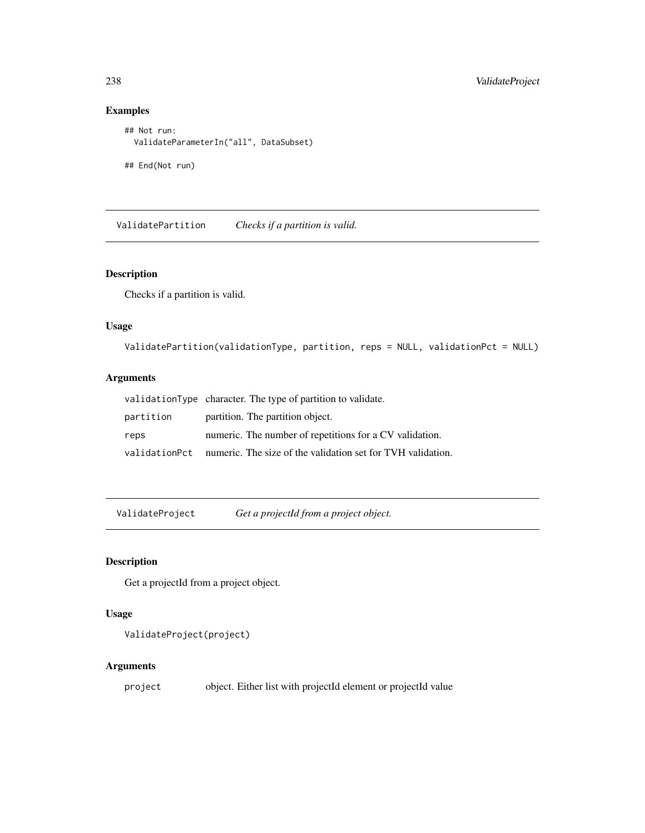# Examples

```
## Not run:
  ValidateParameterIn("all", DataSubset)
## End(Not run)
```
ValidatePartition *Checks if a partition is valid.*

# Description

Checks if a partition is valid.

# Usage

```
ValidatePartition(validationType, partition, reps = NULL, validationPct = NULL)
```
# Arguments

|           | validationType character. The type of partition to validate.               |
|-----------|----------------------------------------------------------------------------|
| partition | partition. The partition object.                                           |
| reps      | numeric. The number of repetitions for a CV validation.                    |
|           | validation Pct numeric. The size of the validation set for TVH validation. |

ValidateProject *Get a projectId from a project object.*

# Description

Get a projectId from a project object.

### Usage

```
ValidateProject(project)
```
# Arguments

project object. Either list with projectId element or projectId value

<span id="page-237-0"></span>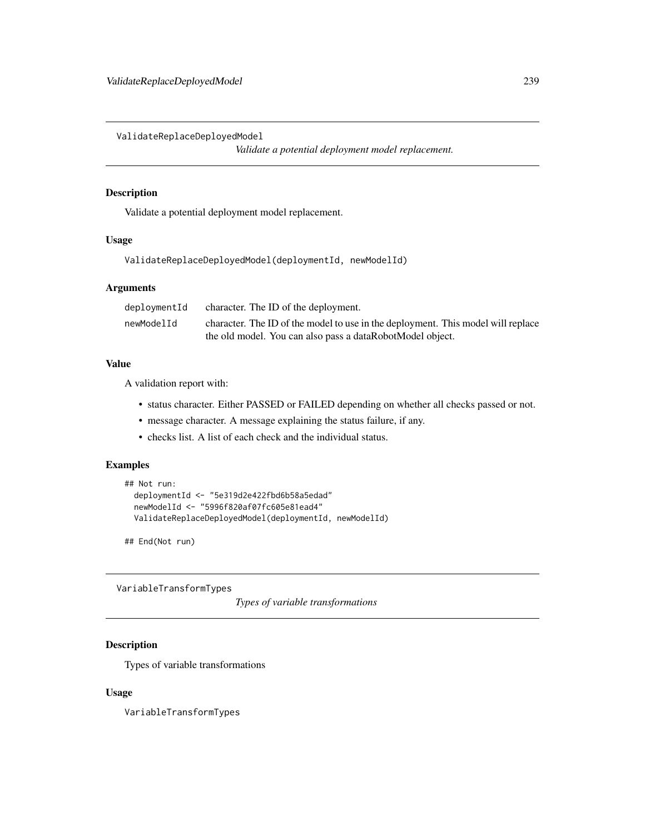<span id="page-238-0"></span>ValidateReplaceDeployedModel

*Validate a potential deployment model replacement.*

#### Description

Validate a potential deployment model replacement.

#### Usage

ValidateReplaceDeployedModel(deploymentId, newModelId)

#### Arguments

| deploymentId | character. The ID of the deployment.                                             |
|--------------|----------------------------------------------------------------------------------|
| newModelId   | character. The ID of the model to use in the deployment. This model will replace |
|              | the old model. You can also pass a dataRobotModel object.                        |

#### Value

A validation report with:

- status character. Either PASSED or FAILED depending on whether all checks passed or not.
- message character. A message explaining the status failure, if any.
- checks list. A list of each check and the individual status.

# Examples

```
## Not run:
 deploymentId <- "5e319d2e422fbd6b58a5edad"
 newModelId <- "5996f820af07fc605e81ead4"
 ValidateReplaceDeployedModel(deploymentId, newModelId)
```
## End(Not run)

VariableTransformTypes

*Types of variable transformations*

# Description

Types of variable transformations

#### Usage

VariableTransformTypes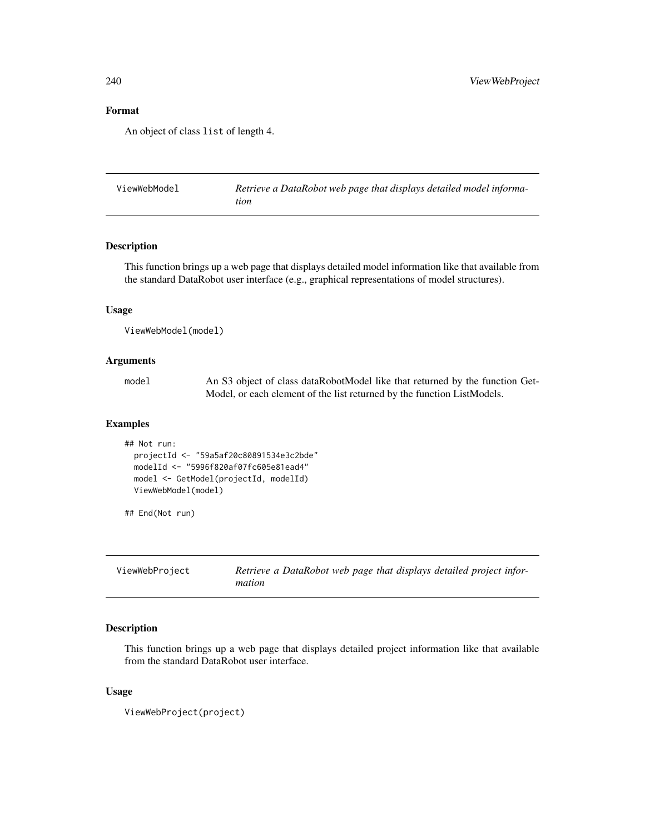# Format

An object of class list of length 4.

| ViewWebModel | Retrieve a DataRobot web page that displays detailed model informa- |
|--------------|---------------------------------------------------------------------|
|              | tion                                                                |

#### Description

This function brings up a web page that displays detailed model information like that available from the standard DataRobot user interface (e.g., graphical representations of model structures).

# Usage

```
ViewWebModel(model)
```
#### Arguments

| model | An S3 object of class dataRobotModel like that returned by the function Get- |
|-------|------------------------------------------------------------------------------|
|       | Model, or each element of the list returned by the function ListModels.      |

#### Examples

```
## Not run:
  projectId <- "59a5af20c80891534e3c2bde"
  modelId <- "5996f820af07fc605e81ead4"
  model <- GetModel(projectId, modelId)
  ViewWebModel(model)
```
## End(Not run)

| ViewWebProject | Retrieve a DataRobot web page that displays detailed project infor- |
|----------------|---------------------------------------------------------------------|
|                | mation                                                              |

# Description

This function brings up a web page that displays detailed project information like that available from the standard DataRobot user interface.

#### Usage

```
ViewWebProject(project)
```
<span id="page-239-0"></span>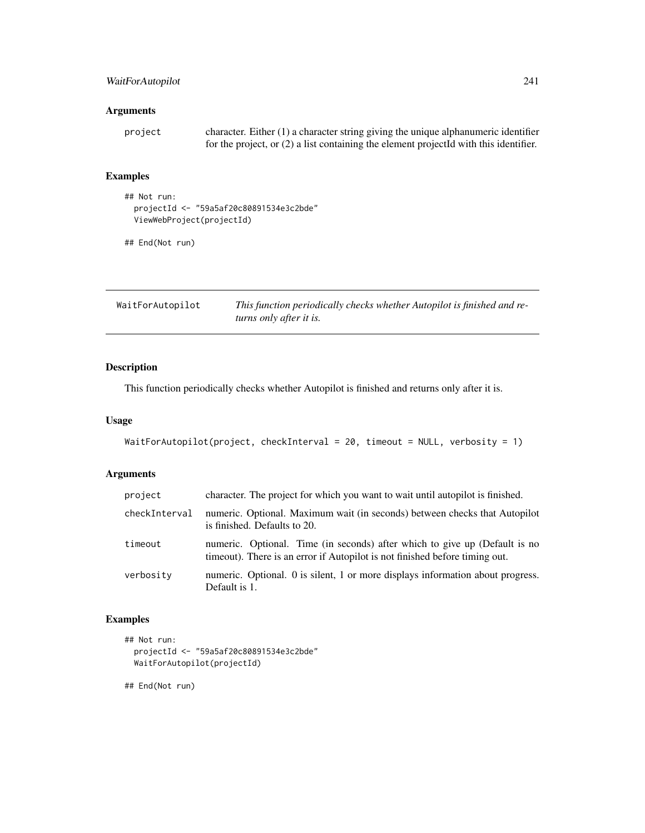# <span id="page-240-0"></span>WaitForAutopilot 241

# Arguments

| project | character. Either $(1)$ a character string giving the unique alphanumeric identifier  |
|---------|---------------------------------------------------------------------------------------|
|         | for the project, or (2) a list containing the element projectId with this identifier. |

# Examples

```
## Not run:
  projectId <- "59a5af20c80891534e3c2bde"
  ViewWebProject(projectId)
```
## End(Not run)

| WaitForAutopilot | This function periodically checks whether Autopilot is finished and re- |
|------------------|-------------------------------------------------------------------------|
|                  | turns only after it is.                                                 |

# Description

This function periodically checks whether Autopilot is finished and returns only after it is.

#### Usage

```
WaitForAutopilot(project, checkInterval = 20, timeout = NULL, verbosity = 1)
```
# Arguments

| project       | character. The project for which you want to wait until autopilot is finished.                                                                             |
|---------------|------------------------------------------------------------------------------------------------------------------------------------------------------------|
| checkInterval | numeric. Optional. Maximum wait (in seconds) between checks that Autopilot<br>is finished. Defaults to 20.                                                 |
| timeout       | numeric. Optional. Time (in seconds) after which to give up (Default is no<br>time out). There is an error if Autopilot is not finished before timing out. |
| verbosity     | numeric. Optional. 0 is silent, 1 or more displays information about progress.<br>Default is 1.                                                            |

# Examples

```
## Not run:
  projectId <- "59a5af20c80891534e3c2bde"
  WaitForAutopilot(projectId)
```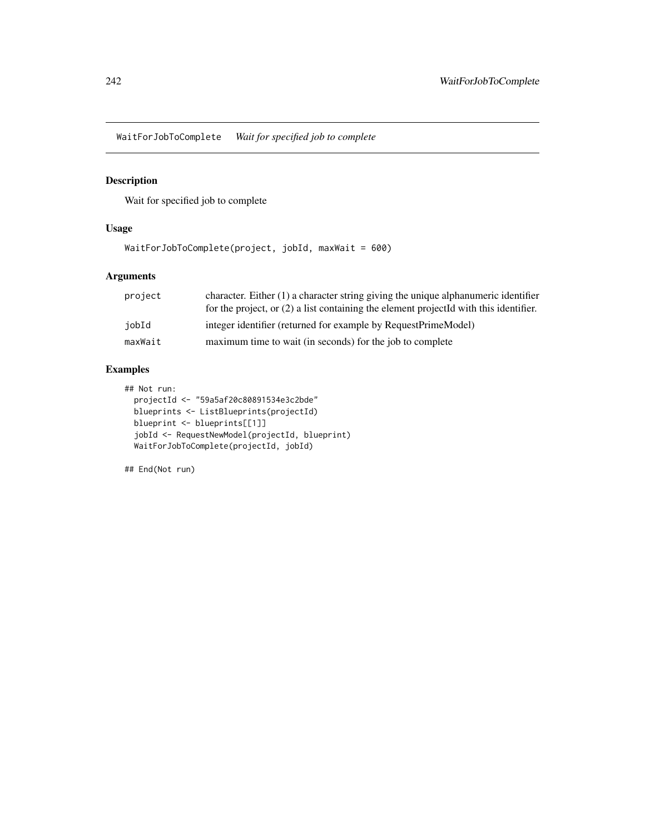<span id="page-241-0"></span>WaitForJobToComplete *Wait for specified job to complete*

# Description

Wait for specified job to complete

# Usage

```
WaitForJobToComplete(project, jobId, maxWait = 600)
```
# Arguments

| character. Either $(1)$ a character string giving the unique alphanumeric identifier    |
|-----------------------------------------------------------------------------------------|
| for the project, or $(2)$ a list containing the element projected with this identifier. |
| integer identifier (returned for example by RequestPrimeModel)                          |
| maximum time to wait (in seconds) for the job to complete                               |
|                                                                                         |

# Examples

## Not run: projectId <- "59a5af20c80891534e3c2bde" blueprints <- ListBlueprints(projectId) blueprint <- blueprints[[1]] jobId <- RequestNewModel(projectId, blueprint) WaitForJobToComplete(projectId, jobId)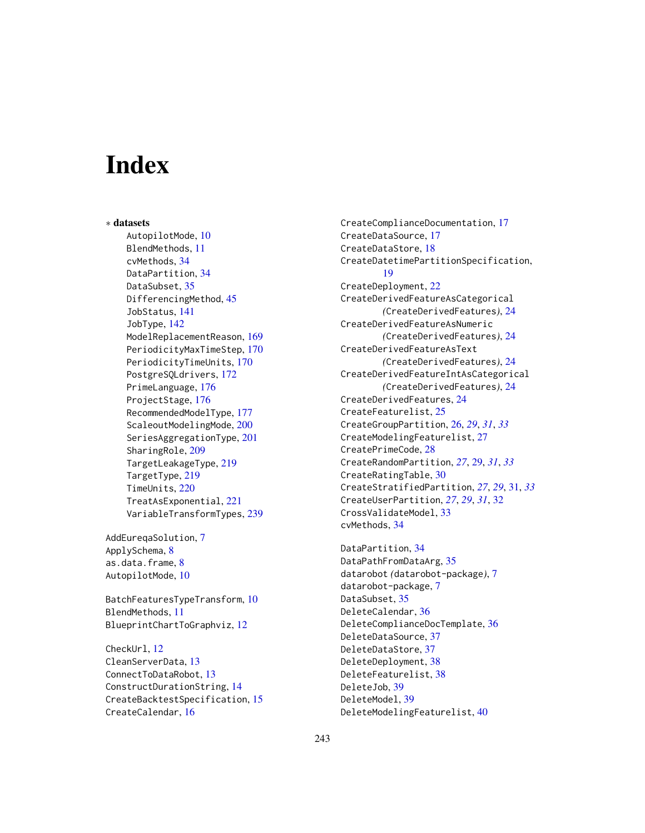# **Index**

∗ datasets AutopilotMode, [10](#page-9-0) BlendMethods, [11](#page-10-0) cvMethods, [34](#page-33-0) DataPartition, [34](#page-33-0) DataSubset, [35](#page-34-0) DifferencingMethod, [45](#page-44-0) JobStatus, [141](#page-140-0) JobType, [142](#page-141-0) ModelReplacementReason, [169](#page-168-0) PeriodicityMaxTimeStep, [170](#page-169-0) PeriodicityTimeUnits, [170](#page-169-0) PostgreSQLdrivers, [172](#page-171-0) PrimeLanguage, [176](#page-175-0) ProjectStage, [176](#page-175-0) RecommendedModelType, [177](#page-176-0) ScaleoutModelingMode, [200](#page-199-0) SeriesAggregationType, [201](#page-200-0) SharingRole, [209](#page-208-0) TargetLeakageType, [219](#page-218-0) TargetType, [219](#page-218-0) TimeUnits, [220](#page-219-0) TreatAsExponential, [221](#page-220-0) VariableTransformTypes, [239](#page-238-0)

AddEureqaSolution, [7](#page-6-0) ApplySchema, [8](#page-7-0) as.data.frame, [8](#page-7-0) AutopilotMode, [10](#page-9-0)

BatchFeaturesTypeTransform, [10](#page-9-0) BlendMethods, [11](#page-10-0) BlueprintChartToGraphviz, [12](#page-11-0)

CheckUrl, [12](#page-11-0) CleanServerData, [13](#page-12-0) ConnectToDataRobot, [13](#page-12-0) ConstructDurationString, [14](#page-13-0) CreateBacktestSpecification, [15](#page-14-0) CreateCalendar, [16](#page-15-0)

CreateComplianceDocumentation, [17](#page-16-0) CreateDataSource, [17](#page-16-0) CreateDataStore, [18](#page-17-0) CreateDatetimePartitionSpecification, [19](#page-18-0) CreateDeployment, [22](#page-21-0) CreateDerivedFeatureAsCategorical *(*CreateDerivedFeatures*)*, [24](#page-23-0) CreateDerivedFeatureAsNumeric *(*CreateDerivedFeatures*)*, [24](#page-23-0) CreateDerivedFeatureAsText *(*CreateDerivedFeatures*)*, [24](#page-23-0) CreateDerivedFeatureIntAsCategorical *(*CreateDerivedFeatures*)*, [24](#page-23-0) CreateDerivedFeatures, [24](#page-23-0) CreateFeaturelist, [25](#page-24-0) CreateGroupPartition, [26,](#page-25-0) *[29](#page-28-0)*, *[31](#page-30-0)*, *[33](#page-32-0)* CreateModelingFeaturelist, [27](#page-26-0) CreatePrimeCode, [28](#page-27-0) CreateRandomPartition, *[27](#page-26-0)*, [29,](#page-28-0) *[31](#page-30-0)*, *[33](#page-32-0)* CreateRatingTable, [30](#page-29-0) CreateStratifiedPartition, *[27](#page-26-0)*, *[29](#page-28-0)*, [31,](#page-30-0) *[33](#page-32-0)* CreateUserPartition, *[27](#page-26-0)*, *[29](#page-28-0)*, *[31](#page-30-0)*, [32](#page-31-0) CrossValidateModel, [33](#page-32-0) cvMethods, [34](#page-33-0)

DataPartition, [34](#page-33-0) DataPathFromDataArg, [35](#page-34-0) datarobot *(*datarobot-package*)*, [7](#page-6-0) datarobot-package, [7](#page-6-0) DataSubset, [35](#page-34-0) DeleteCalendar, [36](#page-35-0) DeleteComplianceDocTemplate, [36](#page-35-0) DeleteDataSource, [37](#page-36-0) DeleteDataStore, [37](#page-36-0) DeleteDeployment, [38](#page-37-0) DeleteFeaturelist, [38](#page-37-0) DeleteJob, [39](#page-38-0) DeleteModel, [39](#page-38-0) DeleteModelingFeaturelist, [40](#page-39-0)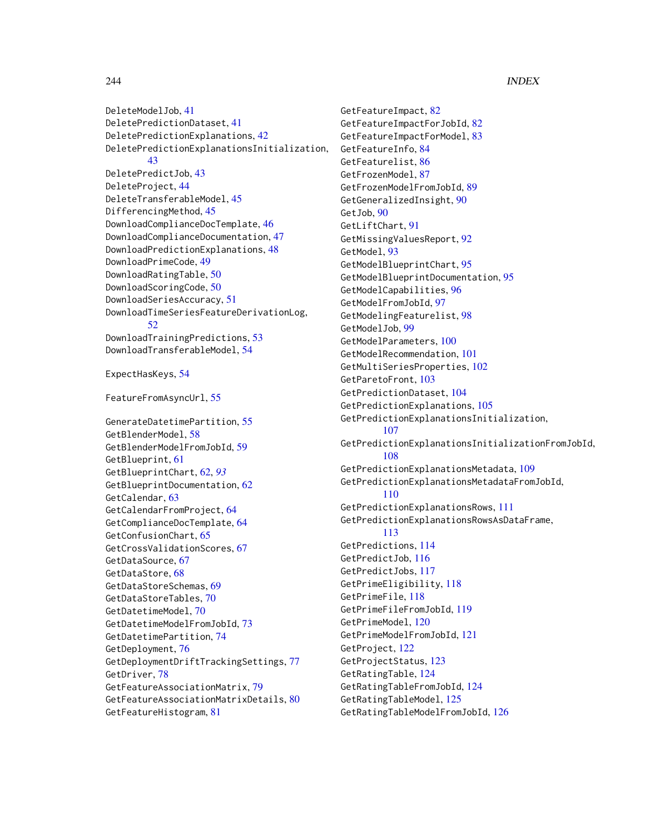DeleteModelJob, [41](#page-40-0) DeletePredictionDataset, [41](#page-40-0) DeletePredictionExplanations, [42](#page-41-0) DeletePredictionExplanationsInitialization, [43](#page-42-0) DeletePredictJob, [43](#page-42-0) DeleteProject, [44](#page-43-0) DeleteTransferableModel, [45](#page-44-0) DifferencingMethod, [45](#page-44-0) DownloadComplianceDocTemplate, [46](#page-45-0) DownloadComplianceDocumentation, [47](#page-46-0) DownloadPredictionExplanations, [48](#page-47-0) DownloadPrimeCode, [49](#page-48-0) DownloadRatingTable, [50](#page-49-0) DownloadScoringCode, [50](#page-49-0) DownloadSeriesAccuracy, [51](#page-50-0) DownloadTimeSeriesFeatureDerivationLog, [52](#page-51-0) DownloadTrainingPredictions, [53](#page-52-0) DownloadTransferableModel, [54](#page-53-0) ExpectHasKeys, [54](#page-53-0)

FeatureFromAsyncUrl, [55](#page-54-0)

GenerateDatetimePartition, [55](#page-54-0) GetBlenderModel, [58](#page-57-0) GetBlenderModelFromJobId, [59](#page-58-0) GetBlueprint, [61](#page-60-0) GetBlueprintChart, [62,](#page-61-0) *[93](#page-92-0)* GetBlueprintDocumentation, [62](#page-61-0) GetCalendar, [63](#page-62-0) GetCalendarFromProject, [64](#page-63-0) GetComplianceDocTemplate, [64](#page-63-0) GetConfusionChart, [65](#page-64-0) GetCrossValidationScores, [67](#page-66-0) GetDataSource, [67](#page-66-0) GetDataStore, [68](#page-67-0) GetDataStoreSchemas, [69](#page-68-0) GetDataStoreTables, [70](#page-69-0) GetDatetimeModel, [70](#page-69-0) GetDatetimeModelFromJobId, [73](#page-72-0) GetDatetimePartition, [74](#page-73-0) GetDeployment, [76](#page-75-0) GetDeploymentDriftTrackingSettings, [77](#page-76-0) GetDriver, [78](#page-77-0) GetFeatureAssociationMatrix, [79](#page-78-0) GetFeatureAssociationMatrixDetails, [80](#page-79-0) GetFeatureHistogram, [81](#page-80-0)

GetFeatureImpact, [82](#page-81-0) GetFeatureImpactForJobId, [82](#page-81-0) GetFeatureImpactForModel, [83](#page-82-0) GetFeatureInfo, [84](#page-83-0) GetFeaturelist, [86](#page-85-0) GetFrozenModel, [87](#page-86-0) GetFrozenModelFromJobId, [89](#page-88-0) GetGeneralizedInsight, [90](#page-89-0) GetJob, [90](#page-89-0) GetLiftChart, [91](#page-90-0) GetMissingValuesReport, [92](#page-91-0) GetModel, [93](#page-92-0) GetModelBlueprintChart, [95](#page-94-0) GetModelBlueprintDocumentation, [95](#page-94-0) GetModelCapabilities, [96](#page-95-0) GetModelFromJobId, [97](#page-96-0) GetModelingFeaturelist, [98](#page-97-0) GetModelJob, [99](#page-98-0) GetModelParameters, [100](#page-99-0) GetModelRecommendation, [101](#page-100-0) GetMultiSeriesProperties, [102](#page-101-0) GetParetoFront, [103](#page-102-0) GetPredictionDataset, [104](#page-103-0) GetPredictionExplanations, [105](#page-104-0) GetPredictionExplanationsInitialization, [107](#page-106-0) GetPredictionExplanationsInitializationFromJobId, [108](#page-107-0) GetPredictionExplanationsMetadata, [109](#page-108-0) GetPredictionExplanationsMetadataFromJobId, [110](#page-109-0) GetPredictionExplanationsRows, [111](#page-110-0) GetPredictionExplanationsRowsAsDataFrame, [113](#page-112-0) GetPredictions, [114](#page-113-0) GetPredictJob, [116](#page-115-0) GetPredictJobs, [117](#page-116-0) GetPrimeEligibility, [118](#page-117-0) GetPrimeFile, [118](#page-117-0) GetPrimeFileFromJobId, [119](#page-118-0) GetPrimeModel, [120](#page-119-0) GetPrimeModelFromJobId, [121](#page-120-0) GetProject, [122](#page-121-0) GetProjectStatus, [123](#page-122-0) GetRatingTable, [124](#page-123-0) GetRatingTableFromJobId, [124](#page-123-0) GetRatingTableModel, [125](#page-124-0) GetRatingTableModelFromJobId, [126](#page-125-0)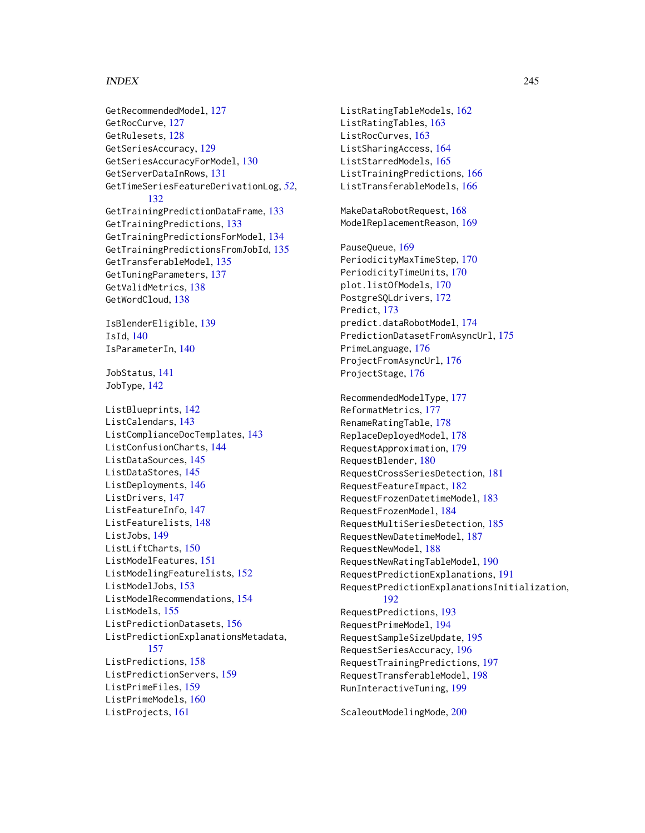#### INDEX 245

GetRecommendedModel, [127](#page-126-0) GetRocCurve, [127](#page-126-0) GetRulesets, [128](#page-127-0) GetSeriesAccuracy, [129](#page-128-0) GetSeriesAccuracyForModel, [130](#page-129-0) GetServerDataInRows, [131](#page-130-0) GetTimeSeriesFeatureDerivationLog, *[52](#page-51-0)*, [132](#page-131-0) GetTrainingPredictionDataFrame, [133](#page-132-0) GetTrainingPredictions, [133](#page-132-0) GetTrainingPredictionsForModel, [134](#page-133-0) GetTrainingPredictionsFromJobId, [135](#page-134-0) GetTransferableModel, [135](#page-134-0) GetTuningParameters, [137](#page-136-0) GetValidMetrics, [138](#page-137-0) GetWordCloud, [138](#page-137-0) IsBlenderEligible, [139](#page-138-0) IsId, [140](#page-139-0) IsParameterIn, [140](#page-139-0) JobStatus, [141](#page-140-0) JobType, [142](#page-141-0) ListBlueprints, [142](#page-141-0) ListCalendars, [143](#page-142-0) ListComplianceDocTemplates, [143](#page-142-0) ListConfusionCharts, [144](#page-143-0) ListDataSources, [145](#page-144-0) ListDataStores, [145](#page-144-0) ListDeployments, [146](#page-145-0) ListDrivers, [147](#page-146-0) ListFeatureInfo, [147](#page-146-0) ListFeaturelists, [148](#page-147-0) ListJobs, [149](#page-148-0) ListLiftCharts, [150](#page-149-0) ListModelFeatures, [151](#page-150-0) ListModelingFeaturelists, [152](#page-151-0) ListModelJobs, [153](#page-152-0) ListModelRecommendations, [154](#page-153-0) ListModels, [155](#page-154-0) ListPredictionDatasets, [156](#page-155-0) ListPredictionExplanationsMetadata, [157](#page-156-0) ListPredictions, [158](#page-157-0) ListPredictionServers, [159](#page-158-0) ListPrimeFiles, [159](#page-158-0) ListPrimeModels, [160](#page-159-0) ListProjects, [161](#page-160-0)

ListRatingTableModels, [162](#page-161-0) ListRatingTables, [163](#page-162-0) ListRocCurves, [163](#page-162-0) ListSharingAccess, [164](#page-163-0) ListStarredModels, [165](#page-164-0) ListTrainingPredictions, [166](#page-165-0) ListTransferableModels, [166](#page-165-0) MakeDataRobotRequest, [168](#page-167-0) ModelReplacementReason, [169](#page-168-0) PauseQueue, [169](#page-168-0) PeriodicityMaxTimeStep, [170](#page-169-0) PeriodicityTimeUnits, [170](#page-169-0) plot.listOfModels, [170](#page-169-0) PostgreSQLdrivers, [172](#page-171-0) Predict, [173](#page-172-0) predict.dataRobotModel, [174](#page-173-0) PredictionDatasetFromAsyncUrl, [175](#page-174-0) PrimeLanguage, [176](#page-175-0) ProjectFromAsyncUrl, [176](#page-175-0) ProjectStage, [176](#page-175-0) RecommendedModelType, [177](#page-176-0) ReformatMetrics, [177](#page-176-0) RenameRatingTable, [178](#page-177-0) ReplaceDeployedModel, [178](#page-177-0) RequestApproximation, [179](#page-178-0) RequestBlender, [180](#page-179-0) RequestCrossSeriesDetection, [181](#page-180-0) RequestFeatureImpact, [182](#page-181-0) RequestFrozenDatetimeModel, [183](#page-182-0) RequestFrozenModel, [184](#page-183-0) RequestMultiSeriesDetection, [185](#page-184-0) RequestNewDatetimeModel, [187](#page-186-0) RequestNewModel, [188](#page-187-0) RequestNewRatingTableModel, [190](#page-189-0) RequestPredictionExplanations, [191](#page-190-0) RequestPredictionExplanationsInitialization, [192](#page-191-0) RequestPredictions, [193](#page-192-0) RequestPrimeModel, [194](#page-193-0) RequestSampleSizeUpdate, [195](#page-194-0) RequestSeriesAccuracy, [196](#page-195-0) RequestTrainingPredictions, [197](#page-196-0) RequestTransferableModel, [198](#page-197-0) RunInteractiveTuning, [199](#page-198-0)

ScaleoutModelingMode, [200](#page-199-0)